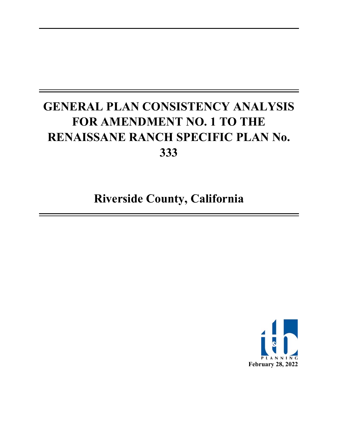# **GENERAL PLAN CONSISTENCY ANALYSIS FOR AMENDMENT NO. 1 TO THE RENAISSANE RANCH SPECIFIC PLAN No. 333**

**Riverside County, California** 

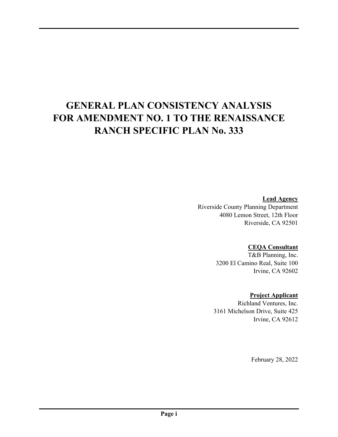# **GENERAL PLAN CONSISTENCY ANALYSIS FOR AMENDMENT NO. 1 TO THE RENAISSANCE RANCH SPECIFIC PLAN No. 333**

### **Lead Agency**

Riverside County Planning Department 4080 Lemon Street, 12th Floor Riverside, CA 92501

### **CEQA Consultant**

T&B Planning, Inc. 3200 El Camino Real, Suite 100 Irvine, CA 92602

### **Project Applicant**

Richland Ventures, Inc. 3161 Michelson Drive, Suite 425 Irvine, CA 92612

February 28, 2022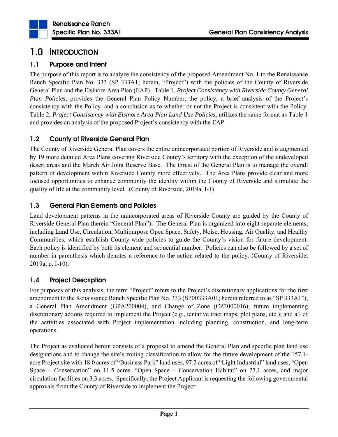

# 1.0 INTRODUCTION

### 1.1 Purpose and Intent

The purpose of this report is to analyze the consistency of the proposed Amendment No. 1 to the Renaissance Ranch Specific Plan No. 333 (SP 333A1; herein, "Project") with the policies of the County of Riverside General Plan and the Elsinore Area Plan (EAP). Table 1, *Project Consistency with Riverside County General Plan Policies*, provides the General Plan Policy Number, the policy, a brief analysis of the Project's consistency with the Policy, and a conclusion as to whether or not the Project is consistent with the Policy. Table 2, *Project Consistency with Elsinore Area Plan Land Use Policies*, utilizes the same format as Table 1 and provides an analysis of the proposed Project's consistency with the EAP.

## 1.2 County of Riverside General Plan

The County of Riverside General Plan covers the entire unincorporated portion of Riverside and is augmented by 19 more detailed Area Plans covering Riverside County's territory with the exception of the undeveloped desert areas and the March Air Joint Reserve Base. The thrust of the General Plan is to manage the overall pattern of development within Riverside County more effectively. The Area Plans provide clear and more focused opportunities to enhance community the identity within the County of Riverside and stimulate the quality of life at the community level. (County of Riverside, 2019a, I-1)

### 1.3 General Plan Elements and Policies

Land development patterns in the unincorporated areas of Riverside County are guided by the County of Riverside General Plan (herein "General Plan"). The General Plan is organized into eight separate elements, including Land Use, Circulation, Multipurpose Open Space, Safety, Noise, Housing, Air Quality, and Healthy Communities, which establish County-wide policies to guide the County's vision for future development. Each policy is identified by both its element and sequential number. Policies can also be followed by a set of number in parenthesis which denotes a reference to the action related to the policy. (County of Riverside, 2019a, p. I-10).

### 1.4 Project Description

For purposes of this analysis, the term "Project" refers to the Project's discretionary applications for the first amendment to the Renaissance Ranch Specific Plan No. 333 (SP00333A01; herein referred to as "SP 333A1"), a General Plan Amendment (GPA200004), and Change of Zone (CZ2000016); future implementing discretionary actions required to implement the Project (e.g., tentative tract maps, plot plans, etc.); and all of the activities associated with Project implementation including planning, construction, and long-term operations.

The Project as evaluated herein consists of a proposal to amend the General Plan and specific plan land use designations and to change the site's zoning classification to allow for the future development of the 157.1 acre Project site with 18.0 acres of "Business Park" land uses, 97.2 acres of "Light Industrial" land uses, "Open Space – Conservation" on 11.5 acres, "Open Space – Conservation Habitat" on 27.1 acres, and major circulation facilities on 3.3 acres. Specifically, the Project Applicant is requesting the following governmental approvals from the County of Riverside to implement the Project: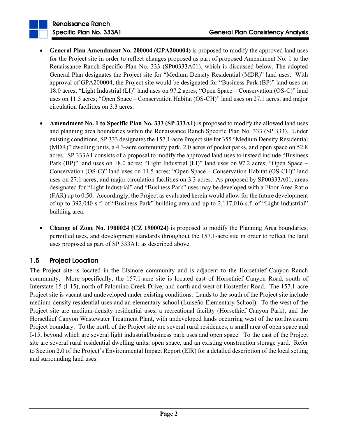- **General Plan Amendment No. 200004 (GPA200004)** is proposed to modify the approved land uses for the Project site in order to reflect changes proposed as part of proposed Amendment No. 1 to the Renaissance Ranch Specific Plan No. 333 (SP00333A01), which is discussed below. The adopted General Plan designates the Project site for "Medium Density Residential (MDR)" land uses. With approval of GPA200004, the Project site would be designated for "Business Park (BP)" land uses on 18.0 acres; "Light Industrial (LI)" land uses on 97.2 acres; "Open Space – Conservation (OS-C)" land uses on 11.5 acres; "Open Space – Conservation Habitat (OS-CH)" land uses on 27.1 acres; and major circulation facilities on 3.3 acres.
- **Amendment No. 1 to Specific Plan No. 333 (SP 333A1)** is proposed to modify the allowed land uses and planning area boundaries within the Renaissance Ranch Specific Plan No. 333 (SP 333). Under existing conditions, SP 333 designates the 157.1-acre Project site for 355 "Medium Density Residential (MDR)" dwelling units, a 4.3-acre community park, 2.0 acres of pocket parks, and open space on 52.8 acres. SP 333A1 consists of a proposal to modify the approved land uses to instead include "Business Park (BP)" land uses on 18.0 acres; "Light Industrial (LI)" land uses on 97.2 acres; "Open Space – Conservation (OS-C)" land uses on 11.5 acres; "Open Space – Conservation Habitat (OS-CH)" land uses on 27.1 acres; and major circulation facilities on 3.3 acres. As proposed by SP00333A01, areas designated for "Light Industrial" and "Business Park" uses may be developed with a Floor Area Ratio (FAR) up to 0.50. Accordingly, the Project as evaluated herein would allow for the future development of up to 392,040 s.f. of "Business Park" building area and up to 2,117,016 s.f. of "Light Industrial" building area.
- **Change of Zone No. 1900024 (CZ 1900024)** is proposed to modify the Planning Area boundaries, permitted uses, and development standards throughout the 157.1-acre site in order to reflect the land uses proposed as part of SP 333A1, as described above.

## 1.5 Project Location

The Project site is located in the Elsinore community and is adjacent to the Horsethief Canyon Ranch community. More specifically, the 157.1-acre site is located east of Horsethief Canyon Road, south of Interstate 15 (I-15), north of Palomino Creek Drive, and north and west of Hostettler Road. The 157.1-acre Project site is vacant and undeveloped under existing conditions. Lands to the south of the Project site include medium-density residential uses and an elementary school (Luiseño Elementary School). To the west of the Project site are medium-density residential uses, a recreational facility (Horsethief Canyon Park), and the Horsethief Canyon Wastewater Treatment Plant, with undeveloped lands occurring west of the northwestern Project boundary. To the north of the Project site are several rural residences, a small area of open space and I-15, beyond which are several light industrial/business park uses and open space. To the east of the Project site are several rural residential dwelling units, open space, and an existing construction storage yard. Refer to Section 2.0 of the Project's Environmental Impact Report (EIR) for a detailed description of the local setting and surrounding land uses.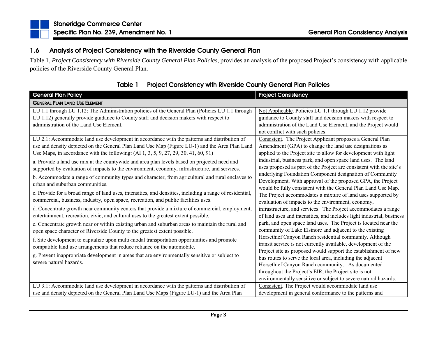### 1.6Analysis of Project Consistency with the Riverside County General Plan

Table 1, *Project Consistency with Riverside County General Plan Policies*, provides an analysis of the proposed Project's consistency with applicable policies of the Riverside County General Plan.

| <b>General Plan Policy</b>                                                                                                                                                                                                                                                                                                                                                                                                                                                                                                                                                                                                                                                                                                                                                                                                                                                         | <b>Project Consistency</b>                                                                                                                                                                                                                                                                                                                                                                                                                                                                                                                                                                                                                                                                                                                                                     |
|------------------------------------------------------------------------------------------------------------------------------------------------------------------------------------------------------------------------------------------------------------------------------------------------------------------------------------------------------------------------------------------------------------------------------------------------------------------------------------------------------------------------------------------------------------------------------------------------------------------------------------------------------------------------------------------------------------------------------------------------------------------------------------------------------------------------------------------------------------------------------------|--------------------------------------------------------------------------------------------------------------------------------------------------------------------------------------------------------------------------------------------------------------------------------------------------------------------------------------------------------------------------------------------------------------------------------------------------------------------------------------------------------------------------------------------------------------------------------------------------------------------------------------------------------------------------------------------------------------------------------------------------------------------------------|
| <b>GENERAL PLAN LAND USE ELEMENT</b>                                                                                                                                                                                                                                                                                                                                                                                                                                                                                                                                                                                                                                                                                                                                                                                                                                               |                                                                                                                                                                                                                                                                                                                                                                                                                                                                                                                                                                                                                                                                                                                                                                                |
| LU 1.1 through LU 1.12: The Administration policies of the General Plan (Policies LU 1.1 through<br>LU 1.12) generally provide guidance to County staff and decision makers with respect to<br>administration of the Land Use Element.                                                                                                                                                                                                                                                                                                                                                                                                                                                                                                                                                                                                                                             | Not Applicable. Policies LU 1.1 through LU 1.12 provide<br>guidance to County staff and decision makers with respect to<br>administration of the Land Use Element, and the Project would<br>not conflict with such policies.                                                                                                                                                                                                                                                                                                                                                                                                                                                                                                                                                   |
| LU 2.1: Accommodate land use development in accordance with the patterns and distribution of<br>use and density depicted on the General Plan Land Use Map (Figure LU-1) and the Area Plan Land<br>Use Maps, in accordance with the following: (AI 1, 3, 5, 9, 27, 29, 30, 41, 60, 91)<br>a. Provide a land use mix at the countywide and area plan levels based on projected need and<br>supported by evaluation of impacts to the environment, economy, infrastructure, and services.<br>b. Accommodate a range of community types and character, from agricultural and rural enclaves to<br>urban and suburban communities.                                                                                                                                                                                                                                                      | Consistent. The Project Applicant proposes a General Plan<br>Amendment (GPA) to change the land use designations as<br>applied to the Project site to allow for development with light<br>industrial, business park, and open space land uses. The land<br>uses proposed as part of the Project are consistent with the site's<br>underlying Foundation Component designation of Community<br>Development. With approval of the proposed GPA, the Project                                                                                                                                                                                                                                                                                                                      |
| c. Provide for a broad range of land uses, intensities, and densities, including a range of residential,<br>commercial, business, industry, open space, recreation, and public facilities uses.<br>d. Concentrate growth near community centers that provide a mixture of commercial, employment,<br>entertainment, recreation, civic, and cultural uses to the greatest extent possible.<br>e. Concentrate growth near or within existing urban and suburban areas to maintain the rural and<br>open space character of Riverside County to the greatest extent possible.<br>f. Site development to capitalize upon multi-modal transportation opportunities and promote<br>compatible land use arrangements that reduce reliance on the automobile.<br>g. Prevent inappropriate development in areas that are environmentally sensitive or subject to<br>severe natural hazards. | would be fully consistent with the General Plan Land Use Map.<br>The Project accommodates a mixture of land uses supported by<br>evaluation of impacts to the environment, economy,<br>infrastructure, and services. The Project accommodates a range<br>of land uses and intensities, and includes light industrial, business<br>park, and open space land uses. The Project is located near the<br>community of Lake Elsinore and adjacent to the existing<br>Horsethief Canyon Ranch residential community. Although<br>transit service is not currently available, development of the<br>Project site as proposed would support the establishment of new<br>bus routes to serve the local area, including the adjacent<br>Horsethief Canyon Ranch community. As documented |
| LU 3.1: Accommodate land use development in accordance with the patterns and distribution of<br>use and density depicted on the General Plan Land Use Maps (Figure LU-1) and the Area Plan                                                                                                                                                                                                                                                                                                                                                                                                                                                                                                                                                                                                                                                                                         | throughout the Project's EIR, the Project site is not<br>environmentally sensitive or subject to severe natural hazards.<br>Consistent. The Project would accommodate land use<br>development in general conformance to the patterns and                                                                                                                                                                                                                                                                                                                                                                                                                                                                                                                                       |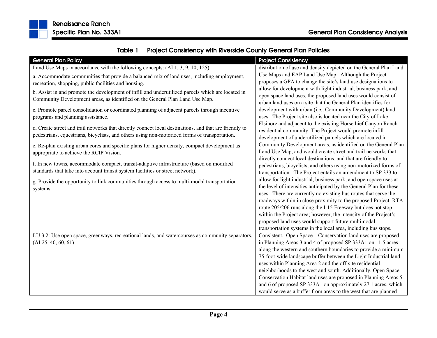

| <b>General Plan Policy</b>                                                                             | <b>Project Consistency</b>                                         |
|--------------------------------------------------------------------------------------------------------|--------------------------------------------------------------------|
| Land Use Maps in accordance with the following concepts: $(AI1, 3, 9, 10, 125)$                        | distribution of use and density depicted on the General Plan Land  |
| a. Accommodate communities that provide a balanced mix of land uses, including employment,             | Use Maps and EAP Land Use Map. Although the Project                |
| recreation, shopping, public facilities and housing.                                                   | proposes a GPA to change the site's land use designations to       |
| b. Assist in and promote the development of infill and underutilized parcels which are located in      | allow for development with light industrial, business park, and    |
| Community Development areas, as identified on the General Plan Land Use Map.                           | open space land uses, the proposed land uses would consist of      |
|                                                                                                        | urban land uses on a site that the General Plan identifies for     |
| c. Promote parcel consolidation or coordinated planning of adjacent parcels through incentive          | development with urban (i.e., Community Development) land          |
| programs and planning assistance.                                                                      | uses. The Project site also is located near the City of Lake       |
|                                                                                                        | Elsinore and adjacent to the existing Horsethief Canyon Ranch      |
| d. Create street and trail networks that directly connect local destinations, and that are friendly to | residential community. The Project would promote infill            |
| pedestrians, equestrians, bicyclists, and others using non-motorized forms of transportation.          | development of underutilized parcels which are located in          |
| e. Re-plan existing urban cores and specific plans for higher density, compact development as          | Community Development areas, as identified on the General Plan     |
| appropriate to achieve the RCIP Vision.                                                                | Land Use Map, and would create street and trail networks that      |
|                                                                                                        | directly connect local destinations, and that are friendly to      |
| f. In new towns, accommodate compact, transit-adaptive infrastructure (based on modified               | pedestrians, bicyclists, and others using non-motorized forms of   |
| standards that take into account transit system facilities or street network).                         | transportation. The Project entails an amendment to SP 333 to      |
| g. Provide the opportunity to link communities through access to multi-modal transportation            | allow for light industrial, business park, and open space uses at  |
| systems.                                                                                               | the level of intensities anticipated by the General Plan for these |
|                                                                                                        | uses. There are currently no existing bus routes that serve the    |
|                                                                                                        | roadways within in close proximity to the proposed Project. RTA    |
|                                                                                                        | route 205/206 runs along the I-15 Freeway but does not stop        |
|                                                                                                        | within the Project area; however, the intensity of the Project's   |
|                                                                                                        | proposed land uses would support future multimodal                 |
|                                                                                                        | transportation systems in the local area, including bus stops.     |
| LU 3.2: Use open space, greenways, recreational lands, and watercourses as community separators.       | Consistent. Open Space – Conservation land uses are proposed       |
| (AI 25, 40, 60, 61)                                                                                    | in Planning Areas 3 and 4 of proposed SP 333A1 on 11.5 acres       |
|                                                                                                        | along the western and southern boundaries to provide a minimum     |
|                                                                                                        | 75-foot-wide landscape buffer between the Light Industrial land    |
|                                                                                                        | uses within Planning Area 2 and the off-site residential           |
|                                                                                                        | neighborhoods to the west and south. Additionally, Open Space -    |
|                                                                                                        | Conservation Habitat land uses are proposed in Planning Areas 5    |
|                                                                                                        | and 6 of proposed SP 333A1 on approximately 27.1 acres, which      |
|                                                                                                        | would serve as a buffer from areas to the west that are planned    |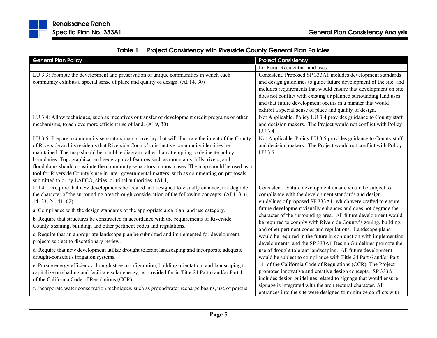| <b>General Plan Policy</b>                                                                            | <b>Project Consistency</b>                                         |
|-------------------------------------------------------------------------------------------------------|--------------------------------------------------------------------|
|                                                                                                       | for Rural Residential land uses.                                   |
| LU 3.3: Promote the development and preservation of unique communities in which each                  | Consistent. Proposed SP 333A1 includes development standards       |
| community exhibits a special sense of place and quality of design. (AI 14, 30)                        | and design guidelines to guide future development of the site, and |
|                                                                                                       | includes requirements that would ensure that development on site   |
|                                                                                                       | does not conflict with existing or planned surrounding land uses   |
|                                                                                                       | and that future development occurs in a manner that would          |
|                                                                                                       | exhibit a special sense of place and quality of design.            |
| LU 3.4: Allow techniques, such as incentives or transfer of development credit programs or other      | Not Applicable. Policy LU 3.4 provides guidance to County staff    |
| mechanisms, to achieve more efficient use of land. (AI 9, 30)                                         | and decision makers. The Project would not conflict with Policy    |
|                                                                                                       | LU 3.4.                                                            |
| LU 3.5: Prepare a community separators map or overlay that will illustrate the intent of the County   | Not Applicable. Policy LU 3.5 provides guidance to County staff    |
| of Riverside and its residents that Riverside County's distinctive community identities be            | and decision makers. The Project would not conflict with Policy    |
| maintained. The map should be a bubble diagram rather than attempting to delineate policy             | LU 3.5.                                                            |
| boundaries. Topographical and geographical features such as mountains, hills, rivers, and             |                                                                    |
| floodplains should constitute the community separators in most cases. The map should be used as a     |                                                                    |
| tool for Riverside County's use in inter-governmental matters, such as commenting on proposals        |                                                                    |
| submitted to or by LAFCO, cities, or tribal authorities. (AI 4)                                       |                                                                    |
| LU 4.1: Require that new developments be located and designed to visually enhance, not degrade        | Consistent. Future development on site would be subject to         |
| the character of the surrounding area through consideration of the following concepts: (AI 1, 3, 6,   | compliance with the development standards and design               |
| 14, 23, 24, 41, 62)                                                                                   | guidelines of proposed SP 333A1, which were crafted to ensure      |
| a. Compliance with the design standards of the appropriate area plan land use category.               | future development visually enhances and does not degrade the      |
| b. Require that structures be constructed in accordance with the requirements of Riverside            | character of the surrounding area. All future development would    |
| County's zoning, building, and other pertinent codes and regulations.                                 | be required to comply with Riverside County's zoning, building,    |
|                                                                                                       | and other pertinent codes and regulations. Landscape plans         |
| c. Require that an appropriate landscape plan be submitted and implemented for development            | would be required in the future in conjunction with implementing   |
| projects subject to discretionary review.                                                             | developments, and the SP 333A1 Design Guidelines promote the       |
| d. Require that new development utilize drought tolerant landscaping and incorporate adequate         | use of drought tolerant landscaping. All future development        |
| drought-conscious irrigation systems.                                                                 | would be subject to compliance with Title 24 Part 6 and/or Part    |
| e. Pursue energy efficiency through street configuration, building orientation, and landscaping to    | 11, of the California Code of Regulations (CCR). The Project       |
| capitalize on shading and facilitate solar energy, as provided for in Title 24 Part 6 and/or Part 11, | promotes innovative and creative design concepts. SP 333A1         |
| of the California Code of Regulations (CCR).                                                          | includes design guidelines related to signage that would ensure    |
|                                                                                                       | signage is integrated with the architectural character. All        |
| f. Incorporate water conservation techniques, such as groundwater recharge basins, use of porous      | entrances into the site were designed to minimize conflicts with   |

|  | Table 1 Project Consistency with Riverside County General Plan Policies |
|--|-------------------------------------------------------------------------|
|--|-------------------------------------------------------------------------|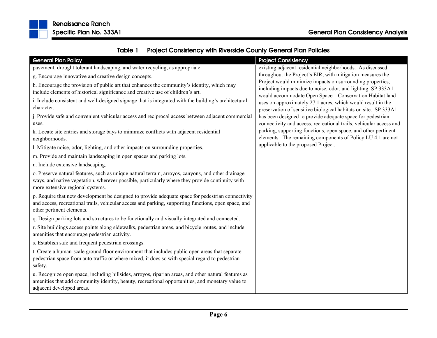



| kenaissance kancn       |  |  |
|-------------------------|--|--|
| Specific Plan No. 333A1 |  |  |

| <b>General Plan Policy</b>                                                                                                                                                                                                                | <b>Project Consistency</b>                                                                                                       |
|-------------------------------------------------------------------------------------------------------------------------------------------------------------------------------------------------------------------------------------------|----------------------------------------------------------------------------------------------------------------------------------|
| pavement, drought tolerant landscaping, and water recycling, as appropriate.                                                                                                                                                              | existing adjacent residential neighborhoods. As discussed                                                                        |
| g. Encourage innovative and creative design concepts.                                                                                                                                                                                     | throughout the Project's EIR, with mitigation measures the                                                                       |
| h. Encourage the provision of public art that enhances the community's identity, which may                                                                                                                                                | Project would minimize impacts on surrounding properties,<br>including impacts due to noise, odor, and lighting. SP 333A1        |
| include elements of historical significance and creative use of children's art.                                                                                                                                                           | would accommodate Open Space - Conservation Habitat land                                                                         |
| i. Include consistent and well-designed signage that is integrated with the building's architectural<br>character.                                                                                                                        | uses on approximately 27.1 acres, which would result in the<br>preservation of sensitive biological habitats on site. SP 333A1   |
| j. Provide safe and convenient vehicular access and reciprocal access between adjacent commercial<br>uses.                                                                                                                                | has been designed to provide adequate space for pedestrian<br>connectivity and access, recreational trails, vehicular access and |
| k. Locate site entries and storage bays to minimize conflicts with adjacent residential<br>neighborhoods.                                                                                                                                 | parking, supporting functions, open space, and other pertinent<br>elements. The remaining components of Policy LU 4.1 are not    |
| l. Mitigate noise, odor, lighting, and other impacts on surrounding properties.                                                                                                                                                           | applicable to the proposed Project.                                                                                              |
| m. Provide and maintain landscaping in open spaces and parking lots.                                                                                                                                                                      |                                                                                                                                  |
| n. Include extensive landscaping.                                                                                                                                                                                                         |                                                                                                                                  |
| o. Preserve natural features, such as unique natural terrain, arroyos, canyons, and other drainage<br>ways, and native vegetation, wherever possible, particularly where they provide continuity with<br>more extensive regional systems. |                                                                                                                                  |
| p. Require that new development be designed to provide adequate space for pedestrian connectivity<br>and access, recreational trails, vehicular access and parking, supporting functions, open space, and<br>other pertinent elements.    |                                                                                                                                  |
| q. Design parking lots and structures to be functionally and visually integrated and connected.                                                                                                                                           |                                                                                                                                  |
| r. Site buildings access points along sidewalks, pedestrian areas, and bicycle routes, and include<br>amenities that encourage pedestrian activity.                                                                                       |                                                                                                                                  |
| s. Establish safe and frequent pedestrian crossings.                                                                                                                                                                                      |                                                                                                                                  |
| t. Create a human-scale ground floor environment that includes public open areas that separate<br>pedestrian space from auto traffic or where mixed, it does so with special regard to pedestrian<br>safety.                              |                                                                                                                                  |
| u. Recognize open space, including hillsides, arroyos, riparian areas, and other natural features as<br>amenities that add community identity, beauty, recreational opportunities, and monetary value to<br>adjacent developed areas.     |                                                                                                                                  |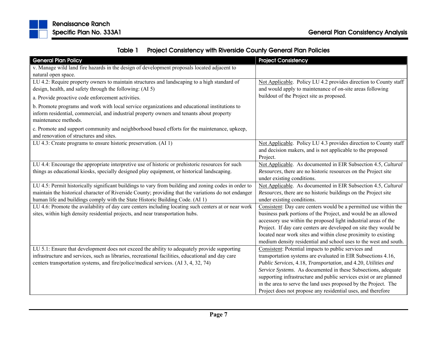

|  | Table 1 Project Consistency with Riverside County General Plan Policies |
|--|-------------------------------------------------------------------------|
|--|-------------------------------------------------------------------------|

| <b>General Plan Policy</b>                                                                           | <b>Project Consistency</b>                                         |
|------------------------------------------------------------------------------------------------------|--------------------------------------------------------------------|
| v. Manage wild land fire hazards in the design of development proposals located adjacent to          |                                                                    |
| natural open space.                                                                                  |                                                                    |
| LU 4.2: Require property owners to maintain structures and landscaping to a high standard of         | Not Applicable. Policy LU 4.2 provides direction to County staff   |
| design, health, and safety through the following: (AI 5)                                             | and would apply to maintenance of on-site areas following          |
| a. Provide proactive code enforcement activities.                                                    | buildout of the Project site as proposed.                          |
| b. Promote programs and work with local service organizations and educational institutions to        |                                                                    |
| inform residential, commercial, and industrial property owners and tenants about property            |                                                                    |
| maintenance methods.                                                                                 |                                                                    |
| c. Promote and support community and neighborhood based efforts for the maintenance, upkeep,         |                                                                    |
| and renovation of structures and sites.                                                              |                                                                    |
| LU 4.3: Create programs to ensure historic preservation. (AI 1)                                      | Not Applicable. Policy LU 4.3 provides direction to County staff   |
|                                                                                                      | and decision makers, and is not applicable to the proposed         |
|                                                                                                      | Project.                                                           |
| LU 4.4: Encourage the appropriate interpretive use of historic or prehistoric resources for such     | Not Applicable. As documented in EIR Subsection 4.5, Cultural      |
| things as educational kiosks, specially designed play equipment, or historical landscaping.          | Resources, there are no historic resources on the Project site     |
|                                                                                                      | under existing conditions.                                         |
| LU 4.5: Permit historically significant buildings to vary from building and zoning codes in order to | Not Applicable. As documented in EIR Subsection 4.5, Cultural      |
| maintain the historical character of Riverside County; providing that the variations do not endanger | Resources, there are no historic buildings on the Project site     |
| human life and buildings comply with the State Historic Building Code. (AI 1)                        | under existing conditions.                                         |
| LU 4.6: Promote the availability of day care centers including locating such centers at or near work | Consistent: Day care centers would be a permitted use within the   |
| sites, within high density residential projects, and near transportation hubs.                       | business park portions of the Project, and would be an allowed     |
|                                                                                                      | accessory use within the proposed light industrial areas of the    |
|                                                                                                      | Project. If day care centers are developed on site they would be   |
|                                                                                                      | located near work sites and within close proximity to existing     |
|                                                                                                      | medium density residential and school uses to the west and south.  |
| LU 5.1: Ensure that development does not exceed the ability to adequately provide supporting         | Consistent: Potential impacts to public services and               |
| infrastructure and services, such as libraries, recreational facilities, educational and day care    | transportation systems are evaluated in EIR Subsections 4.16,      |
| centers transportation systems, and fire/police/medical services. (AI 3, 4, 32, 74)                  | Public Services, 4.18, Transportation, and 4.20, Utilities and     |
|                                                                                                      | Service Systems. As documented in these Subsections, adequate      |
|                                                                                                      | supporting infrastructure and public services exist or are planned |
|                                                                                                      | in the area to serve the land uses proposed by the Project. The    |
|                                                                                                      | Project does not propose any residential uses, and therefore       |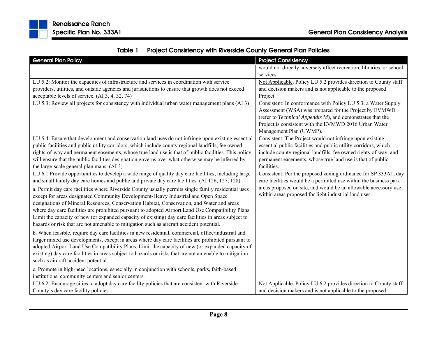

|  | Table 1 Project Consistency with Riverside County General Plan Policies |
|--|-------------------------------------------------------------------------|
|--|-------------------------------------------------------------------------|

| <b>General Plan Policy</b>                                                                             | <b>Project Consistency</b>                                           |
|--------------------------------------------------------------------------------------------------------|----------------------------------------------------------------------|
|                                                                                                        | would not directly adversely affect recreation, libraries, or school |
|                                                                                                        | services.                                                            |
| LU 5.2: Monitor the capacities of infrastructure and services in coordination with service             | Not Applicable. Policy LU 5.2 provides direction to County staff     |
| providers, utilities, and outside agencies and jurisdictions to ensure that growth does not exceed     | and decision makers and is not applicable to the proposed            |
| acceptable levels of service. (AI 3, 4, 32, 74)                                                        | Project.                                                             |
| LU 5.3: Review all projects for consistency with individual urban water management plans (AI 3)        | Consistent: In conformance with Policy LU 5.3, a Water Supply        |
|                                                                                                        | Assessment (WSA) was prepared for the Project by EVMWD               |
|                                                                                                        | (refer to $Technical$ Appendix $M$ ), and demonstrates that the      |
|                                                                                                        | Project is consistent with the EVMWD 2016 Urban Water                |
|                                                                                                        | Management Plan (UWMP).                                              |
| LU 5.4: Ensure that development and conservation land uses do not infringe upon existing essential     | Consistent: The Project would not infringe upon existing             |
| public facilities and public utility corridors, which include county regional landfills, fee owned     | essential public facilities and public utility corridors, which      |
| rights-of-way and permanent easements, whose true land use is that of public facilities. This policy   | include county regional landfills, fee owned rights-of-way, and      |
| will ensure that the public facilities designation governs over what otherwise may be inferred by      | permanent easements, whose true land use is that of public           |
| the large-scale general plan maps. (AI 3)                                                              | facilities.                                                          |
| LU 6.1 Provide opportunities to develop a wide range of quality day care facilities, including large   | Consistent: Per the proposed zoning ordinance for SP 333A1, day      |
| and small family day care homes and public and private day care facilities. (AI 126, 127, 128)         | care facilities would be a permitted use within the business park    |
| a. Permit day care facilities where Riverside County usually permits single family residential uses    | areas proposed on site, and would be an allowable accessory use      |
| except for areas designated Community Development-Heavy Industrial and Open Space                      | within areas proposed for light industrial land uses.                |
| designations of Mineral Resources, Conservation Habitat, Conservation, and Water and areas             |                                                                      |
| where day care facilities are prohibited pursuant to adopted Airport Land Use Compatibility Plans.     |                                                                      |
| Limit the capacity of new (or expanded capacity of existing) day care facilities in areas subject to   |                                                                      |
| hazards or risk that are not amenable to mitigation such as aircraft accident potential.               |                                                                      |
| b. When feasible, require day care facilities in new residential, commercial, office/industrial and    |                                                                      |
| larger mixed use developments, except in areas where day care facilities are prohibited pursuant to    |                                                                      |
| adopted Airport Land Use Compatibility Plans. Limit the capacity of new (or expanded capacity of       |                                                                      |
| existing) day care facilities in areas subject to hazards or risks that are not amenable to mitigation |                                                                      |
| such as aircraft accident potential.                                                                   |                                                                      |
| c. Promote in high-need locations, especially in conjunction with schools, parks, faith-based          |                                                                      |
| institutions, community centers and senior centers.                                                    |                                                                      |
| LU 6.2: Encourage cities to adopt day care facility policies that are consistent with Riverside        | Not Applicable. Policy LU 6.2 provides direction to County staff     |
| County's day care facility policies.                                                                   | and decision makers and is not applicable to the proposed            |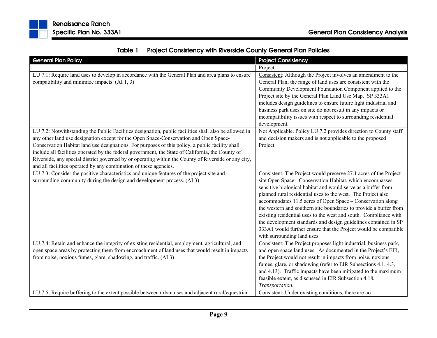| Table 1 | <b>Project Consistency with Riverside County General Plan Policies</b> |
|---------|------------------------------------------------------------------------|
|---------|------------------------------------------------------------------------|

| <b>General Plan Policy</b>                                                                                                                                                                                                                                                                                                                                                                                                                                                                                                                                                           | <b>Project Consistency</b>                                                                                                                                                                                                                                                                                                                                                                                                                                                                                                                                                                                                                 |
|--------------------------------------------------------------------------------------------------------------------------------------------------------------------------------------------------------------------------------------------------------------------------------------------------------------------------------------------------------------------------------------------------------------------------------------------------------------------------------------------------------------------------------------------------------------------------------------|--------------------------------------------------------------------------------------------------------------------------------------------------------------------------------------------------------------------------------------------------------------------------------------------------------------------------------------------------------------------------------------------------------------------------------------------------------------------------------------------------------------------------------------------------------------------------------------------------------------------------------------------|
|                                                                                                                                                                                                                                                                                                                                                                                                                                                                                                                                                                                      | Project.                                                                                                                                                                                                                                                                                                                                                                                                                                                                                                                                                                                                                                   |
| LU 7.1: Require land uses to develop in accordance with the General Plan and area plans to ensure<br>compatibility and minimize impacts. (AI 1, 3)                                                                                                                                                                                                                                                                                                                                                                                                                                   | Consistent: Although the Project involves an amendment to the<br>General Plan, the range of land uses are consistent with the<br>Community Development Foundation Component applied to the<br>Project site by the General Plan Land Use Map. SP 333A1<br>includes design guidelines to ensure future light industrial and<br>business park uses on site do not result in any impacts or<br>incompatibility issues with respect to surrounding residential<br>development.                                                                                                                                                                  |
| LU 7.2: Notwithstanding the Public Facilities designation, public facilities shall also be allowed in<br>any other land use designation except for the Open Space-Conservation and Open Space-<br>Conservation Habitat land use designations. For purposes of this policy, a public facility shall<br>include all facilities operated by the federal government, the State of California, the County of<br>Riverside, any special district governed by or operating within the County of Riverside or any city,<br>and all facilities operated by any combination of these agencies. | Not Applicable. Policy LU 7.2 provides direction to County staff<br>and decision makers and is not applicable to the proposed<br>Project.                                                                                                                                                                                                                                                                                                                                                                                                                                                                                                  |
| LU 7.3: Consider the positive characteristics and unique features of the project site and<br>surrounding community during the design and development process. (AI 3)                                                                                                                                                                                                                                                                                                                                                                                                                 | Consistent: The Project would preserve 27.1 acres of the Project<br>site Open Space - Conservation Habitat, which encompasses<br>sensitive biological habitat and would serve as a buffer from<br>planned rural residential uses to the west. The Project also<br>accommodates 11.5 acres of Open Space - Conservation along<br>the western and southern site boundaries to provide a buffer from<br>existing residential uses to the west and south. Compliance with<br>the development standards and design guidelines contained in SP<br>333A1 would further ensure that the Project would be compatible<br>with surrounding land uses. |
| LU 7.4: Retain and enhance the integrity of existing residential, employment, agricultural, and<br>open space areas by protecting them from encroachment of land uses that would result in impacts<br>from noise, noxious fumes, glare, shadowing, and traffic. (AI 3)                                                                                                                                                                                                                                                                                                               | Consistent: The Project proposes light industrial, business park,<br>and open space land uses. As documented in the Project's EIR,<br>the Project would not result in impacts from noise, noxious<br>fumes, glare, or shadowing (refer to EIR Subsections 4.1, 4.3,<br>and 4.13). Traffic impacts have been mitigated to the maximum<br>feasible extent, as discussed in EIR Subsection 4.18,<br>Transportation.                                                                                                                                                                                                                           |
| LU 7.5: Require buffering to the extent possible between urban uses and adjacent rural/equestrian                                                                                                                                                                                                                                                                                                                                                                                                                                                                                    | Consistent: Under existing conditions, there are no                                                                                                                                                                                                                                                                                                                                                                                                                                                                                                                                                                                        |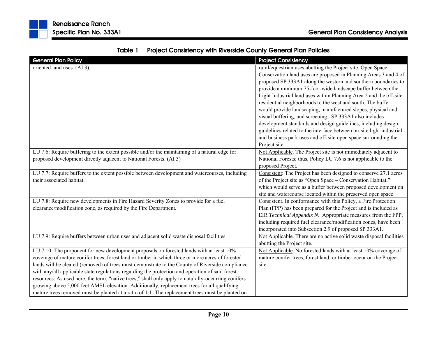| <b>General Plan Policy</b>                                                                                                                                                                                                                                                                                                                                                                                                                                                                                                                                                                               | <b>Project Consistency</b>                                                                                                                                                                                                                                                                                                                                                                                                                                                                                                                                                                                                                                                                                                                                     |
|----------------------------------------------------------------------------------------------------------------------------------------------------------------------------------------------------------------------------------------------------------------------------------------------------------------------------------------------------------------------------------------------------------------------------------------------------------------------------------------------------------------------------------------------------------------------------------------------------------|----------------------------------------------------------------------------------------------------------------------------------------------------------------------------------------------------------------------------------------------------------------------------------------------------------------------------------------------------------------------------------------------------------------------------------------------------------------------------------------------------------------------------------------------------------------------------------------------------------------------------------------------------------------------------------------------------------------------------------------------------------------|
| oriented land uses. (AI 3).                                                                                                                                                                                                                                                                                                                                                                                                                                                                                                                                                                              | rural/equestrian uses abutting the Project site. Open Space -<br>Conservation land uses are proposed in Planning Areas 3 and 4 of<br>proposed SP 333A1 along the western and southern boundaries to<br>provide a minimum 75-foot-wide landscape buffer between the<br>Light Industrial land uses within Planning Area 2 and the off-site<br>residential neighborhoods to the west and south. The buffer<br>would provide landscaping, manufactured slopes, physical and<br>visual buffering, and screening. SP 333A1 also includes<br>development standards and design guidelines, including design<br>guidelines related to the interface between on-site light industrial<br>and business park uses and off-site open space surrounding the<br>Project site. |
| LU 7.6: Require buffering to the extent possible and/or the maintaining of a natural edge for<br>proposed development directly adjacent to National Forests. (AI 3)                                                                                                                                                                                                                                                                                                                                                                                                                                      | Not Applicable. The Project site is not immediately adjacent to<br>National Forests; thus, Policy LU 7.6 is not applicable to the<br>proposed Project.                                                                                                                                                                                                                                                                                                                                                                                                                                                                                                                                                                                                         |
| LU 7.7: Require buffers to the extent possible between development and watercourses, including<br>their associated habitat.                                                                                                                                                                                                                                                                                                                                                                                                                                                                              | Consistent: The Project has been designed to conserve 27.1 acres<br>of the Project site as "Open Space - Conservation Habitat,"<br>which would serve as a buffer between proposed development on<br>site and watercourse located within the preserved open space.                                                                                                                                                                                                                                                                                                                                                                                                                                                                                              |
| LU 7.8: Require new developments in Fire Hazard Severity Zones to provide for a fuel<br>clearance/modification zone, as required by the Fire Department.                                                                                                                                                                                                                                                                                                                                                                                                                                                 | Consistent. In conformance with this Policy, a Fire Protection<br>Plan (FPP) has been prepared for the Project and is included as<br>EIR Technical Appendix N. Appropriate measures from the FPP,<br>including required fuel clearance/modification zones, have been<br>incorporated into Subsection 2.9 of proposed SP 333A1.                                                                                                                                                                                                                                                                                                                                                                                                                                 |
| LU 7.9: Require buffers between urban uses and adjacent solid waste disposal facilities.                                                                                                                                                                                                                                                                                                                                                                                                                                                                                                                 | Not Applicable. There are no active solid waste disposal facilities<br>abutting the Project site.                                                                                                                                                                                                                                                                                                                                                                                                                                                                                                                                                                                                                                                              |
| LU 7.10: The proponent for new development proposals on forested lands with at least 10%<br>coverage of mature conifer trees, forest land or timber in which three or more acres of forested<br>lands will be cleared (removed) of trees must demonstrate to the County of Riverside compliance<br>with any/all applicable state regulations regarding the protection and operation of said forest<br>resources. As used here, the term, "native trees," shall only apply to naturally-occurring conifers<br>growing above 5,000 feet AMSL elevation. Additionally, replacement trees for all qualifying | Not Applicable. No forested lands with at least 10% coverage of<br>mature conifer trees, forest land, or timber occur on the Project<br>site.                                                                                                                                                                                                                                                                                                                                                                                                                                                                                                                                                                                                                  |

mature trees removed must be planted at a ratio of 1:1. The replacement trees must be planted on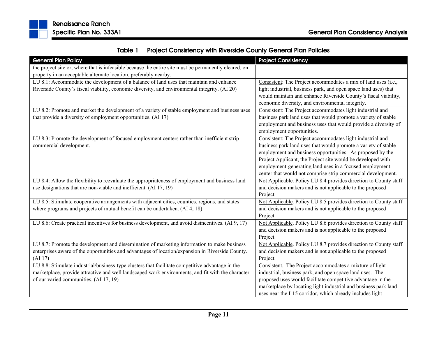

|  | Table 1 Project Consistency with Riverside County General Plan Policies |
|--|-------------------------------------------------------------------------|
|--|-------------------------------------------------------------------------|

| <b>General Plan Policy</b>                                                                            | <b>Project Consistency</b>                                       |
|-------------------------------------------------------------------------------------------------------|------------------------------------------------------------------|
| the project site or, where that is infeasible because the entire site must be permanently cleared, on |                                                                  |
| property in an acceptable alternate location, preferably nearby.                                      |                                                                  |
| LU 8.1: Accommodate the development of a balance of land uses that maintain and enhance               | Consistent: The Project accommodates a mix of land uses (i.e.,   |
| Riverside County's fiscal viability, economic diversity, and environmental integrity. (AI 20)         | light industrial, business park, and open space land uses) that  |
|                                                                                                       | would maintain and enhance Riverside County's fiscal viability,  |
|                                                                                                       | economic diversity, and environmental integrity.                 |
| LU 8.2: Promote and market the development of a variety of stable employment and business uses        | Consistent: The Project accommodates light industrial and        |
| that provide a diversity of employment opportunities. (AI 17)                                         | business park land uses that would promote a variety of stable   |
|                                                                                                       | employment and business uses that would provide a diversity of   |
|                                                                                                       | employment opportunities.                                        |
| LU 8.3: Promote the development of focused employment centers rather than inefficient strip           | Consistent: The Project accommodates light industrial and        |
| commercial development.                                                                               | business park land uses that would promote a variety of stable   |
|                                                                                                       | employment and business opportunities. As proposed by the        |
|                                                                                                       | Project Applicant, the Project site would be developed with      |
|                                                                                                       | employment-generating land uses in a focused employment          |
|                                                                                                       | center that would not comprise strip commercial development.     |
| LU 8.4: Allow the flexibility to reevaluate the appropriateness of employment and business land       | Not Applicable. Policy LU 8.4 provides direction to County staff |
| use designations that are non-viable and inefficient. (AI 17, 19)                                     | and decision makers and is not applicable to the proposed        |
|                                                                                                       | Project.                                                         |
| LU 8.5: Stimulate cooperative arrangements with adjacent cities, counties, regions, and states        | Not Applicable. Policy LU 8.5 provides direction to County staff |
| where programs and projects of mutual benefit can be undertaken. (AI 4, 18)                           | and decision makers and is not applicable to the proposed        |
|                                                                                                       | Project.                                                         |
| LU 8.6: Create practical incentives for business development, and avoid disincentives. (AI 9, 17)     | Not Applicable. Policy LU 8.6 provides direction to County staff |
|                                                                                                       | and decision makers and is not applicable to the proposed        |
|                                                                                                       | Project.                                                         |
| LU 8.7: Promote the development and dissemination of marketing information to make business           | Not Applicable. Policy LU 8.7 provides direction to County staff |
| enterprises aware of the opportunities and advantages of location/expansion in Riverside County.      | and decision makers and is not applicable to the proposed        |
| (AI17)                                                                                                | Project.                                                         |
| LU 8.8: Stimulate industrial/business-type clusters that facilitate competitive advantage in the      | Consistent. The Project accommodates a mixture of light          |
| marketplace, provide attractive and well landscaped work environments, and fit with the character     | industrial, business park, and open space land uses. The         |
| of our varied communities. (AI 17, 19)                                                                | proposed uses would facilitate competitive advantage in the      |
|                                                                                                       | marketplace by locating light industrial and business park land  |
|                                                                                                       | uses near the I-15 corridor, which already includes light        |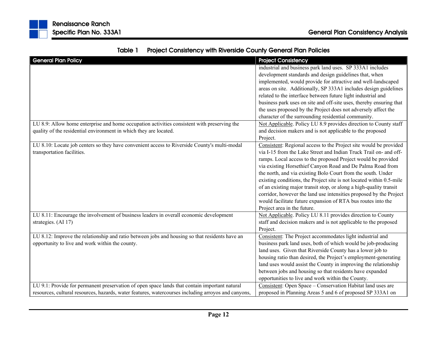| <b>General Plan Policy</b>                                                                          | <b>Project Consistency</b>                                           |
|-----------------------------------------------------------------------------------------------------|----------------------------------------------------------------------|
|                                                                                                     | industrial and business park land uses. SP 333A1 includes            |
|                                                                                                     | development standards and design guidelines that, when               |
|                                                                                                     | implemented, would provide for attractive and well-landscaped        |
|                                                                                                     | areas on site. Additionally, SP 333A1 includes design guidelines     |
|                                                                                                     | related to the interface between future light industrial and         |
|                                                                                                     | business park uses on site and off-site uses, thereby ensuring that  |
|                                                                                                     | the uses proposed by the Project does not adversely affect the       |
|                                                                                                     | character of the surrounding residential community.                  |
| LU 8.9: Allow home enterprise and home occupation activities consistent with preserving the         | Not Applicable. Policy LU 8.9 provides direction to County staff     |
| quality of the residential environment in which they are located.                                   | and decision makers and is not applicable to the proposed            |
|                                                                                                     | Project.                                                             |
| LU 8.10: Locate job centers so they have convenient access to Riverside County's multi-modal        | Consistent: Regional access to the Project site would be provided    |
| transportation facilities.                                                                          | via I-15 from the Lake Street and Indian Truck Trail on- and off-    |
|                                                                                                     | ramps. Local access to the proposed Project would be provided        |
|                                                                                                     | via existing Horsethief Canyon Road and De Palma Road from           |
|                                                                                                     | the north, and via existing Bolo Court from the south. Under         |
|                                                                                                     | existing conditions, the Project site is not located within 0.5-mile |
|                                                                                                     | of an existing major transit stop, or along a high-quality transit   |
|                                                                                                     | corridor, however the land use intensities proposed by the Project   |
|                                                                                                     | would facilitate future expansion of RTA bus routes into the         |
|                                                                                                     | Project area in the future.                                          |
| LU 8.11: Encourage the involvement of business leaders in overall economic development              | Not Applicable. Policy LU 8.11 provides direction to County          |
| strategies. (AI 17)                                                                                 | staff and decision makers and is not applicable to the proposed      |
|                                                                                                     | Project.                                                             |
| LU 8.12: Improve the relationship and ratio between jobs and housing so that residents have an      | Consistent: The Project accommodates light industrial and            |
| opportunity to live and work within the county.                                                     | business park land uses, both of which would be job-producing        |
|                                                                                                     | land uses. Given that Riverside County has a lower job to            |
|                                                                                                     | housing ratio than desired, the Project's employment-generating      |
|                                                                                                     | land uses would assist the County in improving the relationship      |
|                                                                                                     | between jobs and housing so that residents have expanded             |
|                                                                                                     | opportunities to live and work within the County.                    |
| LU 9.1: Provide for permanent preservation of open space lands that contain important natural       | Consistent: Open Space – Conservation Habitat land uses are          |
| resources, cultural resources, hazards, water features, watercourses including arroyos and canyons, | proposed in Planning Areas 5 and 6 of proposed SP 333A1 on           |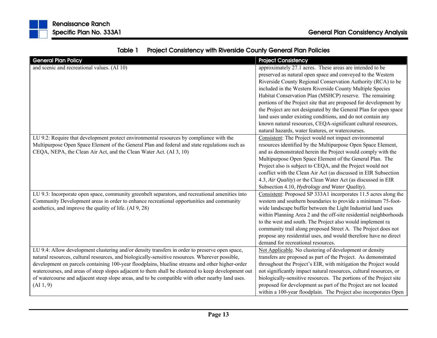|  | Table 1 Project Consistency with Riverside County General Plan Policies |
|--|-------------------------------------------------------------------------|
|--|-------------------------------------------------------------------------|

| <b>General Plan Policy</b>                                                                          | <b>Project Consistency</b>                                         |
|-----------------------------------------------------------------------------------------------------|--------------------------------------------------------------------|
| and scenic and recreational values. (AI 10)                                                         | approximately 27.1 acres. These areas are intended to be           |
|                                                                                                     | preserved as natural open space and conveyed to the Western        |
|                                                                                                     | Riverside County Regional Conservation Authority (RCA) to be       |
|                                                                                                     | included in the Western Riverside County Multiple Species          |
|                                                                                                     | Habitat Conservation Plan (MSHCP) reserve. The remaining           |
|                                                                                                     | portions of the Project site that are proposed for development by  |
|                                                                                                     | the Project are not designated by the General Plan for open space  |
|                                                                                                     | land uses under existing conditions, and do not contain any        |
|                                                                                                     | known natural resources, CEQA-significant cultural resources,      |
|                                                                                                     | natural hazards, water features, or watercourses.                  |
| LU 9.2: Require that development protect environmental resources by compliance with the             | Consistent: The Project would not impact environmental             |
| Multipurpose Open Space Element of the General Plan and federal and state regulations such as       | resources identified by the Multipurpose Open Space Element,       |
| CEQA, NEPA, the Clean Air Act, and the Clean Water Act. (AI 3, 10)                                  | and as demonstrated herein the Project would comply with the       |
|                                                                                                     | Multipurpose Open Space Element of the General Plan. The           |
|                                                                                                     | Project also is subject to CEQA, and the Project would not         |
|                                                                                                     | conflict with the Clean Air Act (as discussed in EIR Subsection    |
|                                                                                                     | 4.3, Air Quality) or the Clean Water Act (as discussed in EIR      |
|                                                                                                     | Subsection 4.10, Hydrology and Water Quality).                     |
| LU 9.3: Incorporate open space, community greenbelt separators, and recreational amenities into     | Consistent: Proposed SP 333A1 incorporates 11.5 acres along the    |
| Community Development areas in order to enhance recreational opportunities and community            | western and southern boundaries to provide a minimum 75-foot-      |
| aesthetics, and improve the quality of life. (AI 9, 28)                                             | wide landscape buffer between the Light Industrial land uses       |
|                                                                                                     | within Planning Area 2 and the off-site residential neighborhoods  |
|                                                                                                     | to the west and south. The Project also would implement ra         |
|                                                                                                     | community trail along proposed Street A. The Project does not      |
|                                                                                                     | propose any residential uses, and would therefore have no direct   |
|                                                                                                     | demand for recreational resources.                                 |
| LU 9.4: Allow development clustering and/or density transfers in order to preserve open space,      | Not Applicable. No clustering of development or density            |
| natural resources, cultural resources, and biologically-sensitive resources. Wherever possible,     | transfers are proposed as part of the Project. As demonstrated     |
| development on parcels containing 100-year floodplains, blueline streams and other higher-order     | throughout the Project's EIR, with mitigation the Project would    |
| watercourses, and areas of steep slopes adjacent to them shall be clustered to keep development out | not significantly impact natural resources, cultural resources, or |
| of watercourse and adjacent steep slope areas, and to be compatible with other nearby land uses.    | biologically-sensitive resources. The portions of the Project site |
| (AI1, 9)                                                                                            | proposed for development as part of the Project are not located    |
|                                                                                                     | within a 100-year floodplain. The Project also incorporates Open   |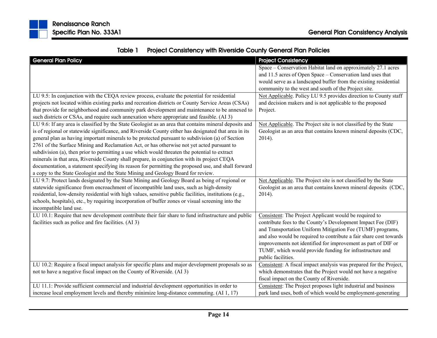

| Table 1 Project Consistency with Riverside County General Plan Policies |
|-------------------------------------------------------------------------|
|                                                                         |

| <b>General Plan Policy</b>                                                                              | <b>Project Consistency</b>                                         |
|---------------------------------------------------------------------------------------------------------|--------------------------------------------------------------------|
|                                                                                                         | Space – Conservation Habitat land on approximately 27.1 acres      |
|                                                                                                         | and 11.5 acres of Open Space - Conservation land uses that         |
|                                                                                                         | would serve as a landscaped buffer from the existing residential   |
|                                                                                                         | community to the west and south of the Project site.               |
| LU 9.5: In conjunction with the CEQA review process, evaluate the potential for residential             | Not Applicable. Policy LU 9.5 provides direction to County staff   |
| projects not located within existing parks and recreation districts or County Service Areas (CSAs)      | and decision makers and is not applicable to the proposed          |
| that provide for neighborhood and community park development and maintenance to be annexed to           | Project.                                                           |
| such districts or CSAs, and require such annexation where appropriate and feasible. (AI 3)              |                                                                    |
| LU 9.6: If any area is classified by the State Geologist as an area that contains mineral deposits and  | Not Applicable. The Project site is not classified by the State    |
| is of regional or statewide significance, and Riverside County either has designated that area in its   | Geologist as an area that contains known mineral deposits (CDC,    |
| general plan as having important minerals to be protected pursuant to subdivision (a) of Section        | 2014).                                                             |
| 2761 of the Surface Mining and Reclamation Act, or has otherwise not yet acted pursuant to              |                                                                    |
| subdivision (a), then prior to permitting a use which would threaten the potential to extract           |                                                                    |
| minerals in that area, Riverside County shall prepare, in conjunction with its project CEQA             |                                                                    |
| documentation, a statement specifying its reason for permitting the proposed use, and shall forward     |                                                                    |
| a copy to the State Geologist and the State Mining and Geology Board for review.                        |                                                                    |
| LU 9.7: Protect lands designated by the State Mining and Geology Board as being of regional or          | Not Applicable. The Project site is not classified by the State    |
| statewide significance from encroachment of incompatible land uses, such as high-density                | Geologist as an area that contains known mineral deposits (CDC,    |
| residential, low-density residential with high values, sensitive public facilities, institutions (e.g., | 2014).                                                             |
| schools, hospitals), etc., by requiring incorporation of buffer zones or visual screening into the      |                                                                    |
| incompatible land use.                                                                                  |                                                                    |
| LU 10.1: Require that new development contribute their fair share to fund infrastructure and public     | Consistent: The Project Applicant would be required to             |
| facilities such as police and fire facilities. (AI 3)                                                   | contribute fees to the County's Development Impact Fee (DIF)       |
|                                                                                                         | and Transportation Uniform Mitigation Fee (TUMF) programs,         |
|                                                                                                         | and also would be required to contribute a fair share cost towards |
|                                                                                                         | improvements not identified for improvement as part of DIF or      |
|                                                                                                         | TUMF, which would provide funding for infrastructure and           |
|                                                                                                         | public facilities.                                                 |
| LU 10.2: Require a fiscal impact analysis for specific plans and major development proposals so as      | Consistent: A fiscal impact analysis was prepared for the Project, |
| not to have a negative fiscal impact on the County of Riverside. (AI 3)                                 | which demonstrates that the Project would not have a negative      |
|                                                                                                         | fiscal impact on the County of Riverside.                          |
| LU 11.1: Provide sufficient commercial and industrial development opportunities in order to             | Consistent: The Project proposes light industrial and business     |
| increase local employment levels and thereby minimize long-distance commuting. (AI 1, 17)               | park land uses, both of which would be employment-generating       |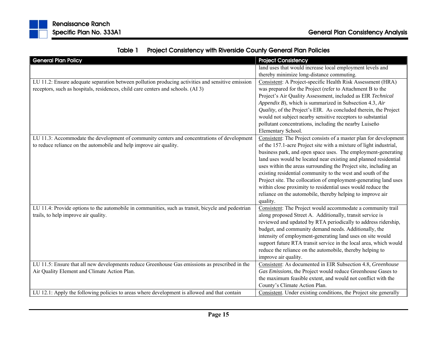| <b>General Plan Policy</b>                                                                         | <b>Project Consistency</b>                                         |
|----------------------------------------------------------------------------------------------------|--------------------------------------------------------------------|
|                                                                                                    | land uses that would increase local employment levels and          |
|                                                                                                    | thereby minimize long-distance commuting.                          |
| LU 11.2: Ensure adequate separation between pollution producing activities and sensitive emission  | Consistent: A Project-specific Health Risk Assessment (HRA)        |
| receptors, such as hospitals, residences, child care centers and schools. (AI 3)                   | was prepared for the Project (refer to Attachment B to the         |
|                                                                                                    | Project's Air Quality Assessment, included as EIR Technical        |
|                                                                                                    | Appendix B), which is summarized in Subsection 4.3, Air            |
|                                                                                                    | Quality, of the Project's EIR. As concluded therein, the Project   |
|                                                                                                    | would not subject nearby sensitive receptors to substantial        |
|                                                                                                    | pollutant concentrations, including the nearby Luiseño             |
|                                                                                                    | Elementary School.                                                 |
| LU 11.3: Accommodate the development of community centers and concentrations of development        | Consistent: The Project consists of a master plan for development  |
| to reduce reliance on the automobile and help improve air quality.                                 | of the 157.1-acre Project site with a mixture of light industrial, |
|                                                                                                    | business park, and open space uses. The employment-generating      |
|                                                                                                    | land uses would be located near existing and planned residential   |
|                                                                                                    | uses within the areas surrounding the Project site, including an   |
|                                                                                                    | existing residential community to the west and south of the        |
|                                                                                                    | Project site. The collocation of employment-generating land uses   |
|                                                                                                    | within close proximity to residential uses would reduce the        |
|                                                                                                    | reliance on the automobile, thereby helping to improve air         |
|                                                                                                    | quality.                                                           |
| LU 11.4: Provide options to the automobile in communities, such as transit, bicycle and pedestrian | Consistent: The Project would accommodate a community trail        |
| trails, to help improve air quality.                                                               | along proposed Street A. Additionally, transit service is          |
|                                                                                                    | reviewed and updated by RTA periodically to address ridership,     |
|                                                                                                    | budget, and community demand needs. Additionally, the              |
|                                                                                                    | intensity of employment-generating land uses on site would         |
|                                                                                                    | support future RTA transit service in the local area, which would  |
|                                                                                                    | reduce the reliance on the automobile, thereby helping to          |
|                                                                                                    | improve air quality.                                               |
| LU 11.5: Ensure that all new developments reduce Greenhouse Gas emissions as prescribed in the     | Consistent: As documented in EIR Subsection 4.8, Greenhouse        |
| Air Quality Element and Climate Action Plan.                                                       | Gas Emissions, the Project would reduce Greenhouse Gases to        |
|                                                                                                    | the maximum feasible extent, and would not conflict with the       |
|                                                                                                    | County's Climate Action Plan.                                      |
| LU 12.1: Apply the following policies to areas where development is allowed and that contain       | Consistent. Under existing conditions, the Project site generally  |

| Table 1 Project Consistency with Riverside County General Plan Policies |
|-------------------------------------------------------------------------|
|-------------------------------------------------------------------------|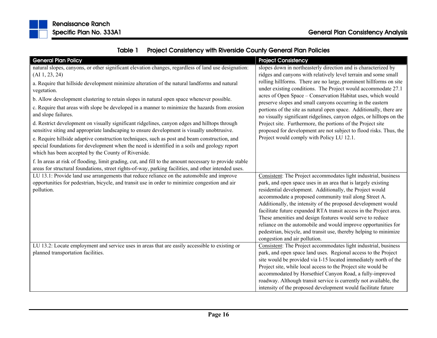| <b>General Plan Policy</b>                                                                              | <b>Project Consistency</b>                                                                                                 |
|---------------------------------------------------------------------------------------------------------|----------------------------------------------------------------------------------------------------------------------------|
| natural slopes, canyons, or other significant elevation changes, regardless of land use designation:    | slopes down in northeasterly direction and is characterized by                                                             |
| (AI1, 23, 24)                                                                                           | ridges and canyons with relatively level terrain and some small                                                            |
| a. Require that hillside development minimize alteration of the natural landforms and natural           | rolling hillforms. There are no large, prominent hillforms on site                                                         |
| vegetation.                                                                                             | under existing conditions. The Project would accommodate 27.1                                                              |
| b. Allow development clustering to retain slopes in natural open space whenever possible.               | acres of Open Space - Conservation Habitat uses, which would<br>preserve slopes and small canyons occurring in the eastern |
| c. Require that areas with slope be developed in a manner to minimize the hazards from erosion          | portions of the site as natural open space. Additionally, there are                                                        |
| and slope failures.                                                                                     | no visually significant ridgelines, canyon edges, or hilltops on the                                                       |
| d. Restrict development on visually significant ridgelines, canyon edges and hilltops through           | Project site. Furthermore, the portions of the Project site                                                                |
| sensitive siting and appropriate landscaping to ensure development is visually unobtrusive.             | proposed for development are not subject to flood risks. Thus, the                                                         |
| e. Require hillside adaptive construction techniques, such as post and beam construction, and           | Project would comply with Policy LU 12.1.                                                                                  |
| special foundations for development when the need is identified in a soils and geology report           |                                                                                                                            |
| which has been accepted by the County of Riverside.                                                     |                                                                                                                            |
| f. In areas at risk of flooding, limit grading, cut, and fill to the amount necessary to provide stable |                                                                                                                            |
| areas for structural foundations, street rights-of-way, parking facilities, and other intended uses.    |                                                                                                                            |
| LU 13.1: Provide land use arrangements that reduce reliance on the automobile and improve               | Consistent: The Project accommodates light industrial, business                                                            |
| opportunities for pedestrian, bicycle, and transit use in order to minimize congestion and air          | park, and open space uses in an area that is largely existing                                                              |
| pollution.                                                                                              | residential development. Additionally, the Project would                                                                   |
|                                                                                                         | accommodate a proposed community trail along Street A.                                                                     |
|                                                                                                         | Additionally, the intensity of the proposed development would                                                              |
|                                                                                                         | facilitate future expanded RTA transit access in the Project area.                                                         |
|                                                                                                         | These amenities and design features would serve to reduce                                                                  |
|                                                                                                         | reliance on the automobile and would improve opportunities for                                                             |
|                                                                                                         | pedestrian, bicycle, and transit use, thereby helping to minimize<br>congestion and air pollution.                         |
| LU 13.2: Locate employment and service uses in areas that are easily accessible to existing or          | Consistent: The Project accommodates light industrial, business                                                            |
| planned transportation facilities.                                                                      | park, and open space land uses. Regional access to the Project                                                             |
|                                                                                                         | site would be provided via I-15 located immediately north of the                                                           |
|                                                                                                         | Project site, while local access to the Project site would be                                                              |
|                                                                                                         | accommodated by Horsethief Canyon Road, a fully-improved                                                                   |
|                                                                                                         | roadway. Although transit service is currently not available, the                                                          |
|                                                                                                         | intensity of the proposed development would facilitate future                                                              |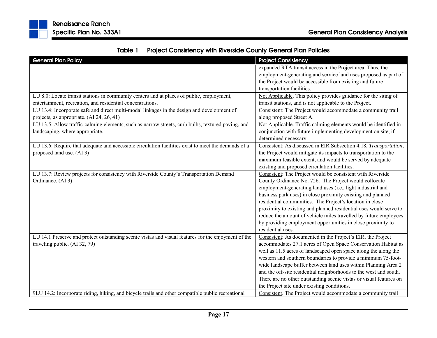

|  | Table 1 Project Consistency with Riverside County General Plan Policies |
|--|-------------------------------------------------------------------------|
|--|-------------------------------------------------------------------------|

| <b>General Plan Policy</b>                                                                          | <b>Project Consistency</b>                                         |
|-----------------------------------------------------------------------------------------------------|--------------------------------------------------------------------|
|                                                                                                     | expanded RTA transit access in the Project area. Thus, the         |
|                                                                                                     | employment-generating and service land uses proposed as part of    |
|                                                                                                     | the Project would be accessible from existing and future           |
|                                                                                                     | transportation facilities.                                         |
| LU 8.0: Locate transit stations in community centers and at places of public, employment,           | Not Applicable. This policy provides guidance for the siting of    |
| entertainment, recreation, and residential concentrations.                                          | transit stations, and is not applicable to the Project.            |
| LU 13.4: Incorporate safe and direct multi-modal linkages in the design and development of          | Consistent: The Project would accommodate a community trail        |
| projects, as appropriate. (AI 24, 26, 41)                                                           | along proposed Street A.                                           |
| LU 13.5: Allow traffic-calming elements, such as narrow streets, curb bulbs, textured paving, and   | Not Applicable. Traffic calming elements would be identified in    |
| landscaping, where appropriate.                                                                     | conjunction with future implementing development on site, if       |
|                                                                                                     | determined necessary.                                              |
| LU 13.6: Require that adequate and accessible circulation facilities exist to meet the demands of a | Consistent: As discussed in EIR Subsection 4.18, Transportation,   |
| proposed land use. (AI 3)                                                                           | the Project would mitigate its impacts to transportation to the    |
|                                                                                                     | maximum feasible extent, and would be served by adequate           |
|                                                                                                     | existing and proposed circulation facilities.                      |
| LU 13.7: Review projects for consistency with Riverside County's Transportation Demand              | Consistent: The Project would be consistent with Riverside         |
| Ordinance. (AI 3)                                                                                   | County Ordinance No. 726. The Project would collocate              |
|                                                                                                     | employment-generating land uses (i.e., light industrial and        |
|                                                                                                     | business park uses) in close proximity existing and planned        |
|                                                                                                     | residential communities. The Project's location in close           |
|                                                                                                     | proximity to existing and planned residential uses would serve to  |
|                                                                                                     | reduce the amount of vehicle miles travelled by future employees   |
|                                                                                                     | by providing employment opportunities in close proximity to        |
|                                                                                                     | residential uses.                                                  |
| LU 14.1 Preserve and protect outstanding scenic vistas and visual features for the enjoyment of the | Consistent: As documented in the Project's EIR, the Project        |
| traveling public. (AI 32, 79)                                                                       | accommodates 27.1 acres of Open Space Conservation Habitat as      |
|                                                                                                     | well as 11.5 acres of landscaped open space along the along the    |
|                                                                                                     | western and southern boundaries to provide a minimum 75-foot-      |
|                                                                                                     | wide landscape buffer between land uses within Planning Area 2     |
|                                                                                                     | and the off-site residential neighborhoods to the west and south.  |
|                                                                                                     | There are no other outstanding scenic vistas or visual features on |
|                                                                                                     | the Project site under existing conditions.                        |
| 9LU 14.2: Incorporate riding, hiking, and bicycle trails and other compatible public recreational   | Consistent. The Project would accommodate a community trail        |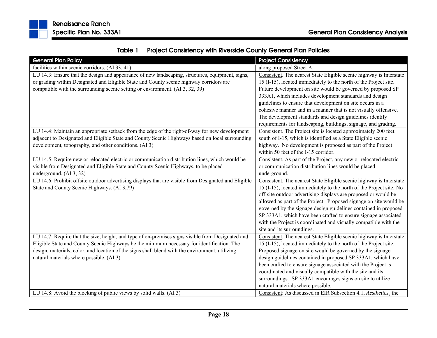

| Table 1 | <b>Project Consistency with Riverside County General Plan Policies</b> |
|---------|------------------------------------------------------------------------|
|---------|------------------------------------------------------------------------|

| <b>General Plan Policy</b>                                                                           | <b>Project Consistency</b>                                          |
|------------------------------------------------------------------------------------------------------|---------------------------------------------------------------------|
| facilities within scenic corridors. (AI 33, 41)                                                      | along proposed Street A.                                            |
| LU 14.3: Ensure that the design and appearance of new landscaping, structures, equipment, signs,     | Consistent. The nearest State Eligible scenic highway is Interstate |
| or grading within Designated and Eligible State and County scenic highway corridors are              | 15 (I-15), located immediately to the north of the Project site.    |
| compatible with the surrounding scenic setting or environment. (AI 3, 32, 39)                        | Future development on site would be governed by proposed SP         |
|                                                                                                      | 333A1, which includes development standards and design              |
|                                                                                                      | guidelines to ensure that development on site occurs in a           |
|                                                                                                      | cohesive manner and in a manner that is not visually offensive.     |
|                                                                                                      | The development standards and design guidelines identify            |
|                                                                                                      | requirements for landscaping, buildings, signage, and grading.      |
| LU 14.4: Maintain an appropriate setback from the edge of the right-of-way for new development       | Consistent. The Project site is located approximately 200 feet      |
| adjacent to Designated and Eligible State and County Scenic Highways based on local surrounding      | south of I-15, which is identified as a State Eligible scenic       |
| development, topography, and other conditions. (AI 3)                                                | highway. No development is proposed as part of the Project          |
|                                                                                                      | within 50 feet of the I-15 corridor.                                |
| LU 14.5: Require new or relocated electric or communication distribution lines, which would be       | Consistent. As part of the Project, any new or relocated electric   |
| visible from Designated and Eligible State and County Scenic Highways, to be placed                  | or communication distribution lines would be placed                 |
| underground. (AI 3, 32)                                                                              | underground.                                                        |
| LU 14.6: Prohibit offsite outdoor advertising displays that are visible from Designated and Eligible | Consistent. The nearest State Eligible scenic highway is Interstate |
| State and County Scenic Highways. (AI 3,79)                                                          | 15 (I-15), located immediately to the north of the Project site. No |
|                                                                                                      | off-site outdoor advertising displays are proposed or would be      |
|                                                                                                      | allowed as part of the Project. Proposed signage on site would be   |
|                                                                                                      | governed by the signage design guidelines contained in proposed     |
|                                                                                                      | SP 333A1, which have been crafted to ensure signage associated      |
|                                                                                                      | with the Project is coordinated and visually compatible with the    |
|                                                                                                      | site and its surroundings.                                          |
| LU 14.7: Require that the size, height, and type of on-premises signs visible from Designated and    | Consistent. The nearest State Eligible scenic highway is Interstate |
| Eligible State and County Scenic Highways be the minimum necessary for identification. The           | 15 (I-15), located immediately to the north of the Project site.    |
| design, materials, color, and location of the signs shall blend with the environment, utilizing      | Proposed signage on site would be governed by the signage           |
| natural materials where possible. (AI 3)                                                             | design guidelines contained in proposed SP 333A1, which have        |
|                                                                                                      | been crafted to ensure signage associated with the Project is       |
|                                                                                                      | coordinated and visually compatible with the site and its           |
|                                                                                                      | surroundings. SP 333A1 encourages signs on site to utilize          |
|                                                                                                      | natural materials where possible.                                   |
| LU 14.8: Avoid the blocking of public views by solid walls. (AI 3)                                   | Consistent: As discussed in EIR Subsection 4.1, Aesthetics, the     |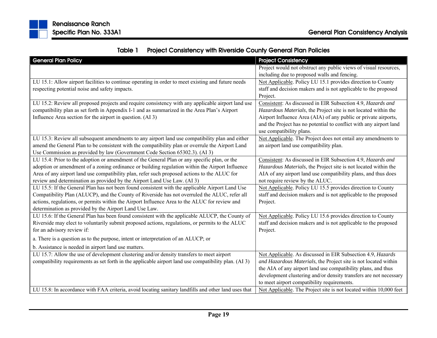

|  | Table 1 Project Consistency with Riverside County General Plan Policies |
|--|-------------------------------------------------------------------------|
|--|-------------------------------------------------------------------------|

| <b>General Plan Policy</b>                                                                            | <b>Project Consistency</b>                                         |
|-------------------------------------------------------------------------------------------------------|--------------------------------------------------------------------|
|                                                                                                       | Project would not obstruct any public views of visual resources,   |
|                                                                                                       | including due to proposed walls and fencing.                       |
| LU 15.1: Allow airport facilities to continue operating in order to meet existing and future needs    | Not Applicable. Policy LU 15.1 provides direction to County        |
| respecting potential noise and safety impacts.                                                        | staff and decision makers and is not applicable to the proposed    |
|                                                                                                       | Project.                                                           |
| LU 15.2: Review all proposed projects and require consistency with any applicable airport land use    | Consistent: As discussed in EIR Subsection 4.9, Hazards and        |
| compatibility plan as set forth in Appendix I-1 and as summarized in the Area Plan's Airport          | Hazardous Materials, the Project site is not located within the    |
| Influence Area section for the airport in question. (AI 3)                                            | Airport Influence Area (AIA) of any public or private airports,    |
|                                                                                                       | and the Project has no potential to conflict with any airport land |
|                                                                                                       | use compatibility plans.                                           |
| LU 15.3: Review all subsequent amendments to any airport land use compatibility plan and either       | Not Applicable. The Project does not entail any amendments to      |
| amend the General Plan to be consistent with the compatibility plan or overrule the Airport Land      | an airport land use compatibility plan.                            |
| Use Commission as provided by law (Government Code Section 65302.3). (AI 3)                           |                                                                    |
| LU 15.4: Prior to the adoption or amendment of the General Plan or any specific plan, or the          | Consistent: As discussed in EIR Subsection 4.9, Hazards and        |
| adoption or amendment of a zoning ordinance or building regulation within the Airport Influence       | Hazardous Materials, the Project site is not located within the    |
| Area of any airport land use compatibility plan, refer such proposed actions to the ALUC for          | AIA of any airport land use compatibility plans, and thus does     |
| review and determination as provided by the Airport Land Use Law. (AI 3)                              | not require review by the ALUC.                                    |
| LU 15.5: If the General Plan has not been found consistent with the applicable Airport Land Use       | Not Applicable. Policy LU 15.5 provides direction to County        |
| Compatibility Plan (ALUCP), and the County of Riverside has not overruled the ALUC, refer all         | staff and decision makers and is not applicable to the proposed    |
| actions, regulations, or permits within the Airport Influence Area to the ALUC for review and         | Project.                                                           |
| determination as provided by the Airport Land Use Law.                                                |                                                                    |
| LU 15.6: If the General Plan has been found consistent with the applicable ALUCP, the County of       | Not Applicable. Policy LU 15.6 provides direction to County        |
| Riverside may elect to voluntarily submit proposed actions, regulations, or permits to the ALUC       | staff and decision makers and is not applicable to the proposed    |
| for an advisory review if:                                                                            | Project.                                                           |
| a. There is a question as to the purpose, intent or interpretation of an ALUCP; or                    |                                                                    |
| b. Assistance is needed in airport land use matters.                                                  |                                                                    |
| LU 15.7: Allow the use of development clustering and/or density transfers to meet airport             | Not Applicable. As discussed in EIR Subsection 4.9, Hazards        |
| compatibility requirements as set forth in the applicable airport land use compatibility plan. (AI 3) | and Hazardous Materials, the Project site is not located within    |
|                                                                                                       | the AIA of any airport land use compatibility plans, and thus      |
|                                                                                                       | development clustering and/or density transfers are not necessary  |
|                                                                                                       | to meet airport compatibility requirements.                        |
| LU 15.8: In accordance with FAA criteria, avoid locating sanitary landfills and other land uses that  | Not Applicable. The Project site is not located within 10,000 feet |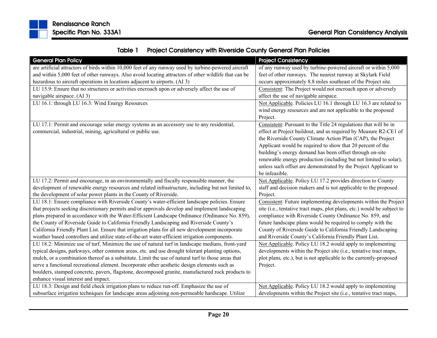

| Table 1 | <b>Project Consistency with Riverside County General Plan Policies</b> |
|---------|------------------------------------------------------------------------|
|---------|------------------------------------------------------------------------|

| <b>General Plan Policy</b>                                                                           | <b>Project Consistency</b>                                              |
|------------------------------------------------------------------------------------------------------|-------------------------------------------------------------------------|
| are artificial attractors of birds within 10,000 feet of any runway used by turbine-powered aircraft | of any runway used by turbine-powered aircraft or within 5,000          |
| and within 5,000 feet of other runways. Also avoid locating attractors of other wildlife that can be | feet of other runways. The nearest runway at Skylark Field              |
| hazardous to aircraft operations in locations adjacent to airports. (AI 3)                           | occurs approximately 8.8 miles southeast of the Project site.           |
| LU 15.9: Ensure that no structures or activities encroach upon or adversely affect the use of        | Consistent: The Project would not encroach upon or adversely            |
| navigable airspace. (AI 3)                                                                           | affect the use of navigable airspace.                                   |
| LU 16.1: through LU 16.3: Wind Energy Resources                                                      | Not Applicable. Policies LU 16.1 through LU 16.3 are related to         |
|                                                                                                      | wind energy resources and are not applicable to the proposed            |
|                                                                                                      | Project.                                                                |
| LU 17.1: Permit and encourage solar energy systems as an accessory use to any residential,           | Consistent: Pursuant to the Title 24 regulations that will be in        |
| commercial, industrial, mining, agricultural or public use.                                          | effect at Project buildout, and as required by Measure R2-CE1 of        |
|                                                                                                      | the Riverside County Climate Action Plan (CAP), the Project             |
|                                                                                                      | Applicant would be required to show that 20 percent of the              |
|                                                                                                      | building's energy demand has been offset through on-site                |
|                                                                                                      | renewable energy production (including but not limited to solar),       |
|                                                                                                      | unless such offset are demonstrated by the Project Applicant to         |
|                                                                                                      | be infeasible.                                                          |
| LU 17.2: Permit and encourage, in an environmentally and fiscally responsible manner, the            | Not Applicable. Policy LU 17.2 provides direction to County             |
| development of renewable energy resources and related infrastructure, including but not limited to,  | staff and decision makers and is not applicable to the proposed         |
| the development of solar power plants in the County of Riverside.                                    | Project.                                                                |
| LU 18.1: Ensure compliance with Riverside County's water-efficient landscape policies. Ensure        | Consistent: Future implementing developments within the Project         |
| that projects seeking discretionary permits and/or approvals develop and implement landscaping       | site (i.e., tentative tract maps, plot plans, etc.) would be subject to |
| plans prepared in accordance with the Water-Efficient Landscape Ordinance (Ordinance No. 859),       | compliance with Riverside County Ordinance No. 859, and                 |
| the County of Riverside Guide to California Friendly Landscaping and Riverside County's              | future landscape plans would be required to comply with the             |
| California Friendly Plant List. Ensure that irrigation plans for all new development incorporate     | County of Riverside Guide to California Friendly Landscaping            |
| weather based controllers and utilize state-of-the-art water-efficient irrigation components.        | and Riverside County's California Friendly Plant List.                  |
| LU 18.2: Minimize use of turf. Minimize the use of natural turf in landscape medians, front-yard     | Not Applicable. Policy LU 18.2 would apply to implementing              |
| typical designs, parkways, other common areas, etc. and use drought tolerant planting options,       | developments within the Project site (i.e., tentative tract maps,       |
| mulch, or a combination thereof as a substitute. Limit the use of natural turf to those areas that   | plot plans, etc.), but is not applicable to the currently-proposed      |
| serve a functional recreational element. Incorporate other aesthetic design elements such as         | Project.                                                                |
| boulders, stamped concrete, pavers, flagstone, decomposed granite, manufactured rock products to     |                                                                         |
| enhance visual interest and impact.                                                                  |                                                                         |
| LU 18.3: Design and field check irrigation plans to reduce run-off. Emphasize the use of             | Not Applicable. Policy LU 18.2 would apply to implementing              |
| subsurface irrigation techniques for landscape areas adjoining non-permeable hardscape. Utilize      | developments within the Project site (i.e., tentative tract maps,       |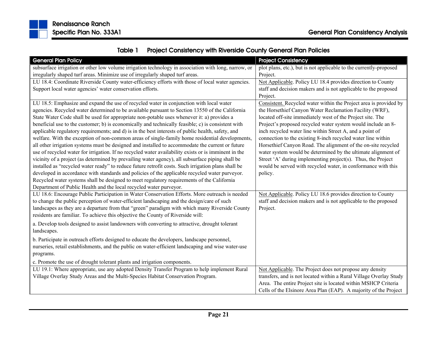

| Table 1 | <b>Project Consistency with Riverside County General Plan Policies</b> |
|---------|------------------------------------------------------------------------|
|---------|------------------------------------------------------------------------|

| <b>General Plan Policy</b>                                                                           | <b>Project Consistency</b>                                         |
|------------------------------------------------------------------------------------------------------|--------------------------------------------------------------------|
| subsurface irrigation or other low volume irrigation technology in association with long, narrow, or | plot plans, etc.), but is not applicable to the currently-proposed |
| irregularly shaped turf areas. Minimize use of irregularly shaped turf areas.                        | Project.                                                           |
| LU 18.4: Coordinate Riverside County water-efficiency efforts with those of local water agencies.    | Not Applicable. Policy LU 18.4 provides direction to County        |
| Support local water agencies' water conservation efforts.                                            | staff and decision makers and is not applicable to the proposed    |
|                                                                                                      | Project.                                                           |
| LU 18.5: Emphasize and expand the use of recycled water in conjunction with local water              | Consistent. Recycled water within the Project area is provided by  |
| agencies. Recycled water determined to be available pursuant to Section 13550 of the California      | the Horsethief Canyon Water Reclamation Facility (WRF),            |
| State Water Code shall be used for appropriate non-potable uses whenever it: a) provides a           | located off-site immediately west of the Project site. The         |
| beneficial use to the customer; b) is economically and technically feasible; c) is consistent with   | Project's proposed recycled water system would include an 8-       |
| applicable regulatory requirements; and d) is in the best interests of public health, safety, and    | inch recycled water line within Street A, and a point of           |
| welfare. With the exception of non-common areas of single-family home residential developments,      | connection to the existing 8-inch recycled water line within       |
| all other irrigation systems must be designed and installed to accommodate the current or future     | Horsethief Canyon Road. The alignment of the on-site recycled      |
| use of recycled water for irrigation. If no recycled water availability exists or is imminent in the | water system would be determined by the ultimate alignment of      |
| vicinity of a project (as determined by prevailing water agency), all subsurface piping shall be     | Street 'A' during implementing project(s). Thus, the Project       |
| installed as "recycled water ready" to reduce future retrofit costs. Such irrigation plans shall be  | would be served with recycled water, in conformance with this      |
| developed in accordance with standards and policies of the applicable recycled water purveyor.       | policy.                                                            |
| Recycled water systems shall be designed to meet regulatory requirements of the California           |                                                                    |
| Department of Public Health and the local recycled water purveyor.                                   |                                                                    |
| LU 18.6: Encourage Public Participation in Water Conservation Efforts. More outreach is needed       | Not Applicable. Policy LU 18.6 provides direction to County        |
| to change the public perception of water-efficient landscaping and the design/care of such           | staff and decision makers and is not applicable to the proposed    |
| landscapes as they are a departure from that "green" paradigm with which many Riverside County       | Project.                                                           |
| residents are familiar. To achieve this objective the County of Riverside will:                      |                                                                    |
| a. Develop tools designed to assist landowners with converting to attractive, drought tolerant       |                                                                    |
| landscapes.                                                                                          |                                                                    |
| b. Participate in outreach efforts designed to educate the developers, landscape personnel,          |                                                                    |
| nurseries, retail establishments, and the public on water-efficient landscaping and wise water-use   |                                                                    |
| programs.                                                                                            |                                                                    |
| c. Promote the use of drought tolerant plants and irrigation components.                             |                                                                    |
| LU 19.1: Where appropriate, use any adopted Density Transfer Program to help implement Rural         | Not Applicable. The Project does not propose any density           |
| Village Overlay Study Areas and the Multi-Species Habitat Conservation Program.                      | transfers, and is not located within a Rural Village Overlay Study |
|                                                                                                      | Area. The entire Project site is located within MSHCP Criteria     |
|                                                                                                      | Cells of the Elsinore Area Plan (EAP). A majority of the Project   |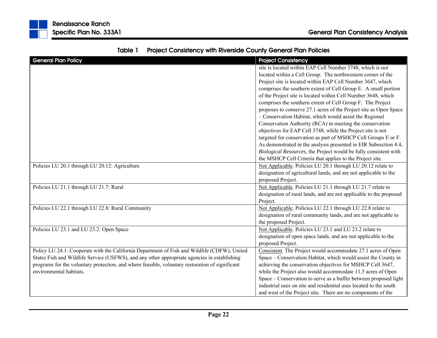| <b>General Plan Policy</b>                                                                      | <b>Project Consistency</b>                                         |
|-------------------------------------------------------------------------------------------------|--------------------------------------------------------------------|
|                                                                                                 | site is located within EAP Cell Number 3748, which is not          |
|                                                                                                 | located within a Cell Group. The northwestern corner of the        |
|                                                                                                 | Project site is located within EAP Cell Number 3647, which         |
|                                                                                                 | comprises the southern extent of Cell Group E. A small portion     |
|                                                                                                 | of the Project site is located within Cell Number 3648, which      |
|                                                                                                 | comprises the southern extent of Cell Group F. The Project         |
|                                                                                                 | proposes to conserve 27.1 acres of the Project site as Open Space  |
|                                                                                                 | - Conservation Habitat, which would assist the Regional            |
|                                                                                                 | Conservation Authority (RCA) in meeting the conservation           |
|                                                                                                 | objectives for EAP Cell 3748, while the Project site is not        |
|                                                                                                 | targeted for conservation as part of MSHCP Cell Groups E or F.     |
|                                                                                                 | As demonstrated in the analysis presented in EIR Subsection 4.4,   |
|                                                                                                 | Biological Resources, the Project would be fully consistent with   |
|                                                                                                 | the MSHCP Cell Criteria that applies to the Project site.          |
| Policies LU 20.1 through LU 20.12: Agriculture                                                  | Not Applicable. Policies LU 20.1 through LU 20.12 relate to        |
|                                                                                                 | designation of agricultural lands, and are not applicable to the   |
|                                                                                                 | proposed Project.                                                  |
| Policies LU 21.1 through LU 21.7: Rural                                                         | Not Applicable. Policies LU 21.1 through LU 21.7 relate to         |
|                                                                                                 | designation of rural lands, and are not applicable to the proposed |
|                                                                                                 | Project.                                                           |
| Policies LU 22.1 through LU 22.8: Rural Community                                               | Not Applicable. Policies LU 22.1 through LU 22.8 relate to         |
|                                                                                                 | designation of rural community lands, and are not applicable to    |
|                                                                                                 | the proposed Project.                                              |
| Policies LU 23.1 and LU 23.2: Open Space                                                        | Not Applicable. Policies LU 23.1 and LU 23.2 relate to             |
|                                                                                                 | designation of open space lands, and are not applicable to the     |
|                                                                                                 | proposed Project.                                                  |
| Policy LU 24.1: Cooperate with the California Department of Fish and Wildlife (CDFW), United    | Consistent. The Project would accommodate 27.1 acres of Open       |
| States Fish and Wildlife Service (USFWS), and any other appropriate agencies in establishing    | Space – Conservation Habitat, which would assist the County in     |
| programs for the voluntary protection, and where feasible, voluntary restoration of significant | achieving the conservation objectives for MSHCP Cell 3647,         |
| environmental habitats.                                                                         | while the Project also would accommodate 11.5 acres of Open        |
|                                                                                                 | Space – Conservation to serve as a buffer between proposed light   |
|                                                                                                 | industrial uses on site and residential uses located to the south  |
|                                                                                                 | and west of the Project site. There are no components of the       |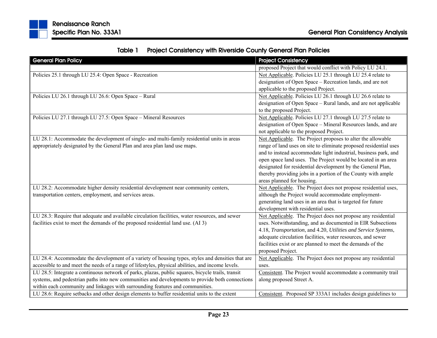| Table 1 | <b>Project Consistency with Riverside County General Plan Policies</b> |
|---------|------------------------------------------------------------------------|
|---------|------------------------------------------------------------------------|

| <b>General Plan Policy</b>                                                                        | <b>Project Consistency</b>                                        |
|---------------------------------------------------------------------------------------------------|-------------------------------------------------------------------|
|                                                                                                   | proposed Project that would conflict with Policy LU 24.1.         |
| Policies 25.1 through LU 25.4: Open Space - Recreation                                            | Not Applicable. Policies LU 25.1 through LU 25.4 relate to        |
|                                                                                                   | designation of Open Space - Recreation lands, and are not         |
|                                                                                                   | applicable to the proposed Project.                               |
| Policies LU 26.1 through LU 26.6: Open Space - Rural                                              | Not Applicable. Policies LU 26.1 through LU 26.6 relate to        |
|                                                                                                   | designation of Open Space - Rural lands, and are not applicable   |
|                                                                                                   | to the proposed Project.                                          |
| Policies LU 27.1 through LU 27.5: Open Space - Mineral Resources                                  | Not Applicable. Policies LU 27.1 through LU 27.5 relate to        |
|                                                                                                   | designation of Open Space - Mineral Resources lands, and are      |
|                                                                                                   | not applicable to the proposed Project.                           |
| LU 28.1: Accommodate the development of single- and multi-family residential units in areas       | Not Applicable. The Project proposes to alter the allowable       |
| appropriately designated by the General Plan and area plan land use maps.                         | range of land uses on site to eliminate proposed residential uses |
|                                                                                                   | and to instead accommodate light industrial, business park, and   |
|                                                                                                   | open space land uses. The Project would be located in an area     |
|                                                                                                   | designated for residential development by the General Plan,       |
|                                                                                                   | thereby providing jobs in a portion of the County with ample      |
|                                                                                                   | areas planned for housing.                                        |
| LU 28.2: Accommodate higher density residential development near community centers,               | Not Applicable. The Project does not propose residential uses,    |
| transportation centers, employment, and services areas.                                           | although the Project would accommodate employment-                |
|                                                                                                   | generating land uses in an area that is targeted for future       |
|                                                                                                   | development with residential uses.                                |
| LU 28.3: Require that adequate and available circulation facilities, water resources, and sewer   | Not Applicable. The Project does not propose any residential      |
| facilities exist to meet the demands of the proposed residential land use. (AI 3)                 | uses. Notwithstanding, and as documented in EIR Subsections       |
|                                                                                                   | 4.18, Transportation, and 4.20, Utilities and Service Systems,    |
|                                                                                                   | adequate circulation facilities, water resources, and sewer       |
|                                                                                                   | facilities exist or are planned to meet the demands of the        |
|                                                                                                   | proposed Project.                                                 |
| LU 28.4: Accommodate the development of a variety of housing types, styles and densities that are | Not Applicable. The Project does not propose any residential      |
| accessible to and meet the needs of a range of lifestyles, physical abilities, and income levels. | uses.                                                             |
| LU 28.5: Integrate a continuous network of parks, plazas, public squares, bicycle trails, transit | Consistent. The Project would accommodate a community trail       |
| systems, and pedestrian paths into new communities and developments to provide both connections   | along proposed Street A.                                          |
| within each community and linkages with surrounding features and communities.                     |                                                                   |
| LU 28.6: Require setbacks and other design elements to buffer residential units to the extent     | Consistent. Proposed SP 333A1 includes design guidelines to       |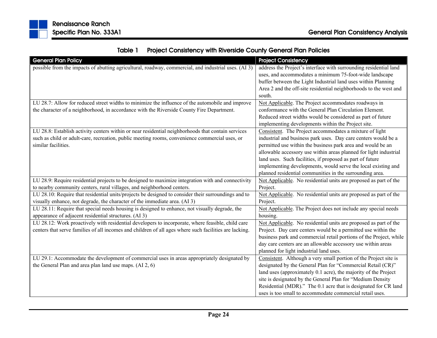|  | Table 1 Project Consistency with Riverside County General Plan Policies |
|--|-------------------------------------------------------------------------|
|--|-------------------------------------------------------------------------|

| <b>General Plan Policy</b>                                                                             | <b>Project Consistency</b>                                         |
|--------------------------------------------------------------------------------------------------------|--------------------------------------------------------------------|
| possible from the impacts of abutting agricultural, roadway, commercial, and industrial uses. (AI 3)   | address the Project's interface with surrounding residential land  |
|                                                                                                        | uses, and accommodates a minimum 75-foot-wide landscape            |
|                                                                                                        | buffer between the Light Industrial land uses within Planning      |
|                                                                                                        | Area 2 and the off-site residential neighborhoods to the west and  |
|                                                                                                        | south.                                                             |
| LU 28.7: Allow for reduced street widths to minimize the influence of the automobile and improve       | Not Applicable. The Project accommodates roadways in               |
| the character of a neighborhood, in accordance with the Riverside County Fire Department.              | conformance with the General Plan Circulation Element.             |
|                                                                                                        | Reduced street widths would be considered as part of future        |
|                                                                                                        | implementing developments within the Project site.                 |
| LU 28.8: Establish activity centers within or near residential neighborhoods that contain services     | Consistent. The Project accommodates a mixture of light            |
| such as child or adult-care, recreation, public meeting rooms, convenience commercial uses, or         | industrial and business park uses. Day care centers would be a     |
| similar facilities.                                                                                    | permitted use within the business park area and would be an        |
|                                                                                                        | allowable accessory use within areas planned for light industrial  |
|                                                                                                        | land uses. Such facilities, if proposed as part of future          |
|                                                                                                        | implementing developments, would serve the local existing and      |
|                                                                                                        | planned residential communities in the surrounding area.           |
| LU 28.9: Require residential projects to be designed to maximize integration with and connectivity     | Not Applicable. No residential units are proposed as part of the   |
| to nearby community centers, rural villages, and neighborhood centers.                                 | Project.                                                           |
| LU 28.10: Require that residential units/projects be designed to consider their surroundings and to    | Not Applicable. No residential units are proposed as part of the   |
| visually enhance, not degrade, the character of the immediate area. (AI 3)                             | Project.                                                           |
| LU 28.11: Require that special needs housing is designed to enhance, not visually degrade, the         | Not Applicable. The Project does not include any special needs     |
| appearance of adjacent residential structures. (AI 3)                                                  | housing.                                                           |
| LU 28.12: Work proactively with residential developers to incorporate, where feasible, child care      | Not Applicable. No residential units are proposed as part of the   |
| centers that serve families of all incomes and children of all ages where such facilities are lacking. | Project. Day care centers would be a permitted use within the      |
|                                                                                                        | business park and commercial retail portions of the Project, while |
|                                                                                                        | day care centers are an allowable accessory use within areas       |
|                                                                                                        | planned for light industrial land uses.                            |
| LU 29.1: Accommodate the development of commercial uses in areas appropriately designated by           | Consistent. Although a very small portion of the Project site is   |
| the General Plan and area plan land use maps. (AI 2, 6)                                                | designated by the General Plan for "Commercial Retail (CR)"        |
|                                                                                                        | land uses (approximately 0.1 acre), the majority of the Project    |
|                                                                                                        | site is designated by the General Plan for "Medium Density         |
|                                                                                                        | Residential (MDR)." The 0.1 acre that is designated for CR land    |
|                                                                                                        | uses is too small to accommodate commercial retail uses.           |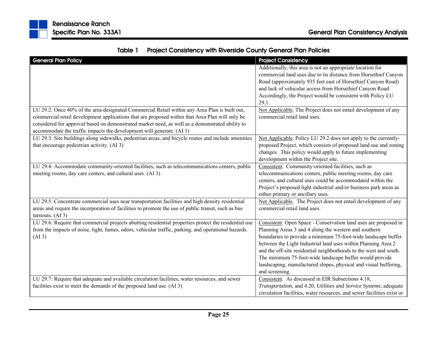| <b>General Plan Policy</b>                                                                            | <b>Project Consistency</b>                                             |
|-------------------------------------------------------------------------------------------------------|------------------------------------------------------------------------|
|                                                                                                       | Additionally, this area is not an appropriate location for             |
|                                                                                                       | commercial land uses due to its distance from Horsethief Canyon        |
|                                                                                                       | Road (approximately 935 feet east of Horsethief Canyon Road)           |
|                                                                                                       | and lack of vehicular access from Horsethief Canyon Road.              |
|                                                                                                       | Accordingly, the Project would be consistent with Policy LU            |
|                                                                                                       | 29.1.                                                                  |
| LU 29.2: Once 40% of the area designated Commercial Retail within any Area Plan is built out,         | Not Applicable. The Project does not entail development of any         |
| commercial retail development applications that are proposed within that Area Plan will only be       | commercial retail land uses.                                           |
| considered for approval based on demonstrated market need, as well as a demonstrated ability to       |                                                                        |
| accommodate the traffic impacts the development will generate. (AI 1)                                 |                                                                        |
| LU 29.3: Site buildings along sidewalks, pedestrian areas, and bicycle routes and include amenities   | Not Applicable. Policy LU 29.2 does not apply to the currently-        |
| that encourage pedestrian activity. (AI 3)                                                            | proposed Project, which consists of proposed land use and zoning       |
|                                                                                                       | changes. This policy would apply to future implementing                |
|                                                                                                       | development within the Project site.                                   |
| LU 29.4: Accommodate community-oriented facilities, such as telecommunications centers, public        | Consistent. Community-oriented facilities, such as                     |
| meeting rooms, day care centers, and cultural uses. (AI 3)                                            | telecommunications centers, public meeting rooms, day care             |
|                                                                                                       | centers, and cultural uses could be accommodated within the            |
|                                                                                                       | Project's proposed light industrial and/or business park areas as      |
|                                                                                                       | either primary or ancillary uses.                                      |
| LU 29.5: Concentrate commercial uses near transportation facilities and high density residential      | Not Applicable. The Project does not entail development of any         |
| areas and require the incorporation of facilities to promote the use of public transit, such as bus   | commercial retail land uses.                                           |
| turnouts. $(AI_3)$                                                                                    |                                                                        |
| LU 29.6: Require that commercial projects abutting residential properties protect the residential use | Consistent. Open Space - Conservation land uses are proposed in        |
| from the impacts of noise, light, fumes, odors, vehicular traffic, parking, and operational hazards.  | Planning Areas 3 and 4 along the western and southern                  |
| (AI3)                                                                                                 | boundaries to provide a minimum 75-foot-wide landscape buffer          |
|                                                                                                       | between the Light Industrial land uses within Planning Area 2          |
|                                                                                                       | and the off-site residential neighborhoods to the west and south.      |
|                                                                                                       | The minimum 75-foot-wide landscape buffer would provide                |
|                                                                                                       | landscaping, manufactured slopes, physical and visual buffering,       |
|                                                                                                       | and screening.                                                         |
| LU 29.7: Require that adequate and available circulation facilities, water resources, and sewer       | Consistent. As discussed in EIR Subsections 4.18,                      |
| facilities exist to meet the demands of the proposed land use. (AI 3)                                 | Transportation, and 4.20, Utilities and Service Systems, adequate      |
|                                                                                                       | circulation facilities, water resources, and sewer facilities exist or |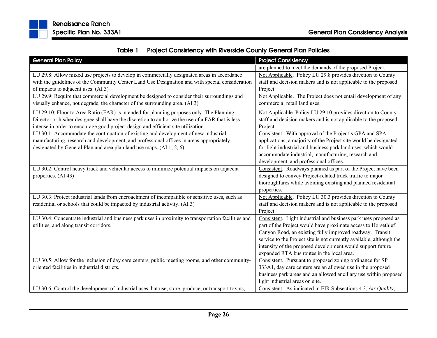

|  | Table 1 Project Consistency with Riverside County General Plan Policies |
|--|-------------------------------------------------------------------------|
|--|-------------------------------------------------------------------------|

| <b>General Plan Policy</b>                                                                                                                                                                                                                                                         | <b>Project Consistency</b>                                                                                                                                                                                                                                                                                                                                                       |
|------------------------------------------------------------------------------------------------------------------------------------------------------------------------------------------------------------------------------------------------------------------------------------|----------------------------------------------------------------------------------------------------------------------------------------------------------------------------------------------------------------------------------------------------------------------------------------------------------------------------------------------------------------------------------|
|                                                                                                                                                                                                                                                                                    | are planned to meet the demands of the proposed Project.                                                                                                                                                                                                                                                                                                                         |
| LU 29.8: Allow mixed use projects to develop in commercially designated areas in accordance<br>with the guidelines of the Community Center Land Use Designation and with special consideration<br>of impacts to adjacent uses. (AI 3)                                              | Not Applicable. Policy LU 29.8 provides direction to County<br>staff and decision makers and is not applicable to the proposed<br>Project.                                                                                                                                                                                                                                       |
| LU 29.9: Require that commercial development be designed to consider their surroundings and<br>visually enhance, not degrade, the character of the surrounding area. (AI 3)                                                                                                        | Not Applicable. The Project does not entail development of any<br>commercial retail land uses.                                                                                                                                                                                                                                                                                   |
| LU 29.10: Floor to Area Ratio (FAR) is intended for planning purposes only. The Planning<br>Director or his/her designee shall have the discretion to authorize the use of a FAR that is less<br>intense in order to encourage good project design and efficient site utilization. | Not Applicable. Policy LU 29.10 provides direction to County<br>staff and decision makers and is not applicable to the proposed<br>Project.                                                                                                                                                                                                                                      |
| LU 30.1: Accommodate the continuation of existing and development of new industrial,<br>manufacturing, research and development, and professional offices in areas appropriately<br>designated by General Plan and area plan land use maps. (AI 1, 2, 6)                           | Consistent. With approval of the Project's GPA and SPA<br>applications, a majority of the Project site would be designated<br>for light industrial and business park land uses, which would<br>accommodate industrial, manufacturing, research and<br>development, and professional offices.                                                                                     |
| LU 30.2: Control heavy truck and vehicular access to minimize potential impacts on adjacent<br>properties. (AI 43)                                                                                                                                                                 | Consistent. Roadways planned as part of the Project have been<br>designed to convey Project-related truck traffic to major<br>thoroughfares while avoiding existing and planned residential<br>properties.                                                                                                                                                                       |
| LU 30.3: Protect industrial lands from encroachment of incompatible or sensitive uses, such as<br>residential or schools that could be impacted by industrial activity. (AI 3)                                                                                                     | Not Applicable. Policy LU 30.3 provides direction to County<br>staff and decision makers and is not applicable to the proposed<br>Project.                                                                                                                                                                                                                                       |
| LU 30.4: Concentrate industrial and business park uses in proximity to transportation facilities and<br>utilities, and along transit corridors.                                                                                                                                    | Consistent. Light industrial and business park uses proposed as<br>part of the Project would have proximate access to Horsethief<br>Canyon Road, an existing fully improved roadway. Transit<br>service to the Project site is not currently available, although the<br>intensity of the proposed development would support future<br>expanded RTA bus routes in the local area. |
| LU 30.5: Allow for the inclusion of day care centers, public meeting rooms, and other community-<br>oriented facilities in industrial districts.                                                                                                                                   | Consistent. Pursuant to proposed zoning ordinance for SP<br>333A1, day care centers are an allowed use in the proposed<br>business park areas and an allowed ancillary use within proposed<br>light industrial areas on site.                                                                                                                                                    |
| LU 30.6: Control the development of industrial uses that use, store, produce, or transport toxins,                                                                                                                                                                                 | Consistent. As indicated in EIR Subsections 4.3, Air Quality,                                                                                                                                                                                                                                                                                                                    |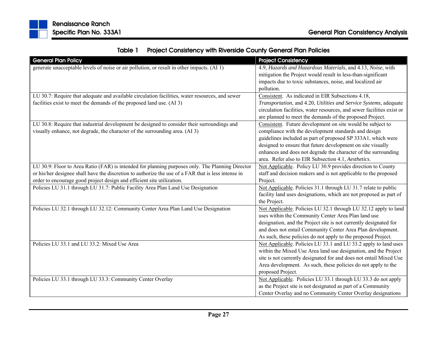| Table 1 | <b>Project Consistency with Riverside County General Plan Policies</b> |
|---------|------------------------------------------------------------------------|
|---------|------------------------------------------------------------------------|

| <b>General Plan Policy</b>                                                                          | <b>Project Consistency</b>                                             |
|-----------------------------------------------------------------------------------------------------|------------------------------------------------------------------------|
| generate unacceptable levels of noise or air pollution, or result in other impacts. (AI 1)          | 4.9, Hazards and Hazardous Materials, and 4.13, Noise, with            |
|                                                                                                     | mitigation the Project would result in less-than-significant           |
|                                                                                                     | impacts due to toxic substances, noise, and localized air              |
|                                                                                                     | pollution.                                                             |
| LU 30.7: Require that adequate and available circulation facilities, water resources, and sewer     | Consistent. As indicated in EIR Subsections 4.18,                      |
| facilities exist to meet the demands of the proposed land use. (AI 3)                               | Transportation, and 4.20, Utilities and Service Systems, adequate      |
|                                                                                                     | circulation facilities, water resources, and sewer facilities exist or |
|                                                                                                     | are planned to meet the demands of the proposed Project.               |
| LU 30.8: Require that industrial development be designed to consider their surroundings and         | Consistent. Future development on site would be subject to             |
| visually enhance, not degrade, the character of the surrounding area. (AI 3)                        | compliance with the development standards and design                   |
|                                                                                                     | guidelines included as part of proposed SP 333A1, which were           |
|                                                                                                     | designed to ensure that future development on site visually            |
|                                                                                                     | enhances and does not degrade the character of the surrounding         |
|                                                                                                     | area. Refer also to EIR Subsection 4.1, Aesthetics.                    |
| LU 30.9: Floor to Area Ratio (FAR) is intended for planning purposes only. The Planning Director    | Not Applicable. Policy LU 30.9 provides direction to County            |
| or his/her designee shall have the discretion to authorize the use of a FAR that is less intense in | staff and decision makers and is not applicable to the proposed        |
| order to encourage good project design and efficient site utilization.                              | Project.                                                               |
| Policies LU 31.1 through LU 31.7: Public Facility Area Plan Land Use Designation                    | Not Applicable. Policies 31.1 through LU 31.7 relate to public         |
|                                                                                                     | facility land uses designations, which are not proposed as part of     |
|                                                                                                     | the Project.                                                           |
| Policies LU 32.1 through LU 32.12: Community Center Area Plan Land Use Designation                  | Not Applicable. Policies LU 32.1 through LU 32.12 apply to land        |
|                                                                                                     | uses within the Community Center Area Plan land use                    |
|                                                                                                     | designation, and the Project site is not currently designated for      |
|                                                                                                     | and does not entail Community Center Area Plan development.            |
|                                                                                                     | As such, these policies do not apply to the proposed Project.          |
| Policies LU 33.1 and LU 33.2: Mixed Use Area                                                        | Not Applicable. Policies LU 33.1 and LU 33.2 apply to land uses        |
|                                                                                                     | within the Mixed Use Area land use designation, and the Project        |
|                                                                                                     | site is not currently designated for and does not entail Mixed Use     |
|                                                                                                     | Area development. As such, these policies do not apply to the          |
|                                                                                                     | proposed Project.                                                      |
| Policies LU 33.1 through LU 33.3: Community Center Overlay                                          | Not Applicable. Policies LU 33.1 through LU 33.3 do not apply          |
|                                                                                                     | as the Project site is not designated as part of a Community           |
|                                                                                                     | Center Overlay and no Community Center Overlay designations            |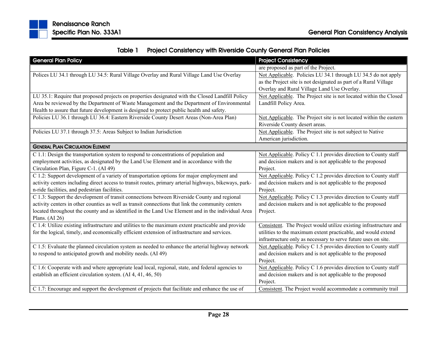

| Table 1 | <b>Project Consistency with Riverside County General Plan Policies</b> |
|---------|------------------------------------------------------------------------|
|---------|------------------------------------------------------------------------|

| <b>General Plan Policy</b>                                                                                                                                                                                                                                                                                                                                                                                                                                                          | <b>Project Consistency</b>                                                                                                                                                                                                                                                           |
|-------------------------------------------------------------------------------------------------------------------------------------------------------------------------------------------------------------------------------------------------------------------------------------------------------------------------------------------------------------------------------------------------------------------------------------------------------------------------------------|--------------------------------------------------------------------------------------------------------------------------------------------------------------------------------------------------------------------------------------------------------------------------------------|
|                                                                                                                                                                                                                                                                                                                                                                                                                                                                                     | are proposed as part of the Project.                                                                                                                                                                                                                                                 |
| Polices LU 34.1 through LU 34.5: Rural Village Overlay and Rural Village Land Use Overlay                                                                                                                                                                                                                                                                                                                                                                                           | Not Applicable. Policies LU 34.1 through LU 34.5 do not apply<br>as the Project site is not designated as part of a Rural Village<br>Overlay and Rural Village Land Use Overlay.                                                                                                     |
| LU 35.1: Require that proposed projects on properties designated with the Closed Landfill Policy<br>Area be reviewed by the Department of Waste Management and the Department of Environmental<br>Health to assure that future development is designed to protect public health and safety.<br>Policies LU 36.1 through LU 36.4: Eastern Riverside County Desert Areas (Non-Area Plan)                                                                                              | Not Applicable. The Project site is not located within the Closed<br>Landfill Policy Area.<br>Not Applicable. The Project site is not located within the eastern                                                                                                                     |
|                                                                                                                                                                                                                                                                                                                                                                                                                                                                                     | Riverside County desert areas.                                                                                                                                                                                                                                                       |
| Policies LU 37.1 through 37.5: Areas Subject to Indian Jurisdiction                                                                                                                                                                                                                                                                                                                                                                                                                 | Not Applicable. The Project site is not subject to Native<br>American jurisdiction.                                                                                                                                                                                                  |
| <b>GENERAL PLAN CIRCULATION ELEMENT</b>                                                                                                                                                                                                                                                                                                                                                                                                                                             |                                                                                                                                                                                                                                                                                      |
| C 1.1: Design the transportation system to respond to concentrations of population and<br>employment activities, as designated by the Land Use Element and in accordance with the<br>Circulation Plan, Figure C-1. (AI 49)<br>C 1.2: Support development of a variety of transportation options for major employment and<br>activity centers including direct access to transit routes, primary arterial highways, bikeways, park-<br>n-ride facilities, and pedestrian facilities. | Not Applicable. Policy C 1.1 provides direction to County staff<br>and decision makers and is not applicable to the proposed<br>Project.<br>Not Applicable. Policy C 1.2 provides direction to County staff<br>and decision makers and is not applicable to the proposed<br>Project. |
| C 1.3: Support the development of transit connections between Riverside County and regional<br>activity centers in other counties as well as transit connections that link the community centers<br>located throughout the county and as identified in the Land Use Element and in the individual Area<br>Plans. $(AI 26)$                                                                                                                                                          | Not Applicable. Policy C 1.3 provides direction to County staff<br>and decision makers and is not applicable to the proposed<br>Project.                                                                                                                                             |
| C 1.4: Utilize existing infrastructure and utilities to the maximum extent practicable and provide<br>for the logical, timely, and economically efficient extension of infrastructure and services.                                                                                                                                                                                                                                                                                 | Consistent. The Project would utilize existing infrastructure and<br>utilities to the maximum extent practicable, and would extend<br>infrastructure only as necessary to serve future uses on site.                                                                                 |
| C 1.5: Evaluate the planned circulation system as needed to enhance the arterial highway network<br>to respond to anticipated growth and mobility needs. (AI 49)                                                                                                                                                                                                                                                                                                                    | Not Applicable. Policy C 1.5 provides direction to County staff<br>and decision makers and is not applicable to the proposed<br>Project.                                                                                                                                             |
| C 1.6: Cooperate with and where appropriate lead local, regional, state, and federal agencies to<br>establish an efficient circulation system. (AI 4, 41, 46, 50)                                                                                                                                                                                                                                                                                                                   | Not Applicable. Policy C 1.6 provides direction to County staff<br>and decision makers and is not applicable to the proposed<br>Project.                                                                                                                                             |
| C 1.7: Encourage and support the development of projects that facilitate and enhance the use of                                                                                                                                                                                                                                                                                                                                                                                     | Consistent. The Project would accommodate a community trail                                                                                                                                                                                                                          |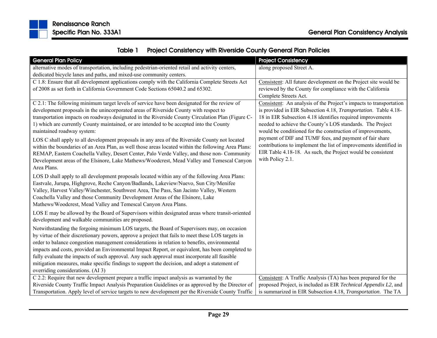

|  | Table 1 Project Consistency with Riverside County General Plan Policies |
|--|-------------------------------------------------------------------------|
|--|-------------------------------------------------------------------------|

| <b>General Plan Policy</b>                                                                          | <b>Project Consistency</b>                                         |
|-----------------------------------------------------------------------------------------------------|--------------------------------------------------------------------|
| alternative modes of transportation, including pedestrian-oriented retail and activity centers,     | along proposed Street A.                                           |
| dedicated bicycle lanes and paths, and mixed-use community centers.                                 |                                                                    |
| C 1.8: Ensure that all development applications comply with the California Complete Streets Act     | Consistent: All future development on the Project site would be    |
| of 2008 as set forth in California Government Code Sections 65040.2 and 65302.                      | reviewed by the County for compliance with the California          |
|                                                                                                     | Complete Streets Act.                                              |
| C 2.1: The following minimum target levels of service have been designated for the review of        | Consistent: An analysis of the Project's impacts to transportation |
| development proposals in the unincorporated areas of Riverside County with respect to               | is provided in EIR Subsection 4.18, Transportation. Table 4.18-    |
| transportation impacts on roadways designated in the Riverside County Circulation Plan (Figure C-   | 18 in EIR Subsection 4.18 identifies required improvements         |
| 1) which are currently County maintained, or are intended to be accepted into the County            | needed to achieve the County's LOS standards. The Project          |
| maintained roadway system:                                                                          | would be conditioned for the construction of improvements,         |
| LOS C shall apply to all development proposals in any area of the Riverside County not located      | payment of DIF and TUMF fees, and payment of fair share            |
| within the boundaries of an Area Plan, as well those areas located within the following Area Plans: | contributions to implement the list of improvements identified in  |
| REMAP, Eastern Coachella Valley, Desert Center, Palo Verde Valley, and those non- Community         | EIR Table 4.18-18. As such, the Project would be consistent        |
| Development areas of the Elsinore, Lake Mathews/Woodcrest, Mead Valley and Temescal Canyon          | with Policy 2.1.                                                   |
| Area Plans.                                                                                         |                                                                    |
| LOS D shall apply to all development proposals located within any of the following Area Plans:      |                                                                    |
| Eastvale, Jurupa, Highgrove, Reche Canyon/Badlands, Lakeview/Nuevo, Sun City/Menifee                |                                                                    |
| Valley, Harvest Valley/Winchester, Southwest Area, The Pass, San Jacinto Valley, Western            |                                                                    |
| Coachella Valley and those Community Development Areas of the Elsinore, Lake                        |                                                                    |
| Mathews/Woodcrest, Mead Valley and Temescal Canyon Area Plans.                                      |                                                                    |
| LOS E may be allowed by the Board of Supervisors within designated areas where transit-oriented     |                                                                    |
| development and walkable communities are proposed.                                                  |                                                                    |
| Notwithstanding the forgoing minimum LOS targets, the Board of Supervisors may, on occasion         |                                                                    |
| by virtue of their discretionary powers, approve a project that fails to meet these LOS targets in  |                                                                    |
| order to balance congestion management considerations in relation to benefits, environmental        |                                                                    |
| impacts and costs, provided an Environmental Impact Report, or equivalent, has been completed to    |                                                                    |
| fully evaluate the impacts of such approval. Any such approval must incorporate all feasible        |                                                                    |
| mitigation measures, make specific findings to support the decision, and adopt a statement of       |                                                                    |
| overriding considerations. (AI 3)                                                                   |                                                                    |
| C 2.2: Require that new development prepare a traffic impact analysis as warranted by the           | Consistent: A Traffic Analysis (TA) has been prepared for the      |
| Riverside County Traffic Impact Analysis Preparation Guidelines or as approved by the Director of   | proposed Project, is included as EIR Technical Appendix L2, and    |
| Transportation. Apply level of service targets to new development per the Riverside County Traffic  | is summarized in EIR Subsection 4.18, Transportation. The TA       |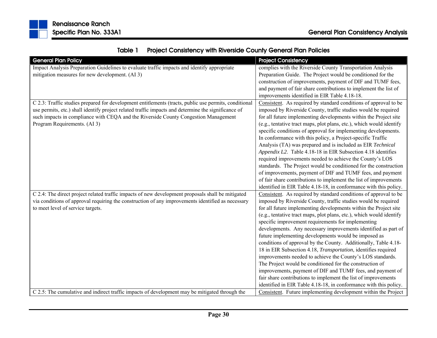|  | Table 1 Project Consistency with Riverside County General Plan Policies |
|--|-------------------------------------------------------------------------|
|--|-------------------------------------------------------------------------|

| <b>General Plan Policy</b>                                                                            | <b>Project Consistency</b>                                           |
|-------------------------------------------------------------------------------------------------------|----------------------------------------------------------------------|
| Impact Analysis Preparation Guidelines to evaluate traffic impacts and identify appropriate           | complies with the Riverside County Transportation Analysis           |
| mitigation measures for new development. (AI 3)                                                       | Preparation Guide. The Project would be conditioned for the          |
|                                                                                                       | construction of improvements, payment of DIF and TUMF fees,          |
|                                                                                                       | and payment of fair share contributions to implement the list of     |
|                                                                                                       | improvements identified in EIR Table 4.18-18.                        |
| C 2.3: Traffic studies prepared for development entitlements (tracts, public use permits, conditional | Consistent. As required by standard conditions of approval to be     |
| use permits, etc.) shall identify project related traffic impacts and determine the significance of   | imposed by Riverside County, traffic studies would be required       |
| such impacts in compliance with CEQA and the Riverside County Congestion Management                   | for all future implementing developments within the Project site     |
| Program Requirements. (AI 3)                                                                          | (e.g., tentative tract maps, plot plans, etc.), which would identify |
|                                                                                                       | specific conditions of approval for implementing developments.       |
|                                                                                                       | In conformance with this policy, a Project-specific Traffic          |
|                                                                                                       | Analysis (TA) was prepared and is included as EIR Technical          |
|                                                                                                       | Appendix L2. Table 4.18-18 in EIR Subsection 4.18 identifies         |
|                                                                                                       | required improvements needed to achieve the County's LOS             |
|                                                                                                       | standards. The Project would be conditioned for the construction     |
|                                                                                                       | of improvements, payment of DIF and TUMF fees, and payment           |
|                                                                                                       | of fair share contributions to implement the list of improvements    |
|                                                                                                       | identified in EIR Table 4.18-18, in conformance with this policy.    |
| C 2.4: The direct project related traffic impacts of new development proposals shall be mitigated     | Consistent. As required by standard conditions of approval to be     |
| via conditions of approval requiring the construction of any improvements identified as necessary     | imposed by Riverside County, traffic studies would be required       |
| to meet level of service targets.                                                                     | for all future implementing developments within the Project site     |
|                                                                                                       | (e.g., tentative tract maps, plot plans, etc.), which would identify |
|                                                                                                       | specific improvement requirements for implementing                   |
|                                                                                                       | developments. Any necessary improvements identified as part of       |
|                                                                                                       | future implementing developments would be imposed as                 |
|                                                                                                       | conditions of approval by the County. Additionally, Table 4.18-      |
|                                                                                                       | 18 in EIR Subsection 4.18, Transportation, identifies required       |
|                                                                                                       | improvements needed to achieve the County's LOS standards.           |
|                                                                                                       | The Project would be conditioned for the construction of             |
|                                                                                                       | improvements, payment of DIF and TUMF fees, and payment of           |
|                                                                                                       | fair share contributions to implement the list of improvements       |
|                                                                                                       | identified in EIR Table 4.18-18, in conformance with this policy.    |
| C 2.5: The cumulative and indirect traffic impacts of development may be mitigated through the        | Consistent. Future implementing development within the Project       |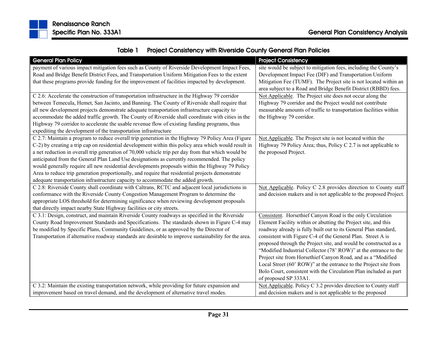

| Table 1 | <b>Project Consistency with Riverside County General Plan Policies</b> |
|---------|------------------------------------------------------------------------|
|---------|------------------------------------------------------------------------|

| <b>General Plan Policy</b>                                                                            | <b>Project Consistency</b>                                         |
|-------------------------------------------------------------------------------------------------------|--------------------------------------------------------------------|
| payment of various impact mitigation fees such as County of Riverside Development Impact Fees,        | site would be subject to mitigation fees, including the County's   |
| Road and Bridge Benefit District Fees, and Transportation Uniform Mitigation Fees to the extent       | Development Impact Fee (DIF) and Transportation Uniform            |
| that these programs provide funding for the improvement of facilities impacted by development.        | Mitigation Fee (TUMF). The Project site is not located within an   |
|                                                                                                       | area subject to a Road and Bridge Benefit District (RBBD) fees.    |
| C 2.6: Accelerate the construction of transportation infrastructure in the Highway 79 corridor        | Not Applicable. The Project site does not occur along the          |
| between Temecula, Hemet, San Jacinto, and Banning. The County of Riverside shall require that         | Highway 79 corridor and the Project would not contribute           |
| all new development projects demonstrate adequate transportation infrastructure capacity to           | measurable amounts of traffic to transportation facilities within  |
| accommodate the added traffic growth. The County of Riverside shall coordinate with cities in the     | the Highway 79 corridor.                                           |
| Highway 79 corridor to accelerate the usable revenue flow of existing funding programs, thus          |                                                                    |
| expediting the development of the transportation infrastructure                                       |                                                                    |
| C 2.7: Maintain a program to reduce overall trip generation in the Highway 79 Policy Area (Figure     | Not Applicable. The Project site is not located within the         |
| C-2) by creating a trip cap on residential development within this policy area which would result in  | Highway 79 Policy Area; thus, Policy C 2.7 is not applicable to    |
| a net reduction in overall trip generation of 70,000 vehicle trip per day from that which would be    | the proposed Project.                                              |
| anticipated from the General Plan Land Use designations as currently recommended. The policy          |                                                                    |
| would generally require all new residential developments proposals within the Highway 79 Policy       |                                                                    |
| Area to reduce trip generation proportionally, and require that residential projects demonstrate      |                                                                    |
| adequate transportation infrastructure capacity to accommodate the added growth.                      |                                                                    |
| C 2.8: Riverside County shall coordinate with Caltrans, RCTC and adjacent local jurisdictions in      | Not Applicable. Policy C 2.8 provides direction to County staff    |
| conformance with the Riverside County Congestion Management Program to determine the                  | and decision makers and is not applicable to the proposed Project. |
| appropriate LOS threshold for determining significance when reviewing development proposals           |                                                                    |
| that directly impact nearby State Highway facilities or city streets.                                 |                                                                    |
| C 3.1: Design, construct, and maintain Riverside County roadways as specified in the Riverside        | Consistent. Horsethief Canyon Road is the only Circulation         |
| County Road Improvement Standards and Specifications. The standards shown in Figure C-4 may           | Element Facility within or abutting the Project site, and this     |
| be modified by Specific Plans, Community Guidelines, or as approved by the Director of                | roadway already is fully built out to its General Plan standard,   |
| Transportation if alternative roadway standards are desirable to improve sustainability for the area. | consistent with Figure C-4 of the General Plan. Street A is        |
|                                                                                                       | proposed through the Project site, and would be constructed as a   |
|                                                                                                       | "Modified Industrial Collector (78' ROW)" at the entrance to the   |
|                                                                                                       | Project site from Horsethief Canyon Road, and as a "Modified       |
|                                                                                                       | Local Street (60' ROW)" at the entrance to the Project site from   |
|                                                                                                       | Bolo Court, consistent with the Circulation Plan included as part  |
|                                                                                                       | of proposed SP 333A1.                                              |
| C 3.2: Maintain the existing transportation network, while providing for future expansion and         | Not Applicable. Policy C 3.2 provides direction to County staff    |
| improvement based on travel demand, and the development of alternative travel modes.                  | and decision makers and is not applicable to the proposed          |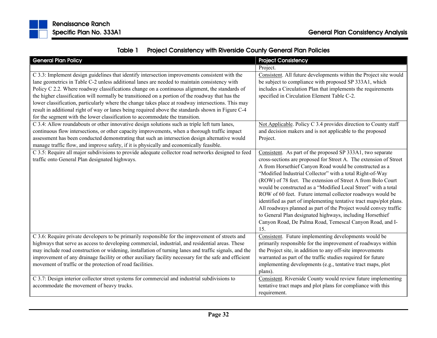

| <b>General Plan Policy</b>                                                                                                                                                                                                                                                                                                                                                                                                                                                                                                                                                                                                                                                                      | <b>Project Consistency</b>                                                                                                                                                                                                                                                                                                                                                                                                                                                                                                                                                                                                                                                                                                         |
|-------------------------------------------------------------------------------------------------------------------------------------------------------------------------------------------------------------------------------------------------------------------------------------------------------------------------------------------------------------------------------------------------------------------------------------------------------------------------------------------------------------------------------------------------------------------------------------------------------------------------------------------------------------------------------------------------|------------------------------------------------------------------------------------------------------------------------------------------------------------------------------------------------------------------------------------------------------------------------------------------------------------------------------------------------------------------------------------------------------------------------------------------------------------------------------------------------------------------------------------------------------------------------------------------------------------------------------------------------------------------------------------------------------------------------------------|
|                                                                                                                                                                                                                                                                                                                                                                                                                                                                                                                                                                                                                                                                                                 | Project.                                                                                                                                                                                                                                                                                                                                                                                                                                                                                                                                                                                                                                                                                                                           |
| C 3.3: Implement design guidelines that identify intersection improvements consistent with the<br>lane geometrics in Table C-2 unless additional lanes are needed to maintain consistency with<br>Policy C 2.2. Where roadway classifications change on a continuous alignment, the standards of<br>the higher classification will normally be transitioned on a portion of the roadway that has the<br>lower classification, particularly where the change takes place at roadway intersections. This may<br>result in additional right of way or lanes being required above the standards shown in Figure C-4<br>for the segment with the lower classification to accommodate the transition. | Consistent. All future developments within the Project site would<br>be subject to compliance with proposed SP 333A1, which<br>includes a Circulation Plan that implements the requirements<br>specified in Circulation Element Table C-2.                                                                                                                                                                                                                                                                                                                                                                                                                                                                                         |
| C 3.4: Allow roundabouts or other innovative design solutions such as triple left turn lanes,<br>continuous flow intersections, or other capacity improvements, when a thorough traffic impact<br>assessment has been conducted demonstrating that such an intersection design alternative would<br>manage traffic flow, and improve safety, if it is physically and economically feasible.                                                                                                                                                                                                                                                                                                     | Not Applicable. Policy C 3.4 provides direction to County staff<br>and decision makers and is not applicable to the proposed<br>Project.                                                                                                                                                                                                                                                                                                                                                                                                                                                                                                                                                                                           |
| C 3.5: Require all major subdivisions to provide adequate collector road networks designed to feed<br>traffic onto General Plan designated highways.                                                                                                                                                                                                                                                                                                                                                                                                                                                                                                                                            | Consistent. As part of the proposed SP 333A1, two separate<br>cross-sections are proposed for Street A. The extension of Street<br>A from Horsethief Canyon Road would be constructed as a<br>"Modified Industrial Collector" with a total Right-of-Way<br>(ROW) of 78 feet. The extension of Street A from Bolo Court<br>would be constructed as a "Modified Local Street" with a total<br>ROW of 60 feet. Future internal collector roadways would be<br>identified as part of implementing tentative tract maps/plot plans.<br>All roadways planned as part of the Project would convey traffic<br>to General Plan designated highways, including Horsethief<br>Canyon Road, De Palma Road, Temescal Canyon Road, and I-<br>15. |
| C 3.6: Require private developers to be primarily responsible for the improvement of streets and<br>highways that serve as access to developing commercial, industrial, and residential areas. These<br>may include road construction or widening, installation of turning lanes and traffic signals, and the<br>improvement of any drainage facility or other auxiliary facility necessary for the safe and efficient<br>movement of traffic or the protection of road facilities.                                                                                                                                                                                                             | Consistent. Future implementing developments would be<br>primarily responsible for the improvement of roadways within<br>the Project site, in addition to any off-site improvements<br>warranted as part of the traffic studies required for future<br>implementing developments (e.g., tentative tract maps, plot<br>plans).                                                                                                                                                                                                                                                                                                                                                                                                      |
| C 3.7: Design interior collector street systems for commercial and industrial subdivisions to<br>accommodate the movement of heavy trucks.                                                                                                                                                                                                                                                                                                                                                                                                                                                                                                                                                      | Consistent. Riverside County would review future implementing<br>tentative tract maps and plot plans for compliance with this<br>requirement.                                                                                                                                                                                                                                                                                                                                                                                                                                                                                                                                                                                      |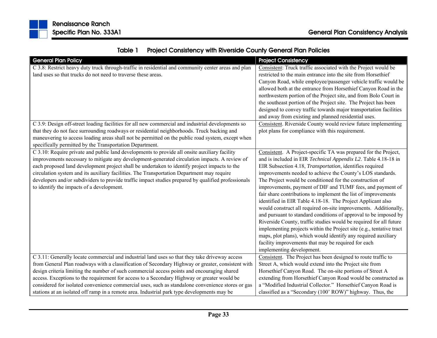| <b>General Plan Policy</b>                                                                          | <b>Project Consistency</b>                                           |
|-----------------------------------------------------------------------------------------------------|----------------------------------------------------------------------|
| C 3.8: Restrict heavy duty truck through-traffic in residential and community center areas and plan | Consistent: Truck traffic associated with the Project would be       |
| land uses so that trucks do not need to traverse these areas.                                       | restricted to the main entrance into the site from Horsethief        |
|                                                                                                     | Canyon Road, while employee/passenger vehicle traffic would be       |
|                                                                                                     | allowed both at the entrance from Horsethief Canyon Road in the      |
|                                                                                                     | northwestern portion of the Project site, and from Bolo Court in     |
|                                                                                                     | the southeast portion of the Project site. The Project has been      |
|                                                                                                     | designed to convey traffic towards major transportation facilities   |
|                                                                                                     | and away from existing and planned residential uses.                 |
| C 3.9: Design off-street loading facilities for all new commercial and industrial developments so   | Consistent. Riverside County would review future implementing        |
| that they do not face surrounding roadways or residential neighborhoods. Truck backing and          | plot plans for compliance with this requirement.                     |
| maneuvering to access loading areas shall not be permitted on the public road system, except when   |                                                                      |
| specifically permitted by the Transportation Department.                                            |                                                                      |
| C 3.10: Require private and public land developments to provide all onsite auxiliary facility       | Consistent. A Project-specific TA was prepared for the Project,      |
| improvements necessary to mitigate any development-generated circulation impacts. A review of       | and is included in EIR Technical Appendix L2. Table 4.18-18 in       |
| each proposed land development project shall be undertaken to identify project impacts to the       | EIR Subsection 4.18, Transportation, identifies required             |
| circulation system and its auxiliary facilities. The Transportation Department may require          | improvements needed to achieve the County's LOS standards.           |
| developers and/or subdividers to provide traffic impact studies prepared by qualified professionals | The Project would be conditioned for the construction of             |
| to identify the impacts of a development.                                                           | improvements, payment of DIF and TUMF fees, and payment of           |
|                                                                                                     | fair share contributions to implement the list of improvements       |
|                                                                                                     | identified in EIR Table 4.18-18. The Project Applicant also          |
|                                                                                                     | would construct all required on-site improvements. Additionally,     |
|                                                                                                     | and pursuant to standard conditions of approval to be imposed by     |
|                                                                                                     | Riverside County, traffic studies would be required for all future   |
|                                                                                                     | implementing projects within the Project site (e.g., tentative tract |
|                                                                                                     | maps, plot plans), which would identify any required auxiliary       |
|                                                                                                     | facility improvements that may be required for each                  |
|                                                                                                     | implementing development.                                            |
| C 3.11: Generally locate commercial and industrial land uses so that they take driveway access      | Consistent. The Project has been designed to route traffic to        |
| from General Plan roadways with a classification of Secondary Highway or greater, consistent with   | Street A, which would extend into the Project site from              |
| design criteria limiting the number of such commercial access points and encouraging shared         | Horsethief Canyon Road. The on-site portions of Street A             |
| access. Exceptions to the requirement for access to a Secondary Highway or greater would be         | extending from Horsethief Canyon Road would be constructed as        |
| considered for isolated convenience commercial uses, such as standalone convenience stores or gas   | a "Modified Industrial Collector." Horsethief Canyon Road is         |
| stations at an isolated off ramp in a remote area. Industrial park type developments may be         | classified as a "Secondary (100' ROW)" highway. Thus, the            |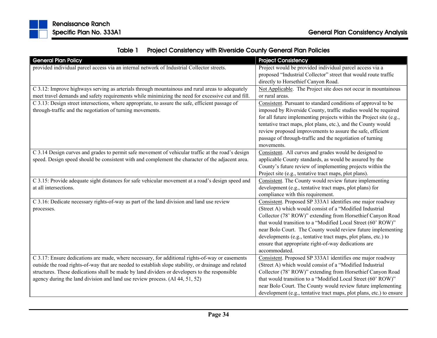

|  | Table 1 Project Consistency with Riverside County General Plan Policies |  |  |
|--|-------------------------------------------------------------------------|--|--|
|--|-------------------------------------------------------------------------|--|--|

| <b>General Plan Policy</b>                                                                                     | <b>Project Consistency</b>                                           |
|----------------------------------------------------------------------------------------------------------------|----------------------------------------------------------------------|
| provided individual parcel access via an internal network of Industrial Collector streets.                     | Project would be provided individual parcel access via a             |
|                                                                                                                | proposed "Industrial Collector" street that would route traffic      |
|                                                                                                                | directly to Horsethief Canyon Road.                                  |
| C 3.12: Improve highways serving as arterials through mountainous and rural areas to adequately                | Not Applicable. The Project site does not occur in mountainous       |
| meet travel demands and safety requirements while minimizing the need for excessive cut and fill.              | or rural areas.                                                      |
| C 3.13: Design street intersections, where appropriate, to assure the safe, efficient passage of               | Consistent. Pursuant to standard conditions of approval to be        |
| through-traffic and the negotiation of turning movements.                                                      | imposed by Riverside County, traffic studies would be required       |
|                                                                                                                | for all future implementing projects within the Project site (e.g.,  |
|                                                                                                                | tentative tract maps, plot plans, etc.), and the County would        |
|                                                                                                                | review proposed improvements to assure the safe, efficient           |
|                                                                                                                | passage of through-traffic and the negotiation of turning            |
|                                                                                                                | movements.                                                           |
| $\overline{C}$ 3.14 Design curves and grades to permit safe movement of vehicular traffic at the road's design | Consistent. All curves and grades would be designed to               |
| speed. Design speed should be consistent with and complement the character of the adjacent area.               | applicable County standards, as would be assured by the              |
|                                                                                                                | County's future review of implementing projects within the           |
|                                                                                                                | Project site (e.g., tentative tract maps, plot plans).               |
| C 3.15: Provide adequate sight distances for safe vehicular movement at a road's design speed and              | Consistent. The County would review future implementing              |
| at all intersections.                                                                                          | development (e.g., tentative tract maps, plot plans) for             |
|                                                                                                                | compliance with this requirement.                                    |
| C 3.16: Dedicate necessary rights-of-way as part of the land division and land use review                      | Consistent. Proposed SP 333A1 identifies one major roadway           |
| processes.                                                                                                     | (Street A) which would consist of a "Modified Industrial             |
|                                                                                                                | Collector (78' ROW)" extending from Horsethief Canyon Road           |
|                                                                                                                | that would transition to a "Modified Local Street (60' ROW)"         |
|                                                                                                                | near Bolo Court. The County would review future implementing         |
|                                                                                                                | developments (e.g., tentative tract maps, plot plans, etc.) to       |
|                                                                                                                | ensure that appropriate right-of-way dedications are                 |
|                                                                                                                | accommodated.                                                        |
| C 3.17: Ensure dedications are made, where necessary, for additional rights-of-way or easements                | Consistent. Proposed SP 333A1 identifies one major roadway           |
| outside the road rights-of-way that are needed to establish slope stability, or drainage and related           | (Street A) which would consist of a "Modified Industrial             |
| structures. These dedications shall be made by land dividers or developers to the responsible                  | Collector (78' ROW)" extending from Horsethief Canyon Road           |
| agency during the land division and land use review process. (AI 44, 51, 52)                                   | that would transition to a "Modified Local Street (60' ROW)"         |
|                                                                                                                | near Bolo Court. The County would review future implementing         |
|                                                                                                                | development (e.g., tentative tract maps, plot plans, etc.) to ensure |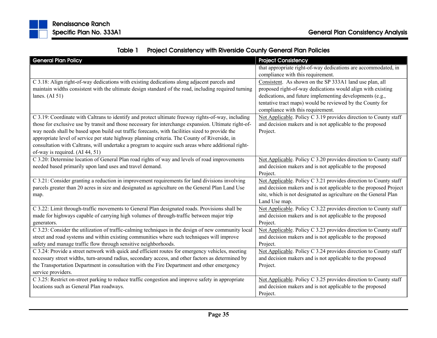|  | Table 1 Project Consistency with Riverside County General Plan Policies |
|--|-------------------------------------------------------------------------|
|--|-------------------------------------------------------------------------|

| <b>General Plan Policy</b>                                                                           | <b>Project Consistency</b>                                        |
|------------------------------------------------------------------------------------------------------|-------------------------------------------------------------------|
|                                                                                                      | that appropriate right-of-way dedications are accommodated, in    |
|                                                                                                      | compliance with this requirement.                                 |
| C 3.18: Align right-of-way dedications with existing dedications along adjacent parcels and          | Consistent. As shown on the SP 333A1 land use plan, all           |
| maintain widths consistent with the ultimate design standard of the road, including required turning | proposed right-of-way dedications would align with existing       |
| lanes. $(AI 51)$                                                                                     | dedications, and future implementing developments (e.g.,          |
|                                                                                                      | tentative tract maps) would be reviewed by the County for         |
|                                                                                                      | compliance with this requirement.                                 |
| C 3.19: Coordinate with Caltrans to identify and protect ultimate freeway rights-of-way, including   | Not Applicable. Policy C 3.19 provides direction to County staff  |
| those for exclusive use by transit and those necessary for interchange expansion. Ultimate right-of- | and decision makers and is not applicable to the proposed         |
| way needs shall be based upon build out traffic forecasts, with facilities sized to provide the      | Project.                                                          |
| appropriate level of service per state highway planning criteria. The County of Riverside, in        |                                                                   |
| consultation with Caltrans, will undertake a program to acquire such areas where additional right-   |                                                                   |
| of-way is required. (AI 44, 51)                                                                      |                                                                   |
| C 3.20: Determine location of General Plan road rights of way and levels of road improvements        | Not Applicable. Policy C 3.20 provides direction to County staff  |
| needed based primarily upon land uses and travel demand.                                             | and decision makers and is not applicable to the proposed         |
|                                                                                                      | Project.                                                          |
| C 3.21: Consider granting a reduction in improvement requirements for land divisions involving       | Not Applicable. Policy C 3.21 provides direction to County staff  |
| parcels greater than 20 acres in size and designated as agriculture on the General Plan Land Use     | and decision makers and is not applicable to the proposed Project |
| map.                                                                                                 | site, which is not designated as agriculture on the General Plan  |
|                                                                                                      | Land Use map.                                                     |
| C 3.22: Limit through-traffic movements to General Plan designated roads. Provisions shall be        | Not Applicable. Policy C 3.22 provides direction to County staff  |
| made for highways capable of carrying high volumes of through-traffic between major trip             | and decision makers and is not applicable to the proposed         |
| generators.                                                                                          | Project.                                                          |
| C 3.23: Consider the utilization of traffic-calming techniques in the design of new community local  | Not Applicable. Policy C 3.23 provides direction to County staff  |
| street and road systems and within existing communities where such techniques will improve           | and decision makers and is not applicable to the proposed         |
| safety and manage traffic flow through sensitive neighborhoods.                                      | Project.                                                          |
| C 3.24: Provide a street network with quick and efficient routes for emergency vehicles, meeting     | Not Applicable. Policy C 3.24 provides direction to County staff  |
| necessary street widths, turn-around radius, secondary access, and other factors as determined by    | and decision makers and is not applicable to the proposed         |
| the Transportation Department in consultation with the Fire Department and other emergency           | Project.                                                          |
| service providers.                                                                                   |                                                                   |
| C 3.25: Restrict on-street parking to reduce traffic congestion and improve safety in appropriate    | Not Applicable. Policy C 3.25 provides direction to County staff  |
| locations such as General Plan roadways.                                                             | and decision makers and is not applicable to the proposed         |
|                                                                                                      | Project.                                                          |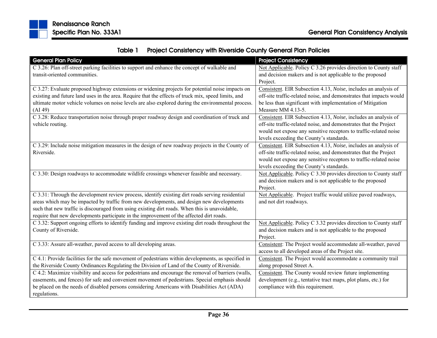

| Table 1 | <b>Project Consistency with Riverside County General Plan Policies</b> |
|---------|------------------------------------------------------------------------|
|---------|------------------------------------------------------------------------|

| <b>General Plan Policy</b>                                                                          | <b>Project Consistency</b>                                          |
|-----------------------------------------------------------------------------------------------------|---------------------------------------------------------------------|
| C 3.26: Plan off-street parking facilities to support and enhance the concept of walkable and       | Not Applicable. Policy C 3.26 provides direction to County staff    |
| transit-oriented communities.                                                                       | and decision makers and is not applicable to the proposed           |
|                                                                                                     | Project.                                                            |
| C 3.27: Evaluate proposed highway extensions or widening projects for potential noise impacts on    | Consistent. EIR Subsection 4.13, Noise, includes an analysis of     |
| existing and future land uses in the area. Require that the effects of truck mix, speed limits, and | off-site traffic-related noise, and demonstrates that impacts would |
| ultimate motor vehicle volumes on noise levels are also explored during the environmental process.  | be less than significant with implementation of Mitigation          |
| (AI 49)                                                                                             | Measure MM 4.13-5.                                                  |
| C 3.28: Reduce transportation noise through proper roadway design and coordination of truck and     | Consistent. EIR Subsection 4.13, Noise, includes an analysis of     |
| vehicle routing.                                                                                    | off-site traffic-related noise, and demonstrates that the Project   |
|                                                                                                     | would not expose any sensitive receptors to traffic-related noise   |
|                                                                                                     | levels exceeding the County's standards.                            |
| C 3.29: Include noise mitigation measures in the design of new roadway projects in the County of    | Consistent. EIR Subsection 4.13, Noise, includes an analysis of     |
| Riverside.                                                                                          | off-site traffic-related noise, and demonstrates that the Project   |
|                                                                                                     | would not expose any sensitive receptors to traffic-related noise   |
|                                                                                                     | levels exceeding the County's standards.                            |
| C 3.30: Design roadways to accommodate wildlife crossings whenever feasible and necessary.          | Not Applicable. Policy C 3.30 provides direction to County staff    |
|                                                                                                     | and decision makers and is not applicable to the proposed           |
|                                                                                                     | Project.                                                            |
| C 3.31: Through the development review process, identify existing dirt roads serving residential    | Not Applicable. Project traffic would utilize paved roadways,       |
| areas which may be impacted by traffic from new developments, and design new developments           | and not dirt roadways.                                              |
| such that new traffic is discouraged from using existing dirt roads. When this is unavoidable,      |                                                                     |
| require that new developments participate in the improvement of the affected dirt roads.            |                                                                     |
| C 3.32: Support ongoing efforts to identify funding and improve existing dirt roads throughout the  | Not Applicable. Policy C 3.32 provides direction to County staff    |
| County of Riverside.                                                                                | and decision makers and is not applicable to the proposed           |
|                                                                                                     | Project.                                                            |
| C 3.33: Assure all-weather, paved access to all developing areas.                                   | Consistent: The Project would accommodate all-weather, paved        |
|                                                                                                     | access to all developed areas of the Project site.                  |
| C 4.1: Provide facilities for the safe movement of pedestrians within developments, as specified in | Consistent. The Project would accommodate a community trail         |
| the Riverside County Ordinances Regulating the Division of Land of the County of Riverside.         | along proposed Street A.                                            |
| C 4.2: Maximize visibility and access for pedestrians and encourage the removal of barriers (walls, | Consistent. The County would review future implementing             |
| easements, and fences) for safe and convenient movement of pedestrians. Special emphasis should     | development (e.g., tentative tract maps, plot plans, etc.) for      |
| be placed on the needs of disabled persons considering Americans with Disabilities Act (ADA)        | compliance with this requirement.                                   |
| regulations.                                                                                        |                                                                     |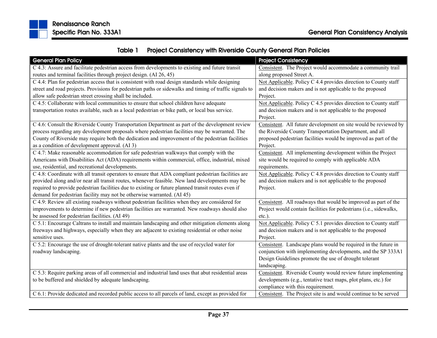

| Table 1 | <b>Project Consistency with Riverside County General Plan Policies</b> |
|---------|------------------------------------------------------------------------|
|---------|------------------------------------------------------------------------|

| <b>General Plan Policy</b>                                                                              | <b>Project Consistency</b>                                         |
|---------------------------------------------------------------------------------------------------------|--------------------------------------------------------------------|
| C 4.3: Assure and facilitate pedestrian access from developments to existing and future transit         | Consistent. The Project would accommodate a community trail        |
| routes and terminal facilities through project design. (AI 26, 45)                                      | along proposed Street A.                                           |
| C 4.4: Plan for pedestrian access that is consistent with road design standards while designing         | Not Applicable. Policy C 4.4 provides direction to County staff    |
| street and road projects. Provisions for pedestrian paths or sidewalks and timing of traffic signals to | and decision makers and is not applicable to the proposed          |
| allow safe pedestrian street crossing shall be included.                                                | Project.                                                           |
| C 4.5: Collaborate with local communities to ensure that school children have adequate                  | Not Applicable. Policy C 4.5 provides direction to County staff    |
| transportation routes available, such as a local pedestrian or bike path, or local bus service.         | and decision makers and is not applicable to the proposed          |
|                                                                                                         | Project.                                                           |
| C 4.6: Consult the Riverside County Transportation Department as part of the development review         | Consistent. All future development on site would be reviewed by    |
| process regarding any development proposals where pedestrian facilities may be warranted. The           | the Riverside County Transportation Department, and all            |
| County of Riverside may require both the dedication and improvement of the pedestrian facilities        | proposed pedestrian facilities would be improved as part of the    |
| as a condition of development approval. (AI 3)                                                          | Project.                                                           |
| C 4.7: Make reasonable accommodation for safe pedestrian walkways that comply with the                  | Consistent. All implementing development within the Project        |
| Americans with Disabilities Act (ADA) requirements within commercial, office, industrial, mixed         | site would be required to comply with applicable ADA               |
| use, residential, and recreational developments.                                                        | requirements.                                                      |
| C 4.8: Coordinate with all transit operators to ensure that ADA compliant pedestrian facilities are     | Not Applicable. Policy C 4.8 provides direction to County staff    |
| provided along and/or near all transit routes, whenever feasible. New land developments may be          | and decision makers and is not applicable to the proposed          |
| required to provide pedestrian facilities due to existing or future planned transit routes even if      | Project.                                                           |
| demand for pedestrian facility may not be otherwise warranted. (AI 45)                                  |                                                                    |
| C 4.9: Review all existing roadways without pedestrian facilities when they are considered for          | Consistent. All roadways that would be improved as part of the     |
| improvements to determine if new pedestrian facilities are warranted. New roadways should also          | Project would contain facilities for pedestrians (i.e., sidewalks, |
| be assessed for pedestrian facilities. (AI 49)                                                          | etc.).                                                             |
| C 5.1: Encourage Caltrans to install and maintain landscaping and other mitigation elements along       | Not Applicable. Policy C 5.1 provides direction to County staff    |
| freeways and highways, especially when they are adjacent to existing residential or other noise         | and decision makers and is not applicable to the proposed          |
| sensitive uses.                                                                                         | Project.                                                           |
| C 5.2: Encourage the use of drought-tolerant native plants and the use of recycled water for            | Consistent. Landscape plans would be required in the future in     |
| roadway landscaping.                                                                                    | conjunction with implementing developments, and the SP 333A1       |
|                                                                                                         | Design Guidelines promote the use of drought tolerant              |
|                                                                                                         | landscaping.                                                       |
| C 5.3: Require parking areas of all commercial and industrial land uses that abut residential areas     | Consistent. Riverside County would review future implementing      |
| to be buffered and shielded by adequate landscaping.                                                    | developments (e.g., tentative tract maps, plot plans, etc.) for    |
|                                                                                                         | compliance with this requirement.                                  |
| C 6.1: Provide dedicated and recorded public access to all parcels of land, except as provided for      | Consistent. The Project site is and would continue to be served    |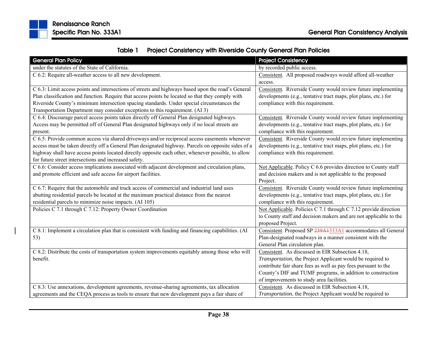

|  | Table 1 Project Consistency with Riverside County General Plan Policies |
|--|-------------------------------------------------------------------------|
|--|-------------------------------------------------------------------------|

| <b>General Plan Policy</b>                                                                          | <b>Project Consistency</b>                                        |
|-----------------------------------------------------------------------------------------------------|-------------------------------------------------------------------|
| under the statutes of the State of California.                                                      | by recorded public access.                                        |
| C 6.2: Require all-weather access to all new development.                                           | Consistent. All proposed roadways would afford all-weather        |
|                                                                                                     | access.                                                           |
| C 6.3: Limit access points and intersections of streets and highways based upon the road's General  | Consistent. Riverside County would review future implementing     |
| Plan classification and function. Require that access points be located so that they comply with    | developments (e.g., tentative tract maps, plot plans, etc.) for   |
| Riverside County's minimum intersection spacing standards. Under special circumstances the          | compliance with this requirement.                                 |
| Transportation Department may consider exceptions to this requirement. (AI 3)                       |                                                                   |
| C 6.4: Discourage parcel access points taken directly off General Plan designated highways.         | Consistent. Riverside County would review future implementing     |
| Access may be permitted off of General Plan designated highways only if no local streets are        | developments (e.g., tentative tract maps, plot plans, etc.) for   |
| present.                                                                                            | compliance with this requirement.                                 |
| C 6.5: Provide common access via shared driveways and/or reciprocal access easements whenever       | Consistent. Riverside County would review future implementing     |
| access must be taken directly off a General Plan designated highway. Parcels on opposite sides of a | developments (e.g., tentative tract maps, plot plans, etc.) for   |
| highway shall have access points located directly opposite each other, whenever possible, to allow  | compliance with this requirement.                                 |
| for future street intersections and increased safety.                                               |                                                                   |
| C 6.6: Consider access implications associated with adjacent development and circulation plans,     | Not Applicable. Policy C 6.6 provides direction to County staff   |
| and promote efficient and safe access for airport facilities.                                       | and decision makers and is not applicable to the proposed         |
|                                                                                                     | Project.                                                          |
| C 6.7: Require that the automobile and truck access of commercial and industrial land uses          | Consistent. Riverside County would review future implementing     |
| abutting residential parcels be located at the maximum practical distance from the nearest          | developments (e.g., tentative tract maps, plot plans, etc.) for   |
| residential parcels to minimize noise impacts. (AI 105)                                             | compliance with this requirement.                                 |
| Policies C 7.1 through C 7.12: Property Owner Coordination                                          | Not Applicable. Policies C 7.1 through C 7.12 provide direction   |
|                                                                                                     | to County staff and decision makers and are not applicable to the |
|                                                                                                     | proposed Project.                                                 |
| C 8.1: Implement a circulation plan that is consistent with funding and financing capabilities. (AI | Consistent. Proposed SP 239A1333A1 accommodates all General       |
| 53)                                                                                                 | Plan-designated roadways in a manner consistent with the          |
|                                                                                                     | General Plan circulation plan.                                    |
| C 8.2: Distribute the costs of transportation system improvements equitably among those who will    | Consistent. As discussed in EIR Subsection 4.18,                  |
| benefit.                                                                                            | Transportation, the Project Applicant would be required to        |
|                                                                                                     | contribute fair share fees as well as pay fees pursuant to the    |
|                                                                                                     | County's DIF and TUMF programs, in addition to construction       |
|                                                                                                     | of improvements to study area facilities.                         |
| C 8.3: Use annexations, development agreements, revenue-sharing agreements, tax allocation          | Consistent. As discussed in EIR Subsection 4.18,                  |
| agreements and the CEQA process as tools to ensure that new development pays a fair share of        | Transportation, the Project Applicant would be required to        |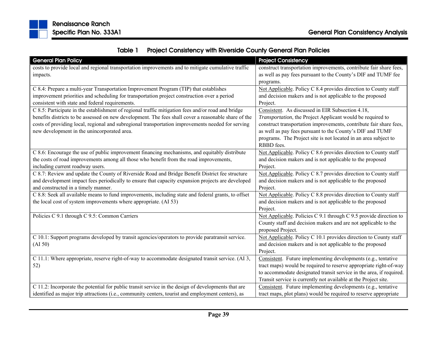

| Table 1 | <b>Project Consistency with Riverside County General Plan Policies</b> |
|---------|------------------------------------------------------------------------|
|---------|------------------------------------------------------------------------|

| <b>General Plan Policy</b>                                                                           | <b>Project Consistency</b>                                          |
|------------------------------------------------------------------------------------------------------|---------------------------------------------------------------------|
| costs to provide local and regional transportation improvements and to mitigate cumulative traffic   | construct transportation improvements, contribute fair share fees,  |
| impacts.                                                                                             | as well as pay fees pursuant to the County's DIF and TUMF fee       |
|                                                                                                      | programs.                                                           |
| C 8.4: Prepare a multi-year Transportation Improvement Program (TIP) that establishes                | Not Applicable. Policy C 8.4 provides direction to County staff     |
| improvement priorities and scheduling for transportation project construction over a period          | and decision makers and is not applicable to the proposed           |
| consistent with state and federal requirements.                                                      | Project.                                                            |
| C 8.5: Participate in the establishment of regional traffic mitigation fees and/or road and bridge   | Consistent. As discussed in EIR Subsection 4.18,                    |
| benefits districts to be assessed on new development. The fees shall cover a reasonable share of the | Transportation, the Project Applicant would be required to          |
| costs of providing local, regional and subregional transportation improvements needed for serving    | construct transportation improvements, contribute fair share fees,  |
| new development in the unincorporated area.                                                          | as well as pay fees pursuant to the County's DIF and TUMF           |
|                                                                                                      | programs. The Project site is not located in an area subject to     |
|                                                                                                      | RBBD fees.                                                          |
| C 8.6: Encourage the use of public improvement financing mechanisms, and equitably distribute        | Not Applicable. Policy C 8.6 provides direction to County staff     |
| the costs of road improvements among all those who benefit from the road improvements,               | and decision makers and is not applicable to the proposed           |
| including current roadway users.                                                                     | Project.                                                            |
| C 8.7: Review and update the County of Riverside Road and Bridge Benefit District fee structure      | Not Applicable. Policy C 8.7 provides direction to County staff     |
| and development impact fees periodically to ensure that capacity expansion projects are developed    | and decision makers and is not applicable to the proposed           |
| and constructed in a timely manner.                                                                  | Project.                                                            |
| C 8.8: Seek all available means to fund improvements, including state and federal grants, to offset  | Not Applicable. Policy C 8.8 provides direction to County staff     |
| the local cost of system improvements where appropriate. (AI 53)                                     | and decision makers and is not applicable to the proposed           |
|                                                                                                      | Project.                                                            |
| Policies C 9.1 through C 9.5: Common Carriers                                                        | Not Applicable. Policies C 9.1 through C 9.5 provide direction to   |
|                                                                                                      | County staff and decision makers and are not applicable to the      |
|                                                                                                      | proposed Project.                                                   |
| C 10.1: Support programs developed by transit agencies/operators to provide paratransit service.     | Not Applicable. Policy C 10.1 provides direction to County staff    |
| (AI 50)                                                                                              | and decision makers and is not applicable to the proposed           |
|                                                                                                      | Project.                                                            |
| C 11.1: Where appropriate, reserve right-of-way to accommodate designated transit service. (AI 3,    | Consistent. Future implementing developments (e.g., tentative       |
| 52)                                                                                                  | tract maps) would be required to reserve appropriate right-of-way   |
|                                                                                                      | to accommodate designated transit service in the area, if required. |
|                                                                                                      | Transit service is currently not available at the Project site.     |
| C 11.2: Incorporate the potential for public transit service in the design of developments that are  | Consistent. Future implementing developments (e.g., tentative       |
| identified as major trip attractions (i.e., community centers, tourist and employment centers), as   | tract maps, plot plans) would be required to reserve appropriate    |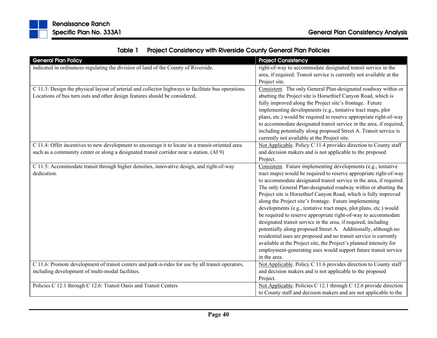| Table 1 | <b>Project Consistency with Riverside County General Plan Policies</b> |  |
|---------|------------------------------------------------------------------------|--|
|---------|------------------------------------------------------------------------|--|

| <b>General Plan Policy</b>                                                                          | <b>Project Consistency</b>                                           |
|-----------------------------------------------------------------------------------------------------|----------------------------------------------------------------------|
| indicated in ordinances regulating the division of land of the County of Riverside.                 | right-of-way to accommodate designated transit service in the        |
|                                                                                                     | area, if required. Transit service is currently not available at the |
|                                                                                                     | Project site.                                                        |
| C 11.3: Design the physical layout of arterial and collector highways to facilitate bus operations. | Consistent. The only General Plan-designated roadway within or       |
| Locations of bus turn outs and other design features should be considered.                          | abutting the Project site is Horsethief Canyon Road, which is        |
|                                                                                                     | fully improved along the Project site's frontage. Future             |
|                                                                                                     | implementing developments (e.g., tentative tract maps, plot          |
|                                                                                                     | plans, etc.) would be required to reserve appropriate right-of-way   |
|                                                                                                     | to accommodate designated transit service in the area, if required,  |
|                                                                                                     | including potentially along proposed Street A. Transit service is    |
|                                                                                                     | currently not available at the Project site.                         |
| C 11.4: Offer incentives to new development to encourage it to locate in a transit-oriented area    | Not Applicable. Policy C 11.4 provides direction to County staff     |
| such as a community center or along a designated transit corridor near a station. (AI 9)            | and decision makers and is not applicable to the proposed            |
|                                                                                                     | Project.                                                             |
| C 11.5: Accommodate transit through higher densities, innovative design, and right-of-way           | Consistent. Future implementing developments (e.g., tentative        |
| dedication.                                                                                         | tract maps) would be required to reserve appropriate right-of-way    |
|                                                                                                     | to accommodate designated transit service in the area, if required.  |
|                                                                                                     | The only General Plan-designated roadway within or abutting the      |
|                                                                                                     | Project site is Horsethief Canyon Road, which is fully improved      |
|                                                                                                     | along the Project site's frontage. Future implementing               |
|                                                                                                     | developments (e.g., tentative tract maps, plot plans, etc.) would    |
|                                                                                                     | be required to reserve appropriate right-of-way to accommodate       |
|                                                                                                     | designated transit service in the area, if required, including       |
|                                                                                                     | potentially along proposed Street A. Additionally, although no       |
|                                                                                                     | residential uses are proposed and no transit service is currently    |
|                                                                                                     | available at the Project site, the Project's planned intensity for   |
|                                                                                                     | employment-generating uses would support future transit service      |
|                                                                                                     | in the area.                                                         |
| C 11.6: Promote development of transit centers and park-n-rides for use by all transit operators,   | Not Applicable. Policy C 11.6 provides direction to County staff     |
| including development of multi-modal facilities.                                                    | and decision makers and is not applicable to the proposed            |
|                                                                                                     | Project.                                                             |
| Policies C 12.1 through C 12.6: Transit Oasis and Transit Centers                                   | Not Applicable. Policies C 12.1 through C 12.6 provide direction     |
|                                                                                                     | to County staff and decision makers and are not applicable to the    |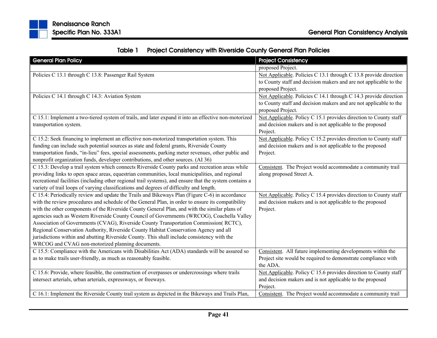| Table 1 | <b>Project Consistency with Riverside County General Plan Policies</b> |
|---------|------------------------------------------------------------------------|
|---------|------------------------------------------------------------------------|

| <b>General Plan Policy</b>                                                                              | <b>Project Consistency</b>                                        |
|---------------------------------------------------------------------------------------------------------|-------------------------------------------------------------------|
|                                                                                                         | proposed Project.                                                 |
| Policies C 13.1 through C 13.8: Passenger Rail System                                                   | Not Applicable. Policies C 13.1 through C 13.8 provide direction  |
|                                                                                                         | to County staff and decision makers and are not applicable to the |
|                                                                                                         | proposed Project.                                                 |
| Policies C 14.1 through C 14.3: Aviation System                                                         | Not Applicable. Policies C 14.1 through C 14.3 provide direction  |
|                                                                                                         | to County staff and decision makers and are not applicable to the |
|                                                                                                         | proposed Project.                                                 |
| C 15.1: Implement a two-tiered system of trails, and later expand it into an effective non-motorized    | Not Applicable. Policy C 15.1 provides direction to County staff  |
| transportation system.                                                                                  | and decision makers and is not applicable to the proposed         |
|                                                                                                         | Project.                                                          |
| C 15.2: Seek financing to implement an effective non-motorized transportation system. This              | Not Applicable. Policy C 15.2 provides direction to County staff  |
| funding can include such potential sources as state and federal grants, Riverside County                | and decision makers and is not applicable to the proposed         |
| transportation funds, "in-lieu" fees, special assessments, parking meter revenues, other public and     | Project.                                                          |
| nonprofit organization funds, developer contributions, and other sources. (AI 36)                       |                                                                   |
| C 15.3: Develop a trail system which connects Riverside County parks and recreation areas while         | Consistent. The Project would accommodate a community trail       |
| providing links to open space areas, equestrian communities, local municipalities, and regional         | along proposed Street A.                                          |
| recreational facilities (including other regional trail systems), and ensure that the system contains a |                                                                   |
| variety of trail loops of varying classifications and degrees of difficulty and length.                 |                                                                   |
| C 15.4: Periodically review and update the Trails and Bikeways Plan (Figure C-6) in accordance          | Not Applicable. Policy C 15.4 provides direction to County staff  |
| with the review procedures and schedule of the General Plan, in order to ensure its compatibility       | and decision makers and is not applicable to the proposed         |
| with the other components of the Riverside County General Plan, and with the similar plans of           | Project.                                                          |
| agencies such as Western Riverside County Council of Governments (WRCOG), Coachella Valley              |                                                                   |
| Association of Governments (CVAG), Riverside County Transportation Commission(RCTC),                    |                                                                   |
| Regional Conservation Authority, Riverside County Habitat Conservation Agency and all                   |                                                                   |
| jurisdictions within and abutting Riverside County. This shall include consistency with the             |                                                                   |
| WRCOG and CVAG non-motorized planning documents.                                                        |                                                                   |
| C 15.5: Compliance with the Americans with Disabilities Act (ADA) standards will be assured so          | Consistent. All future implementing developments within the       |
| as to make trails user-friendly, as much as reasonably feasible.                                        | Project site would be required to demonstrate compliance with     |
|                                                                                                         | the ADA.                                                          |
| C 15.6: Provide, where feasible, the construction of overpasses or undercrossings where trails          | Not Applicable. Policy C 15.6 provides direction to County staff  |
| intersect arterials, urban arterials, expressways, or freeways.                                         | and decision makers and is not applicable to the proposed         |
|                                                                                                         | Project.                                                          |
| C 16.1: Implement the Riverside County trail system as depicted in the Bikeways and Trails Plan,        | Consistent. The Project would accommodate a community trail       |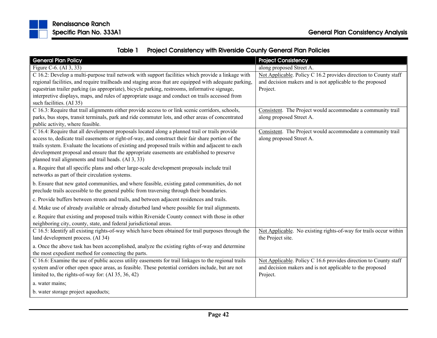

| Table 1 | <b>Project Consistency with Riverside County General Plan Policies</b> |  |  |
|---------|------------------------------------------------------------------------|--|--|
|---------|------------------------------------------------------------------------|--|--|

| <b>General Plan Policy</b>                                                                                                                                                                      | <b>Project Consistency</b>                                        |
|-------------------------------------------------------------------------------------------------------------------------------------------------------------------------------------------------|-------------------------------------------------------------------|
| Figure C-6. (AI 3, 33)                                                                                                                                                                          | along proposed Street A.                                          |
| C 16.2: Develop a multi-purpose trail network with support facilities which provide a linkage with                                                                                              | Not Applicable. Policy C 16.2 provides direction to County staff  |
| regional facilities, and require trailheads and staging areas that are equipped with adequate parking,                                                                                          | and decision makers and is not applicable to the proposed         |
| equestrian trailer parking (as appropriate), bicycle parking, restrooms, informative signage,                                                                                                   | Project.                                                          |
| interpretive displays, maps, and rules of appropriate usage and conduct on trails accessed from<br>such facilities. (AI 35)                                                                     |                                                                   |
| C 16.3: Require that trail alignments either provide access to or link scenic corridors, schools,                                                                                               | Consistent. The Project would accommodate a community trail       |
| parks, bus stops, transit terminals, park and ride commuter lots, and other areas of concentrated                                                                                               | along proposed Street A.                                          |
| public activity, where feasible.                                                                                                                                                                |                                                                   |
| C 16.4: Require that all development proposals located along a planned trail or trails provide                                                                                                  | Consistent. The Project would accommodate a community trail       |
| access to, dedicate trail easements or right-of-way, and construct their fair share portion of the                                                                                              | along proposed Street A.                                          |
| trails system. Evaluate the locations of existing and proposed trails within and adjacent to each<br>development proposal and ensure that the appropriate easements are established to preserve |                                                                   |
| planned trail alignments and trail heads. (AI 3, 33)                                                                                                                                            |                                                                   |
|                                                                                                                                                                                                 |                                                                   |
| a. Require that all specific plans and other large-scale development proposals include trail<br>networks as part of their circulation systems.                                                  |                                                                   |
| b. Ensure that new gated communities, and where feasible, existing gated communities, do not                                                                                                    |                                                                   |
| preclude trails accessible to the general public from traversing through their boundaries.                                                                                                      |                                                                   |
| c. Provide buffers between streets and trails, and between adjacent residences and trails.                                                                                                      |                                                                   |
| d. Make use of already available or already disturbed land where possible for trail alignments.                                                                                                 |                                                                   |
| e. Require that existing and proposed trails within Riverside County connect with those in other                                                                                                |                                                                   |
| neighboring city, county, state, and federal jurisdictional areas.                                                                                                                              |                                                                   |
| C 16.5: Identify all existing rights-of-way which have been obtained for trail purposes through the                                                                                             | Not Applicable. No existing rights-of-way for trails occur within |
| land development process. (AI 34)                                                                                                                                                               | the Project site.                                                 |
| a. Once the above task has been accomplished, analyze the existing rights of-way and determine                                                                                                  |                                                                   |
| the most expedient method for connecting the parts.                                                                                                                                             |                                                                   |
| C 16.6: Examine the use of public access utility easements for trail linkages to the regional trails                                                                                            | Not Applicable. Policy C 16.6 provides direction to County staff  |
| system and/or other open space areas, as feasible. These potential corridors include, but are not                                                                                               | and decision makers and is not applicable to the proposed         |
| limited to, the rights-of-way for: (AI 35, 36, 42)                                                                                                                                              | Project.                                                          |
| a. water mains;                                                                                                                                                                                 |                                                                   |
| b. water storage project aqueducts;                                                                                                                                                             |                                                                   |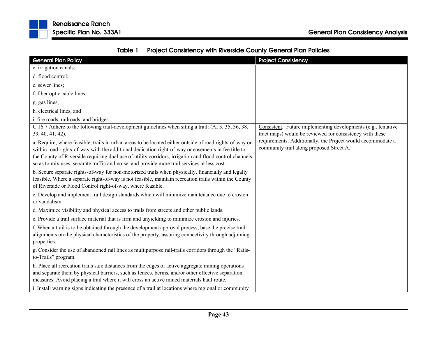

| Table 1 | <b>Project Consistency with Riverside County General Plan Policies</b> |  |
|---------|------------------------------------------------------------------------|--|
|---------|------------------------------------------------------------------------|--|

| <b>General Plan Policy</b>                                                                                                                                                                                                                                                                                                                                                                                              | <b>Project Consistency</b>                                                                                                |
|-------------------------------------------------------------------------------------------------------------------------------------------------------------------------------------------------------------------------------------------------------------------------------------------------------------------------------------------------------------------------------------------------------------------------|---------------------------------------------------------------------------------------------------------------------------|
| c. irrigation canals;                                                                                                                                                                                                                                                                                                                                                                                                   |                                                                                                                           |
| d. flood control;                                                                                                                                                                                                                                                                                                                                                                                                       |                                                                                                                           |
| e. sewer lines;                                                                                                                                                                                                                                                                                                                                                                                                         |                                                                                                                           |
| f. fiber optic cable lines,                                                                                                                                                                                                                                                                                                                                                                                             |                                                                                                                           |
| g. gas lines,                                                                                                                                                                                                                                                                                                                                                                                                           |                                                                                                                           |
| h. electrical lines, and                                                                                                                                                                                                                                                                                                                                                                                                |                                                                                                                           |
| i. fire roads, railroads, and bridges.                                                                                                                                                                                                                                                                                                                                                                                  |                                                                                                                           |
| C 16.7 Adhere to the following trail-development guidelines when siting a trail: (AI 3, 35, 36, 38,<br>39, 40, 41, 42).                                                                                                                                                                                                                                                                                                 | Consistent. Future implementing developments (e.g., tentative<br>tract maps) would be reviewed for consistency with these |
| a. Require, where feasible, trails in urban areas to be located either outside of road rights-of-way or<br>within road rights-of-way with the additional dedication right-of-way or easements in fee title to<br>the County of Riverside requiring dual use of utility corridors, irrigation and flood control channels<br>so as to mix uses, separate traffic and noise, and provide more trail services at less cost. | requirements. Additionally, the Project would accommodate a<br>community trail along proposed Street A.                   |
| b. Secure separate rights-of-way for non-motorized trails when physically, financially and legally<br>feasible. Where a separate right-of-way is not feasible, maintain recreation trails within the County<br>of Riverside or Flood Control right-of-way, where feasible.                                                                                                                                              |                                                                                                                           |
| c. Develop and implement trail design standards which will minimize maintenance due to erosion<br>or vandalism.                                                                                                                                                                                                                                                                                                         |                                                                                                                           |
| d. Maximize visibility and physical access to trails from streets and other public lands.                                                                                                                                                                                                                                                                                                                               |                                                                                                                           |
| e. Provide a trail surface material that is firm and unyielding to minimize erosion and injuries.                                                                                                                                                                                                                                                                                                                       |                                                                                                                           |
| f. When a trail is to be obtained through the development approval process, base the precise trail<br>alignments on the physical characteristics of the property, assuring connectivity through adjoining<br>properties.                                                                                                                                                                                                |                                                                                                                           |
| g. Consider the use of abandoned rail lines as multipurpose rail-trails corridors through the "Rails-<br>to-Trails" program.                                                                                                                                                                                                                                                                                            |                                                                                                                           |
| h. Place all recreation trails safe distances from the edges of active aggregate mining operations<br>and separate them by physical barriers, such as fences, berms, and/or other effective separation<br>measures. Avoid placing a trail where it will cross an active mined materials haul route.                                                                                                                     |                                                                                                                           |
| i. Install warning signs indicating the presence of a trail at locations where regional or community                                                                                                                                                                                                                                                                                                                    |                                                                                                                           |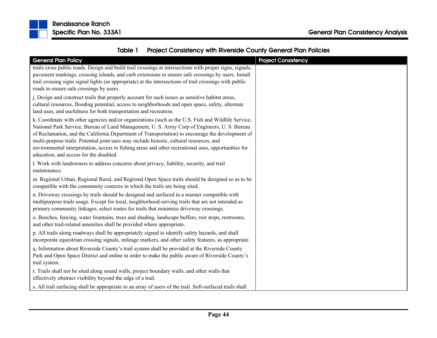



| <b>Specific Plan No. 333A1</b> | <b>General Plan Consistency Analysis</b> |
|--------------------------------|------------------------------------------|
|                                |                                          |

| <b>General Plan Policy</b>                                                                                                                                                                       | <b>Project Consistency</b> |
|--------------------------------------------------------------------------------------------------------------------------------------------------------------------------------------------------|----------------------------|
| trails cross public roads. Design and build trail crossings at intersections with proper signs, signals,                                                                                         |                            |
| pavement markings, crossing islands, and curb extensions to ensure safe crossings by users. Install                                                                                              |                            |
| trail crossing signs signal lights (as appropriate) at the intersections of trail crossings with public                                                                                          |                            |
| roads to ensure safe crossings by users.                                                                                                                                                         |                            |
| j. Design and construct trails that properly account for such issues as sensitive habitat areas,                                                                                                 |                            |
| cultural resources, flooding potential, access to neighborhoods and open space, safety, alternate                                                                                                |                            |
| land uses, and usefulness for both transportation and recreation.                                                                                                                                |                            |
| k. Coordinate with other agencies and/or organizations (such as the U.S. Fish and Wildlife Service,                                                                                              |                            |
| National Park Service, Bureau of Land Management, U. S. Army Corp of Engineers, U. S. Bureau                                                                                                     |                            |
| of Reclamation, and the California Department of Transportation) to encourage the development of                                                                                                 |                            |
| multi-purpose trails. Potential joint uses may include historic, cultural resources, and                                                                                                         |                            |
| environmental interpretation, access to fishing areas and other recreational uses, opportunities for<br>education, and access for the disabled.                                                  |                            |
|                                                                                                                                                                                                  |                            |
| l. Work with landowners to address concerns about privacy, liability, security, and trail<br>maintenance.                                                                                        |                            |
|                                                                                                                                                                                                  |                            |
| m. Regional Urban, Regional Rural, and Regional Open Space trails should be designed so as to be<br>compatible with the community contexts in which the trails are being sited.                  |                            |
|                                                                                                                                                                                                  |                            |
| n. Driveway crossings by trails should be designed and surfaced in a manner compatible with<br>multipurpose trails usage. Except for local, neighborhood-serving trails that are not intended as |                            |
| primary community linkages, select routes for trails that minimize driveway crossings.                                                                                                           |                            |
| o. Benches, fencing, water fountains, trees and shading, landscape buffers, rest stops, restrooms,                                                                                               |                            |
| and other trail-related amenities shall be provided where appropriate.                                                                                                                           |                            |
| p. All trails along roadways shall be appropriately signed to identify safety hazards, and shall                                                                                                 |                            |
| incorporate equestrian crossing signals, mileage markers, and other safety features, as appropriate.                                                                                             |                            |
| q. Information about Riverside County's trail system shall be provided at the Riverside County                                                                                                   |                            |
| Park and Open Space District and online in order to make the public aware of Riverside County's                                                                                                  |                            |
| trail system.                                                                                                                                                                                    |                            |
| r. Trails shall not be sited along sound walls, project boundary walls, and other walls that                                                                                                     |                            |
| effectively obstruct visibility beyond the edge of a trail.                                                                                                                                      |                            |
| s. All trail surfacing shall be appropriate to an array of users of the trail. Soft-surfaced trails shall                                                                                        |                            |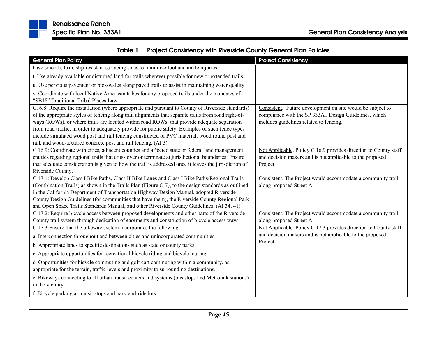

|  | Table 1 Project Consistency with Riverside County General Plan Policies |
|--|-------------------------------------------------------------------------|
|--|-------------------------------------------------------------------------|

| <b>General Plan Policy</b>                                                                            | <b>Project Consistency</b>                                            |
|-------------------------------------------------------------------------------------------------------|-----------------------------------------------------------------------|
| have smooth, firm, slip-resistant surfacing so as to minimize foot and ankle injuries.                |                                                                       |
| t. Use already available or disturbed land for trails wherever possible for new or extended trails.   |                                                                       |
| u. Use pervious pavement or bio-swales along paved trails to assist in maintaining water quality.     |                                                                       |
| v. Coordinate with local Native American tribes for any proposed trails under the mandates of         |                                                                       |
| "SB18" Traditional Tribal Places Law.                                                                 |                                                                       |
| C16.8: Require the installation (where appropriate and pursuant to County of Riverside standards)     | Consistent. Future development on site would be subject to            |
| of the appropriate styles of fencing along trail alignments that separate trails from road right-of-  | compliance with the SP 333A1 Design Guidelines, which                 |
| ways (ROWs), or where trails are located within road ROWs, that provide adequate separation           | includes guidelines related to fencing.                               |
| from road traffic, in order to adequately provide for public safety. Examples of such fence types     |                                                                       |
| include simulated wood post and rail fencing constructed of PVC material, wood round post and         |                                                                       |
| rail, and wood-textured concrete post and rail fencing. (AI 3)                                        |                                                                       |
| C 16.9: Coordinate with cities, adjacent counties and affected state or federal land management       | Not Applicable. Policy C 16.9 provides direction to County staff      |
| entities regarding regional trails that cross over or terminate at jurisdictional boundaries. Ensure  | and decision makers and is not applicable to the proposed             |
| that adequate consideration is given to how the trail is addressed once it leaves the jurisdiction of | Project.                                                              |
| Riverside County.                                                                                     |                                                                       |
| C 17.1: Develop Class I Bike Paths, Class II Bike Lanes and Class I Bike Paths/Regional Trails        | Consistent. The Project would accommodate a community trail           |
| (Combination Trails) as shown in the Trails Plan (Figure C-7), to the design standards as outlined    | along proposed Street A.                                              |
| in the California Department of Transportation Highway Design Manual, adopted Riverside               |                                                                       |
| County Design Guidelines (for communities that have them), the Riverside County Regional Park         |                                                                       |
| and Open Space Trails Standards Manual, and other Riverside County Guidelines. (AI 34, 41)            |                                                                       |
| C 17.2: Require bicycle access between proposed developments and other parts of the Riverside         | Consistent. The Project would accommodate a community trail           |
| County trail system through dedication of easements and construction of bicycle access ways.          | along proposed Street A.                                              |
| C 17.3 Ensure that the bikeway system incorporates the following:                                     | Not Applicable. Policy C 17.3 provides direction to County staff      |
| a. Interconnection throughout and between cities and unincorporated communities.                      | and decision makers and is not applicable to the proposed<br>Project. |
| b. Appropriate lanes to specific destinations such as state or county parks.                          |                                                                       |
| c. Appropriate opportunities for recreational bicycle riding and bicycle touring.                     |                                                                       |
| d. Opportunities for bicycle commuting and golf cart commuting within a community, as                 |                                                                       |
| appropriate for the terrain, traffic levels and proximity to surrounding destinations.                |                                                                       |
| e. Bikeways connecting to all urban transit centers and systems (bus stops and Metrolink stations)    |                                                                       |
| in the vicinity.                                                                                      |                                                                       |
| f. Bicycle parking at transit stops and park-and-ride lots.                                           |                                                                       |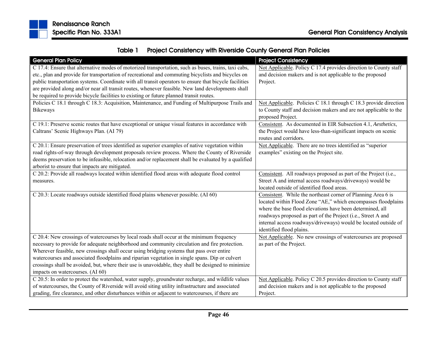

| Table 1 | <b>Project Consistency with Riverside County General Plan Policies</b> |
|---------|------------------------------------------------------------------------|
|---------|------------------------------------------------------------------------|

| <b>General Plan Policy</b>                                                                             | <b>Project Consistency</b>                                        |
|--------------------------------------------------------------------------------------------------------|-------------------------------------------------------------------|
| C 17.4: Ensure that alternative modes of motorized transportation, such as buses, trains, taxi cabs,   | Not Applicable. Policy C 17.4 provides direction to County staff  |
| etc., plan and provide for transportation of recreational and commuting bicyclists and bicycles on     | and decision makers and is not applicable to the proposed         |
| public transportation systems. Coordinate with all transit operators to ensure that bicycle facilities | Project.                                                          |
| are provided along and/or near all transit routes, whenever feasible. New land developments shall      |                                                                   |
| be required to provide bicycle facilities to existing or future planned transit routes.                |                                                                   |
| Policies C 18.1 through C 18.3: Acquisition, Maintenance, and Funding of Multipurpose Trails and       | Not Applicable. Policies C 18.1 through C 18.3 provide direction  |
| <b>Bikeways</b>                                                                                        | to County staff and decision makers and are not applicable to the |
|                                                                                                        | proposed Project.                                                 |
| C 19.1: Preserve scenic routes that have exceptional or unique visual features in accordance with      | Consistent. As documented in EIR Subsection 4.1, Aesthetics,      |
| Caltrans' Scenic Highways Plan. (AI 79)                                                                | the Project would have less-than-significant impacts on scenic    |
|                                                                                                        | routes and corridors.                                             |
| C 20.1: Ensure preservation of trees identified as superior examples of native vegetation within       | Not Applicable. There are no trees identified as "superior        |
| road rights-of-way through development proposals review process. Where the County of Riverside         | examples" existing on the Project site.                           |
| deems preservation to be infeasible, relocation and/or replacement shall be evaluated by a qualified   |                                                                   |
| arborist to ensure that impacts are mitigated.                                                         |                                                                   |
| C 20.2: Provide all roadways located within identified flood areas with adequate flood control         | Consistent. All roadways proposed as part of the Project (i.e.,   |
| measures.                                                                                              | Street A and internal access roadways/driveways) would be         |
|                                                                                                        | located outside of identified flood areas.                        |
| C 20.3: Locate roadways outside identified flood plains whenever possible. (AI 60)                     | Consistent. While the northeast corner of Planning Area 6 is      |
|                                                                                                        | located within Flood Zone "AE," which encompasses floodplains     |
|                                                                                                        | where the base flood elevations have been determined, all         |
|                                                                                                        | roadways proposed as part of the Project (i.e., Street A and      |
|                                                                                                        | internal access roadways/driveways) would be located outside of   |
|                                                                                                        | identified flood plains.                                          |
| C 20.4: New crossings of watercourses by local roads shall occur at the minimum frequency              | Not Applicable. No new crossings of watercourses are proposed     |
| necessary to provide for adequate neighborhood and community circulation and fire protection.          | as part of the Project.                                           |
| Wherever feasible, new crossings shall occur using bridging systems that pass over entire              |                                                                   |
| watercourses and associated floodplains and riparian vegetation in single spans. Dip or culvert        |                                                                   |
| crossings shall be avoided, but, where their use is unavoidable, they shall be designed to minimize    |                                                                   |
| impacts on watercourses. (AI 60)                                                                       |                                                                   |
| C 20.5: In order to protect the watershed, water supply, groundwater recharge, and wildlife values     | Not Applicable. Policy C 20.5 provides direction to County staff  |
| of watercourses, the County of Riverside will avoid siting utility infrastructure and associated       | and decision makers and is not applicable to the proposed         |
| grading, fire clearance, and other disturbances within or adjacent to watercourses, if there are       | Project.                                                          |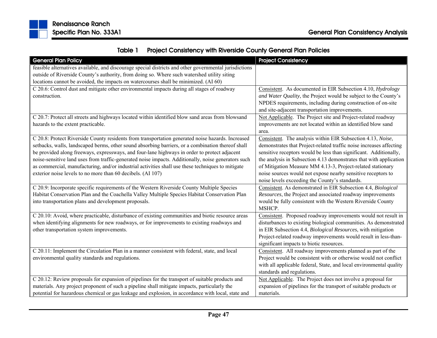

| Table 1 | <b>Project Consistency with Riverside County General Plan Policies</b> |
|---------|------------------------------------------------------------------------|
|---------|------------------------------------------------------------------------|

| <b>General Plan Policy</b>                                                                             | <b>Project Consistency</b>                                                                                                        |
|--------------------------------------------------------------------------------------------------------|-----------------------------------------------------------------------------------------------------------------------------------|
| feasible alternatives available, and discourage special districts and other governmental jurisdictions |                                                                                                                                   |
| outside of Riverside County's authority, from doing so. Where such watershed utility siting            |                                                                                                                                   |
| locations cannot be avoided, the impacts on watercourses shall be minimized. (AI 60)                   |                                                                                                                                   |
| C 20.6: Control dust and mitigate other environmental impacts during all stages of roadway             | Consistent. As documented in EIR Subsection 4.10, Hydrology                                                                       |
| construction.                                                                                          | and Water Quality, the Project would be subject to the County's                                                                   |
|                                                                                                        | NPDES requirements, including during construction of on-site                                                                      |
|                                                                                                        | and site-adjacent transportation improvements.                                                                                    |
| C 20.7: Protect all streets and highways located within identified blow sand areas from blowsand       | Not Applicable. The Project site and Project-related roadway                                                                      |
| hazards to the extent practicable.                                                                     | improvements are not located within an identified blow sand                                                                       |
|                                                                                                        | area.                                                                                                                             |
| C 20.8: Protect Riverside County residents from transportation generated noise hazards. Increased      | Consistent. The analysis within EIR Subsection 4.13, Noise,                                                                       |
| setbacks, walls, landscaped berms, other sound absorbing barriers, or a combination thereof shall      | demonstrates that Project-related traffic noise increases affecting                                                               |
| be provided along freeways, expressways, and four-lane highways in order to protect adjacent           | sensitive receptors would be less than significant. Additionally,                                                                 |
| noise-sensitive land uses from traffic-generated noise impacts. Additionally, noise generators such    | the analysis in Subsection 4.13 demonstrates that with application                                                                |
| as commercial, manufacturing, and/or industrial activities shall use these techniques to mitigate      | of Mitigation Measure MM 4.13-3, Project-related stationary                                                                       |
| exterior noise levels to no more than 60 decibels. (AI 107)                                            | noise sources would not expose nearby sensitive receptors to                                                                      |
|                                                                                                        | noise levels exceeding the County's standards.                                                                                    |
| C 20.9: Incorporate specific requirements of the Western Riverside County Multiple Species             | Consistent. As demonstrated in EIR Subsection 4.4, Biological                                                                     |
| Habitat Conservation Plan and the Coachella Valley Multiple Species Habitat Conservation Plan          | Resources, the Project and associated roadway improvements                                                                        |
| into transportation plans and development proposals.                                                   | would be fully consistent with the Western Riverside County                                                                       |
| C 20.10: Avoid, where practicable, disturbance of existing communities and biotic resource areas       | MSHCP.                                                                                                                            |
| when identifying alignments for new roadways, or for improvements to existing roadways and             | Consistent. Proposed roadway improvements would not result in<br>disturbances to existing biological communities. As demonstrated |
| other transportation system improvements.                                                              | in EIR Subsection 4.4, Biological Resources, with mitigation                                                                      |
|                                                                                                        | Project-related roadway improvements would result in less-than-                                                                   |
|                                                                                                        | significant impacts to biotic resources.                                                                                          |
| C 20.11: Implement the Circulation Plan in a manner consistent with federal, state, and local          | Consistent. All roadway improvements planned as part of the                                                                       |
| environmental quality standards and regulations.                                                       | Project would be consistent with or otherwise would not conflict                                                                  |
|                                                                                                        | with all applicable federal, State, and local environmental quality                                                               |
|                                                                                                        | standards and regulations.                                                                                                        |
| C 20.12: Review proposals for expansion of pipelines for the transport of suitable products and        | Not Applicable. The Project does not involve a proposal for                                                                       |
| materials. Any project proponent of such a pipeline shall mitigate impacts, particularly the           | expansion of pipelines for the transport of suitable products or                                                                  |
| potential for hazardous chemical or gas leakage and explosion, in accordance with local, state and     | materials.                                                                                                                        |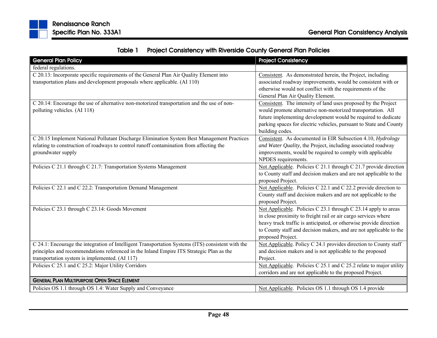| <b>General Plan Policy</b>                                                                                                                                                                                                                      | <b>Project Consistency</b>                                                                                                                                                                                                                                                                        |
|-------------------------------------------------------------------------------------------------------------------------------------------------------------------------------------------------------------------------------------------------|---------------------------------------------------------------------------------------------------------------------------------------------------------------------------------------------------------------------------------------------------------------------------------------------------|
| federal regulations.                                                                                                                                                                                                                            |                                                                                                                                                                                                                                                                                                   |
| C 20.13: Incorporate specific requirements of the General Plan Air Quality Element into<br>transportation plans and development proposals where applicable. (AI 110)                                                                            | Consistent. As demonstrated herein, the Project, including<br>associated roadway improvements, would be consistent with or<br>otherwise would not conflict with the requirements of the<br>General Plan Air Quality Element.                                                                      |
| C 20.14: Encourage the use of alternative non-motorized transportation and the use of non-<br>polluting vehicles. (AI 118)                                                                                                                      | Consistent. The intensity of land uses proposed by the Project<br>would promote alternative non-motorized transportation. All<br>future implementing development would be required to dedicate<br>parking spaces for electric vehicles, pursuant to State and County<br>building codes.           |
| C 20.15 Implement National Pollutant Discharge Elimination System Best Management Practices<br>relating to construction of roadways to control runoff contamination from affecting the<br>groundwater supply                                    | Consistent. As documented in EIR Subsection 4.10, Hydrology<br>and Water Quality, the Project, including associated roadway<br>improvements, would be required to comply with applicable<br>NPDES requirements.                                                                                   |
| Policies C 21.1 through C 21.7: Transportation Systems Management                                                                                                                                                                               | Not Applicable. Policies C 21.1 through C 21.7 provide direction<br>to County staff and decision makers and are not applicable to the<br>proposed Project.                                                                                                                                        |
| Policies C 22.1 and C 22.2: Transportation Demand Management                                                                                                                                                                                    | Not Applicable. Policies C 22.1 and C 22.2 provide direction to<br>County staff and decision makers and are not applicable to the<br>proposed Project.                                                                                                                                            |
| Policies C 23.1 through C 23.14: Goods Movement                                                                                                                                                                                                 | Not Applicable. Policies C 23.1 through C 23.14 apply to areas<br>in close proximity to freight rail or air cargo services where<br>heavy truck traffic is anticipated, or otherwise provide direction<br>to County staff and decision makers, and are not applicable to the<br>proposed Project. |
| C 24.1: Encourage the integration of Intelligent Transportation Systems (ITS) consistent with the<br>principles and recommendations referenced in the Inland Empire ITS Strategic Plan as the<br>transportation system is implemented. (AI 117) | Not Applicable. Policy C 24.1 provides direction to County staff<br>and decision makers and is not applicable to the proposed<br>Project.                                                                                                                                                         |
| Policies C 25.1 and C 25.2: Major Utility Corridors                                                                                                                                                                                             | Not Applicable. Policies C 25.1 and C 25.2 relate to major utility<br>corridors and are not applicable to the proposed Project.                                                                                                                                                                   |
| <b>GENERAL PLAN MULTIPURPOSE OPEN SPACE ELEMENT</b>                                                                                                                                                                                             |                                                                                                                                                                                                                                                                                                   |
| Policies OS 1.1 through OS 1.4: Water Supply and Conveyance                                                                                                                                                                                     | Not Applicable. Policies OS 1.1 through OS 1.4 provide                                                                                                                                                                                                                                            |

Table 1Project Consistency with Riverside County General Plan Policies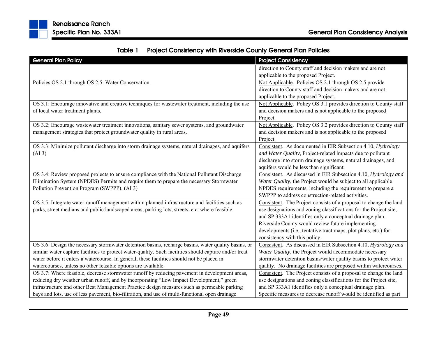| Table 1 | <b>Project Consistency with Riverside County General Plan Policies</b> |  |  |
|---------|------------------------------------------------------------------------|--|--|
|---------|------------------------------------------------------------------------|--|--|

| <b>General Plan Policy</b>                                                                             | <b>Project Consistency</b>                                        |
|--------------------------------------------------------------------------------------------------------|-------------------------------------------------------------------|
|                                                                                                        | direction to County staff and decision makers and are not         |
|                                                                                                        | applicable to the proposed Project.                               |
| Policies OS 2.1 through OS 2.5: Water Conservation                                                     | Not Applicable. Policies OS 2.1 through OS 2.5 provide            |
|                                                                                                        | direction to County staff and decision makers and are not         |
|                                                                                                        | applicable to the proposed Project.                               |
| OS 3.1: Encourage innovative and creative techniques for wastewater treatment, including the use       | Not Applicable. Policy OS 3.1 provides direction to County staff  |
| of local water treatment plants.                                                                       | and decision makers and is not applicable to the proposed         |
|                                                                                                        | Project.                                                          |
| OS 3.2: Encourage wastewater treatment innovations, sanitary sewer systems, and groundwater            | Not Applicable. Policy OS 3.2 provides direction to County staff  |
| management strategies that protect groundwater quality in rural areas.                                 | and decision makers and is not applicable to the proposed         |
|                                                                                                        | Project.                                                          |
| OS 3.3: Minimize pollutant discharge into storm drainage systems, natural drainages, and aquifers      | Consistent. As documented in EIR Subsection 4.10, Hydrology       |
| (AI <sub>3</sub> )                                                                                     | and Water Quality, Project-related impacts due to pollutant       |
|                                                                                                        | discharge into storm drainage systems, natural drainages, and     |
|                                                                                                        | aquifers would be less than significant.                          |
| OS 3.4: Review proposed projects to ensure compliance with the National Pollutant Discharge            | Consistent. As discussed in EIR Subsection 4.10, Hydrology and    |
| Elimination System (NPDES) Permits and require them to prepare the necessary Stormwater                | Water Quality, the Project would be subject to all applicable     |
| Pollution Prevention Program (SWPPP). (AI 3)                                                           | NPDES requirements, including the requirement to prepare a        |
|                                                                                                        | SWPPP to address construction-related activities.                 |
| OS 3.5: Integrate water runoff management within planned infrastructure and facilities such as         | Consistent. The Project consists of a proposal to change the land |
| parks, street medians and public landscaped areas, parking lots, streets, etc. where feasible.         | use designations and zoning classifications for the Project site, |
|                                                                                                        | and SP 333A1 identifies only a conceptual drainage plan.          |
|                                                                                                        | Riverside County would review future implementing                 |
|                                                                                                        | developments (i.e., tentative tract maps, plot plans, etc.) for   |
|                                                                                                        | consistency with this policy.                                     |
| OS 3.6: Design the necessary stormwater detention basins, recharge basins, water quality basins, or    | Consistent. As discussed in EIR Subsection 4.10, Hydrology and    |
| similar water capture facilities to protect water-quality. Such facilities should capture and/or treat | Water Quality, the Project would accommodate necessary            |
| water before it enters a watercourse. In general, these facilities should not be placed in             | stormwater detention basins/water quality basins to protect water |
| watercourses, unless no other feasible options are available.                                          | quality. No drainage facilities are proposed within watercourses. |
| OS 3.7: Where feasible, decrease stormwater runoff by reducing pavement in development areas,          | Consistent. The Project consists of a proposal to change the land |
| reducing dry weather urban runoff, and by incorporating "Low Impact Development," green                | use designations and zoning classifications for the Project site, |
| infrastructure and other Best Management Practice design measures such as permeable parking            | and SP 333A1 identifies only a conceptual drainage plan.          |
| bays and lots, use of less pavement, bio-filtration, and use of multi-functional open drainage         | Specific measures to decrease runoff would be identified as part  |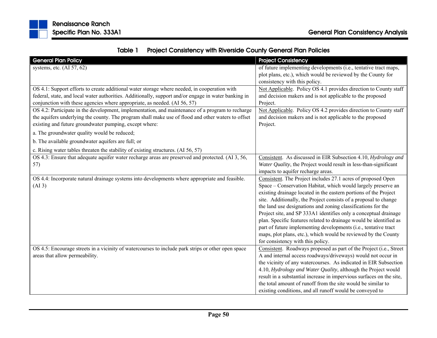

|  | Table 1 Project Consistency with Riverside County General Plan Policies |
|--|-------------------------------------------------------------------------|
|--|-------------------------------------------------------------------------|

| <b>General Plan Policy</b>                                                                           | <b>Project Consistency</b>                                           |
|------------------------------------------------------------------------------------------------------|----------------------------------------------------------------------|
| systems, etc. $(AI 57, 62)$                                                                          | of future implementing developments (i.e., tentative tract maps,     |
|                                                                                                      | plot plans, etc.), which would be reviewed by the County for         |
|                                                                                                      | consistency with this policy.                                        |
| OS 4.1: Support efforts to create additional water storage where needed, in cooperation with         | Not Applicable. Policy OS 4.1 provides direction to County staff     |
| federal, state, and local water authorities. Additionally, support and/or engage in water banking in | and decision makers and is not applicable to the proposed            |
| conjunction with these agencies where appropriate, as needed. (AI 56, 57)                            | Project.                                                             |
| OS 4.2: Participate in the development, implementation, and maintenance of a program to recharge     | Not Applicable. Policy OS 4.2 provides direction to County staff     |
| the aquifers underlying the county. The program shall make use of flood and other waters to offset   | and decision makers and is not applicable to the proposed            |
| existing and future groundwater pumping, except where:                                               | Project.                                                             |
| a. The groundwater quality would be reduced;                                                         |                                                                      |
| b. The available groundwater aquifers are full; or                                                   |                                                                      |
| c. Rising water tables threaten the stability of existing structures. (AI 56, 57)                    |                                                                      |
| OS 4.3: Ensure that adequate aquifer water recharge areas are preserved and protected. (AI 3, 56,    | Consistent. As discussed in EIR Subsection 4.10, Hydrology and       |
| 57)                                                                                                  | Water Quality, the Project would result in less-than-significant     |
|                                                                                                      | impacts to aquifer recharge areas.                                   |
| OS 4.4: Incorporate natural drainage systems into developments where appropriate and feasible.       | Consistent. The Project includes 27.1 acres of proposed Open         |
| (AI3)                                                                                                | Space - Conservation Habitat, which would largely preserve an        |
|                                                                                                      | existing drainage located in the eastern portions of the Project     |
|                                                                                                      | site. Additionally, the Project consists of a proposal to change     |
|                                                                                                      | the land use designations and zoning classifications for the         |
|                                                                                                      | Project site, and SP 333A1 identifies only a conceptual drainage     |
|                                                                                                      | plan. Specific features related to drainage would be identified as   |
|                                                                                                      | part of future implementing developments (i.e., tentative tract      |
|                                                                                                      | maps, plot plans, etc.), which would be reviewed by the County       |
|                                                                                                      | for consistency with this policy.                                    |
| OS 4.5: Encourage streets in a vicinity of watercourses to include park strips or other open space   | Consistent. Roadways proposed as part of the Project (i.e., Street   |
| areas that allow permeability.                                                                       | A and internal access roadways/driveways) would not occur in         |
|                                                                                                      | the vicinity of any watercourses. As indicated in EIR Subsection     |
|                                                                                                      | 4.10, Hydrology and Water Quality, although the Project would        |
|                                                                                                      | result in a substantial increase in impervious surfaces on the site, |
|                                                                                                      | the total amount of runoff from the site would be similar to         |
|                                                                                                      | existing conditions, and all runoff would be conveyed to             |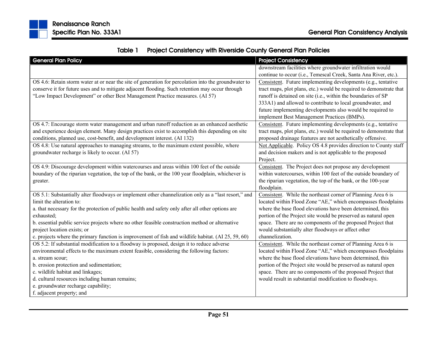| Table 1 | <b>Project Consistency with Riverside County General Plan Policies</b> |
|---------|------------------------------------------------------------------------|
|---------|------------------------------------------------------------------------|

| <b>General Plan Policy</b>                                                                           | <b>Project Consistency</b>                                          |
|------------------------------------------------------------------------------------------------------|---------------------------------------------------------------------|
|                                                                                                      | downstream facilities where groundwater infiltration would          |
|                                                                                                      | continue to occur (i.e., Temescal Creek, Santa Ana River, etc.).    |
| OS 4.6: Retain storm water at or near the site of generation for percolation into the groundwater to | Consistent. Future implementing developments (e.g., tentative       |
| conserve it for future uses and to mitigate adjacent flooding. Such retention may occur through      | tract maps, plot plans, etc.) would be required to demonstrate that |
| "Low Impact Development" or other Best Management Practice measures. (AI 57)                         | runoff is detained on site (i.e., within the boundaries of SP       |
|                                                                                                      | 333A1) and allowed to contribute to local groundwater, and          |
|                                                                                                      | future implementing developments also would be required to          |
|                                                                                                      | implement Best Management Practices (BMPs).                         |
| OS 4.7: Encourage storm water management and urban runoff reduction as an enhanced aesthetic         | Consistent. Future implementing developments (e.g., tentative       |
| and experience design element. Many design practices exist to accomplish this depending on site      | tract maps, plot plans, etc.) would be required to demonstrate that |
| conditions, planned use, cost-benefit, and development interest. (AI 132)                            | proposed drainage features are not aesthetically offensive.         |
| OS 4.8: Use natural approaches to managing streams, to the maximum extent possible, where            | Not Applicable. Policy OS 4.8 provides direction to County staff    |
| groundwater recharge is likely to occur. (AI 57)                                                     | and decision makers and is not applicable to the proposed           |
|                                                                                                      | Project.                                                            |
| OS 4.9: Discourage development within watercourses and areas within 100 feet of the outside          | Consistent. The Project does not propose any development            |
| boundary of the riparian vegetation, the top of the bank, or the 100 year floodplain, whichever is   | within watercourses, within 100 feet of the outside boundary of     |
| greater.                                                                                             | the riparian vegetation, the top of the bank, or the 100-year       |
|                                                                                                      | floodplain.                                                         |
| OS 5.1: Substantially alter floodways or implement other channelization only as a "last resort," and | Consistent. While the northeast corner of Planning Area 6 is        |
| limit the alteration to:                                                                             | located within Flood Zone "AE," which encompasses floodplains       |
| a. that necessary for the protection of public health and safety only after all other options are    | where the base flood elevations have been determined, this          |
| exhausted;                                                                                           | portion of the Project site would be preserved as natural open      |
| b. essential public service projects where no other feasible construction method or alternative      | space. There are no components of the proposed Project that         |
| project location exists; or                                                                          | would substantially alter floodways or affect other                 |
| c. projects where the primary function is improvement of fish and wildlife habitat. (AI 25, 59, 60)  | channelization.                                                     |
| OS 5.2: If substantial modification to a floodway is proposed, design it to reduce adverse           | Consistent. While the northeast corner of Planning Area 6 is        |
| environmental effects to the maximum extent feasible, considering the following factors:             | located within Flood Zone "AE," which encompasses floodplains       |
| a. stream scour;                                                                                     | where the base flood elevations have been determined, this          |
| b. erosion protection and sedimentation;                                                             | portion of the Project site would be preserved as natural open      |
| c. wildlife habitat and linkages;                                                                    | space. There are no components of the proposed Project that         |
| d. cultural resources including human remains;                                                       | would result in substantial modification to floodways.              |
| e. groundwater recharge capability;                                                                  |                                                                     |
| f. adjacent property; and                                                                            |                                                                     |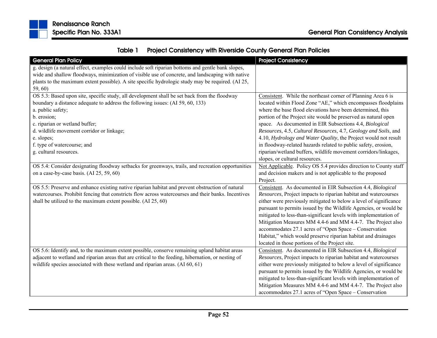

| <b>General Plan Policy</b>                                                                          | <b>Project Consistency</b>                                        |
|-----------------------------------------------------------------------------------------------------|-------------------------------------------------------------------|
| g. design (a natural effect, examples could include soft riparian bottoms and gentle bank slopes,   |                                                                   |
| wide and shallow floodways, minimization of visible use of concrete, and landscaping with native    |                                                                   |
| plants to the maximum extent possible). A site specific hydrologic study may be required. (AI 25,   |                                                                   |
| 59, 60)                                                                                             |                                                                   |
| OS 5.3: Based upon site, specific study, all development shall be set back from the floodway        | Consistent. While the northeast corner of Planning Area 6 is      |
| boundary a distance adequate to address the following issues: (AI 59, 60, 133)                      | located within Flood Zone "AE," which encompasses floodplains     |
| a. public safety;                                                                                   | where the base flood elevations have been determined, this        |
| b. erosion;                                                                                         | portion of the Project site would be preserved as natural open    |
| c. riparian or wetland buffer;                                                                      | space. As documented in EIR Subsections 4.4, Biological           |
| d. wildlife movement corridor or linkage;                                                           | Resources, 4.5, Cultural Resources, 4.7, Geology and Soils, and   |
| e. slopes;                                                                                          | 4.10, Hydrology and Water Quality, the Project would not result   |
| f. type of watercourse; and                                                                         | in floodway-related hazards related to public safety, erosion,    |
| g. cultural resources.                                                                              | riparian/wetland buffers, wildlife movement corridors/linkages,   |
|                                                                                                     | slopes, or cultural resources.                                    |
| OS 5.4: Consider designating floodway setbacks for greenways, trails, and recreation opportunities  | Not Applicable. Policy OS 5.4 provides direction to County staff  |
| on a case-by-case basis. (AI 25, 59, 60)                                                            | and decision makers and is not applicable to the proposed         |
|                                                                                                     | Project.                                                          |
| OS 5.5: Preserve and enhance existing native riparian habitat and prevent obstruction of natural    | Consistent. As documented in EIR Subsection 4.4, Biological       |
| watercourses. Prohibit fencing that constricts flow across watercourses and their banks. Incentives | Resources, Project impacts to riparian habitat and watercourses   |
| shall be utilized to the maximum extent possible. $(AI 25, 60)$                                     | either were previously mitigated to below a level of significance |
|                                                                                                     | pursuant to permits issued by the Wildlife Agencies, or would be  |
|                                                                                                     | mitigated to less-than-significant levels with implementation of  |
|                                                                                                     | Mitigation Measures MM 4.4-6 and MM 4.4-7. The Project also       |
|                                                                                                     | accommodates 27.1 acres of "Open Space - Conservation             |
|                                                                                                     | Habitat," which would preserve riparian habitat and drainages     |
|                                                                                                     | located in those portions of the Project site.                    |
| OS 5.6: Identify and, to the maximum extent possible, conserve remaining upland habitat areas       | Consistent. As documented in EIR Subsection 4.4, Biological       |
| adjacent to wetland and riparian areas that are critical to the feeding, hibernation, or nesting of | Resources, Project impacts to riparian habitat and watercourses   |
| wildlife species associated with these wetland and riparian areas. $(AI\ 60, 61)$                   | either were previously mitigated to below a level of significance |
|                                                                                                     | pursuant to permits issued by the Wildlife Agencies, or would be  |
|                                                                                                     | mitigated to less-than-significant levels with implementation of  |
|                                                                                                     | Mitigation Measures MM 4.4-6 and MM 4.4-7. The Project also       |
|                                                                                                     | accommodates 27.1 acres of "Open Space - Conservation             |

## Table 1Project Consistency with Riverside County General Plan Policies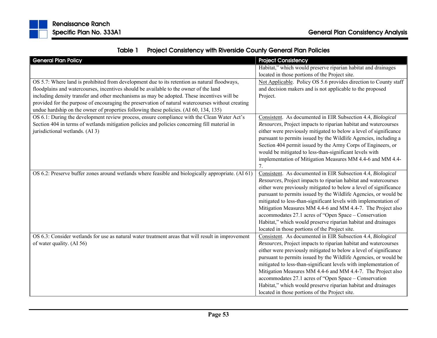

| <b>General Plan Policy</b>                                                                         | <b>Project Consistency</b>                                        |
|----------------------------------------------------------------------------------------------------|-------------------------------------------------------------------|
|                                                                                                    | Habitat," which would preserve riparian habitat and drainages     |
|                                                                                                    | located in those portions of the Project site.                    |
| OS 5.7: Where land is prohibited from development due to its retention as natural floodways,       | Not Applicable. Policy OS 5.6 provides direction to County staff  |
| floodplains and watercourses, incentives should be available to the owner of the land              | and decision makers and is not applicable to the proposed         |
| including density transfer and other mechanisms as may be adopted. These incentives will be        | Project.                                                          |
| provided for the purpose of encouraging the preservation of natural watercourses without creating  |                                                                   |
| undue hardship on the owner of properties following these policies. (AI 60, 134, 135)              |                                                                   |
| OS 6.1: During the development review process, ensure compliance with the Clean Water Act's        | Consistent. As documented in EIR Subsection 4.4, Biological       |
| Section 404 in terms of wetlands mitigation policies and policies concerning fill material in      | Resources, Project impacts to riparian habitat and watercourses   |
| jurisdictional wetlands. (AI 3)                                                                    | either were previously mitigated to below a level of significance |
|                                                                                                    | pursuant to permits issued by the Wildlife Agencies, including a  |
|                                                                                                    | Section 404 permit issued by the Army Corps of Engineers, or      |
|                                                                                                    | would be mitigated to less-than-significant levels with           |
|                                                                                                    | implementation of Mitigation Measures MM 4.4-6 and MM 4.4-        |
|                                                                                                    | 7.                                                                |
| OS 6.2: Preserve buffer zones around wetlands where feasible and biologically appropriate. (AI 61) | Consistent. As documented in EIR Subsection 4.4, Biological       |
|                                                                                                    | Resources, Project impacts to riparian habitat and watercourses   |
|                                                                                                    |                                                                   |
|                                                                                                    | either were previously mitigated to below a level of significance |
|                                                                                                    | pursuant to permits issued by the Wildlife Agencies, or would be  |
|                                                                                                    | mitigated to less-than-significant levels with implementation of  |
|                                                                                                    | Mitigation Measures MM 4.4-6 and MM 4.4-7. The Project also       |
|                                                                                                    | accommodates 27.1 acres of "Open Space - Conservation             |
|                                                                                                    | Habitat," which would preserve riparian habitat and drainages     |
|                                                                                                    | located in those portions of the Project site.                    |
| OS 6.3: Consider wetlands for use as natural water treatment areas that will result in improvement | Consistent. As documented in EIR Subsection 4.4, Biological       |
| of water quality. (AI 56)                                                                          | Resources, Project impacts to riparian habitat and watercourses   |
|                                                                                                    | either were previously mitigated to below a level of significance |
|                                                                                                    | pursuant to permits issued by the Wildlife Agencies, or would be  |
|                                                                                                    | mitigated to less-than-significant levels with implementation of  |
|                                                                                                    | Mitigation Measures MM 4.4-6 and MM 4.4-7. The Project also       |
|                                                                                                    | accommodates 27.1 acres of "Open Space - Conservation             |
|                                                                                                    | Habitat," which would preserve riparian habitat and drainages     |
|                                                                                                    | located in those portions of the Project site.                    |

## Table 1Project Consistency with Riverside County General Plan Policies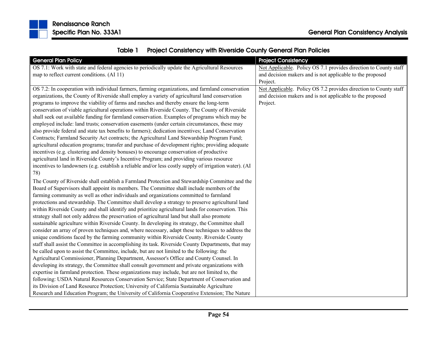| <b>General Plan Policy</b>                                                                              | <b>Project Consistency</b>                                       |
|---------------------------------------------------------------------------------------------------------|------------------------------------------------------------------|
| OS 7.1: Work with state and federal agencies to periodically update the Agricultural Resources          | Not Applicable. Policy OS 7.1 provides direction to County staff |
| map to reflect current conditions. (AI 11)                                                              | and decision makers and is not applicable to the proposed        |
|                                                                                                         | Project.                                                         |
| OS 7.2: In cooperation with individual farmers, farming organizations, and farmland conservation        | Not Applicable. Policy OS 7.2 provides direction to County staff |
| organizations, the County of Riverside shall employ a variety of agricultural land conservation         | and decision makers and is not applicable to the proposed        |
| programs to improve the viability of farms and ranches and thereby ensure the long-term                 | Project.                                                         |
| conservation of viable agricultural operations within Riverside County. The County of Riverside         |                                                                  |
| shall seek out available funding for farmland conservation. Examples of programs which may be           |                                                                  |
| employed include: land trusts; conservation easements (under certain circumstances, these may           |                                                                  |
| also provide federal and state tax benefits to farmers); dedication incentives; Land Conservation       |                                                                  |
| Contracts; Farmland Security Act contracts; the Agricultural Land Stewardship Program Fund;             |                                                                  |
| agricultural education programs; transfer and purchase of development rights; providing adequate        |                                                                  |
| incentives (e.g. clustering and density bonuses) to encourage conservation of productive                |                                                                  |
| agricultural land in Riverside County's Incentive Program; and providing various resource               |                                                                  |
| incentives to landowners (e.g. establish a reliable and/or less costly supply of irrigation water). (AI |                                                                  |
| 78)                                                                                                     |                                                                  |
| The County of Riverside shall establish a Farmland Protection and Stewardship Committee and the         |                                                                  |
| Board of Supervisors shall appoint its members. The Committee shall include members of the              |                                                                  |
| farming community as well as other individuals and organizations committed to farmland                  |                                                                  |
| protections and stewardship. The Committee shall develop a strategy to preserve agricultural land       |                                                                  |
| within Riverside County and shall identify and prioritize agricultural lands for conservation. This     |                                                                  |
| strategy shall not only address the preservation of agricultural land but shall also promote            |                                                                  |
| sustainable agriculture within Riverside County. In developing its strategy, the Committee shall        |                                                                  |
| consider an array of proven techniques and, where necessary, adapt these techniques to address the      |                                                                  |
| unique conditions faced by the farming community within Riverside County. Riverside County              |                                                                  |
| staff shall assist the Committee in accomplishing its task. Riverside County Departments, that may      |                                                                  |
| be called upon to assist the Committee, include, but are not limited to the following: the              |                                                                  |
| Agricultural Commissioner, Planning Department, Assessor's Office and County Counsel. In                |                                                                  |
| developing its strategy, the Committee shall consult government and private organizations with          |                                                                  |
| expertise in farmland protection. These organizations may include, but are not limited to, the          |                                                                  |
| following: USDA Natural Resources Conservation Service; State Department of Conservation and            |                                                                  |
| its Division of Land Resource Protection; University of California Sustainable Agriculture              |                                                                  |
| Research and Education Program; the University of California Cooperative Extension; The Nature          |                                                                  |

Table 1Project Consistency with Riverside County General Plan Policies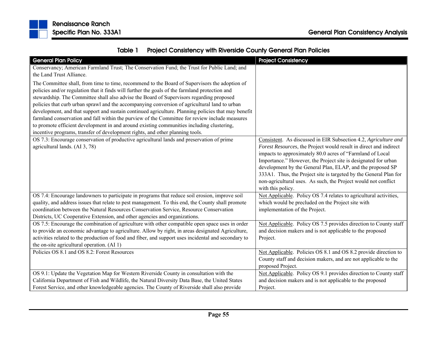

| kenaissance kancn       |  |  |
|-------------------------|--|--|
| Specific Plan No. 333A1 |  |  |

|  | Table 1 Project Consistency with Riverside County General Plan Policies |
|--|-------------------------------------------------------------------------|
|--|-------------------------------------------------------------------------|

| <b>General Plan Policy</b>                                                                           | <b>Project Consistency</b>                                                             |
|------------------------------------------------------------------------------------------------------|----------------------------------------------------------------------------------------|
| Conservancy; American Farmland Trust; The Conservation Fund; the Trust for Public Land; and          |                                                                                        |
| the Land Trust Alliance.                                                                             |                                                                                        |
| The Committee shall, from time to time, recommend to the Board of Supervisors the adoption of        |                                                                                        |
| policies and/or regulation that it finds will further the goals of the farmland protection and       |                                                                                        |
| stewardship. The Committee shall also advise the Board of Supervisors regarding proposed             |                                                                                        |
| policies that curb urban sprawl and the accompanying conversion of agricultural land to urban        |                                                                                        |
| development, and that support and sustain continued agriculture. Planning policies that may benefit  |                                                                                        |
| farmland conservation and fall within the purview of the Committee for review include measures       |                                                                                        |
| to promote efficient development in and around existing communities including clustering,            |                                                                                        |
| incentive programs, transfer of development rights, and other planning tools.                        |                                                                                        |
| OS 7.3: Encourage conservation of productive agricultural lands and preservation of prime            | Consistent. As discussed in EIR Subsection 4.2, Agriculture and                        |
| agricultural lands. (AI 3, 78)                                                                       | Forest Resources, the Project would result in direct and indirect                      |
|                                                                                                      | impacts to approximately 80.0 acres of "Farmland of Local                              |
|                                                                                                      | Importance." However, the Project site is designated for urban                         |
|                                                                                                      | development by the General Plan, ELAP, and the proposed SP                             |
|                                                                                                      | 333A1. Thus, the Project site is targeted by the General Plan for                      |
|                                                                                                      | non-agricultural uses. As such, the Project would not conflict                         |
| OS 7.4: Encourage landowners to participate in programs that reduce soil erosion, improve soil       | with this policy.<br>Not Applicable. Policy OS 7.4 relates to agricultural activities, |
| quality, and address issues that relate to pest management. To this end, the County shall promote    | which would be precluded on the Project site with                                      |
| coordination between the Natural Resources Conservation Service, Resource Conservation               | implementation of the Project.                                                         |
| Districts, UC Cooperative Extension, and other agencies and organizations.                           |                                                                                        |
| OS 7.5: Encourage the combination of agriculture with other compatible open space uses in order      | Not Applicable. Policy OS 7.5 provides direction to County staff                       |
| to provide an economic advantage to agriculture. Allow by right, in areas designated Agriculture,    | and decision makers and is not applicable to the proposed                              |
| activities related to the production of food and fiber, and support uses incidental and secondary to | Project.                                                                               |
| the on-site agricultural operation. (AI 1)                                                           |                                                                                        |
| Policies OS 8.1 and OS 8.2: Forest Resources                                                         | Not Applicable. Policies OS 8.1 and OS 8.2 provide direction to                        |
|                                                                                                      | County staff and decision makers, and are not applicable to the                        |
|                                                                                                      | proposed Project.                                                                      |
| OS 9.1: Update the Vegetation Map for Western Riverside County in consultation with the              | Not Applicable. Policy OS 9.1 provides direction to County staff                       |
| California Department of Fish and Wildlife, the Natural Diversity Data Base, the United States       | and decision makers and is not applicable to the proposed                              |
| Forest Service, and other knowledgeable agencies. The County of Riverside shall also provide         | Project.                                                                               |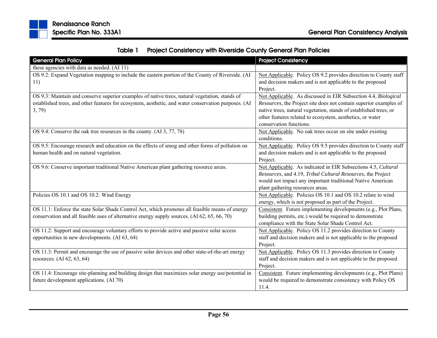|  | Table 1 Project Consistency with Riverside County General Plan Policies |
|--|-------------------------------------------------------------------------|
|--|-------------------------------------------------------------------------|

| <b>General Plan Policy</b>                                                                                                                                                                                      | <b>Project Consistency</b>                                                                                                                                                                                                                                                                       |
|-----------------------------------------------------------------------------------------------------------------------------------------------------------------------------------------------------------------|--------------------------------------------------------------------------------------------------------------------------------------------------------------------------------------------------------------------------------------------------------------------------------------------------|
| these agencies with data as needed. (AI 11)                                                                                                                                                                     |                                                                                                                                                                                                                                                                                                  |
| OS 9.2: Expand Vegetation mapping to include the eastern portion of the County of Riverside. (AI<br>11)                                                                                                         | Not Applicable. Policy OS 9.2 provides direction to County staff<br>and decision makers and is not applicable to the proposed<br>Project.                                                                                                                                                        |
| OS 9.3: Maintain and conserve superior examples of native trees, natural vegetation, stands of<br>established trees, and other features for ecosystem, aesthetic, and water conservation purposes. (AI<br>3, 79 | Not Applicable. As discussed in EIR Subsection 4.4, Biological<br>Resources, the Project site does not contain superior examples of<br>native trees, natural vegetation, stands of established trees, or<br>other features related to ecosystem, aesthetics, or water<br>conservation functions. |
| OS 9.4: Conserve the oak tree resources in the county. (AI 3, 77, 78)                                                                                                                                           | Not Applicable. No oak trees occur on site under existing<br>conditions.                                                                                                                                                                                                                         |
| OS 9.5: Encourage research and education on the effects of smog and other forms of pollution on<br>human health and on natural vegetation.                                                                      | Not Applicable. Policy OS 9.5 provides direction to County staff<br>and decision makers and is not applicable to the proposed<br>Project.                                                                                                                                                        |
| OS 9.6: Conserve important traditional Native American plant gathering resource areas.                                                                                                                          | Not Applicable. As indicated in EIR Subsections 4.5, Cultural<br>Resources, and 4.19, Tribal Cultural Resources, the Project<br>would not impact any important traditional Native American<br>plant gathering resources areas.                                                                   |
| Policies OS 10.1 and OS 10.2: Wind Energy                                                                                                                                                                       | Not Applicable. Policies OS 10.1 and OS 10.2 relate to wind<br>energy, which is not proposed as part of the Project.                                                                                                                                                                             |
| OS 11.1: Enforce the state Solar Shade Control Act, which promotes all feasible means of energy<br>conservation and all feasible uses of alternative energy supply sources. (AI 62, 65, 66, 70)                 | Consistent. Future implementing developments (e.g., Plot Plans,<br>building permits, etc.) would be required to demonstrate<br>compliance with the State Solar Shade Control Act.                                                                                                                |
| OS 11.2: Support and encourage voluntary efforts to provide active and passive solar access<br>opportunities in new developments. (AI 63, 64)                                                                   | Not Applicable. Policy OS 11.2 provides direction to County<br>staff and decision makers and is not applicable to the proposed<br>Project.                                                                                                                                                       |
| OS 11.3: Permit and encourage the use of passive solar devices and other state-of-the-art energy<br>resources. (AI 62, 63, 64)                                                                                  | Not Applicable. Policy OS 11.3 provides direction to County<br>staff and decision makers and is not applicable to the proposed<br>Project.                                                                                                                                                       |
| OS 11.4: Encourage site-planning and building design that maximizes solar energy use/potential in<br>future development applications. (AI 70)                                                                   | Consistent. Future implementing developments (e.g., Plot Plans)<br>would be required to demonstrate consistency with Policy OS<br>11.4.                                                                                                                                                          |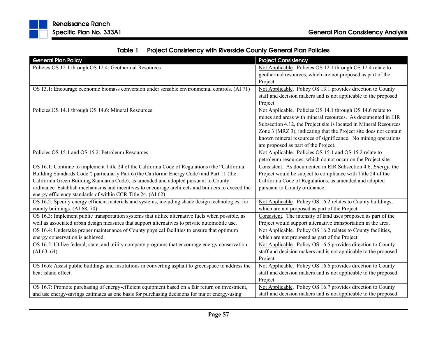|  | Table 1 Project Consistency with Riverside County General Plan Policies |
|--|-------------------------------------------------------------------------|
|--|-------------------------------------------------------------------------|

| <b>General Plan Policy</b>                                                                           | <b>Project Consistency</b>                                           |
|------------------------------------------------------------------------------------------------------|----------------------------------------------------------------------|
| Policies OS 12.1 through OS 12.4: Geothermal Resources                                               | Not Applicable. Policies OS 12.1 through OS 12.4 relate to           |
|                                                                                                      | geothermal resources, which are not proposed as part of the          |
|                                                                                                      | Project.                                                             |
| OS 13.1: Encourage economic biomass conversion under sensible environmental controls. (AI 71)        | Not Applicable. Policy OS 13.1 provides direction to County          |
|                                                                                                      | staff and decision makers and is not applicable to the proposed      |
|                                                                                                      | Project.                                                             |
| Policies OS 14.1 through OS 14.6: Mineral Resources                                                  | Not Applicable. Policies OS 14.1 through OS 14.6 relate to           |
|                                                                                                      | mines and areas with mineral resources. As documented in EIR         |
|                                                                                                      | Subsection 4.12, the Project site is located in Mineral Resources    |
|                                                                                                      | Zone 3 (MRZ 3), indicating that the Project site does not contain    |
|                                                                                                      | known mineral resources of significance. No mining operations        |
|                                                                                                      | are proposed as part of the Project.                                 |
| Policies OS 15.1 and OS 15.2: Petroleum Resources                                                    | Not Applicable. Policies OS 15.1 and OS 15.2 relate to               |
|                                                                                                      | petroleum resources, which do not occur on the Project site.         |
| OS 16.1: Continue to implement Title 24 of the California Code of Regulations (the "California"      | Consistent. As documented in EIR Subsection 4.6, <i>Energy</i> , the |
| Building Standards Code") particularly Part 6 (the California Energy Code) and Part 11 (the          | Project would be subject to compliance with Title 24 of the          |
| California Green Building Standards Code), as amended and adopted pursuant to County                 | California Code of Regulations, as amended and adopted               |
| ordinance. Establish mechanisms and incentives to encourage architects and builders to exceed the    | pursuant to County ordinance.                                        |
| energy efficiency standards of within CCR Title 24. (AI 62)                                          |                                                                      |
| OS 16.2: Specify energy efficient materials and systems, including shade design technologies, for    | Not Applicable. Policy OS 16.2 relates to County buildings,          |
| county buildings. (AI 68, 70)                                                                        | which are not proposed as part of the Project.                       |
| OS 16.3: Implement public transportation systems that utilize alternative fuels when possible, as    | Consistent. The intensity of land uses proposed as part of the       |
| well as associated urban design measures that support alternatives to private automobile use.        | Project would support alternative transportation in the area.        |
| OS 16.4: Undertake proper maintenance of County physical facilities to ensure that optimum           | Not Applicable. Policy OS 16.2 relates to County facilities,         |
| energy conservation is achieved.                                                                     | which are not proposed as part of the Project.                       |
| OS 16.5: Utilize federal, state, and utility company programs that encourage energy conservation.    | Not Applicable. Policy OS 16.5 provides direction to County          |
| $(AI\ 63, 64)$                                                                                       | staff and decision makers and is not applicable to the proposed      |
|                                                                                                      | Project.                                                             |
| OS 16.6: Assist public buildings and institutions in converting asphalt to greenspace to address the | Not Applicable. Policy OS 16.6 provides direction to County          |
| heat island effect.                                                                                  | staff and decision makers and is not applicable to the proposed      |
|                                                                                                      | Project.                                                             |
| OS 16.7: Promote purchasing of energy-efficient equipment based on a fair return on investment,      | Not Applicable. Policy OS 16.7 provides direction to County          |
| and use energy-savings estimates as one basis for purchasing decisions for major energy-using        | staff and decision makers and is not applicable to the proposed      |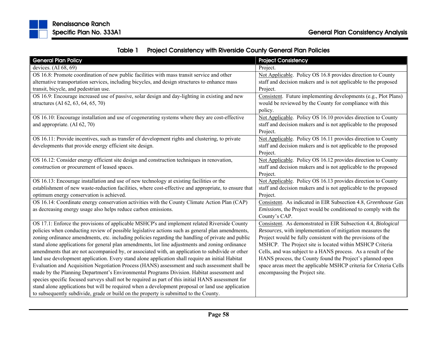

| Table 1 | <b>Project Consistency with Riverside County General Plan Policies</b> |
|---------|------------------------------------------------------------------------|
|---------|------------------------------------------------------------------------|

| <b>General Plan Policy</b>                                                                            | <b>Project Consistency</b>                                        |
|-------------------------------------------------------------------------------------------------------|-------------------------------------------------------------------|
| devices. $(AI 68, 69)$                                                                                | Project.                                                          |
| OS 16.8: Promote coordination of new public facilities with mass transit service and other            | Not Applicable. Policy OS 16.8 provides direction to County       |
| alternative transportation services, including bicycles, and design structures to enhance mass        | staff and decision makers and is not applicable to the proposed   |
| transit, bicycle, and pedestrian use.                                                                 | Project.                                                          |
| OS 16.9: Encourage increased use of passive, solar design and day-lighting in existing and new        | Consistent. Future implementing developments (e.g., Plot Plans)   |
| structures (AI 62, 63, 64, 65, 70)                                                                    | would be reviewed by the County for compliance with this          |
|                                                                                                       | policy.                                                           |
| OS 16.10: Encourage installation and use of cogenerating systems where they are cost-effective        | Not Applicable. Policy OS 16.10 provides direction to County      |
| and appropriate. (AI 62, 70)                                                                          | staff and decision makers and is not applicable to the proposed   |
|                                                                                                       | Project.                                                          |
| OS 16.11: Provide incentives, such as transfer of development rights and clustering, to private       | Not Applicable. Policy OS 16.11 provides direction to County      |
| developments that provide energy efficient site design.                                               | staff and decision makers and is not applicable to the proposed   |
|                                                                                                       | Project.                                                          |
| OS 16.12: Consider energy efficient site design and construction techniques in renovation,            | Not Applicable. Policy OS 16.12 provides direction to County      |
| construction or procurement of leased spaces.                                                         | staff and decision makers and is not applicable to the proposed   |
|                                                                                                       | Project.                                                          |
| OS 16.13: Encourage installation and use of new technology at existing facilities or the              | Not Applicable. Policy OS 16.13 provides direction to County      |
| establishment of new waste-reduction facilities, where cost-effective and appropriate, to ensure that | staff and decision makers and is not applicable to the proposed   |
| optimum energy conservation is achieved.                                                              | Project.                                                          |
| OS 16.14: Coordinate energy conservation activities with the County Climate Action Plan (CAP)         | Consistent. As indicated in EIR Subsection 4.8, Greenhouse Gas    |
| as decreasing energy usage also helps reduce carbon emissions.                                        | Emissions, the Project would be conditioned to comply with the    |
|                                                                                                       | County's CAP.                                                     |
| OS 17.1: Enforce the provisions of applicable MSHCP's and implement related Riverside County          | Consistent. As demonstrated in EIR Subsection 4.4, Biological     |
| policies when conducting review of possible legislative actions such as general plan amendments,      | Resources, with implementation of mitigation measures the         |
| zoning ordinance amendments, etc. including policies regarding the handling of private and public     | Project would be fully consistent with the provisions of the      |
| stand alone applications for general plan amendments, lot line adjustments and zoning ordinance       | MSHCP. The Project site is located within MSHCP Criteria          |
| amendments that are not accompanied by, or associated with, an application to subdivide or other      | Cells, and was subject to a HANS process. As a result of the      |
| land use development application. Every stand alone application shall require an initial Habitat      | HANS process, the County found the Project's planned open         |
| Evaluation and Acquisition Negotiation Process (HANS) assessment and such assessment shall be         | space areas meet the applicable MSHCP criteria for Criteria Cells |
| made by the Planning Department's Environmental Programs Division. Habitat assessment and             | encompassing the Project site.                                    |
| species specific focused surveys shall not be required as part of this initial HANS assessment for    |                                                                   |
| stand alone applications but will be required when a development proposal or land use application     |                                                                   |
| to subsequently subdivide, grade or build on the property is submitted to the County.                 |                                                                   |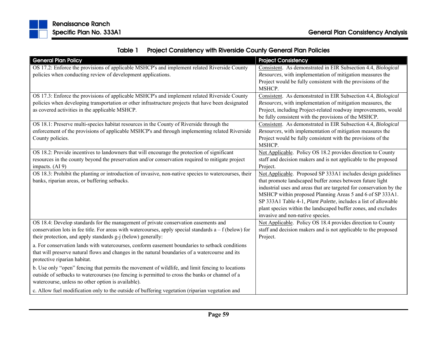

| <b>General Plan Policy</b>                                                                               | <b>Project Consistency</b>                                          |
|----------------------------------------------------------------------------------------------------------|---------------------------------------------------------------------|
| OS 17.2: Enforce the provisions of applicable MSHCP's and implement related Riverside County             | Consistent. As demonstrated in EIR Subsection 4.4, Biological       |
| policies when conducting review of development applications.                                             | Resources, with implementation of mitigation measures the           |
|                                                                                                          | Project would be fully consistent with the provisions of the        |
|                                                                                                          | MSHCP.                                                              |
| OS 17.3: Enforce the provisions of applicable MSHCP's and implement related Riverside County             | Consistent. As demonstrated in EIR Subsection 4.4, Biological       |
| policies when developing transportation or other infrastructure projects that have been designated       | Resources, with implementation of mitigation measures, the          |
| as covered activities in the applicable MSHCP.                                                           | Project, including Project-related roadway improvements, would      |
|                                                                                                          | be fully consistent with the provisions of the MSHCP.               |
| OS 18.1: Preserve multi-species habitat resources in the County of Riverside through the                 | Consistent. As demonstrated in EIR Subsection 4.4, Biological       |
| enforcement of the provisions of applicable MSHCP's and through implementing related Riverside           | Resources, with implementation of mitigation measures the           |
| County policies.                                                                                         | Project would be fully consistent with the provisions of the        |
|                                                                                                          | MSHCP.                                                              |
| OS 18.2: Provide incentives to landowners that will encourage the protection of significant              | Not Applicable. Policy OS 18.2 provides direction to County         |
| resources in the county beyond the preservation and/or conservation required to mitigate project         | staff and decision makers and is not applicable to the proposed     |
| impacts. (AI 9)                                                                                          | Project.                                                            |
| OS 18.3: Prohibit the planting or introduction of invasive, non-native species to watercourses, their    | Not Applicable. Proposed SP 333A1 includes design guidelines        |
| banks, riparian areas, or buffering setbacks.                                                            | that promote landscaped buffer zones between future light           |
|                                                                                                          | industrial uses and areas that are targeted for conservation by the |
|                                                                                                          | MSHCP within proposed Planning Areas 5 and 6 of SP 333A1.           |
|                                                                                                          | SP 333A1 Table 4-1, Plant Palette, includes a list of allowable     |
|                                                                                                          | plant species within the landscaped buffer zones, and excludes      |
|                                                                                                          | invasive and non-native species.                                    |
| OS 18.4: Develop standards for the management of private conservation easements and                      | Not Applicable. Policy OS 18.4 provides direction to County         |
| conservation lots in fee title. For areas with watercourses, apply special standards $a - f$ (below) for | staff and decision makers and is not applicable to the proposed     |
| their protection, and apply standards g-j (below) generally:                                             | Project.                                                            |
| a. For conservation lands with watercourses, conform easement boundaries to setback conditions           |                                                                     |
| that will preserve natural flows and changes in the natural boundaries of a watercourse and its          |                                                                     |
| protective riparian habitat.                                                                             |                                                                     |
| b. Use only "open" fencing that permits the movement of wildlife, and limit fencing to locations         |                                                                     |
| outside of setbacks to watercourses (no fencing is permitted to cross the banks or channel of a          |                                                                     |
| watercourse, unless no other option is available).                                                       |                                                                     |
| c. Allow fuel modification only to the outside of buffering vegetation (riparian vegetation and          |                                                                     |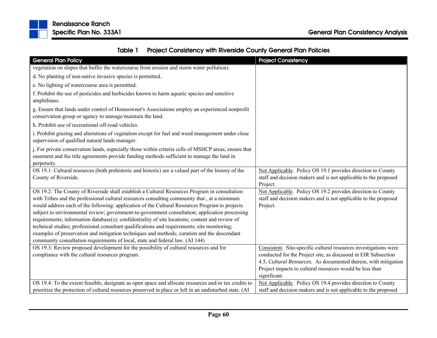



| pecific Plan No. 333A1 | ורוטו וועסטעו וועס ווען ווען |  |
|------------------------|------------------------------|--|
|                        |                              |  |

| <b>General Plan Policy</b>                                                                                                                                                                                                                                                                                                                                                                                                                                                                                                                                                                                                                                                                                                                                                          | <b>Project Consistency</b>                                                                                                                                                                                                                                                        |
|-------------------------------------------------------------------------------------------------------------------------------------------------------------------------------------------------------------------------------------------------------------------------------------------------------------------------------------------------------------------------------------------------------------------------------------------------------------------------------------------------------------------------------------------------------------------------------------------------------------------------------------------------------------------------------------------------------------------------------------------------------------------------------------|-----------------------------------------------------------------------------------------------------------------------------------------------------------------------------------------------------------------------------------------------------------------------------------|
| vegetation on slopes that buffer the watercourse from erosion and storm water pollution).                                                                                                                                                                                                                                                                                                                                                                                                                                                                                                                                                                                                                                                                                           |                                                                                                                                                                                                                                                                                   |
| d. No planting of non-native invasive species is permitted.                                                                                                                                                                                                                                                                                                                                                                                                                                                                                                                                                                                                                                                                                                                         |                                                                                                                                                                                                                                                                                   |
| e. No lighting of watercourse area is permitted.                                                                                                                                                                                                                                                                                                                                                                                                                                                                                                                                                                                                                                                                                                                                    |                                                                                                                                                                                                                                                                                   |
| f. Prohibit the use of pesticides and herbicides known to harm aquatic species and sensitive<br>amphibians.                                                                                                                                                                                                                                                                                                                                                                                                                                                                                                                                                                                                                                                                         |                                                                                                                                                                                                                                                                                   |
| g. Ensure that lands under control of Homeowner's Associations employ an experienced nonprofit<br>conservation group or agency to manage/maintain the land.                                                                                                                                                                                                                                                                                                                                                                                                                                                                                                                                                                                                                         |                                                                                                                                                                                                                                                                                   |
| h. Prohibit use of recreational off-road vehicles.                                                                                                                                                                                                                                                                                                                                                                                                                                                                                                                                                                                                                                                                                                                                  |                                                                                                                                                                                                                                                                                   |
| i. Prohibit grazing and alterations of vegetation except for fuel and weed management under close<br>supervision of qualified natural lands manager.                                                                                                                                                                                                                                                                                                                                                                                                                                                                                                                                                                                                                                |                                                                                                                                                                                                                                                                                   |
| j. For private conservation lands, especially those within criteria cells of MSHCP areas, ensure that<br>easement and fee title agreements provide funding methods sufficient to manage the land in<br>perpetuity.                                                                                                                                                                                                                                                                                                                                                                                                                                                                                                                                                                  |                                                                                                                                                                                                                                                                                   |
| OS 19.1: Cultural resources (both prehistoric and historic) are a valued part of the history of the<br>County of Riverside.                                                                                                                                                                                                                                                                                                                                                                                                                                                                                                                                                                                                                                                         | Not Applicable. Policy OS 19.1 provides direction to County<br>staff and decision makers and is not applicable to the proposed<br>Project.                                                                                                                                        |
| OS 19.2: The County of Riverside shall establish a Cultural Resources Program in consultation<br>with Tribes and the professional cultural resources consulting community that, at a minimum<br>would address each of the following: application of the Cultural Resources Program to projects<br>subject to environmental review; government-to-government consultation; application processing<br>requirements; information database(s); confidentiality of site locations; content and review of<br>technical studies; professional consultant qualifications and requirements; site monitoring;<br>examples of preservation and mitigation techniques and methods; curation and the descendant<br>community consultation requirements of local, state and federal law. (AI 144) | Not Applicable. Policy OS 19.2 provides direction to County<br>staff and decision makers and is not applicable to the proposed<br>Project.                                                                                                                                        |
| OS 19.3: Review proposed development for the possibility of cultural resources and for<br>compliance with the cultural resources program.                                                                                                                                                                                                                                                                                                                                                                                                                                                                                                                                                                                                                                           | Consistent. Site-specific cultural resources investigations were<br>conducted for the Project site, as discussed in EIR Subsection<br>4.5, Cultural Resources. As documented therein, with mitigation<br>Project impacts to cultural resources would be less than<br>significant. |
| OS 19.4: To the extent feasible, designate as open space and allocate resources and/or tax credits to                                                                                                                                                                                                                                                                                                                                                                                                                                                                                                                                                                                                                                                                               | Not Applicable. Policy OS 19.4 provides direction to County                                                                                                                                                                                                                       |
| prioritize the protection of cultural resources preserved in place or left in an undisturbed state. (AI                                                                                                                                                                                                                                                                                                                                                                                                                                                                                                                                                                                                                                                                             | staff and decision makers and is not applicable to the proposed                                                                                                                                                                                                                   |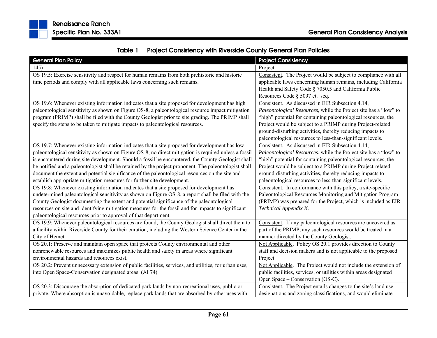

| Table 1 | <b>Project Consistency with Riverside County General Plan Policies</b> |
|---------|------------------------------------------------------------------------|
|---------|------------------------------------------------------------------------|

| <b>General Plan Policy</b>                                                                            | <b>Project Consistency</b>                                        |
|-------------------------------------------------------------------------------------------------------|-------------------------------------------------------------------|
| 145)                                                                                                  | Project.                                                          |
| OS 19.5: Exercise sensitivity and respect for human remains from both prehistoric and historic        | Consistent. The Project would be subject to compliance with all   |
| time periods and comply with all applicable laws concerning such remains.                             | applicable laws concerning human remains, including California    |
|                                                                                                       | Health and Safety Code § 7050.5 and California Public             |
|                                                                                                       | Resources Code § 5097 et. seq.                                    |
| OS 19.6: Whenever existing information indicates that a site proposed for development has high        | Consistent. As discussed in EIR Subsection 4.14,                  |
| paleontological sensitivity as shown on Figure OS-8, a paleontological resource impact mitigation     | Paleontological Resources, while the Project site has a "low" to  |
| program (PRIMP) shall be filed with the County Geologist prior to site grading. The PRIMP shall       | "high" potential for containing paleontological resources, the    |
| specify the steps to be taken to mitigate impacts to paleontological resources.                       | Project would be subject to a PRIMP during Project-related        |
|                                                                                                       | ground-disturbing activities, thereby reducing impacts to         |
|                                                                                                       | paleontological resources to less-than-significant levels.        |
| OS 19.7: Whenever existing information indicates that a site proposed for development has low         | Consistent. As discussed in EIR Subsection 4.14,                  |
| paleontological sensitivity as shown on Figure OS-8, no direct mitigation is required unless a fossil | Paleontological Resources, while the Project site has a "low" to  |
| is encountered during site development. Should a fossil be encountered, the County Geologist shall    | "high" potential for containing paleontological resources, the    |
| be notified and a paleontologist shall be retained by the project proponent. The paleontologist shall | Project would be subject to a PRIMP during Project-related        |
| document the extent and potential significance of the paleontological resources on the site and       | ground-disturbing activities, thereby reducing impacts to         |
| establish appropriate mitigation measures for further site development.                               | paleontological resources to less-than-significant levels.        |
| OS 19.8: Whenever existing information indicates that a site proposed for development has             | Consistent. In conformance with this policy, a site-specific      |
| undetermined paleontological sensitivity as shown on Figure OS-8, a report shall be filed with the    | Paleontological Resources Monitoring and Mitigation Program       |
| County Geologist documenting the extent and potential significance of the paleontological             | (PRIMP) was prepared for the Project, which is included as EIR    |
| resources on site and identifying mitigation measures for the fossil and for impacts to significant   | Technical Appendix K.                                             |
| paleontological resources prior to approval of that department.                                       |                                                                   |
| OS 19.9: Whenever paleontological resources are found, the County Geologist shall direct them to      | Consistent. If any paleontological resources are uncovered as     |
| a facility within Riverside County for their curation, including the Western Science Center in the    | part of the PRIMP, any such resources would be treated in a       |
| City of Hemet.                                                                                        | manner directed by the County Geologist.                          |
| OS 20.1: Preserve and maintain open space that protects County environmental and other                | Not Applicable. Policy OS 20.1 provides direction to County       |
| nonrenewable resources and maximizes public health and safety in areas where significant              | staff and decision makers and is not applicable to the proposed   |
| environmental hazards and resources exist.                                                            | Project.                                                          |
| OS 20.2: Prevent unnecessary extension of public facilities, services, and utilities, for urban uses, | Not Applicable. The Project would not include the extension of    |
| into Open Space-Conservation designated areas. (AI 74)                                                | public facilities, services, or utilities within areas designated |
|                                                                                                       | Open Space – Conservation (OS-C).                                 |
| OS 20.3: Discourage the absorption of dedicated park lands by non-recreational uses, public or        | Consistent. The Project entails changes to the site's land use    |
| private. Where absorption is unavoidable, replace park lands that are absorbed by other uses with     | designations and zoning classifications, and would eliminate      |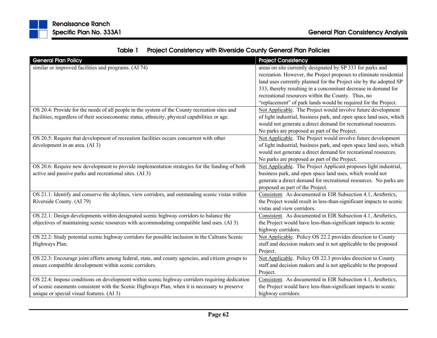|  | Table 1 Project Consistency with Riverside County General Plan Policies |
|--|-------------------------------------------------------------------------|
|--|-------------------------------------------------------------------------|

| <b>General Plan Policy</b>                                                                        | <b>Project Consistency</b>                                          |
|---------------------------------------------------------------------------------------------------|---------------------------------------------------------------------|
| similar or improved facilities and programs. (AI 74)                                              | areas on site currently designated by SP 333 for parks and          |
|                                                                                                   | recreation. However, the Project proposes to eliminate residential  |
|                                                                                                   | land uses currently planned for the Project site by the adopted SP  |
|                                                                                                   | 333, thereby resulting in a concomitant decrease in demand for      |
|                                                                                                   | recreational resources within the County. Thus, no                  |
|                                                                                                   | "replacement" of park lands would be required for the Project.      |
| OS 20.4: Provide for the needs of all people in the system of the County recreation sites and     | Not Applicable. The Project would involve future development        |
| facilities, regardless of their socioeconomic status, ethnicity, physical capabilities or age.    | of light industrial, business park, and open space land uses, which |
|                                                                                                   | would not generate a direct demand for recreational resources.      |
|                                                                                                   | No parks are proposed as part of the Project.                       |
| OS 20.5: Require that development of recreation facilities occurs concurrent with other           | Not Applicable. The Project would involve future development        |
| development in an area. (AI 3)                                                                    | of light industrial, business park, and open space land uses, which |
|                                                                                                   | would not generate a direct demand for recreational resources.      |
|                                                                                                   | No parks are proposed as part of the Project.                       |
| OS 20.6: Require new development to provide implementation strategies for the funding of both     | Not Applicable. The Project Applicant proposes light industrial,    |
| active and passive parks and recreational sites. (AI 3)                                           | business park, and open space land uses, which would not            |
|                                                                                                   | generate a direct demand for recreational resources. No parks are   |
|                                                                                                   | proposed as part of the Project.                                    |
| OS 21.1: Identify and conserve the skylines, view corridors, and outstanding scenic vistas within | Consistent. As documented in EIR Subsection 4.1, Aesthetics,        |
| Riverside County. (AI 79)                                                                         | the Project would result in less-than-significant impacts to scenic |
|                                                                                                   | vistas and view corridors.                                          |
| OS 22.1: Design developments within designated scenic highway corridors to balance the            | Consistent. As documented in EIR Subsection 4.1, Aesthetics,        |
| objectives of maintaining scenic resources with accommodating compatible land uses. (AI 3)        | the Project would have less-than-significant impacts to scenic      |
|                                                                                                   | highway corridors.                                                  |
| OS 22.2: Study potential scenic highway corridors for possible inclusion in the Caltrans Scenic   | Not Applicable. Policy OS 22.2 provides direction to County         |
| Highways Plan.                                                                                    | staff and decision makers and is not applicable to the proposed     |
|                                                                                                   | Project.                                                            |
| OS 22.3: Encourage joint efforts among federal, state, and county agencies, and citizen groups to | Not Applicable. Policy OS 22.3 provides direction to County         |
| ensure compatible development within scenic corridors.                                            | staff and decision makers and is not applicable to the proposed     |
|                                                                                                   | Project.                                                            |
| OS 22.4: Impose conditions on development within scenic highway corridors requiring dedication    | Consistent. As documented in EIR Subsection 4.1, Aesthetics,        |
| of scenic easements consistent with the Scenic Highways Plan, when it is necessary to preserve    | the Project would have less-than-significant impacts to scenic      |
| unique or special visual features. (AI 3)                                                         | highway corridors.                                                  |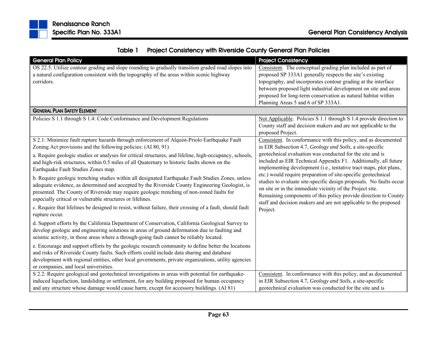

|  | Table 1 Project Consistency with Riverside County General Plan Policies |  |  |
|--|-------------------------------------------------------------------------|--|--|
|--|-------------------------------------------------------------------------|--|--|

| <b>General Plan Policy</b>                                                                                | <b>Project Consistency</b>                                                   |
|-----------------------------------------------------------------------------------------------------------|------------------------------------------------------------------------------|
| OS 22.5: Utilize contour grading and slope rounding to gradually transition graded road slopes into       | Consistent. The conceptual grading plan included as part of                  |
| a natural configuration consistent with the topography of the areas within scenic highway                 | proposed SP 333A1 generally respects the site's existing                     |
| corridors.                                                                                                | topography, and incorporates contour grading at the interface                |
|                                                                                                           | between proposed light industrial development on site and areas              |
|                                                                                                           | proposed for long-term conservation as natural habitat within                |
|                                                                                                           | Planning Areas 5 and 6 of SP 333A1.                                          |
| <b>GENERAL PLAN SAFETY ELEMENT</b>                                                                        |                                                                              |
| Policies S 1.1 through S 1.4: Code Conformance and Development Regulations                                | Not Applicable. Policies S 1.1 through S 1.4 provide direction to            |
|                                                                                                           | County staff and decision makers and are not applicable to the               |
|                                                                                                           | proposed Project.                                                            |
| S 2.1: Minimize fault rupture hazards through enforcement of Alquist-Priolo Earthquake Fault              | Consistent. In conformance with this policy, and as documented               |
| Zoning Act provisions and the following policies: (AI 80, 91)                                             | in EIR Subsection 4.7, Geology and Soils, a site-specific                    |
| a. Require geologic studies or analyses for critical structures, and lifeline, high-occupancy, schools,   | geotechnical evaluation was conducted for the site and is                    |
| and high-risk structures, within 0.5 miles of all Quaternary to historic faults shown on the              | included as EIR Technical Appendix F1. Additionally, all future              |
| Earthquake Fault Studies Zones map.                                                                       | implementing development (i.e., tentative tract maps, plot plans,            |
| b. Require geologic trenching studies within all designated Earthquake Fault Studies Zones, unless        | etc.) would require preparation of site-specific geotechnical                |
| adequate evidence, as determined and accepted by the Riverside County Engineering Geologist, is           | studies to evaluate site-specific design proposals. No faults occur          |
| presented. The County of Riverside may require geologic trenching of non-zoned faults for                 | on site or in the immediate vicinity of the Project site.                    |
| especially critical or vulnerable structures or lifelines.                                                | Remaining components of this policy provide direction to County              |
| c. Require that lifelines be designed to resist, without failure, their crossing of a fault, should fault | staff and decision makers and are not applicable to the proposed<br>Project. |
| rupture occur.                                                                                            |                                                                              |
| d. Support efforts by the California Department of Conservation, California Geological Survey to          |                                                                              |
| develop geologic and engineering solutions in areas of ground deformation due to faulting and             |                                                                              |
| seismic activity, in those areas where a through-going fault cannot be reliably located.                  |                                                                              |
| e. Encourage and support efforts by the geologic research community to define better the locations        |                                                                              |
| and risks of Riverside County faults. Such efforts could include data sharing and database                |                                                                              |
| development with regional entities, other local governments, private organizations, utility agencies      |                                                                              |
| or companies, and local universities.                                                                     |                                                                              |
| S 2.2: Require geological and geotechnical investigations in areas with potential for earthquake-         | Consistent. In conformance with this policy, and as documented               |
| induced liquefaction, landsliding or settlement, for any building proposed for human occupancy            | in EIR Subsection 4.7, Geology and Soils, a site-specific                    |
| and any structure whose damage would cause harm, except for accessory buildings. (AI 81)                  | geotechnical evaluation was conducted for the site and is                    |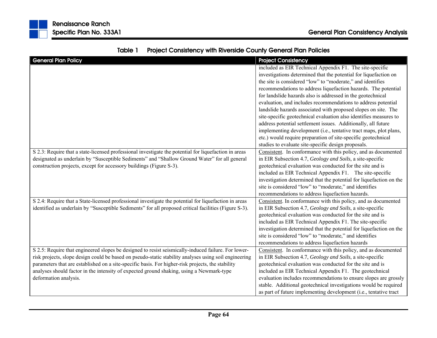| <b>General Plan Policy</b>                                                                            | <b>Project Consistency</b>                                          |
|-------------------------------------------------------------------------------------------------------|---------------------------------------------------------------------|
|                                                                                                       | included as EIR Technical Appendix F1. The site-specific            |
|                                                                                                       | investigations determined that the potential for liquefaction on    |
|                                                                                                       | the site is considered "low" to "moderate," and identifies          |
|                                                                                                       | recommendations to address liquefaction hazards. The potential      |
|                                                                                                       | for landslide hazards also is addressed in the geotechnical         |
|                                                                                                       | evaluation, and includes recommendations to address potential       |
|                                                                                                       | landslide hazards associated with proposed slopes on site. The      |
|                                                                                                       | site-specific geotechnical evaluation also identifies measures to   |
|                                                                                                       | address potential settlement issues. Additionally, all future       |
|                                                                                                       | implementing development (i.e., tentative tract maps, plot plans,   |
|                                                                                                       | etc.) would require preparation of site-specific geotechnical       |
|                                                                                                       | studies to evaluate site-specific design proposals.                 |
| S 2.3: Require that a state-licensed professional investigate the potential for liquefaction in areas | Consistent. In conformance with this policy, and as documented      |
| designated as underlain by "Susceptible Sediments" and "Shallow Ground Water" for all general         | in EIR Subsection 4.7, Geology and Soils, a site-specific           |
| construction projects, except for accessory buildings (Figure S-3).                                   | geotechnical evaluation was conducted for the site and is           |
|                                                                                                       | included as EIR Technical Appendix F1. The site-specific            |
|                                                                                                       | investigation determined that the potential for liquefaction on the |
|                                                                                                       | site is considered "low" to "moderate," and identifies              |
|                                                                                                       | recommendations to address liquefaction hazards.                    |
| S 2.4: Require that a State-licensed professional investigate the potential for liquefaction in areas | Consistent. In conformance with this policy, and as documented      |
| identified as underlain by "Susceptible Sediments" for all proposed critical facilities (Figure S-3). | in EIR Subsection 4.7, Geology and Soils, a site-specific           |
|                                                                                                       | geotechnical evaluation was conducted for the site and is           |
|                                                                                                       | included as EIR Technical Appendix F1. The site-specific            |
|                                                                                                       | investigation determined that the potential for liquefaction on the |
|                                                                                                       | site is considered "low" to "moderate," and identifies              |
|                                                                                                       | recommendations to address liquefaction hazards                     |
| S 2.5: Require that engineered slopes be designed to resist seismically-induced failure. For lower-   | Consistent. In conformance with this policy, and as documented      |
| risk projects, slope design could be based on pseudo-static stability analyses using soil engineering | in EIR Subsection 4.7, Geology and Soils, a site-specific           |
| parameters that are established on a site-specific basis. For higher-risk projects, the stability     | geotechnical evaluation was conducted for the site and is           |
| analyses should factor in the intensity of expected ground shaking, using a Newmark-type              | included as EIR Technical Appendix F1. The geotechnical             |
| deformation analysis.                                                                                 | evaluation includes recommendations to ensure slopes are grossly    |
|                                                                                                       | stable. Additional geotechnical investigations would be required    |
|                                                                                                       | as part of future implementing development (i.e., tentative tract   |

## Table 1Project Consistency with Riverside County General Plan Policies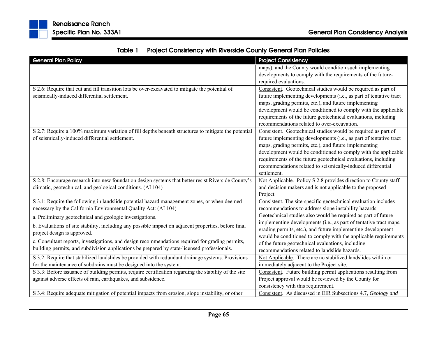| <b>General Plan Policy</b>                                                                                                                                                                                                                                                                         | <b>Project Consistency</b>                                                                                                                                                                                                                                                                                                                                                                                     |
|----------------------------------------------------------------------------------------------------------------------------------------------------------------------------------------------------------------------------------------------------------------------------------------------------|----------------------------------------------------------------------------------------------------------------------------------------------------------------------------------------------------------------------------------------------------------------------------------------------------------------------------------------------------------------------------------------------------------------|
|                                                                                                                                                                                                                                                                                                    | maps), and the County would condition such implementing                                                                                                                                                                                                                                                                                                                                                        |
|                                                                                                                                                                                                                                                                                                    | developments to comply with the requirements of the future-<br>required evaluations.                                                                                                                                                                                                                                                                                                                           |
| S 2.6: Require that cut and fill transition lots be over-excavated to mitigate the potential of<br>seismically-induced differential settlement.                                                                                                                                                    | Consistent. Geotechnical studies would be required as part of<br>future implementing developments (i.e., as part of tentative tract<br>maps, grading permits, etc.), and future implementing<br>development would be conditioned to comply with the applicable                                                                                                                                                 |
|                                                                                                                                                                                                                                                                                                    | requirements of the future geotechnical evaluations, including<br>recommendations related to over-excavation.                                                                                                                                                                                                                                                                                                  |
| S 2.7: Require a 100% maximum variation of fill depths beneath structures to mitigate the potential<br>of seismically-induced differential settlement.                                                                                                                                             | Consistent. Geotechnical studies would be required as part of<br>future implementing developments (i.e., as part of tentative tract<br>maps, grading permits, etc.), and future implementing<br>development would be conditioned to comply with the applicable<br>requirements of the future geotechnical evaluations, including<br>recommendations related to seismically-induced differential<br>settlement. |
| S 2.8: Encourage research into new foundation design systems that better resist Riverside County's<br>climatic, geotechnical, and geological conditions. (AI 104)                                                                                                                                  | Not Applicable. Policy S 2.8 provides direction to County staff<br>and decision makers and is not applicable to the proposed<br>Project.                                                                                                                                                                                                                                                                       |
| S 3.1: Require the following in landslide potential hazard management zones, or when deemed<br>necessary by the California Environmental Quality Act: (AI 104)                                                                                                                                     | Consistent. The site-specific geotechnical evaluation includes<br>recommendations to address slope instability hazards.                                                                                                                                                                                                                                                                                        |
| a. Preliminary geotechnical and geologic investigations.<br>b. Evaluations of site stability, including any possible impact on adjacent properties, before final<br>project design is approved.<br>c. Consultant reports, investigations, and design recommendations required for grading permits, | Geotechnical studies also would be required as part of future<br>implementing developments (i.e., as part of tentative tract maps,<br>grading permits, etc.), and future implementing development<br>would be conditioned to comply with the applicable requirements<br>of the future geotechnical evaluations, including                                                                                      |
| building permits, and subdivision applications be prepared by state-licensed professionals.<br>S 3.2: Require that stabilized landslides be provided with redundant drainage systems. Provisions                                                                                                   | recommendations related to landslide hazards.<br>Not Applicable. There are no stabilized landslides within or                                                                                                                                                                                                                                                                                                  |
| for the maintenance of subdrains must be designed into the system.                                                                                                                                                                                                                                 | immediately adjacent to the Project site.                                                                                                                                                                                                                                                                                                                                                                      |
| S 3.3: Before issuance of building permits, require certification regarding the stability of the site<br>against adverse effects of rain, earthquakes, and subsidence.                                                                                                                             | Consistent. Future building permit applications resulting from<br>Project approval would be reviewed by the County for<br>consistency with this requirement.                                                                                                                                                                                                                                                   |
| S 3.4: Require adequate mitigation of potential impacts from erosion, slope instability, or other                                                                                                                                                                                                  | Consistent. As discussed in EIR Subsections 4.7, Geology and                                                                                                                                                                                                                                                                                                                                                   |

|  | Table 1 Project Consistency with Riverside County General Plan Policies |
|--|-------------------------------------------------------------------------|
|--|-------------------------------------------------------------------------|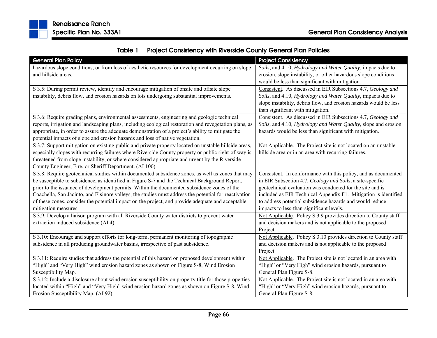|  | Table 1 Project Consistency with Riverside County General Plan Policies |  |  |
|--|-------------------------------------------------------------------------|--|--|
|--|-------------------------------------------------------------------------|--|--|

| <b>General Plan Policy</b>                                                                             | <b>Project Consistency</b>                                        |
|--------------------------------------------------------------------------------------------------------|-------------------------------------------------------------------|
| hazardous slope conditions, or from loss of aesthetic resources for development occurring on slope     | Soils, and 4.10, Hydrology and Water Quality, impacts due to      |
| and hillside areas.                                                                                    | erosion, slope instability, or other hazardous slope conditions   |
|                                                                                                        | would be less than significant with mitigation.                   |
| S 3.5: During permit review, identify and encourage mitigation of onsite and offsite slope             | Consistent. As discussed in EIR Subsections 4.7, Geology and      |
| instability, debris flow, and erosion hazards on lots undergoing substantial improvements.             | Soils, and 4.10, Hydrology and Water Quality, impacts due to      |
|                                                                                                        | slope instability, debris flow, and erosion hazards would be less |
|                                                                                                        | than significant with mitigation.                                 |
| S 3.6: Require grading plans, environmental assessments, engineering and geologic technical            | Consistent. As discussed in EIR Subsections 4.7, Geology and      |
| reports, irrigation and landscaping plans, including ecological restoration and revegetation plans, as | Soils, and 4.10, Hydrology and Water Quality, slope and erosion   |
| appropriate, in order to assure the adequate demonstration of a project's ability to mitigate the      | hazards would be less than significant with mitigation.           |
| potential impacts of slope and erosion hazards and loss of native vegetation.                          |                                                                   |
| S 3.7: Support mitigation on existing public and private property located on unstable hillside areas,  | Not Applicable. The Project site is not located on an unstable    |
| especially slopes with recurring failures where Riverside County property or public right-of-way is    | hillside area or in an area with recurring failures.              |
| threatened from slope instability, or where considered appropriate and urgent by the Riverside         |                                                                   |
| County Engineer, Fire, or Sheriff Department. (AI 100)                                                 |                                                                   |
| S 3.8: Require geotechnical studies within documented subsidence zones, as well as zones that may      | Consistent. In conformance with this policy, and as documented    |
| be susceptible to subsidence, as identified in Figure S-7 and the Technical Background Report,         | in EIR Subsection 4.7, Geology and Soils, a site-specific         |
| prior to the issuance of development permits. Within the documented subsidence zones of the            | geotechnical evaluation was conducted for the site and is         |
| Coachella, San Jacinto, and Elsinore valleys, the studies must address the potential for reactivation  | included as EIR Technical Appendix F1. Mitigation is identified   |
| of these zones, consider the potential impact on the project, and provide adequate and acceptable      | to address potential subsidence hazards and would reduce          |
| mitigation measures.                                                                                   | impacts to less-than-significant levels.                          |
| S 3.9: Develop a liaison program with all Riverside County water districts to prevent water            | Not Applicable. Policy S 3.9 provides direction to County staff   |
| extraction induced subsidence (AI 4).                                                                  | and decision makers and is not applicable to the proposed         |
|                                                                                                        | Project.                                                          |
| S 3.10: Encourage and support efforts for long-term, permanent monitoring of topographic               | Not Applicable. Policy S 3.10 provides direction to County staff  |
| subsidence in all producing groundwater basins, irrespective of past subsidence.                       | and decision makers and is not applicable to the proposed         |
|                                                                                                        | Project.                                                          |
| S 3.11: Require studies that address the potential of this hazard on proposed development within       | Not Applicable. The Project site is not located in an area with   |
| "High" and "Very High" wind erosion hazard zones as shown on Figure S-8, Wind Erosion                  | "High" or "Very High" wind erosion hazards, pursuant to           |
| Susceptibility Map.                                                                                    | General Plan Figure S-8.                                          |
| S 3.12: Include a disclosure about wind erosion susceptibility on property title for those properties  | Not Applicable. The Project site is not located in an area with   |
| located within "High" and "Very High" wind erosion hazard zones as shown on Figure S-8, Wind           | "High" or "Very High" wind erosion hazards, pursuant to           |
| Erosion Susceptibility Map. (AI 92)                                                                    | General Plan Figure S-8.                                          |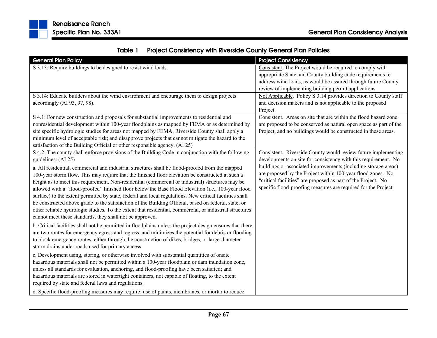|  | Table 1 Project Consistency with Riverside County General Plan Policies |
|--|-------------------------------------------------------------------------|
|--|-------------------------------------------------------------------------|

| <b>General Plan Policy</b>                                                                                                                                                                                                                                                                                                                                                                                                                                                                                                                                                                                                                                                                                                                                                                              | <b>Project Consistency</b>                                                                                                                                                                                                                                       |
|---------------------------------------------------------------------------------------------------------------------------------------------------------------------------------------------------------------------------------------------------------------------------------------------------------------------------------------------------------------------------------------------------------------------------------------------------------------------------------------------------------------------------------------------------------------------------------------------------------------------------------------------------------------------------------------------------------------------------------------------------------------------------------------------------------|------------------------------------------------------------------------------------------------------------------------------------------------------------------------------------------------------------------------------------------------------------------|
| S 3.13: Require buildings to be designed to resist wind loads.                                                                                                                                                                                                                                                                                                                                                                                                                                                                                                                                                                                                                                                                                                                                          | Consistent. The Project would be required to comply with<br>appropriate State and County building code requirements to                                                                                                                                           |
|                                                                                                                                                                                                                                                                                                                                                                                                                                                                                                                                                                                                                                                                                                                                                                                                         | address wind loads, as would be assured through future County                                                                                                                                                                                                    |
|                                                                                                                                                                                                                                                                                                                                                                                                                                                                                                                                                                                                                                                                                                                                                                                                         | review of implementing building permit applications.                                                                                                                                                                                                             |
| S 3.14: Educate builders about the wind environment and encourage them to design projects<br>accordingly (AI 93, 97, 98).                                                                                                                                                                                                                                                                                                                                                                                                                                                                                                                                                                                                                                                                               | Not Applicable. Policy S 3.14 provides direction to County staff<br>and decision makers and is not applicable to the proposed<br>Project.                                                                                                                        |
| S 4.1: For new construction and proposals for substantial improvements to residential and                                                                                                                                                                                                                                                                                                                                                                                                                                                                                                                                                                                                                                                                                                               | Consistent. Areas on site that are within the flood hazard zone                                                                                                                                                                                                  |
| nonresidential development within 100-year floodplains as mapped by FEMA or as determined by                                                                                                                                                                                                                                                                                                                                                                                                                                                                                                                                                                                                                                                                                                            | are proposed to be conserved as natural open space as part of the                                                                                                                                                                                                |
| site specific hydrologic studies for areas not mapped by FEMA, Riverside County shall apply a<br>minimum level of acceptable risk; and disapprove projects that cannot mitigate the hazard to the<br>satisfaction of the Building Official or other responsible agency. (AI 25)                                                                                                                                                                                                                                                                                                                                                                                                                                                                                                                         | Project, and no buildings would be constructed in these areas.                                                                                                                                                                                                   |
| S 4.2: The county shall enforce provisions of the Building Code in conjunction with the following                                                                                                                                                                                                                                                                                                                                                                                                                                                                                                                                                                                                                                                                                                       | Consistent. Riverside County would review future implementing                                                                                                                                                                                                    |
| guidelines: (AI 25)                                                                                                                                                                                                                                                                                                                                                                                                                                                                                                                                                                                                                                                                                                                                                                                     | developments on site for consistency with this requirement. No                                                                                                                                                                                                   |
| a. All residential, commercial and industrial structures shall be flood-proofed from the mapped<br>100-year storm flow. This may require that the finished floor elevation be constructed at such a<br>height as to meet this requirement. Non-residential (commercial or industrial) structures may be<br>allowed with a "flood-proofed" finished floor below the Base Flood Elevation (i.e., 100-year flood<br>surface) to the extent permitted by state, federal and local regulations. New critical facilities shall<br>be constructed above grade to the satisfaction of the Building Official, based on federal, state, or<br>other reliable hydrologic studies. To the extent that residential, commercial, or industrial structures<br>cannot meet these standards, they shall not be approved. | buildings or associated improvements (including storage areas)<br>are proposed by the Project within 100-year flood zones. No<br>"critical facilities" are proposed as part of the Project. No<br>specific flood-proofing measures are required for the Project. |
| b. Critical facilities shall not be permitted in floodplains unless the project design ensures that there<br>are two routes for emergency egress and regress, and minimizes the potential for debris or flooding<br>to block emergency routes, either through the construction of dikes, bridges, or large-diameter<br>storm drains under roads used for primary access.                                                                                                                                                                                                                                                                                                                                                                                                                                |                                                                                                                                                                                                                                                                  |
| c. Development using, storing, or otherwise involved with substantial quantities of onsite<br>hazardous materials shall not be permitted within a 100-year floodplain or dam inundation zone,<br>unless all standards for evaluation, anchoring, and flood-proofing have been satisfied; and<br>hazardous materials are stored in watertight containers, not capable of floating, to the extent<br>required by state and federal laws and regulations.                                                                                                                                                                                                                                                                                                                                                  |                                                                                                                                                                                                                                                                  |
| d. Specific flood-proofing measures may require: use of paints, membranes, or mortar to reduce                                                                                                                                                                                                                                                                                                                                                                                                                                                                                                                                                                                                                                                                                                          |                                                                                                                                                                                                                                                                  |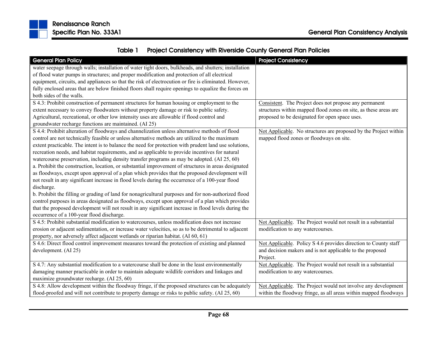

| Table 1 | <b>Project Consistency with Riverside County General Plan Policies</b> |  |
|---------|------------------------------------------------------------------------|--|
|---------|------------------------------------------------------------------------|--|

| <b>General Plan Policy</b>                                                                            | <b>Project Consistency</b>                                       |
|-------------------------------------------------------------------------------------------------------|------------------------------------------------------------------|
| water seepage through walls; installation of water tight doors, bulkheads, and shutters; installation |                                                                  |
| of flood water pumps in structures; and proper modification and protection of all electrical          |                                                                  |
| equipment, circuits, and appliances so that the risk of electrocution or fire is eliminated. However, |                                                                  |
| fully enclosed areas that are below finished floors shall require openings to equalize the forces on  |                                                                  |
| both sides of the walls.                                                                              |                                                                  |
| S 4.3: Prohibit construction of permanent structures for human housing or employment to the           | Consistent. The Project does not propose any permanent           |
| extent necessary to convey floodwaters without property damage or risk to public safety.              | structures within mapped flood zones on site, as these areas are |
| Agricultural, recreational, or other low intensity uses are allowable if flood control and            | proposed to be designated for open space uses.                   |
| groundwater recharge functions are maintained. (AI 25)                                                |                                                                  |
| S 4.4: Prohibit alteration of floodways and channelization unless alternative methods of flood        | Not Applicable. No structures are proposed by the Project within |
| control are not technically feasible or unless alternative methods are utilized to the maximum        | mapped flood zones or floodways on site.                         |
| extent practicable. The intent is to balance the need for protection with prudent land use solutions, |                                                                  |
| recreation needs, and habitat requirements, and as applicable to provide incentives for natural       |                                                                  |
| watercourse preservation, including density transfer programs as may be adopted. (AI 25, 60)          |                                                                  |
| a. Prohibit the construction, location, or substantial improvement of structures in areas designated  |                                                                  |
| as floodways, except upon approval of a plan which provides that the proposed development will        |                                                                  |
| not result in any significant increase in flood levels during the occurrence of a 100-year flood      |                                                                  |
| discharge.                                                                                            |                                                                  |
| b. Prohibit the filling or grading of land for nonagricultural purposes and for non-authorized flood  |                                                                  |
| control purposes in areas designated as floodways, except upon approval of a plan which provides      |                                                                  |
| that the proposed development will not result in any significant increase in flood levels during the  |                                                                  |
| occurrence of a 100-year flood discharge.                                                             |                                                                  |
| S 4.5: Prohibit substantial modification to watercourses, unless modification does not increase       | Not Applicable. The Project would not result in a substantial    |
| erosion or adjacent sedimentation, or increase water velocities, so as to be detrimental to adjacent  | modification to any watercourses.                                |
| property, nor adversely affect adjacent wetlands or riparian habitat. (AI 60, 61)                     |                                                                  |
| S 4.6: Direct flood control improvement measures toward the protection of existing and planned        | Not Applicable. Policy S 4.6 provides direction to County staff  |
| development. (AI 25)                                                                                  | and decision makers and is not applicable to the proposed        |
|                                                                                                       | Project.                                                         |
| S 4.7: Any substantial modification to a watercourse shall be done in the least environmentally       | Not Applicable. The Project would not result in a substantial    |
| damaging manner practicable in order to maintain adequate wildlife corridors and linkages and         | modification to any watercourses.                                |
| maximize groundwater recharge. (AI 25, 60)                                                            |                                                                  |
| S 4.8: Allow development within the floodway fringe, if the proposed structures can be adequately     | Not Applicable. The Project would not involve any development    |
| flood-proofed and will not contribute to property damage or risks to public safety. (AI 25, 60)       | within the floodway fringe, as all areas within mapped floodways |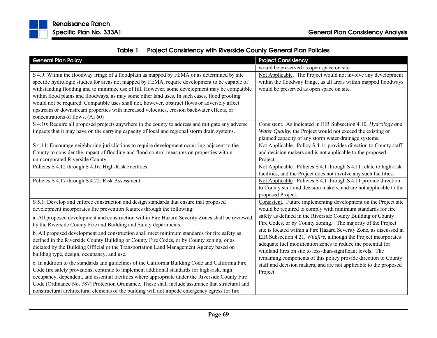

|  | Table 1 Project Consistency with Riverside County General Plan Policies |  |  |
|--|-------------------------------------------------------------------------|--|--|
|--|-------------------------------------------------------------------------|--|--|

| <b>General Plan Policy</b>                                                                                                                                                                                                                                                                                                                                                                                                                                                                                                                                                                                                                                                                                                                                                                                                                        | <b>Project Consistency</b>                                                                                                                                                                                                                                                                                                                          |
|---------------------------------------------------------------------------------------------------------------------------------------------------------------------------------------------------------------------------------------------------------------------------------------------------------------------------------------------------------------------------------------------------------------------------------------------------------------------------------------------------------------------------------------------------------------------------------------------------------------------------------------------------------------------------------------------------------------------------------------------------------------------------------------------------------------------------------------------------|-----------------------------------------------------------------------------------------------------------------------------------------------------------------------------------------------------------------------------------------------------------------------------------------------------------------------------------------------------|
|                                                                                                                                                                                                                                                                                                                                                                                                                                                                                                                                                                                                                                                                                                                                                                                                                                                   | would be preserved as open space on site.                                                                                                                                                                                                                                                                                                           |
| S 4.9: Within the floodway fringe of a floodplain as mapped by FEMA or as determined by site<br>specific hydrologic studies for areas not mapped by FEMA, require development to be capable of<br>withstanding flooding and to minimize use of fill. However, some development may be compatible<br>within flood plains and floodways, as may some other land uses. In such cases, flood proofing<br>would not be required. Compatible uses shall not, however, obstruct flows or adversely affect<br>upstream or downstream properties with increased velocities, erosion backwater effects, or<br>concentrations of flows. (AI 60)                                                                                                                                                                                                              | Not Applicable. The Project would not involve any development<br>within the floodway fringe, as all areas within mapped floodways<br>would be preserved as open space on site.                                                                                                                                                                      |
| S 4.10: Require all proposed projects anywhere in the county to address and mitigate any adverse<br>impacts that it may have on the carrying capacity of local and regional storm drain systems.                                                                                                                                                                                                                                                                                                                                                                                                                                                                                                                                                                                                                                                  | Consistent. As indicated in EIR Subsection 4.10, Hydrology and<br>Water Quality, the Project would not exceed the existing or<br>planned capacity of any storm water drainage systems.                                                                                                                                                              |
| S 4.11: Encourage neighboring jurisdictions to require development occurring adjacent to the<br>County to consider the impact of flooding and flood control measures on properties within<br>unincorporated Riverside County.                                                                                                                                                                                                                                                                                                                                                                                                                                                                                                                                                                                                                     | Not Applicable. Policy S 4.11 provides direction to County staff<br>and decision makers and is not applicable to the proposed<br>Project.                                                                                                                                                                                                           |
| Policies S 4.12 through S 4.16: High-Risk Facilities                                                                                                                                                                                                                                                                                                                                                                                                                                                                                                                                                                                                                                                                                                                                                                                              | Not Applicable. Policies S 4.1 through S 4.11 relate to high-risk<br>facilities, and the Project does not involve any such facilities.                                                                                                                                                                                                              |
| Policies S 4.17 through S 4.22: Risk Assessment                                                                                                                                                                                                                                                                                                                                                                                                                                                                                                                                                                                                                                                                                                                                                                                                   | Not Applicable. Policies S 4.1 through S 4.11 provide direction<br>to County staff and decision makers, and are not applicable to the<br>proposed Project.                                                                                                                                                                                          |
| S 5.1: Develop and enforce construction and design standards that ensure that proposed<br>development incorporates fire prevention features through the following:<br>a. All proposed development and construction within Fire Hazard Severity Zones shall be reviewed<br>by the Riverside County Fire and Building and Safety departments.                                                                                                                                                                                                                                                                                                                                                                                                                                                                                                       | Consistent. Future implementing development on the Project site<br>would be required to comply with minimum standards for fire<br>safety as defined in the Riverside County Building or County<br>Fire Codes, or by County zoning. The majority of the Project<br>site is located within a Fire Hazard Severity Zone, as discussed in               |
| b. All proposed development and construction shall meet minimum standards for fire safety as<br>defined in the Riverside County Building or County Fire Codes, or by County zoning, or as<br>dictated by the Building Official or the Transportation Land Management Agency based on<br>building type, design, occupancy, and use.<br>c. In addition to the standards and guidelines of the California Building Code and California Fire<br>Code fire safety provisions, continue to implement additional standards for high-risk, high<br>occupancy, dependent, and essential facilities where appropriate under the Riverside County Fire<br>Code (Ordinance No. 787) Protection Ordinance. These shall include assurance that structural and<br>nonstructural architectural elements of the building will not impede emergency egress for fire | EIR Subsection 4.21, Wildfire, although the Project incorporates<br>adequate fuel modification zones to reduce the potential for<br>wildland fires on site to less-than-significant levels. The<br>remaining components of this policy provide direction to County<br>staff and decision makers, and are not applicable to the proposed<br>Project. |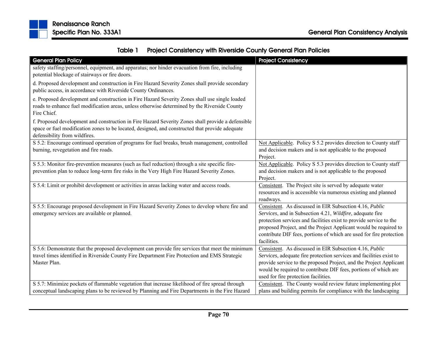

|  | Table 1 Project Consistency with Riverside County General Plan Policies |
|--|-------------------------------------------------------------------------|
|--|-------------------------------------------------------------------------|

| <b>General Plan Policy</b>                                                                        | <b>Project Consistency</b>                                           |
|---------------------------------------------------------------------------------------------------|----------------------------------------------------------------------|
| safety staffing/personnel, equipment, and apparatus; nor hinder evacuation from fire, including   |                                                                      |
| potential blockage of stairways or fire doors.                                                    |                                                                      |
| d. Proposed development and construction in Fire Hazard Severity Zones shall provide secondary    |                                                                      |
| public access, in accordance with Riverside County Ordinances.                                    |                                                                      |
| e. Proposed development and construction in Fire Hazard Severity Zones shall use single loaded    |                                                                      |
| roads to enhance fuel modification areas, unless otherwise determined by the Riverside County     |                                                                      |
| Fire Chief.                                                                                       |                                                                      |
| f. Proposed development and construction in Fire Hazard Severity Zones shall provide a defensible |                                                                      |
| space or fuel modification zones to be located, designed, and constructed that provide adequate   |                                                                      |
| defensibility from wildfires.                                                                     |                                                                      |
| S 5.2: Encourage continued operation of programs for fuel breaks, brush management, controlled    | Not Applicable. Policy S 5.2 provides direction to County staff      |
| burning, revegetation and fire roads.                                                             | and decision makers and is not applicable to the proposed            |
|                                                                                                   | Project.                                                             |
| S 5.3: Monitor fire-prevention measures (such as fuel reduction) through a site specific fire-    | Not Applicable. Policy S 5.3 provides direction to County staff      |
| prevention plan to reduce long-term fire risks in the Very High Fire Hazard Severity Zones.       | and decision makers and is not applicable to the proposed            |
| S 5.4: Limit or prohibit development or activities in areas lacking water and access roads.       | Project.<br>Consistent. The Project site is served by adequate water |
|                                                                                                   | resources and is accessible via numerous existing and planned        |
|                                                                                                   | roadways.                                                            |
| S 5.5: Encourage proposed development in Fire Hazard Severity Zones to develop where fire and     | Consistent. As discussed in EIR Subsection 4.16, Public              |
| emergency services are available or planned.                                                      | Services, and in Subsection 4.21, Wildfire, adequate fire            |
|                                                                                                   | protection services and facilities exist to provide service to the   |
|                                                                                                   | proposed Project, and the Project Applicant would be required to     |
|                                                                                                   | contribute DIF fees, portions of which are used for fire protection  |
|                                                                                                   | facilities.                                                          |
| S 5.6: Demonstrate that the proposed development can provide fire services that meet the minimum  | Consistent. As discussed in EIR Subsection 4.16, Public              |
| travel times identified in Riverside County Fire Department Fire Protection and EMS Strategic     | Services, adequate fire protection services and facilities exist to  |
| Master Plan.                                                                                      | provide service to the proposed Project, and the Project Applicant   |
|                                                                                                   | would be required to contribute DIF fees, portions of which are      |
|                                                                                                   | used for fire protection facilities.                                 |
| S 5.7: Minimize pockets of flammable vegetation that increase likelihood of fire spread through   | Consistent. The County would review future implementing plot         |
| conceptual landscaping plans to be reviewed by Planning and Fire Departments in the Fire Hazard   | plans and building permits for compliance with the landscaping       |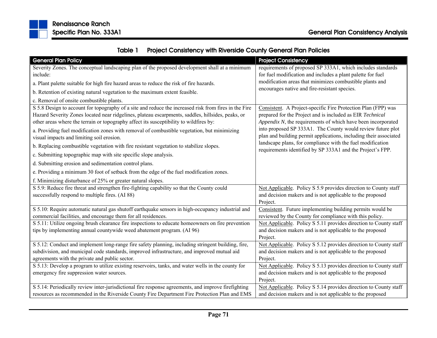

|  | Table 1 Project Consistency with Riverside County General Plan Policies |
|--|-------------------------------------------------------------------------|
|--|-------------------------------------------------------------------------|

| <b>General Plan Policy</b>                                                                                                               | <b>Project Consistency</b>                                                                                                       |
|------------------------------------------------------------------------------------------------------------------------------------------|----------------------------------------------------------------------------------------------------------------------------------|
| Severity Zones. The conceptual landscaping plan of the proposed development shall at a minimum                                           | requirements of proposed SP 333A1, which includes standards                                                                      |
| include:                                                                                                                                 | for fuel modification and includes a plant palette for fuel                                                                      |
| a. Plant palette suitable for high fire hazard areas to reduce the risk of fire hazards.                                                 | modification areas that minimizes combustible plants and                                                                         |
| b. Retention of existing natural vegetation to the maximum extent feasible.                                                              | encourages native and fire-resistant species.                                                                                    |
| c. Removal of onsite combustible plants.                                                                                                 |                                                                                                                                  |
| S 5.8 Design to account for topography of a site and reduce the increased risk from fires in the Fire                                    | Consistent. A Project-specific Fire Protection Plan (FPP) was                                                                    |
| Hazard Severity Zones located near ridgelines, plateau escarpments, saddles, hillsides, peaks, or                                        | prepared for the Project and is included as EIR Technical                                                                        |
| other areas where the terrain or topography affect its susceptibility to wildfires by:                                                   | Appendix N, the requirements of which have been incorporated                                                                     |
| a. Providing fuel modification zones with removal of combustible vegetation, but minimizing<br>visual impacts and limiting soil erosion. | into proposed SP 333A1. The County would review future plot<br>plan and building permit applications, including their associated |
| b. Replacing combustible vegetation with fire resistant vegetation to stabilize slopes.                                                  | landscape plans, for compliance with the fuel modification<br>requirements identified by SP 333A1 and the Project's FPP.         |
| c. Submitting topographic map with site specific slope analysis.                                                                         |                                                                                                                                  |
| d. Submitting erosion and sedimentation control plans.                                                                                   |                                                                                                                                  |
| e. Providing a minimum 30 foot of setback from the edge of the fuel modification zones.                                                  |                                                                                                                                  |
| f. Minimizing disturbance of 25% or greater natural slopes.                                                                              |                                                                                                                                  |
| S 5.9: Reduce fire threat and strengthen fire-fighting capability so that the County could                                               | Not Applicable. Policy S 5.9 provides direction to County staff                                                                  |
| successfully respond to multiple fires. (AI 88)                                                                                          | and decision makers and is not applicable to the proposed                                                                        |
|                                                                                                                                          | Project.                                                                                                                         |
| S 5.10: Require automatic natural gas shutoff earthquake sensors in high-occupancy industrial and                                        | Consistent. Future implementing building permits would be                                                                        |
| commercial facilities, and encourage them for all residences.                                                                            | reviewed by the County for compliance with this policy.                                                                          |
| S 5.11: Utilize ongoing brush clearance fire inspections to educate homeowners on fire prevention                                        | Not Applicable. Policy S 5.11 provides direction to County staff                                                                 |
| tips by implementing annual countywide weed abatement program. (AI 96)                                                                   | and decision makers and is not applicable to the proposed                                                                        |
|                                                                                                                                          | Project.                                                                                                                         |
| S 5.12: Conduct and implement long-range fire safety planning, including stringent building, fire,                                       | Not Applicable. Policy S 5.12 provides direction to County staff                                                                 |
| subdivision, and municipal code standards, improved infrastructure, and improved mutual aid                                              | and decision makers and is not applicable to the proposed                                                                        |
| agreements with the private and public sector.                                                                                           | Project.                                                                                                                         |
| S 5.13: Develop a program to utilize existing reservoirs, tanks, and water wells in the county for                                       | Not Applicable. Policy S 5.13 provides direction to County staff                                                                 |
| emergency fire suppression water sources.                                                                                                | and decision makers and is not applicable to the proposed                                                                        |
|                                                                                                                                          | Project.                                                                                                                         |
| S 5.14: Periodically review inter-jurisdictional fire response agreements, and improve firefighting                                      | Not Applicable. Policy S 5.14 provides direction to County staff                                                                 |
| resources as recommended in the Riverside County Fire Department Fire Protection Plan and EMS                                            | and decision makers and is not applicable to the proposed                                                                        |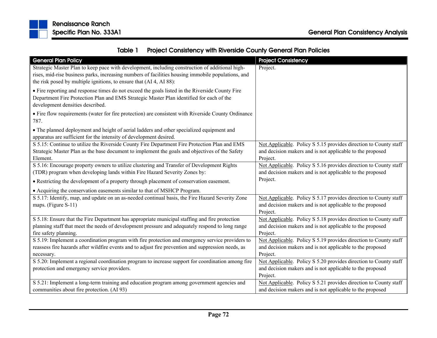

|  | Table 1 Project Consistency with Riverside County General Plan Policies |
|--|-------------------------------------------------------------------------|
|--|-------------------------------------------------------------------------|

| <b>General Plan Policy</b><br>Strategic Master Plan to keep pace with development, including construction of additional high-<br>rises, mid-rise business parks, increasing numbers of facilities housing immobile populations, and | <b>Project Consistency</b><br>Project.                           |
|-------------------------------------------------------------------------------------------------------------------------------------------------------------------------------------------------------------------------------------|------------------------------------------------------------------|
| the risk posed by multiple ignitions, to ensure that (AI 4, AI 88):                                                                                                                                                                 |                                                                  |
| • Fire reporting and response times do not exceed the goals listed in the Riverside County Fire<br>Department Fire Protection Plan and EMS Strategic Master Plan identified for each of the<br>development densities described.     |                                                                  |
| • Fire flow requirements (water for fire protection) are consistent with Riverside County Ordinance<br>787.                                                                                                                         |                                                                  |
| • The planned deployment and height of aerial ladders and other specialized equipment and<br>apparatus are sufficient for the intensity of development desired.                                                                     |                                                                  |
| S 5.15: Continue to utilize the Riverside County Fire Department Fire Protection Plan and EMS                                                                                                                                       | Not Applicable. Policy S 5.15 provides direction to County staff |
| Strategic Master Plan as the base document to implement the goals and objectives of the Safety                                                                                                                                      | and decision makers and is not applicable to the proposed        |
| Element.                                                                                                                                                                                                                            | Project.                                                         |
| S 5.16: Encourage property owners to utilize clustering and Transfer of Development Rights                                                                                                                                          | Not Applicable. Policy S 5.16 provides direction to County staff |
| (TDR) program when developing lands within Fire Hazard Severity Zones by:                                                                                                                                                           | and decision makers and is not applicable to the proposed        |
| • Restricting the development of a property through placement of conservation easement.                                                                                                                                             | Project.                                                         |
| • Acquiring the conservation easements similar to that of MSHCP Program.                                                                                                                                                            |                                                                  |
| S 5.17: Identify, map, and update on an as-needed continual basis, the Fire Hazard Severity Zone                                                                                                                                    | Not Applicable. Policy S 5.17 provides direction to County staff |
| maps. (Figure S-11)                                                                                                                                                                                                                 | and decision makers and is not applicable to the proposed        |
|                                                                                                                                                                                                                                     | Project.                                                         |
| S 5.18: Ensure that the Fire Department has appropriate municipal staffing and fire protection                                                                                                                                      | Not Applicable. Policy S 5.18 provides direction to County staff |
| planning staff that meet the needs of development pressure and adequately respond to long range                                                                                                                                     | and decision makers and is not applicable to the proposed        |
| fire safety planning.                                                                                                                                                                                                               | Project.                                                         |
| S 5.19: Implement a coordination program with fire protection and emergency service providers to                                                                                                                                    | Not Applicable. Policy S 5.19 provides direction to County staff |
| reassess fire hazards after wildfire events and to adjust fire prevention and suppression needs, as                                                                                                                                 | and decision makers and is not applicable to the proposed        |
| necessary.                                                                                                                                                                                                                          | Project.                                                         |
| S 5.20: Implement a regional coordination program to increase support for coordination among fire                                                                                                                                   | Not Applicable. Policy S 5.20 provides direction to County staff |
| protection and emergency service providers.                                                                                                                                                                                         | and decision makers and is not applicable to the proposed        |
|                                                                                                                                                                                                                                     | Project.                                                         |
| S 5.21: Implement a long-term training and education program among government agencies and                                                                                                                                          | Not Applicable. Policy S 5.21 provides direction to County staff |
| communities about fire protection. (AI 93)                                                                                                                                                                                          | and decision makers and is not applicable to the proposed        |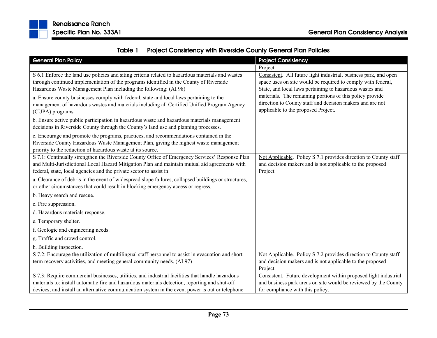

| Table 1 | <b>Project Consistency with Riverside County General Plan Policies</b> |
|---------|------------------------------------------------------------------------|
|---------|------------------------------------------------------------------------|

| <b>General Plan Policy</b>                                                                                                                                                                                                                                             | <b>Project Consistency</b>                                                                                                                                                                   |
|------------------------------------------------------------------------------------------------------------------------------------------------------------------------------------------------------------------------------------------------------------------------|----------------------------------------------------------------------------------------------------------------------------------------------------------------------------------------------|
|                                                                                                                                                                                                                                                                        | Project.                                                                                                                                                                                     |
| S 6.1 Enforce the land use policies and siting criteria related to hazardous materials and wastes<br>through continued implementation of the programs identified in the County of Riverside<br>Hazardous Waste Management Plan including the following: (AI 98)        | Consistent. All future light industrial, business park, and open<br>space uses on site would be required to comply with federal,<br>State, and local laws pertaining to hazardous wastes and |
| a. Ensure county businesses comply with federal, state and local laws pertaining to the<br>management of hazardous wastes and materials including all Certified Unified Program Agency<br>(CUPA) programs.                                                             | materials. The remaining portions of this policy provide<br>direction to County staff and decision makers and are not<br>applicable to the proposed Project.                                 |
| b. Ensure active public participation in hazardous waste and hazardous materials management<br>decisions in Riverside County through the County's land use and planning processes.                                                                                     |                                                                                                                                                                                              |
| c. Encourage and promote the programs, practices, and recommendations contained in the<br>Riverside County Hazardous Waste Management Plan, giving the highest waste management<br>priority to the reduction of hazardous waste at its source.                         |                                                                                                                                                                                              |
| S 7.1: Continually strengthen the Riverside County Office of Emergency Services' Response Plan<br>and Multi-Jurisdictional Local Hazard Mitigation Plan and maintain mutual aid agreements with<br>federal, state, local agencies and the private sector to assist in: | Not Applicable. Policy S 7.1 provides direction to County staff<br>and decision makers and is not applicable to the proposed<br>Project.                                                     |
| a. Clearance of debris in the event of widespread slope failures, collapsed buildings or structures,<br>or other circumstances that could result in blocking emergency access or regress.                                                                              |                                                                                                                                                                                              |
| b. Heavy search and rescue.                                                                                                                                                                                                                                            |                                                                                                                                                                                              |
| c. Fire suppression.                                                                                                                                                                                                                                                   |                                                                                                                                                                                              |
| d. Hazardous materials response.                                                                                                                                                                                                                                       |                                                                                                                                                                                              |
| e. Temporary shelter.                                                                                                                                                                                                                                                  |                                                                                                                                                                                              |
| f. Geologic and engineering needs.                                                                                                                                                                                                                                     |                                                                                                                                                                                              |
| g. Traffic and crowd control.                                                                                                                                                                                                                                          |                                                                                                                                                                                              |
| h. Building inspection.                                                                                                                                                                                                                                                |                                                                                                                                                                                              |
| S 7.2: Encourage the utilization of multilingual staff personnel to assist in evacuation and short-<br>term recovery activities, and meeting general community needs. (AI 97)                                                                                          | Not Applicable. Policy S 7.2 provides direction to County staff<br>and decision makers and is not applicable to the proposed<br>Project.                                                     |
| S 7.3: Require commercial businesses, utilities, and industrial facilities that handle hazardous<br>materials to: install automatic fire and hazardous materials detection, reporting and shut-off                                                                     | Consistent. Future development within proposed light industrial<br>and business park areas on site would be reviewed by the County                                                           |
| devices; and install an alternative communication system in the event power is out or telephone                                                                                                                                                                        | for compliance with this policy.                                                                                                                                                             |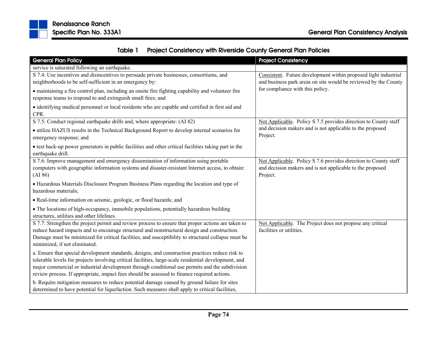

| <b>General Plan Policy</b>                                                                                                                                                                                                                                                                                                                                                                                 | <b>Project Consistency</b>                                                                                                               |
|------------------------------------------------------------------------------------------------------------------------------------------------------------------------------------------------------------------------------------------------------------------------------------------------------------------------------------------------------------------------------------------------------------|------------------------------------------------------------------------------------------------------------------------------------------|
| service is saturated following an earthquake.                                                                                                                                                                                                                                                                                                                                                              |                                                                                                                                          |
| S 7.4: Use incentives and disincentives to persuade private businesses, consortiums, and<br>neighborhoods to be self-sufficient in an emergency by:                                                                                                                                                                                                                                                        | Consistent. Future development within proposed light industrial<br>and business park areas on site would be reviewed by the County       |
| • maintaining a fire control plan, including an onsite fire fighting capability and volunteer fire<br>response teams to respond to and extinguish small fires; and                                                                                                                                                                                                                                         | for compliance with this policy.                                                                                                         |
| • identifying medical personnel or local residents who are capable and certified in first aid and<br>CPR.                                                                                                                                                                                                                                                                                                  |                                                                                                                                          |
| S 7.5: Conduct regional earthquake drills and, where appropriate: (AI 82)                                                                                                                                                                                                                                                                                                                                  | Not Applicable. Policy S 7.5 provides direction to County staff                                                                          |
| • utilize HAZUS results in the Technical Background Report to develop internal scenarios for<br>emergency response; and                                                                                                                                                                                                                                                                                    | and decision makers and is not applicable to the proposed<br>Project.                                                                    |
| • test back-up power generators in public facilities and other critical facilities taking part in the<br>earthquake drill.                                                                                                                                                                                                                                                                                 |                                                                                                                                          |
| S 7.6: Improve management and emergency dissemination of information using portable<br>computers with geographic information systems and disaster-resistant Internet access, to obtain:<br>(AI 86)                                                                                                                                                                                                         | Not Applicable. Policy S 7.6 provides direction to County staff<br>and decision makers and is not applicable to the proposed<br>Project. |
| • Hazardous Materials Disclosure Program Business Plans regarding the location and type of<br>hazardous materials;                                                                                                                                                                                                                                                                                         |                                                                                                                                          |
| • Real-time information on seismic, geologic, or flood hazards; and                                                                                                                                                                                                                                                                                                                                        |                                                                                                                                          |
| • The locations of high-occupancy, immobile populations, potentially hazardous building<br>structures, utilities and other lifelines.                                                                                                                                                                                                                                                                      |                                                                                                                                          |
| S 7.7: Strengthen the project permit and review process to ensure that proper actions are taken to<br>reduce hazard impacts and to encourage structural and nonstructural design and construction.<br>Damage must be minimized for critical facilities, and susceptibility to structural collapse must be<br>minimized, if not eliminated.                                                                 | Not Applicable. The Project does not propose any critical<br>facilities or utilities.                                                    |
| a. Ensure that special development standards, designs, and construction practices reduce risk to<br>tolerable levels for projects involving critical facilities, large-scale residential development, and<br>major commercial or industrial development through conditional use permits and the subdivision<br>review process. If appropriate, impact fees should be assessed to finance required actions. |                                                                                                                                          |
| b. Require mitigation measures to reduce potential damage caused by ground failure for sites<br>determined to have potential for liquefaction. Such measures shall apply to critical facilities,                                                                                                                                                                                                           |                                                                                                                                          |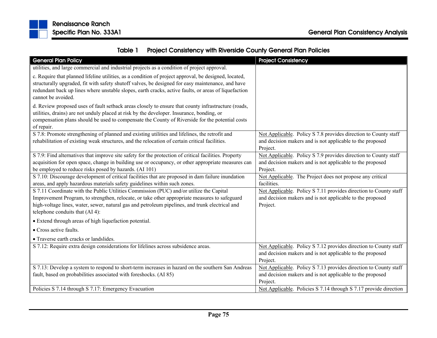

| <b>General Plan Policy</b>                                                                                                                                                                                                                                                                                                               | <b>Project Consistency</b>                                            |
|------------------------------------------------------------------------------------------------------------------------------------------------------------------------------------------------------------------------------------------------------------------------------------------------------------------------------------------|-----------------------------------------------------------------------|
| utilities, and large commercial and industrial projects as a condition of project approval.                                                                                                                                                                                                                                              |                                                                       |
| c. Require that planned lifeline utilities, as a condition of project approval, be designed, located,<br>structurally upgraded, fit with safety shutoff valves, be designed for easy maintenance, and have<br>redundant back up lines where unstable slopes, earth cracks, active faults, or areas of liquefaction<br>cannot be avoided. |                                                                       |
| d. Review proposed uses of fault setback areas closely to ensure that county infrastructure (roads,<br>utilities, drains) are not unduly placed at risk by the developer. Insurance, bonding, or<br>compensation plans should be used to compensate the County of Riverside for the potential costs<br>of repair.                        |                                                                       |
| S 7.8: Promote strengthening of planned and existing utilities and lifelines, the retrofit and                                                                                                                                                                                                                                           | Not Applicable. Policy S 7.8 provides direction to County staff       |
| rehabilitation of existing weak structures, and the relocation of certain critical facilities.                                                                                                                                                                                                                                           | and decision makers and is not applicable to the proposed<br>Project. |
| S 7.9: Find alternatives that improve site safety for the protection of critical facilities. Property                                                                                                                                                                                                                                    | Not Applicable. Policy S 7.9 provides direction to County staff       |
| acquisition for open space, change in building use or occupancy, or other appropriate measures can                                                                                                                                                                                                                                       | and decision makers and is not applicable to the proposed             |
| be employed to reduce risks posed by hazards. (AI 101)                                                                                                                                                                                                                                                                                   | Project.                                                              |
| S 7.10: Discourage development of critical facilities that are proposed in dam failure inundation                                                                                                                                                                                                                                        | Not Applicable. The Project does not propose any critical             |
| areas, and apply hazardous materials safety guidelines within such zones.                                                                                                                                                                                                                                                                | facilities.                                                           |
| S 7.11 Coordinate with the Public Utilities Commission (PUC) and/or utilize the Capital                                                                                                                                                                                                                                                  | Not Applicable. Policy S 7.11 provides direction to County staff      |
| Improvement Program, to strengthen, relocate, or take other appropriate measures to safeguard                                                                                                                                                                                                                                            | and decision makers and is not applicable to the proposed             |
| high-voltage lines, water, sewer, natural gas and petroleum pipelines, and trunk electrical and                                                                                                                                                                                                                                          | Project.                                                              |
| telephone conduits that (AI 4):                                                                                                                                                                                                                                                                                                          |                                                                       |
| • Extend through areas of high liquefaction potential.                                                                                                                                                                                                                                                                                   |                                                                       |
| • Cross active faults.                                                                                                                                                                                                                                                                                                                   |                                                                       |
| • Traverse earth cracks or landslides.                                                                                                                                                                                                                                                                                                   |                                                                       |
| S 7.12: Require extra design considerations for lifelines across subsidence areas.                                                                                                                                                                                                                                                       | Not Applicable. Policy S 7.12 provides direction to County staff      |
|                                                                                                                                                                                                                                                                                                                                          | and decision makers and is not applicable to the proposed             |
|                                                                                                                                                                                                                                                                                                                                          | Project.                                                              |
| S 7.13: Develop a system to respond to short-term increases in hazard on the southern San Andreas                                                                                                                                                                                                                                        | Not Applicable. Policy S 7.13 provides direction to County staff      |
| fault, based on probabilities associated with foreshocks. (AI 85)                                                                                                                                                                                                                                                                        | and decision makers and is not applicable to the proposed             |
|                                                                                                                                                                                                                                                                                                                                          | Project.                                                              |
| Policies S 7.14 through S 7.17: Emergency Evacuation                                                                                                                                                                                                                                                                                     | Not Applicable. Policies S 7.14 through S 7.17 provide direction      |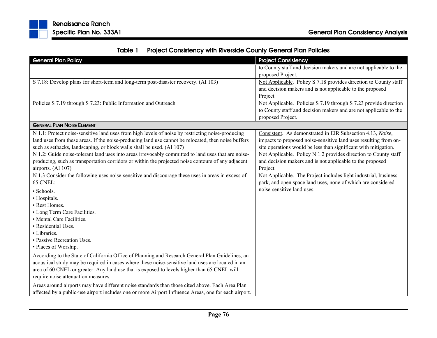|  | Table 1 Project Consistency with Riverside County General Plan Policies |
|--|-------------------------------------------------------------------------|
|--|-------------------------------------------------------------------------|

| <b>General Plan Policy</b>                                                                           | <b>Project Consistency</b>                                        |
|------------------------------------------------------------------------------------------------------|-------------------------------------------------------------------|
|                                                                                                      | to County staff and decision makers and are not applicable to the |
|                                                                                                      | proposed Project.                                                 |
| S 7.18: Develop plans for short-term and long-term post-disaster recovery. (AI 103)                  | Not Applicable. Policy S 7.18 provides direction to County staff  |
|                                                                                                      | and decision makers and is not applicable to the proposed         |
|                                                                                                      | Project.                                                          |
| Policies S 7.19 through S 7.23: Public Information and Outreach                                      | Not Applicable. Policies S 7.19 through S 7.23 provide direction  |
|                                                                                                      | to County staff and decision makers and are not applicable to the |
|                                                                                                      | proposed Project.                                                 |
| <b>GENERAL PLAN NOISE ELEMENT</b>                                                                    |                                                                   |
| N 1.1: Protect noise-sensitive land uses from high levels of noise by restricting noise-producing    | Consistent. As demonstrated in EIR Subsection 4.13, Noise,        |
| land uses from these areas. If the noise-producing land use cannot be relocated, then noise buffers  | impacts to proposed noise-sensitive land uses resulting from on-  |
| such as setbacks, landscaping, or block walls shall be used. (AI 107)                                | site operations would be less than significant with mitigation.   |
| N 1.2: Guide noise-tolerant land uses into areas irrevocably committed to land uses that are noise-  | Not Applicable. Policy N 1.2 provides direction to County staff   |
| producing, such as transportation corridors or within the projected noise contours of any adjacent   | and decision makers and is not applicable to the proposed         |
| airports. (AI 107)                                                                                   | Project.                                                          |
| N 1.3 Consider the following uses noise-sensitive and discourage these uses in areas in excess of    | Not Applicable. The Project includes light industrial, business   |
| 65 CNEL:                                                                                             | park, and open space land uses, none of which are considered      |
| · Schools.                                                                                           | noise-sensitive land uses.                                        |
| · Hospitals.                                                                                         |                                                                   |
| • Rest Homes.                                                                                        |                                                                   |
| • Long Term Care Facilities.                                                                         |                                                                   |
| • Mental Care Facilities.                                                                            |                                                                   |
| • Residential Uses.                                                                                  |                                                                   |
| • Libraries.                                                                                         |                                                                   |
| • Passive Recreation Uses.                                                                           |                                                                   |
| • Places of Worship.                                                                                 |                                                                   |
| According to the State of California Office of Planning and Research General Plan Guidelines, an     |                                                                   |
| acoustical study may be required in cases where these noise-sensitive land uses are located in an    |                                                                   |
| area of 60 CNEL or greater. Any land use that is exposed to levels higher than 65 CNEL will          |                                                                   |
| require noise attenuation measures.                                                                  |                                                                   |
| Areas around airports may have different noise standards than those cited above. Each Area Plan      |                                                                   |
| affected by a public-use airport includes one or more Airport Influence Areas, one for each airport. |                                                                   |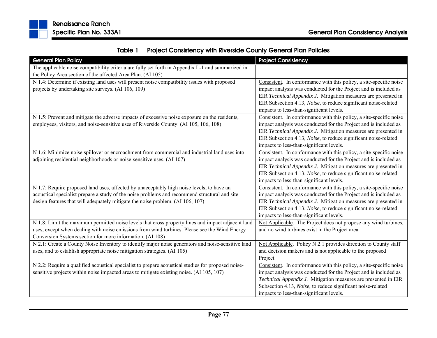|  | Table 1 Project Consistency with Riverside County General Plan Policies |
|--|-------------------------------------------------------------------------|
|--|-------------------------------------------------------------------------|

| <b>General Plan Policy</b>                                                                         | <b>Project Consistency</b>                                         |
|----------------------------------------------------------------------------------------------------|--------------------------------------------------------------------|
| The applicable noise compatibility criteria are fully set forth in Appendix L-1 and summarized in  |                                                                    |
| the Policy Area section of the affected Area Plan. (AI 105)                                        |                                                                    |
| N 1.4: Determine if existing land uses will present noise compatibility issues with proposed       | Consistent. In conformance with this policy, a site-specific noise |
| projects by undertaking site surveys. (AI 106, 109)                                                | impact analysis was conducted for the Project and is included as   |
|                                                                                                    | EIR Technical Appendix J. Mitigation measures are presented in     |
|                                                                                                    | EIR Subsection 4.13, Noise, to reduce significant noise-related    |
|                                                                                                    | impacts to less-than-significant levels.                           |
| N 1.5: Prevent and mitigate the adverse impacts of excessive noise exposure on the residents,      | Consistent. In conformance with this policy, a site-specific noise |
| employees, visitors, and noise-sensitive uses of Riverside County. (AI 105, 106, 108)              | impact analysis was conducted for the Project and is included as   |
|                                                                                                    | EIR Technical Appendix J. Mitigation measures are presented in     |
|                                                                                                    | EIR Subsection 4.13, Noise, to reduce significant noise-related    |
|                                                                                                    | impacts to less-than-significant levels.                           |
| N 1.6: Minimize noise spillover or encroachment from commercial and industrial land uses into      | Consistent. In conformance with this policy, a site-specific noise |
| adjoining residential neighborhoods or noise-sensitive uses. (AI 107)                              | impact analysis was conducted for the Project and is included as   |
|                                                                                                    | EIR Technical Appendix J. Mitigation measures are presented in     |
|                                                                                                    | EIR Subsection 4.13, Noise, to reduce significant noise-related    |
|                                                                                                    | impacts to less-than-significant levels.                           |
| N 1.7: Require proposed land uses, affected by unacceptably high noise levels, to have an          | Consistent. In conformance with this policy, a site-specific noise |
| acoustical specialist prepare a study of the noise problems and recommend structural and site      | impact analysis was conducted for the Project and is included as   |
| design features that will adequately mitigate the noise problem. (AI 106, 107)                     | EIR Technical Appendix J. Mitigation measures are presented in     |
|                                                                                                    | EIR Subsection 4.13, Noise, to reduce significant noise-related    |
|                                                                                                    | impacts to less-than-significant levels.                           |
| N 1.8: Limit the maximum permitted noise levels that cross property lines and impact adjacent land | Not Applicable. The Project does not propose any wind turbines,    |
| uses, except when dealing with noise emissions from wind turbines. Please see the Wind Energy      | and no wind turbines exist in the Project area.                    |
| Conversion Systems section for more information. (AI 108)                                          |                                                                    |
| N 2.1: Create a County Noise Inventory to identify major noise generators and noise-sensitive land | Not Applicable. Policy N 2.1 provides direction to County staff    |
| uses, and to establish appropriate noise mitigation strategies. (AI 105)                           | and decision makers and is not applicable to the proposed          |
|                                                                                                    | Project.                                                           |
| N 2.2: Require a qualified acoustical specialist to prepare acoustical studies for proposed noise- | Consistent. In conformance with this policy, a site-specific noise |
| sensitive projects within noise impacted areas to mitigate existing noise. (AI 105, 107)           | impact analysis was conducted for the Project and is included as   |
|                                                                                                    | Technical Appendix J. Mitigation measures are presented in EIR     |
|                                                                                                    | Subsection 4.13, Noise, to reduce significant noise-related        |
|                                                                                                    | impacts to less-than-significant levels.                           |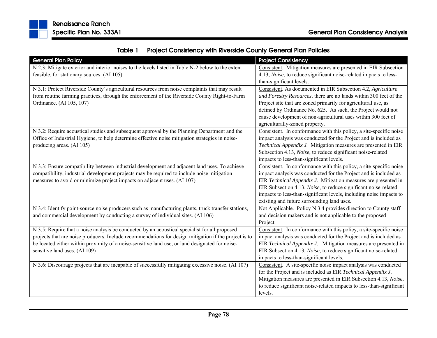|  | Table 1 Project Consistency with Riverside County General Plan Policies |
|--|-------------------------------------------------------------------------|
|--|-------------------------------------------------------------------------|

| <b>General Plan Policy</b>                                                                            | <b>Project Consistency</b>                                           |
|-------------------------------------------------------------------------------------------------------|----------------------------------------------------------------------|
| N 2.3: Mitigate exterior and interior noises to the levels listed in Table N-2 below to the extent    | Consistent. Mitigation measures are presented in EIR Subsection      |
| feasible, for stationary sources: (AI 105)                                                            | 4.13, Noise, to reduce significant noise-related impacts to less-    |
|                                                                                                       | than-significant levels.                                             |
| N 3.1: Protect Riverside County's agricultural resources from noise complaints that may result        | Consistent. As documented in EIR Subsection 4.2, Agriculture         |
| from routine farming practices, through the enforcement of the Riverside County Right-to-Farm         | and Forestry Resources, there are no lands within 300 feet of the    |
| Ordinance. (AI 105, 107)                                                                              | Project site that are zoned primarily for agricultural use, as       |
|                                                                                                       | defined by Ordinance No. 625. As such, the Project would not         |
|                                                                                                       | cause development of non-agricultural uses within 300 feet of        |
|                                                                                                       | agriculturally-zoned property.                                       |
| N 3.2: Require acoustical studies and subsequent approval by the Planning Department and the          | Consistent. In conformance with this policy, a site-specific noise   |
| Office of Industrial Hygiene, to help determine effective noise mitigation strategies in noise-       | impact analysis was conducted for the Project and is included as     |
| producing areas. (AI 105)                                                                             | Technical Appendix J. Mitigation measures are presented in EIR       |
|                                                                                                       | Subsection 4.13, Noise, to reduce significant noise-related          |
|                                                                                                       | impacts to less-than-significant levels.                             |
| N 3.3: Ensure compatibility between industrial development and adjacent land uses. To achieve         | Consistent. In conformance with this policy, a site-specific noise   |
| compatibility, industrial development projects may be required to include noise mitigation            | impact analysis was conducted for the Project and is included as     |
| measures to avoid or minimize project impacts on adjacent uses. (AI 107)                              | EIR Technical Appendix J. Mitigation measures are presented in       |
|                                                                                                       | EIR Subsection 4.13, Noise, to reduce significant noise-related      |
|                                                                                                       | impacts to less-than-significant levels, including noise impacts to  |
|                                                                                                       | existing and future surrounding land uses.                           |
| N 3.4: Identify point-source noise producers such as manufacturing plants, truck transfer stations,   | Not Applicable. Policy N 3.4 provides direction to County staff      |
| and commercial development by conducting a survey of individual sites. (AI 106)                       | and decision makers and is not applicable to the proposed            |
|                                                                                                       | Project.                                                             |
| N 3.5: Require that a noise analysis be conducted by an acoustical specialist for all proposed        | Consistent. In conformance with this policy, a site-specific noise   |
| projects that are noise producers. Include recommendations for design mitigation if the project is to | impact analysis was conducted for the Project and is included as     |
| be located either within proximity of a noise-sensitive land use, or land designated for noise-       | EIR Technical Appendix J. Mitigation measures are presented in       |
| sensitive land uses. (AI 109)                                                                         | EIR Subsection 4.13, Noise, to reduce significant noise-related      |
|                                                                                                       | impacts to less-than-significant levels.                             |
| N 3.6: Discourage projects that are incapable of successfully mitigating excessive noise. (AI 107)    | Consistent. A site-specific noise impact analysis was conducted      |
|                                                                                                       | for the Project and is included as EIR Technical Appendix J.         |
|                                                                                                       | Mitigation measures are presented in EIR Subsection 4.13, Noise,     |
|                                                                                                       | to reduce significant noise-related impacts to less-than-significant |
|                                                                                                       | levels.                                                              |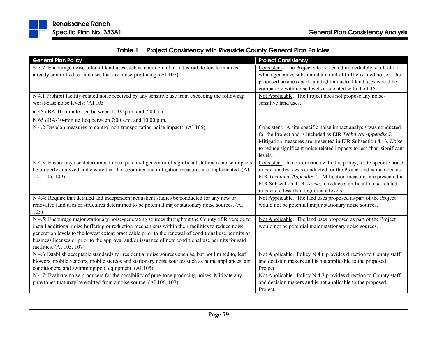

|  | Table 1 Project Consistency with Riverside County General Plan Policies |
|--|-------------------------------------------------------------------------|
|--|-------------------------------------------------------------------------|

| <b>General Plan Policy</b>                                                                            | <b>Project Consistency</b>                                           |
|-------------------------------------------------------------------------------------------------------|----------------------------------------------------------------------|
| N 3.7: Encourage noise-tolerant land uses such as commercial or industrial, to locate in areas        | Consistent. The Project site is located immediately south of I-15,   |
| already committed to land uses that are noise-producing. (AI 107)                                     | which generates substantial amount of traffic-related noise. The     |
|                                                                                                       | proposed business park and light industrial land uses would be       |
|                                                                                                       | compatible with noise levels associated with the I-15.               |
| N 4.1 Prohibit facility-related noise received by any sensitive use from exceeding the following      | Not Applicable. The Project does not propose any noise-              |
| worst-case noise levels: (AI 105)                                                                     | sensitive land uses.                                                 |
| a. 45 dBA-10-minute Leq between 10:00 p.m. and 7:00 a.m.                                              |                                                                      |
| b. 65 dBA-10-minute Leq between 7:00 a.m. and $10:00$ p.m.                                            |                                                                      |
| N 4.2 Develop measures to control non-transportation noise impacts. (AI 105)                          | Consistent. A site-specific noise impact analysis was conducted      |
|                                                                                                       | for the Project and is included as EIR Technical Appendix J.         |
|                                                                                                       | Mitigation measures are presented in EIR Subsection 4.13, Noise,     |
|                                                                                                       | to reduce significant noise-related impacts to less-than-significant |
|                                                                                                       | levels.                                                              |
| N 4.3: Ensure any use determined to be a potential generator of significant stationary noise impacts  | Consistent. In conformance with this policy, a site-specific noise   |
| be properly analyzed and ensure that the recommended mitigation measures are implemented. (AI         | impact analysis was conducted for the Project and is included as     |
| 105, 106, 109)                                                                                        | EIR Technical Appendix J. Mitigation measures are presented in       |
|                                                                                                       | EIR Subsection 4.13, Noise, to reduce significant noise-related      |
|                                                                                                       | impacts to less-than-significant levels.                             |
| N 4.4: Require that detailed and independent acoustical studies be conducted for any new or           | Not Applicable. The land uses proposed as part of the Project        |
| renovated land uses or structures determined to be potential major stationary noise sources. (AI      | would not be potential major stationary noise sources.               |
| 105)                                                                                                  |                                                                      |
| N 4.5: Encourage major stationary noise-generating sources throughout the County of Riverside to      | Not Applicable. The land uses proposed as part of the Project        |
| install additional noise buffering or reduction mechanisms within their facilities to reduce noise    | would not be potential major stationary noise sources.               |
| generation levels to the lowest extent practicable prior to the renewal of conditional use permits or |                                                                      |
| business licenses or prior to the approval and/or issuance of new conditional use permits for said    |                                                                      |
| facilities. (AI 105, 107)                                                                             |                                                                      |
| N 4.6 Establish acceptable standards for residential noise sources such as, but not limited to, leaf  | Not Applicable. Policy N 4.6 provides direction to County staff      |
| blowers, mobile vendors, mobile stereos and stationary noise sources such as home appliances, air     | and decision makers and is not applicable to the proposed            |
| conditioners, and swimming pool equipment. (AI 105)                                                   | Project.                                                             |
| N 4.7: Evaluate noise producers for the possibility of pure-tone producing noises. Mitigate any       | Not Applicable. Policy N 4.7 provides direction to County staff      |
| pure tones that may be emitted from a noise source. (AI 106, 107)                                     | and decision makers and is not applicable to the proposed            |
|                                                                                                       | Project.                                                             |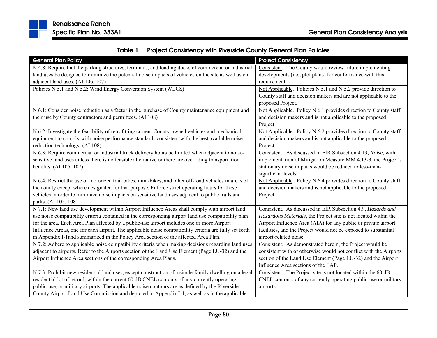

| Table 1 | <b>Project Consistency with Riverside County General Plan Policies</b> |
|---------|------------------------------------------------------------------------|
|---------|------------------------------------------------------------------------|

| <b>General Plan Policy</b>                                                                             | <b>Project Consistency</b>                                        |
|--------------------------------------------------------------------------------------------------------|-------------------------------------------------------------------|
| N 4.8: Require that the parking structures, terminals, and loading docks of commercial or industrial   | Consistent. The County would review future implementing           |
| land uses be designed to minimize the potential noise impacts of vehicles on the site as well as on    | developments (i.e., plot plans) for conformance with this         |
| adjacent land uses. (AI 106, 107)                                                                      | requirement.                                                      |
| Policies N 5.1 and N 5.2: Wind Energy Conversion System (WECS)                                         | Not Applicable. Policies N 5.1 and N 5.2 provide direction to     |
|                                                                                                        | County staff and decision makers and are not applicable to the    |
|                                                                                                        | proposed Project.                                                 |
| N 6.1: Consider noise reduction as a factor in the purchase of County maintenance equipment and        | Not Applicable. Policy N 6.1 provides direction to County staff   |
| their use by County contractors and permittees. (AI 108)                                               | and decision makers and is not applicable to the proposed         |
|                                                                                                        | Project.                                                          |
| N 6.2: Investigate the feasibility of retrofitting current County-owned vehicles and mechanical        | Not Applicable. Policy N 6.2 provides direction to County staff   |
| equipment to comply with noise performance standards consistent with the best available noise          | and decision makers and is not applicable to the proposed         |
| reduction technology. (AI 108)                                                                         | Project.                                                          |
| N 6.3: Require commercial or industrial truck delivery hours be limited when adjacent to noise-        | Consistent. As discussed in EIR Subsection 4.13, Noise, with      |
| sensitive land uses unless there is no feasible alternative or there are overriding transportation     | implementation of Mitigation Measure MM 4.13-3, the Project's     |
| benefits. (AI 105, 107)                                                                                | stationary noise impacts would be reduced to less-than-           |
|                                                                                                        | significant levels.                                               |
| N 6.4: Restrict the use of motorized trail bikes, mini-bikes, and other off-road vehicles in areas of  | Not Applicable. Policy N 6.4 provides direction to County staff   |
| the county except where designated for that purpose. Enforce strict operating hours for these          | and decision makers and is not applicable to the proposed         |
| vehicles in order to minimize noise impacts on sensitive land uses adjacent to public trails and       | Project.                                                          |
| parks. (AI 105, 108)                                                                                   |                                                                   |
| N 7.1: New land use development within Airport Influence Areas shall comply with airport land          | Consistent. As discussed in EIR Subsection 4.9, Hazards and       |
| use noise compatibility criteria contained in the corresponding airport land use compatibility plan    | Hazardous Materials, the Project site is not located within the   |
| for the area. Each Area Plan affected by a public-use airport includes one or more Airport             | Airport Influence Area (AIA) for any public or private airport    |
| Influence Areas, one for each airport. The applicable noise compatibility criteria are fully set forth | facilities, and the Project would not be exposed to substantial   |
| in Appendix I-land summarized in the Policy Area section of the affected Area Plan.                    | airport-related noise.                                            |
| N 7.2: Adhere to applicable noise compatibility criteria when making decisions regarding land uses     | Consistent. As demonstrated herein, the Project would be          |
| adjacent to airports. Refer to the Airports section of the Land Use Element (Page LU-32) and the       | consistent with or otherwise would not conflict with the Airports |
| Airport Influence Area sections of the corresponding Area Plans.                                       | section of the Land Use Element (Page LU-32) and the Airport      |
|                                                                                                        | Influence Area sections of the EAP.                               |
| N 7.3: Prohibit new residential land uses, except construction of a single-family dwelling on a legal  | Consistent. The Project site is not located within the 60 dB      |
| residential lot of record, within the current 60 dB CNEL contours of any currently operating           | CNEL contours of any currently operating public-use or military   |
| public-use, or military airports. The applicable noise contours are as defined by the Riverside        | airports.                                                         |
| County Airport Land Use Commission and depicted in Appendix I-1, as well as in the applicable          |                                                                   |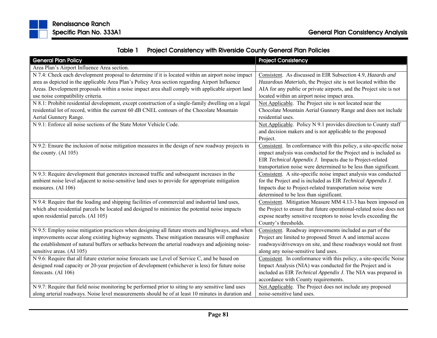

| Table 1 | <b>Project Consistency with Riverside County General Plan Policies</b> |
|---------|------------------------------------------------------------------------|
|---------|------------------------------------------------------------------------|

| <b>General Plan Policy</b>                                                                          | <b>Project Consistency</b>                                           |  |
|-----------------------------------------------------------------------------------------------------|----------------------------------------------------------------------|--|
| Area Plan's Airport Influence Area section.                                                         |                                                                      |  |
| N 7.4: Check each development proposal to determine if it is located within an airport noise impact | Consistent. As discussed in EIR Subsection 4.9, Hazards and          |  |
| area as depicted in the applicable Area Plan's Policy Area section regarding Airport Influence      | Hazardous Materials, the Project site is not located within the      |  |
| Areas. Development proposals within a noise impact area shall comply with applicable airport land   | AIA for any public or private airports, and the Project site is not  |  |
| use noise compatibility criteria.                                                                   | located within an airport noise impact area.                         |  |
| N 8.1: Prohibit residential development, except construction of a single-family dwelling on a legal | Not Applicable. The Project site is not located near the             |  |
| residential lot of record, within the current 60 dB CNEL contours of the Chocolate Mountain         | Chocolate Mountain Aerial Gunnery Range and does not include         |  |
| Aerial Gunnery Range.                                                                               | residential uses.                                                    |  |
| N 9.1: Enforce all noise sections of the State Motor Vehicle Code.                                  | Not Applicable. Policy N 9.1 provides direction to County staff      |  |
|                                                                                                     | and decision makers and is not applicable to the proposed            |  |
|                                                                                                     | Project.                                                             |  |
| N 9.2: Ensure the inclusion of noise mitigation measures in the design of new roadway projects in   | Consistent. In conformance with this policy, a site-specific noise   |  |
| the county. (AI 105)                                                                                | impact analysis was conducted for the Project and is included as     |  |
|                                                                                                     | EIR Technical Appendix J. Impacts due to Project-related             |  |
|                                                                                                     | transportation noise were determined to be less than significant.    |  |
| N 9.3: Require development that generates increased traffic and subsequent increases in the         | Consistent. A site-specific noise impact analysis was conducted      |  |
| ambient noise level adjacent to noise-sensitive land uses to provide for appropriate mitigation     | for the Project and is included as EIR Technical Appendix J.         |  |
| measures. (AI 106)                                                                                  | Impacts due to Project-related transportation noise were             |  |
|                                                                                                     | determined to be less than significant.                              |  |
| N 9.4: Require that the loading and shipping facilities of commercial and industrial land uses,     | Consistent. Mitigation Measure MM 4.13-3 has been imposed on         |  |
| which abut residential parcels be located and designed to minimize the potential noise impacts      | the Project to ensure that future operational-related noise does not |  |
| upon residential parcels. (AI 105)                                                                  | expose nearby sensitive receptors to noise levels exceeding the      |  |
|                                                                                                     | County's thresholds.                                                 |  |
| N 9.5: Employ noise mitigation practices when designing all future streets and highways, and when   | Consistent. Roadway improvements included as part of the             |  |
| improvements occur along existing highway segments. These mitigation measures will emphasize        | Project are limited to proposed Street A and internal access         |  |
| the establishment of natural buffers or setbacks between the arterial roadways and adjoining noise- | roadways/driveways on site, and these roadways would not front       |  |
| sensitive areas. (AI 105)                                                                           | along any noise-sensitive land uses.                                 |  |
| N 9.6: Require that all future exterior noise forecasts use Level of Service C, and be based on     | Consistent. In conformance with this policy, a site-specific Noise   |  |
| designed road capacity or 20-year projection of development (whichever is less) for future noise    | Impact Analysis (NIA) was conducted for the Project and is           |  |
| forecasts. (AI 106)                                                                                 | included as EIR Technical Appendix J. The NIA was prepared in        |  |
|                                                                                                     | accordance with County requirements.                                 |  |
| N 9.7: Require that field noise monitoring be performed prior to siting to any sensitive land uses  | Not Applicable. The Project does not include any proposed            |  |
| along arterial roadways. Noise level measurements should be of at least 10 minutes in duration and  | noise-sensitive land uses.                                           |  |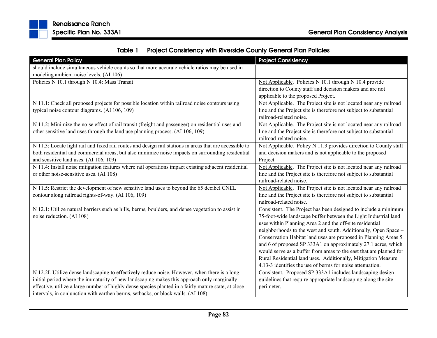

|  | Table 1 Project Consistency with Riverside County General Plan Policies |
|--|-------------------------------------------------------------------------|
|--|-------------------------------------------------------------------------|

| <b>General Plan Policy</b>                                                                               | <b>Project Consistency</b>                                          |
|----------------------------------------------------------------------------------------------------------|---------------------------------------------------------------------|
| should include simultaneous vehicle counts so that more accurate vehicle ratios may be used in           |                                                                     |
| modeling ambient noise levels. (AI 106)                                                                  |                                                                     |
| Policies N 10.1 through N 10.4: Mass Transit                                                             | Not Applicable. Policies N 10.1 through N 10.4 provide              |
|                                                                                                          | direction to County staff and decision makers and are not           |
|                                                                                                          | applicable to the proposed Project.                                 |
| N 11.1: Check all proposed projects for possible location within railroad noise contours using           | Not Applicable. The Project site is not located near any railroad   |
| typical noise contour diagrams. (AI 106, 109)                                                            | line and the Project site is therefore not subject to substantial   |
|                                                                                                          | railroad-related noise.                                             |
| N 11.2: Minimize the noise effect of rail transit (freight and passenger) on residential uses and        | Not Applicable. The Project site is not located near any railroad   |
| other sensitive land uses through the land use planning process. (AI 106, 109)                           | line and the Project site is therefore not subject to substantial   |
|                                                                                                          | railroad-related noise.                                             |
| N 11.3: Locate light rail and fixed rail routes and design rail stations in areas that are accessible to | Not Applicable. Policy N 11.3 provides direction to County staff    |
| both residential and commercial areas, but also minimize noise impacts on surrounding residential        | and decision makers and is not applicable to the proposed           |
| and sensitive land uses. (AI 106, 109)                                                                   | Project.                                                            |
| N 11.4: Install noise mitigation features where rail operations impact existing adjacent residential     | Not Applicable. The Project site is not located near any railroad   |
| or other noise-sensitive uses. (AI 108)                                                                  | line and the Project site is therefore not subject to substantial   |
|                                                                                                          | railroad-related noise.                                             |
| N 11.5: Restrict the development of new sensitive land uses to beyond the 65 decibel CNEL                | Not Applicable. The Project site is not located near any railroad   |
| contour along railroad rights-of-way. (AI 106, 109)                                                      | line and the Project site is therefore not subject to substantial   |
|                                                                                                          | railroad-related noise.                                             |
| N 12.1: Utilize natural barriers such as hills, berms, boulders, and dense vegetation to assist in       | Consistent. The Project has been designed to include a minimum      |
| noise reduction. (AI 108)                                                                                | 75-foot-wide landscape buffer between the Light Industrial land     |
|                                                                                                          | uses within Planning Area 2 and the off-site residential            |
|                                                                                                          | neighborhoods to the west and south. Additionally, Open Space -     |
|                                                                                                          | Conservation Habitat land uses are proposed in Planning Areas 5     |
|                                                                                                          | and 6 of proposed SP 333A1 on approximately 27.1 acres, which       |
|                                                                                                          | would serve as a buffer from areas to the east that are planned for |
|                                                                                                          | Rural Residential land uses. Additionally, Mitigation Measure       |
|                                                                                                          | 4.13-3 identifies the use of berms for noise attenuation.           |
| N 12.2L Utilize dense landscaping to effectively reduce noise. However, when there is a long             | Consistent. Proposed SP 333A1 includes landscaping design           |
| initial period where the immaturity of new landscaping makes this approach only marginally               | guidelines that require appropriate landscaping along the site      |
| effective, utilize a large number of highly dense species planted in a fairly mature state, at close     | perimeter.                                                          |
| intervals, in conjunction with earthen berms, setbacks, or block walls. (AI 108)                         |                                                                     |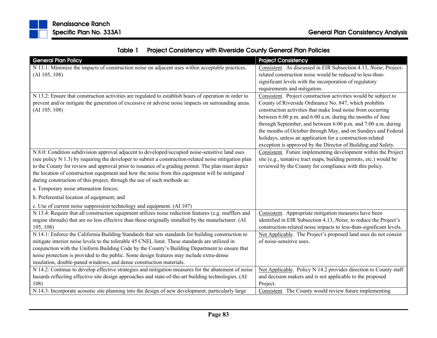|  | Table 1 Project Consistency with Riverside County General Plan Policies |
|--|-------------------------------------------------------------------------|
|--|-------------------------------------------------------------------------|

| <b>General Plan Policy</b>                                                                                                                                                                                                   | <b>Project Consistency</b>                                                                                                                                                               |
|------------------------------------------------------------------------------------------------------------------------------------------------------------------------------------------------------------------------------|------------------------------------------------------------------------------------------------------------------------------------------------------------------------------------------|
| N 13.1: Minimize the impacts of construction noise on adjacent uses within acceptable practices.                                                                                                                             | Consistent. As discussed in EIR Subsection 4.13, Noise, Project-                                                                                                                         |
| (AI 105, 108)                                                                                                                                                                                                                | related construction noise would be reduced to less-than-                                                                                                                                |
|                                                                                                                                                                                                                              | significant levels with the incorporation of regulatory                                                                                                                                  |
|                                                                                                                                                                                                                              | requirements and mitigation.                                                                                                                                                             |
| N 13.2: Ensure that construction activities are regulated to establish hours of operation in order to<br>prevent and/or mitigate the generation of excessive or adverse noise impacts on surrounding areas.<br>(AI 105, 108) | Consistent. Project construction activities would be subject to<br>County of Riverside Ordinance No. 847, which prohibits<br>construction activities that make loud noise from occurring |
|                                                                                                                                                                                                                              |                                                                                                                                                                                          |
|                                                                                                                                                                                                                              | between 6:00 p.m. and 6:00 a.m. during the months of June<br>through September, and between 6:00 p.m. and 7:00 a.m. during                                                               |
|                                                                                                                                                                                                                              | the months of October through May, and on Sundays and Federal                                                                                                                            |
|                                                                                                                                                                                                                              | holidays, unless an application for a construction-related                                                                                                                               |
|                                                                                                                                                                                                                              | exception is approved by the Director of Building and Safety.                                                                                                                            |
| N 8.0: Condition subdivision approval adjacent to developed/occupied noise-sensitive land uses                                                                                                                               | Consistent. Future implementing development within the Project                                                                                                                           |
| (see policy N 1.3) by requiring the developer to submit a construction-related noise mitigation plan                                                                                                                         | site (e.g., tentative tract maps, building permits, etc.) would be                                                                                                                       |
| to the County for review and approval prior to issuance of a grading permit. The plan must depict                                                                                                                            | reviewed by the County for compliance with this policy.                                                                                                                                  |
| the location of construction equipment and how the noise from this equipment will be mitigated                                                                                                                               |                                                                                                                                                                                          |
| during construction of this project, through the use of such methods as:                                                                                                                                                     |                                                                                                                                                                                          |
| a. Temporary noise attenuation fences;                                                                                                                                                                                       |                                                                                                                                                                                          |
| b. Preferential location of equipment; and                                                                                                                                                                                   |                                                                                                                                                                                          |
| c. Use of current noise suppression technology and equipment. (AI 107)                                                                                                                                                       |                                                                                                                                                                                          |
| N 13.4: Require that all construction equipment utilizes noise reduction features (e.g. mufflers and                                                                                                                         | Consistent. Appropriate mitigation measures have been                                                                                                                                    |
| engine shrouds) that are no less effective than those originally installed by the manufacturer. (AI                                                                                                                          | identified in EIR Subsection 4.13, Noise, to reduce the Project's                                                                                                                        |
| 105, 108                                                                                                                                                                                                                     | construction-related noise impacts to less-than-significant levels.                                                                                                                      |
| N 14.1: Enforce the California Building Standards that sets standards for building construction to                                                                                                                           | Not Applicable. The Project's proposed land uses do not consist                                                                                                                          |
| mitigate interior noise levels to the tolerable 45 CNEL limit. These standards are utilized in                                                                                                                               | of noise-sensitive uses.                                                                                                                                                                 |
| conjunction with the Uniform Building Code by the County's Building Department to ensure that                                                                                                                                |                                                                                                                                                                                          |
| noise protection is provided to the public. Some design features may include extra-dense                                                                                                                                     |                                                                                                                                                                                          |
| insulation, double-paned windows, and dense construction materials.                                                                                                                                                          |                                                                                                                                                                                          |
| N 14.2: Continue to develop effective strategies and mitigation measures for the abatement of noise                                                                                                                          | Not Applicable. Policy N 14.2 provides direction to County staff                                                                                                                         |
| hazards reflecting effective site design approaches and state-of-the-art building technologies. (AI                                                                                                                          | and decision makers and is not applicable to the proposed                                                                                                                                |
| 108)                                                                                                                                                                                                                         | Project.                                                                                                                                                                                 |
| N 14.3: Incorporate acoustic site planning into the design of new development, particularly large                                                                                                                            | Consistent. The County would review future implementing                                                                                                                                  |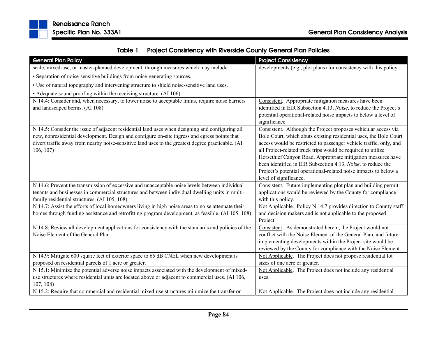

|  | Table 1 Project Consistency with Riverside County General Plan Policies |
|--|-------------------------------------------------------------------------|
|--|-------------------------------------------------------------------------|

| <b>General Plan Policy</b>                                                                                                                                                                                                                                                                                       | <b>Project Consistency</b>                                                                                                                                                                                                                                                                                                                                                                                                                                                                              |
|------------------------------------------------------------------------------------------------------------------------------------------------------------------------------------------------------------------------------------------------------------------------------------------------------------------|---------------------------------------------------------------------------------------------------------------------------------------------------------------------------------------------------------------------------------------------------------------------------------------------------------------------------------------------------------------------------------------------------------------------------------------------------------------------------------------------------------|
| scale, mixed-use, or master-planned development, through measures which may include:                                                                                                                                                                                                                             | developments (e.g., plot plans) for consistency with this policy.                                                                                                                                                                                                                                                                                                                                                                                                                                       |
| • Separation of noise-sensitive buildings from noise-generating sources.                                                                                                                                                                                                                                         |                                                                                                                                                                                                                                                                                                                                                                                                                                                                                                         |
| • Use of natural topography and intervening structure to shield noise-sensitive land uses.                                                                                                                                                                                                                       |                                                                                                                                                                                                                                                                                                                                                                                                                                                                                                         |
| • Adequate sound proofing within the receiving structure. (AI 106)                                                                                                                                                                                                                                               |                                                                                                                                                                                                                                                                                                                                                                                                                                                                                                         |
| N 14.4: Consider and, when necessary, to lower noise to acceptable limits, require noise barriers<br>and landscaped berms. (AI 108)                                                                                                                                                                              | Consistent. Appropriate mitigation measures have been<br>identified in EIR Subsection 4.13, Noise, to reduce the Project's<br>potential operational-related noise impacts to below a level of<br>significance.                                                                                                                                                                                                                                                                                          |
| N 14.5: Consider the issue of adjacent residential land uses when designing and configuring all<br>new, nonresidential development. Design and configure on-site ingress and egress points that<br>divert traffic away from nearby noise-sensitive land uses to the greatest degree practicable. (AI<br>106, 107 | Consistent. Although the Project proposes vehicular access via<br>Bolo Court, which abuts existing residential uses, the Bolo Court<br>access would be restricted to passenger vehicle traffic, only, and<br>all Project-related truck trips would be required to utilize<br>Horsethief Canyon Road. Appropriate mitigation measures have<br>been identified in EIR Subsection 4.13, Noise, to reduce the<br>Project's potential operational-related noise impacts to below a<br>level of significance. |
| N 14.6: Prevent the transmission of excessive and unacceptable noise levels between individual<br>tenants and businesses in commercial structures and between individual dwelling units in multi-<br>family residential structures. (AI 105, 108)                                                                | Consistent. Future implementing plot plan and building permit<br>applications would be reviewed by the County for compliance<br>with this policy.                                                                                                                                                                                                                                                                                                                                                       |
| N 14.7: Assist the efforts of local homeowners living in high noise areas to noise attenuate their<br>homes through funding assistance and retrofitting program development, as feasible. (AI 105, 108)                                                                                                          | Not Applicable. Policy N 14.7 provides direction to County staff<br>and decision makers and is not applicable to the proposed<br>Project.                                                                                                                                                                                                                                                                                                                                                               |
| N 14.8: Review all development applications for consistency with the standards and policies of the<br>Noise Element of the General Plan.                                                                                                                                                                         | Consistent. As demonstrated herein, the Project would not<br>conflict with the Noise Element of the General Plan, and future<br>implementing developments within the Project site would be<br>reviewed by the County for compliance with the Noise Element.                                                                                                                                                                                                                                             |
| N 14.9: Mitigate 600 square feet of exterior space to 65 dB CNEL when new development is                                                                                                                                                                                                                         | Not Applicable. The Project does not propose residential lot                                                                                                                                                                                                                                                                                                                                                                                                                                            |
| proposed on residential parcels of 1 acre or greater.                                                                                                                                                                                                                                                            | sizes of one acre or greater.                                                                                                                                                                                                                                                                                                                                                                                                                                                                           |
| N 15.1: Minimize the potential adverse noise impacts associated with the development of mixed-<br>use structures where residential units are located above or adjacent to commercial uses. (AI 106,<br>107, 108                                                                                                  | Not Applicable. The Project does not include any residential<br>uses.                                                                                                                                                                                                                                                                                                                                                                                                                                   |
| N 15.2: Require that commercial and residential mixed-use structures minimize the transfer or                                                                                                                                                                                                                    | Not Applicable. The Project does not include any residential                                                                                                                                                                                                                                                                                                                                                                                                                                            |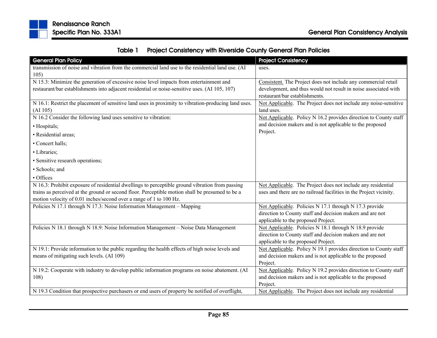

|  | Table 1 Project Consistency with Riverside County General Plan Policies |
|--|-------------------------------------------------------------------------|
|--|-------------------------------------------------------------------------|

| <b>General Plan Policy</b>                                                                           | <b>Project Consistency</b>                                         |
|------------------------------------------------------------------------------------------------------|--------------------------------------------------------------------|
| transmission of noise and vibration from the commercial land use to the residential land use. (AI    | uses.                                                              |
| 105)                                                                                                 |                                                                    |
| N 15.3: Minimize the generation of excessive noise level impacts from entertainment and              | Consistent. The Project does not include any commercial retail     |
| restaurant/bar establishments into adjacent residential or noise-sensitive uses. (AI 105, 107)       | development, and thus would not result in noise associated with    |
|                                                                                                      | restaurant/bar establishments.                                     |
| N 16.1: Restrict the placement of sensitive land uses in proximity to vibration-producing land uses. | Not Applicable. The Project does not include any noise-sensitive   |
| (AI 105)                                                                                             | land uses.                                                         |
| N 16.2 Consider the following land uses sensitive to vibration:                                      | Not Applicable. Policy N 16.2 provides direction to County staff   |
| · Hospitals;                                                                                         | and decision makers and is not applicable to the proposed          |
| · Residential areas;                                                                                 | Project.                                                           |
| • Concert halls;                                                                                     |                                                                    |
| • Libraries;                                                                                         |                                                                    |
| • Sensitive research operations;                                                                     |                                                                    |
| · Schools; and                                                                                       |                                                                    |
| • Offices                                                                                            |                                                                    |
| N 16.3: Prohibit exposure of residential dwellings to perceptible ground vibration from passing      | Not Applicable. The Project does not include any residential       |
| trains as perceived at the ground or second floor. Perceptible motion shall be presumed to be a      | uses and there are no railroad facilities in the Project vicinity. |
| motion velocity of 0.01 inches/second over a range of 1 to 100 Hz.                                   |                                                                    |
| Policies N 17.1 through N 17.3: Noise Information Management - Mapping                               | Not Applicable. Policies N 17.1 through N 17.3 provide             |
|                                                                                                      | direction to County staff and decision makers and are not          |
|                                                                                                      | applicable to the proposed Project.                                |
| Policies N 18.1 through N 18.9: Noise Information Management - Noise Data Management                 | Not Applicable. Policies N 18.1 through N 18.9 provide             |
|                                                                                                      | direction to County staff and decision makers and are not          |
|                                                                                                      | applicable to the proposed Project.                                |
| N 19.1: Provide information to the public regarding the health effects of high noise levels and      | Not Applicable. Policy N 19.1 provides direction to County staff   |
| means of mitigating such levels. (AI 109)                                                            | and decision makers and is not applicable to the proposed          |
|                                                                                                      | Project.                                                           |
| N 19.2: Cooperate with industry to develop public information programs on noise abatement. (AI       | Not Applicable. Policy N 19.2 provides direction to County staff   |
| 108)                                                                                                 | and decision makers and is not applicable to the proposed          |
|                                                                                                      | Project.                                                           |
| N 19.3 Condition that prospective purchasers or end users of property be notified of overflight,     | Not Applicable. The Project does not include any residential       |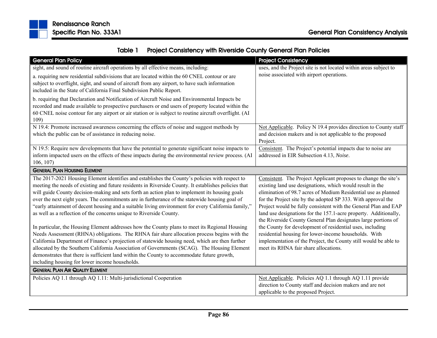

|  | Table 1 Project Consistency with Riverside County General Plan Policies |
|--|-------------------------------------------------------------------------|
|--|-------------------------------------------------------------------------|

| <b>General Plan Policy</b>                                                                             | <b>Project Consistency</b>                                               |
|--------------------------------------------------------------------------------------------------------|--------------------------------------------------------------------------|
| sight, and sound of routine aircraft operations by all effective means, including:                     | uses, and the Project site is not located within areas subject to        |
| a. requiring new residential subdivisions that are located within the 60 CNEL contour or are           | noise associated with airport operations.                                |
| subject to overflight, sight, and sound of aircraft from any airport, to have such information         |                                                                          |
| included in the State of California Final Subdivision Public Report.                                   |                                                                          |
| b. requiring that Declaration and Notification of Aircraft Noise and Environmental Impacts be          |                                                                          |
| recorded and made available to prospective purchasers or end users of property located within the      |                                                                          |
| 60 CNEL noise contour for any airport or air station or is subject to routine aircraft overflight. (AI |                                                                          |
| 109)                                                                                                   |                                                                          |
| N 19.4: Promote increased awareness concerning the effects of noise and suggest methods by             | Not Applicable. Policy N 19.4 provides direction to County staff         |
| which the public can be of assistance in reducing noise.                                               | and decision makers and is not applicable to the proposed                |
| N 19.5: Require new developments that have the potential to generate significant noise impacts to      | Project.<br>Consistent. The Project's potential impacts due to noise are |
| inform impacted users on the effects of these impacts during the environmental review process. (AI     | addressed in EIR Subsection 4.13, Noise.                                 |
| 106, 107                                                                                               |                                                                          |
| <b>GENERAL PLAN HOUSING ELEMENT</b>                                                                    |                                                                          |
| The 2017-2021 Housing Element identifies and establishes the County's policies with respect to         | Consistent. The Project Applicant proposes to change the site's          |
| meeting the needs of existing and future residents in Riverside County. It establishes policies that   | existing land use designations, which would result in the                |
| will guide County decision-making and sets forth an action plan to implement its housing goals         | elimination of 98.7 acres of Medium Residential use as planned           |
| over the next eight years. The commitments are in furtherance of the statewide housing goal of         | for the Project site by the adopted SP 333. With approval the            |
| "early attainment of decent housing and a suitable living environment for every California family,"    | Project would be fully consistent with the General Plan and EAP          |
| as well as a reflection of the concerns unique to Riverside County.                                    | land use designations for the 157.1-acre property. Additionally,         |
|                                                                                                        | the Riverside County General Plan designates large portions of           |
| In particular, the Housing Element addresses how the County plans to meet its Regional Housing         | the County for development of residential uses, including                |
| Needs Assessment (RHNA) obligations. The RHNA fair share allocation process begins with the            | residential housing for lower-income households. With                    |
| California Department of Finance's projection of statewide housing need, which are then further        | implementation of the Project, the County still would be able to         |
| allocated by the Southern California Association of Governments (SCAG). The Housing Element            | meet its RHNA fair share allocations.                                    |
| demonstrates that there is sufficient land within the County to accommodate future growth,             |                                                                          |
| including housing for lower income households.                                                         |                                                                          |
| <b>GENERAL PLAN AIR QUALITY ELEMENT</b>                                                                |                                                                          |
| Policies AQ 1.1 through AQ 1.11: Multi-jurisdictional Cooperation                                      | Not Applicable. Policies AQ 1.1 through AQ 1.11 provide                  |
|                                                                                                        | direction to County staff and decision makers and are not                |
|                                                                                                        | applicable to the proposed Project.                                      |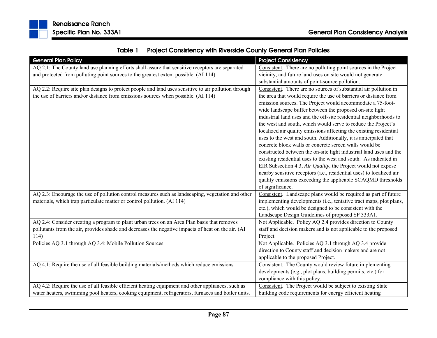

| <b>General Plan Policy</b>                                                                           | <b>Project Consistency</b>                                           |
|------------------------------------------------------------------------------------------------------|----------------------------------------------------------------------|
| AQ 2.1: The County land use planning efforts shall assure that sensitive receptors are separated     | Consistent. There are no polluting point sources in the Project      |
| and protected from polluting point sources to the greatest extent possible. (AI 114)                 | vicinity, and future land uses on site would not generate            |
|                                                                                                      | substantial amounts of point-source pollution.                       |
| AQ 2.2: Require site plan designs to protect people and land uses sensitive to air pollution through | Consistent. There are no sources of substantial air pollution in     |
| the use of barriers and/or distance from emissions sources when possible. (AI 114)                   | the area that would require the use of barriers or distance from     |
|                                                                                                      | emission sources. The Project would accommodate a 75-foot-           |
|                                                                                                      | wide landscape buffer between the proposed on-site light             |
|                                                                                                      | industrial land uses and the off-site residential neighborhoods to   |
|                                                                                                      | the west and south, which would serve to reduce the Project's        |
|                                                                                                      | localized air quality emissions affecting the existing residential   |
|                                                                                                      | uses to the west and south. Additionally, it is anticipated that     |
|                                                                                                      | concrete block walls or concrete screen walls would be               |
|                                                                                                      | constructed between the on-site light industrial land uses and the   |
|                                                                                                      | existing residential uses to the west and south. As indicated in     |
|                                                                                                      | EIR Subsection 4.3, Air Quality, the Project would not expose        |
|                                                                                                      | nearby sensitive receptors (i.e., residential uses) to localized air |
|                                                                                                      | quality emissions exceeding the applicable SCAQMD thresholds         |
|                                                                                                      | of significance.                                                     |
| AQ 2.3: Encourage the use of pollution control measures such as landscaping, vegetation and other    | Consistent. Landscape plans would be required as part of future      |
| materials, which trap particulate matter or control pollution. (AI 114)                              | implementing developments (i.e., tentative tract maps, plot plans,   |
|                                                                                                      | etc.), which would be designed to be consistent with the             |
|                                                                                                      | Landscape Design Guidelines of proposed SP 333A1.                    |
| AQ 2.4: Consider creating a program to plant urban trees on an Area Plan basis that removes          | Not Applicable. Policy AQ 2.4 provides direction to County           |
| pollutants from the air, provides shade and decreases the negative impacts of heat on the air. (AI   | staff and decision makers and is not applicable to the proposed      |
| 114)                                                                                                 | Project.                                                             |
| Policies AQ 3.1 through AQ 3.4: Mobile Pollution Sources                                             | Not Applicable. Policies AQ 3.1 through AQ 3.4 provide               |
|                                                                                                      | direction to County staff and decision makers and are not            |
|                                                                                                      | applicable to the proposed Project.                                  |
| AQ 4.1: Require the use of all feasible building materials/methods which reduce emissions.           | Consistent. The County would review future implementing              |
|                                                                                                      | developments (e.g., plot plans, building permits, etc.) for          |
|                                                                                                      | compliance with this policy.                                         |
| AQ 4.2: Require the use of all feasible efficient heating equipment and other appliances, such as    | Consistent. The Project would be subject to existing State           |
| water heaters, swimming pool heaters, cooking equipment, refrigerators, furnaces and boiler units.   | building code requirements for energy efficient heating              |

Table 1Project Consistency with Riverside County General Plan Policies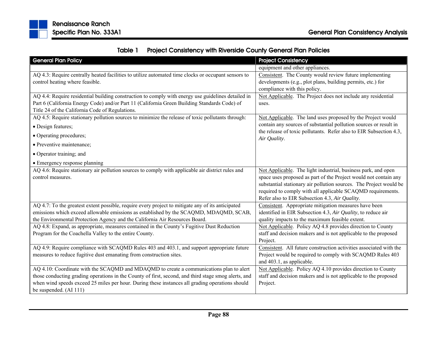

|  | Table 1 Project Consistency with Riverside County General Plan Policies |
|--|-------------------------------------------------------------------------|
|--|-------------------------------------------------------------------------|

| <b>General Plan Policy</b>                                                                           | <b>Project Consistency</b>                                                         |
|------------------------------------------------------------------------------------------------------|------------------------------------------------------------------------------------|
|                                                                                                      | equipment and other appliances.                                                    |
| AQ 4.3: Require centrally heated facilities to utilize automated time clocks or occupant sensors to  | Consistent. The County would review future implementing                            |
| control heating where feasible.                                                                      | developments (e.g., plot plans, building permits, etc.) for                        |
|                                                                                                      | compliance with this policy.                                                       |
| AQ 4.4: Require residential building construction to comply with energy use guidelines detailed in   | Not Applicable. The Project does not include any residential                       |
| Part 6 (California Energy Code) and/or Part 11 (California Green Building Standards Code) of         | uses.                                                                              |
| Title 24 of the California Code of Regulations.                                                      |                                                                                    |
| AQ 4.5: Require stationary pollution sources to minimize the release of toxic pollutants through:    | Not Applicable. The land uses proposed by the Project would                        |
| • Design features;                                                                                   | contain any sources of substantial pollution sources or result in                  |
| • Operating procedures;                                                                              | the release of toxic pollutants. Refer also to EIR Subsection 4.3,<br>Air Quality. |
| • Preventive maintenance;                                                                            |                                                                                    |
| • Operator training; and                                                                             |                                                                                    |
| • Emergency response planning                                                                        |                                                                                    |
| AQ 4.6: Require stationary air pollution sources to comply with applicable air district rules and    | Not Applicable. The light industrial, business park, and open                      |
| control measures.                                                                                    | space uses proposed as part of the Project would not contain any                   |
|                                                                                                      | substantial stationary air pollution sources. The Project would be                 |
|                                                                                                      | required to comply with all applicable SCAQMD requirements.                        |
|                                                                                                      | Refer also to EIR Subsection 4.3, Air Quality.                                     |
| AQ 4.7: To the greatest extent possible, require every project to mitigate any of its anticipated    | Consistent. Appropriate mitigation measures have been                              |
| emissions which exceed allowable emissions as established by the SCAQMD, MDAQMD, SCAB,               | identified in EIR Subsection 4.3, Air Quality, to reduce air                       |
| the Environmental Protection Agency and the California Air Resources Board.                          | quality impacts to the maximum feasible extent.                                    |
| AQ 4.8: Expand, as appropriate, measures contained in the County's Fugitive Dust Reduction           | Not Applicable. Policy AQ 4.8 provides direction to County                         |
| Program for the Coachella Valley to the entire County.                                               | staff and decision makers and is not applicable to the proposed<br>Project.        |
| AQ 4.9: Require compliance with SCAQMD Rules 403 and 403.1, and support appropriate future           | Consistent. All future construction activities associated with the                 |
| measures to reduce fugitive dust emanating from construction sites.                                  | Project would be required to comply with SCAQMD Rules 403                          |
|                                                                                                      | and 403.1, as applicable.                                                          |
| AQ 4.10: Coordinate with the SCAQMD and MDAQMD to create a communications plan to alert              | Not Applicable. Policy AQ 4.10 provides direction to County                        |
| those conducting grading operations in the County of first, second, and third stage smog alerts, and | staff and decision makers and is not applicable to the proposed                    |
| when wind speeds exceed 25 miles per hour. During these instances all grading operations should      | Project.                                                                           |
| be suspended. (AI 111)                                                                               |                                                                                    |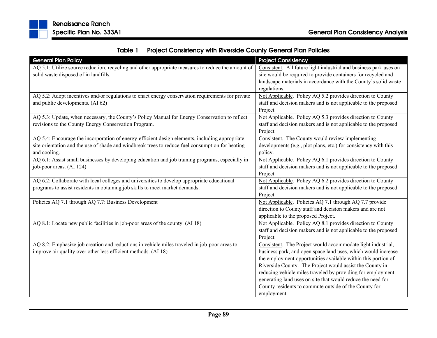

|  | Table 1 Project Consistency with Riverside County General Plan Policies |
|--|-------------------------------------------------------------------------|
|--|-------------------------------------------------------------------------|

| <b>General Plan Policy</b>                                                                         | <b>Project Consistency</b>                                        |
|----------------------------------------------------------------------------------------------------|-------------------------------------------------------------------|
| AQ 5.1: Utilize source reduction, recycling and other appropriate measures to reduce the amount of | Consistent. All future light industrial and business park uses on |
| solid waste disposed of in landfills.                                                              | site would be required to provide containers for recycled and     |
|                                                                                                    | landscape materials in accordance with the County's solid waste   |
|                                                                                                    | regulations.                                                      |
| AQ 5.2: Adopt incentives and/or regulations to enact energy conservation requirements for private  | Not Applicable. Policy AQ 5.2 provides direction to County        |
| and public developments. (AI 62)                                                                   | staff and decision makers and is not applicable to the proposed   |
|                                                                                                    | Project.                                                          |
| AQ 5.3: Update, when necessary, the County's Policy Manual for Energy Conservation to reflect      | Not Applicable. Policy AQ 5.3 provides direction to County        |
| revisions to the County Energy Conservation Program.                                               | staff and decision makers and is not applicable to the proposed   |
|                                                                                                    | Project.                                                          |
| AQ 5.4: Encourage the incorporation of energy-efficient design elements, including appropriate     | Consistent. The County would review implementing                  |
| site orientation and the use of shade and windbreak trees to reduce fuel consumption for heating   | developments (e.g., plot plans, etc.) for consistency with this   |
| and cooling.                                                                                       | policy.                                                           |
| AQ 6.1: Assist small businesses by developing education and job training programs, especially in   | Not Applicable. Policy AQ 6.1 provides direction to County        |
| job-poor areas. (AI 124)                                                                           | staff and decision makers and is not applicable to the proposed   |
|                                                                                                    | Project.                                                          |
| AQ 6.2: Collaborate with local colleges and universities to develop appropriate educational        | Not Applicable. Policy AQ 6.2 provides direction to County        |
| programs to assist residents in obtaining job skills to meet market demands.                       | staff and decision makers and is not applicable to the proposed   |
|                                                                                                    | Project.                                                          |
| Policies AQ 7.1 through AQ 7.7: Business Development                                               | Not Applicable. Policies AQ 7.1 through AQ 7.7 provide            |
|                                                                                                    | direction to County staff and decision makers and are not         |
|                                                                                                    | applicable to the proposed Project.                               |
| AQ 8.1: Locate new public facilities in job-poor areas of the county. (AI 18)                      | Not Applicable. Policy AQ 8.1 provides direction to County        |
|                                                                                                    | staff and decision makers and is not applicable to the proposed   |
|                                                                                                    | Project.                                                          |
| AQ 8.2: Emphasize job creation and reductions in vehicle miles traveled in job-poor areas to       | Consistent. The Project would accommodate light industrial,       |
| improve air quality over other less efficient methods. (AI 18)                                     | business park, and open space land uses, which would increase     |
|                                                                                                    | the employment opportunities available within this portion of     |
|                                                                                                    | Riverside County. The Project would assist the County in          |
|                                                                                                    | reducing vehicle miles traveled by providing for employment-      |
|                                                                                                    | generating land uses on site that would reduce the need for       |
|                                                                                                    | County residents to commute outside of the County for             |
|                                                                                                    | employment.                                                       |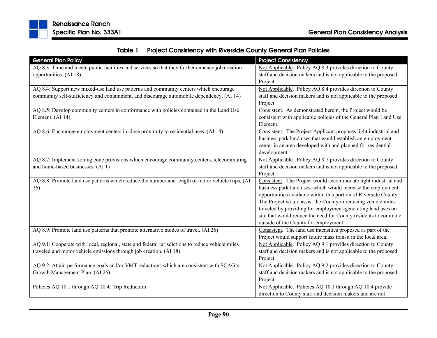| Table 1 | <b>Project Consistency with Riverside County General Plan Policies</b> |
|---------|------------------------------------------------------------------------|
|---------|------------------------------------------------------------------------|

| <b>General Plan Policy</b>                                                                       | <b>Project Consistency</b>                                       |
|--------------------------------------------------------------------------------------------------|------------------------------------------------------------------|
| AQ 8.3: Time and locate public facilities and services so that they further enhance job creation | Not Applicable. Policy AQ 8.3 provides direction to County       |
| opportunities. (AI 18)                                                                           | staff and decision makers and is not applicable to the proposed  |
|                                                                                                  | Project.                                                         |
| AQ 8.4: Support new mixed-use land use patterns and community centers which encourage            | Not Applicable. Policy AQ 8.4 provides direction to County       |
| community self-sufficiency and containment, and discourage automobile dependency. (AI 14)        | staff and decision makers and is not applicable to the proposed  |
|                                                                                                  | Project.                                                         |
| AQ 8.5: Develop community centers in conformance with policies contained in the Land Use         | Consistent. As demonstrated herein, the Project would be         |
| Element. (AI 14)                                                                                 | consistent with applicable policies of the General Plan Land Use |
|                                                                                                  | Element.                                                         |
| AQ 8.6: Encourage employment centers in close proximity to residential uses. (AI 14)             | Consistent. The Project Applicant proposes light industrial and  |
|                                                                                                  | business park land uses that would establish an employment       |
|                                                                                                  | center in an area developed with and planned for residential     |
|                                                                                                  | development.                                                     |
| AQ 8.7: Implement zoning code provisions which encourage community centers, telecommuting        | Not Applicable. Policy AQ 8.7 provides direction to County       |
| and home-based businesses. (AI 1)                                                                | staff and decision makers and is not applicable to the proposed  |
|                                                                                                  | Project.                                                         |
| AQ 8.8: Promote land use patterns which reduce the number and length of motor vehicle trips. (AI | Consistent. The Project would accommodate light industrial and   |
| 26)                                                                                              | business park land uses, which would increase the employment     |
|                                                                                                  | opportunities available within this portion of Riverside County. |
|                                                                                                  | The Project would assist the County in reducing vehicle miles    |
|                                                                                                  | traveled by providing for employment-generating land uses on     |
|                                                                                                  | site that would reduce the need for County residents to commute  |
|                                                                                                  | outside of the County for employment.                            |
| AQ 8.9: Promote land use patterns that promote alternative modes of travel. (AI 26)              | Consistent. The land use intensities proposed as part of the     |
|                                                                                                  | Project would support future mass transit in the local area.     |
| AQ 9.1: Cooperate with local, regional, state and federal jurisdictions to reduce vehicle miles  | Not Applicable. Policy AQ 9.1 provides direction to County       |
| traveled and motor vehicle emissions through job creation. (AI 18)                               | staff and decision makers and is not applicable to the proposed  |
|                                                                                                  | Project.                                                         |
| AQ 9.2: Attain performance goals and/or VMT reductions which are consistent with SCAG's          | Not Applicable. Policy AQ 9.2 provides direction to County       |
| Growth Management Plan. (AI 26)                                                                  | staff and decision makers and is not applicable to the proposed  |
|                                                                                                  | Project.                                                         |
| Policies AQ 10.1 through AQ 10.4: Trip Reduction                                                 | Not Applicable. Policies AQ 10.1 through AQ 10.4 provide         |
|                                                                                                  | direction to County staff and decision makers and are not        |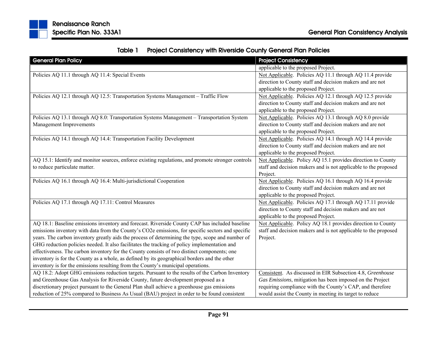| Table 1 | <b>Project Consistency with Riverside County General Plan Policies</b> |
|---------|------------------------------------------------------------------------|
|---------|------------------------------------------------------------------------|

| <b>General Plan Policy</b>                                                                         | <b>Project Consistency</b>                                      |
|----------------------------------------------------------------------------------------------------|-----------------------------------------------------------------|
|                                                                                                    | applicable to the proposed Project.                             |
| Policies AQ 11.1 through AQ 11.4: Special Events                                                   | Not Applicable. Policies AQ 11.1 through AQ 11.4 provide        |
|                                                                                                    | direction to County staff and decision makers and are not       |
|                                                                                                    | applicable to the proposed Project.                             |
| Policies AQ 12.1 through AQ 12.5: Transportation Systems Management - Traffic Flow                 | Not Applicable. Policies AQ 12.1 through AQ 12.5 provide        |
|                                                                                                    | direction to County staff and decision makers and are not       |
|                                                                                                    | applicable to the proposed Project.                             |
| Policies AQ 13.1 through AQ 8.0: Transportation Systems Management - Transportation System         | Not Applicable. Policies AQ 13.1 through AQ 8.0 provide         |
| Management Improvements                                                                            | direction to County staff and decision makers and are not       |
|                                                                                                    | applicable to the proposed Project.                             |
| Policies AQ 14.1 through AQ 14.4: Transportation Facility Development                              | Not Applicable. Policies AQ 14.1 through AQ 14.4 provide        |
|                                                                                                    | direction to County staff and decision makers and are not       |
|                                                                                                    | applicable to the proposed Project.                             |
| AQ 15.1: Identify and monitor sources, enforce existing regulations, and promote stronger controls | Not Applicable. Policy AQ 15.1 provides direction to County     |
| to reduce particulate matter.                                                                      | staff and decision makers and is not applicable to the proposed |
|                                                                                                    | Project.                                                        |
| Policies AQ 16.1 through AQ 16.4: Multi-jurisdictional Cooperation                                 | Not Applicable. Policies AQ 16.1 through AQ 16.4 provide        |
|                                                                                                    | direction to County staff and decision makers and are not       |
|                                                                                                    | applicable to the proposed Project.                             |
| Policies AQ 17.1 through AQ 17.11: Control Measures                                                | Not Applicable. Policies AQ 17.1 through AQ 17.11 provide       |
|                                                                                                    | direction to County staff and decision makers and are not       |
|                                                                                                    | applicable to the proposed Project.                             |
| AQ 18.1: Baseline emissions inventory and forecast. Riverside County CAP has included baseline     | Not Applicable. Policy AQ 18.1 provides direction to County     |
| emissions inventory with data from the County's CO2e emissions, for specific sectors and specific  | staff and decision makers and is not applicable to the proposed |
| years. The carbon inventory greatly aids the process of determining the type, scope and number of  | Project.                                                        |
| GHG reduction policies needed. It also facilitates the tracking of policy implementation and       |                                                                 |
| effectiveness. The carbon inventory for the County consists of two distinct components; one        |                                                                 |
| inventory is for the County as a whole, as defined by its geographical borders and the other       |                                                                 |
| inventory is for the emissions resulting from the County's municipal operations.                   |                                                                 |
| AQ 18.2: Adopt GHG emissions reduction targets. Pursuant to the results of the Carbon Inventory    | Consistent. As discussed in EIR Subsection 4.8, Greenhouse      |
| and Greenhouse Gas Analysis for Riverside County, future development proposed as a                 | Gas Emissions, mitigation has been imposed on the Project       |
| discretionary project pursuant to the General Plan shall achieve a greenhouse gas emissions        | requiring compliance with the County's CAP, and therefore       |
| reduction of 25% compared to Business As Usual (BAU) project in order to be found consistent       | would assist the County in meeting its target to reduce         |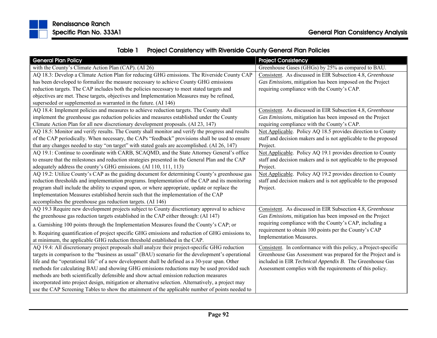

| Table 1 | <b>Project Consistency with Riverside County General Plan Policies</b> |
|---------|------------------------------------------------------------------------|
|---------|------------------------------------------------------------------------|

| <b>General Plan Policy</b>                                                                          | <b>Project Consistency</b>                                      |
|-----------------------------------------------------------------------------------------------------|-----------------------------------------------------------------|
| with the County's Climate Action Plan (CAP). (AI 26)                                                | Greenhouse Gases (GHGs) by 25% as compared to BAU.              |
| AQ 18.3: Develop a Climate Action Plan for reducing GHG emissions. The Riverside County CAP         | Consistent. As discussed in EIR Subsection 4.8, Greenhouse      |
| has been developed to formalize the measure necessary to achieve County GHG emissions               | Gas Emissions, mitigation has been imposed on the Project       |
| reduction targets. The CAP includes both the policies necessary to meet stated targets and          | requiring compliance with the County's CAP.                     |
| objectives are met. These targets, objectives and Implementation Measures may be refined,           |                                                                 |
| superseded or supplemented as warranted in the future. (AI 146)                                     |                                                                 |
| AQ 18.4: Implement policies and measures to achieve reduction targets. The County shall             | Consistent. As discussed in EIR Subsection 4.8, Greenhouse      |
| implement the greenhouse gas reduction policies and measures established under the County           | Gas Emissions, mitigation has been imposed on the Project       |
| Climate Action Plan for all new discretionary development proposals. (AI 23, 147)                   | requiring compliance with the County's CAP.                     |
| AQ 18.5: Monitor and verify results. The County shall monitor and verify the progress and results   | Not Applicable. Policy AQ 18.5 provides direction to County     |
| of the CAP periodically. When necessary, the CAPs "feedback" provisions shall be used to ensure     | staff and decision makers and is not applicable to the proposed |
| that any changes needed to stay "on target" with stated goals are accomplished. (AI 26, 147)        | Project.                                                        |
| AQ 19.1: Continue to coordinate with CARB, SCAQMD, and the State Attorney General's office          | Not Applicable. Policy AQ 19.1 provides direction to County     |
| to ensure that the milestones and reduction strategies presented in the General Plan and the CAP    | staff and decision makers and is not applicable to the proposed |
| adequately address the county's GHG emissions. (AI 110, 111, 113)                                   | Project.                                                        |
| AQ 19.2: Utilize County's CAP as the guiding document for determining County's greenhouse gas       | Not Applicable. Policy AQ 19.2 provides direction to County     |
| reduction thresholds and implementation programs. Implementation of the CAP and its monitoring      | staff and decision makers and is not applicable to the proposed |
| program shall include the ability to expand upon, or where appropriate, update or replace the       | Project.                                                        |
| Implementation Measures established herein such that the implementation of the CAP                  |                                                                 |
| accomplishes the greenhouse gas reduction targets. (AI 146)                                         |                                                                 |
| AQ 19.3 Require new development projects subject to County discretionary approval to achieve        | Consistent. As discussed in EIR Subsection 4.8, Greenhouse      |
| the greenhouse gas reduction targets established in the CAP either through: (AI 147)                | Gas Emissions, mitigation has been imposed on the Project       |
| a. Garnishing 100 points through the Implementation Measures found the County's CAP; or             | requiring compliance with the County's CAP, including a         |
| b. Requiring quantification of project specific GHG emissions and reduction of GHG emissions to,    | requirement to obtain 100 points per the County's CAP           |
| at minimum, the applicable GHG reduction threshold established in the CAP.                          | Implementation Measures.                                        |
| AQ 19.4: All discretionary project proposals shall analyze their project-specific GHG reduction     | Consistent. In conformance with this policy, a Project-specific |
| targets in comparison to the "business as usual" (BAU) scenario for the development's operational   | Greenhouse Gas Assessment was prepared for the Project and is   |
| life and the "operational life" of a new development shall be defined as a 30-year span. Other      | included in EIR Technical Appendix B. The Greenhouse Gas        |
| methods for calculating BAU and showing GHG emissions reductions may be used provided such          | Assessment complies with the requirements of this policy.       |
| methods are both scientifically defensible and show actual emission reduction measures              |                                                                 |
| incorporated into project design, mitigation or alternative selection. Alternatively, a project may |                                                                 |
| use the CAP Screening Tables to show the attainment of the applicable number of points needed to    |                                                                 |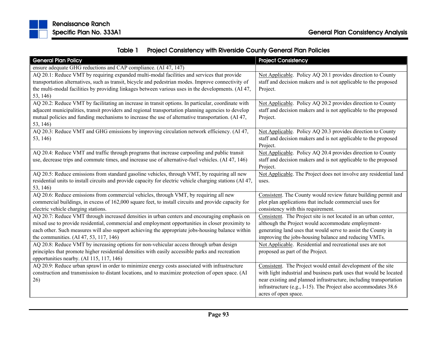

| Table 1 | <b>Project Consistency with Riverside County General Plan Policies</b> |
|---------|------------------------------------------------------------------------|
|---------|------------------------------------------------------------------------|

| <b>General Plan Policy</b>                                                                                                                                                                                                                                                                                                                      | <b>Project Consistency</b>                                                                                                                                                                                                                                                                          |
|-------------------------------------------------------------------------------------------------------------------------------------------------------------------------------------------------------------------------------------------------------------------------------------------------------------------------------------------------|-----------------------------------------------------------------------------------------------------------------------------------------------------------------------------------------------------------------------------------------------------------------------------------------------------|
| ensure adequate GHG reductions and CAP compliance. (AI 47, 147)                                                                                                                                                                                                                                                                                 |                                                                                                                                                                                                                                                                                                     |
| AQ 20.1: Reduce VMT by requiring expanded multi-modal facilities and services that provide<br>transportation alternatives, such as transit, bicycle and pedestrian modes. Improve connectivity of<br>the multi-modal facilities by providing linkages between various uses in the developments. (AI 47,                                         | Not Applicable. Policy AQ 20.1 provides direction to County<br>staff and decision makers and is not applicable to the proposed<br>Project.                                                                                                                                                          |
| 53, 146)                                                                                                                                                                                                                                                                                                                                        |                                                                                                                                                                                                                                                                                                     |
| AQ 20.2: Reduce VMT by facilitating an increase in transit options. In particular, coordinate with<br>adjacent municipalities, transit providers and regional transportation planning agencies to develop<br>mutual policies and funding mechanisms to increase the use of alternative transportation. (AI 47,<br>53, 146)                      | Not Applicable. Policy AQ 20.2 provides direction to County<br>staff and decision makers and is not applicable to the proposed<br>Project.                                                                                                                                                          |
| AQ 20.3: Reduce VMT and GHG emissions by improving circulation network efficiency. (AI 47,<br>53, 146)                                                                                                                                                                                                                                          | Not Applicable. Policy AQ 20.3 provides direction to County<br>staff and decision makers and is not applicable to the proposed<br>Project.                                                                                                                                                          |
| AQ 20.4: Reduce VMT and traffic through programs that increase carpooling and public transit<br>use, decrease trips and commute times, and increase use of alternative-fuel vehicles. (AI 47, 146)                                                                                                                                              | Not Applicable. Policy AQ 20.4 provides direction to County<br>staff and decision makers and is not applicable to the proposed<br>Project.                                                                                                                                                          |
| AQ 20.5: Reduce emissions from standard gasoline vehicles, through VMT, by requiring all new<br>residential units to install circuits and provide capacity for electric vehicle charging stations (AI 47,<br>53, 146)                                                                                                                           | Not Applicable. The Project does not involve any residential land<br>uses.                                                                                                                                                                                                                          |
| AQ 20.6: Reduce emissions from commercial vehicles, through VMT, by requiring all new<br>commercial buildings, in excess of 162,000 square feet, to install circuits and provide capacity for<br>electric vehicle charging stations.                                                                                                            | Consistent. The County would review future building permit and<br>plot plan applications that include commercial uses for<br>consistency with this requirement.                                                                                                                                     |
| AQ 20.7: Reduce VMT through increased densities in urban centers and encouraging emphasis on<br>mixed use to provide residential, commercial and employment opportunities in closer proximity to<br>each other. Such measures will also support achieving the appropriate jobs-housing balance within<br>the communities. (AI 47, 53, 117, 146) | Consistent. The Project site is not located in an urban center,<br>although the Project would accommodate employment-<br>generating land uses that would serve to assist the County in<br>improving the jobs-housing balance and reducing VMTs.                                                     |
| AQ 20.8: Reduce VMT by increasing options for non-vehicular access through urban design<br>principles that promote higher residential densities with easily accessible parks and recreation<br>opportunities nearby. (AI 115, 117, 146)                                                                                                         | Not Applicable. Residential and recreational uses are not<br>proposed as part of the Project.                                                                                                                                                                                                       |
| AQ 20.9: Reduce urban sprawl in order to minimize energy costs associated with infrastructure<br>construction and transmission to distant locations, and to maximize protection of open space. (AI<br>26)                                                                                                                                       | Consistent. The Project would entail development of the site<br>with light industrial and business park uses that would be located<br>near existing and planned infrastructure, including transportation<br>infrastructure (e.g., I-15). The Project also accommodates 38.6<br>acres of open space. |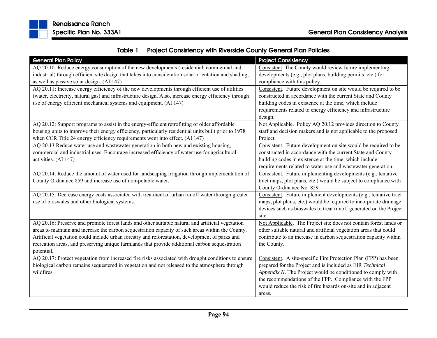

| Table 1 | <b>Project Consistency with Riverside County General Plan Policies</b> |
|---------|------------------------------------------------------------------------|
|---------|------------------------------------------------------------------------|

| <b>General Plan Policy</b>                                                                             | <b>Project Consistency</b>                                         |
|--------------------------------------------------------------------------------------------------------|--------------------------------------------------------------------|
| AQ 20.10: Reduce energy consumption of the new developments (residential, commercial and               | Consistent. The County would review future implementing            |
| industrial) through efficient site design that takes into consideration solar orientation and shading, | developments (e.g., plot plans, building permits, etc.) for        |
| as well as passive solar design. (AI 147)                                                              | compliance with this policy.                                       |
| AQ 20.11: Increase energy efficiency of the new developments through efficient use of utilities        | Consistent. Future development on site would be required to be     |
| (water, electricity, natural gas) and infrastructure design. Also, increase energy efficiency through  | constructed in accordance with the current State and County        |
| use of energy efficient mechanical systems and equipment. (AI 147)                                     | building codes in existence at the time, which include             |
|                                                                                                        | requirements related to energy efficiency and infrastructure       |
|                                                                                                        | design.                                                            |
| AQ 20.12: Support programs to assist in the energy-efficient retrofitting of older affordable          | Not Applicable. Policy AQ 20.12 provides direction to County       |
| housing units to improve their energy efficiency, particularly residential units built prior to 1978   | staff and decision makers and is not applicable to the proposed    |
| when CCR Title 24 energy efficiency requirements went into effect. (AI 147)                            | Project.                                                           |
| AQ 20.13 Reduce water use and wastewater generation in both new and existing housing,                  | Consistent. Future development on site would be required to be     |
| commercial and industrial uses. Encourage increased efficiency of water use for agricultural           | constructed in accordance with the current State and County        |
| activities. (AI 147)                                                                                   | building codes in existence at the time, which include             |
|                                                                                                        | requirements related to water use and wastewater generation.       |
| AQ 20.14: Reduce the amount of water used for landscaping irrigation through implementation of         | Consistent. Future implementing developments (e.g., tentative      |
| County Ordinance 859 and increase use of non-potable water.                                            | tract maps, plot plans, etc.) would be subject to compliance with  |
|                                                                                                        | County Ordinance No. 859.                                          |
| AQ 20.15: Decrease energy costs associated with treatment of urban runoff water through greater        | Consistent. Future implement developments (e.g., tentative tract   |
| use of bioswales and other biological systems.                                                         | maps, plot plans, etc.) would be required to incorporate drainage  |
|                                                                                                        | devices such as bioswales to treat runoff generated on the Project |
|                                                                                                        | site.                                                              |
| AQ 20.16: Preserve and promote forest lands and other suitable natural and artificial vegetation       | Not Applicable. The Project site does not contain forest lands or  |
| areas to maintain and increase the carbon sequestration capacity of such areas within the County.      | other suitable natural and artificial vegetation areas that could  |
| Artificial vegetation could include urban forestry and reforestation, development of parks and         | contribute to an increase in carbon sequestration capacity within  |
| recreation areas, and preserving unique farmlands that provide additional carbon sequestration         | the County.                                                        |
| potential.                                                                                             |                                                                    |
| AQ 20.17: Protect vegetation from increased fire risks associated with drought conditions to ensure    | Consistent. A site-specific Fire Protection Plan (FPP) has been    |
| biological carbon remains sequestered in vegetation and not released to the atmosphere through         | prepared for the Project and is included as EIR Technical          |
| wildfires.                                                                                             | Appendix N. The Project would be conditioned to comply with        |
|                                                                                                        | the recommendations of the FPP. Compliance with the FPP            |
|                                                                                                        | would reduce the risk of fire hazards on-site and in adjacent      |
|                                                                                                        | areas.                                                             |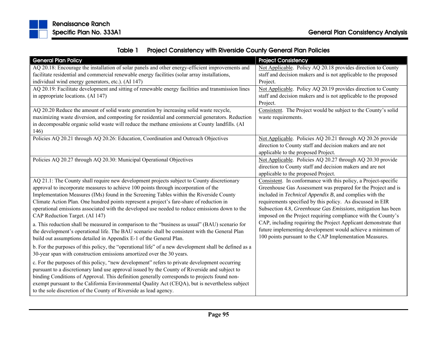

| Table 1 | <b>Project Consistency with Riverside County General Plan Policies</b> |
|---------|------------------------------------------------------------------------|
|---------|------------------------------------------------------------------------|

| <b>General Plan Policy</b>                                                                            | <b>Project Consistency</b>                                      |
|-------------------------------------------------------------------------------------------------------|-----------------------------------------------------------------|
| AQ 20.18: Encourage the installation of solar panels and other energy-efficient improvements and      | Not Applicable. Policy AQ 20.18 provides direction to County    |
| facilitate residential and commercial renewable energy facilities (solar array installations,         | staff and decision makers and is not applicable to the proposed |
| individual wind energy generators, etc.). (AI 147)                                                    | Project.                                                        |
| AQ 20.19: Facilitate development and sitting of renewable energy facilities and transmission lines    | Not Applicable. Policy AQ 20.19 provides direction to County    |
| in appropriate locations. (AI 147)                                                                    | staff and decision makers and is not applicable to the proposed |
|                                                                                                       | Project.                                                        |
| AQ 20.20 Reduce the amount of solid waste generation by increasing solid waste recycle,               | Consistent. The Project would be subject to the County's solid  |
| maximizing waste diversion, and composting for residential and commercial generators. Reduction       | waste requirements.                                             |
| in decomposable organic solid waste will reduce the methane emissions at County landfills. (AI        |                                                                 |
| 146)                                                                                                  |                                                                 |
| Policies AQ 20.21 through AQ 20.26: Education, Coordination and Outreach Objectives                   | Not Applicable. Policies AQ 20.21 through AQ 20.26 provide      |
|                                                                                                       | direction to County staff and decision makers and are not       |
|                                                                                                       | applicable to the proposed Project.                             |
| Policies AQ 20.27 through AQ 20.30: Municipal Operational Objectives                                  | Not Applicable. Policies AQ 20.27 through AQ 20.30 provide      |
|                                                                                                       | direction to County staff and decision makers and are not       |
|                                                                                                       | applicable to the proposed Project.                             |
| AQ 21.1: The County shall require new development projects subject to County discretionary            | Consistent. In conformance with this policy, a Project-specific |
| approval to incorporate measures to achieve 100 points through incorporation of the                   | Greenhouse Gas Assessment was prepared for the Project and is   |
| Implementation Measures (IMs) found in the Screening Tables within the Riverside County               | included in Technical Appendix B, and complies with the         |
| Climate Action Plan. One hundred points represent a project's fare-share of reduction in              | requirements specified by this policy. As discussed in EIR      |
| operational emissions associated with the developed use needed to reduce emissions down to the        | Subsection 4.8, Greenhouse Gas Emissions, mitigation has been   |
| CAP Reduction Target. (AI 147)                                                                        | imposed on the Project requiring compliance with the County's   |
| a. This reduction shall be measured in comparison to the "business as usual" (BAU) scenario for       | CAP, including requiring the Project Applicant demonstrate that |
| the development's operational life. The BAU scenario shall be consistent with the General Plan        | future implementing development would achieve a minimum of      |
| build out assumptions detailed in Appendix E-1 of the General Plan.                                   | 100 points pursuant to the CAP Implementation Measures.         |
| b. For the purposes of this policy, the "operational life" of a new development shall be defined as a |                                                                 |
| 30-year span with construction emissions amortized over the 30 years.                                 |                                                                 |
|                                                                                                       |                                                                 |
| c. For the purposes of this policy, "new development" refers to private development occurring         |                                                                 |
| pursuant to a discretionary land use approval issued by the County of Riverside and subject to        |                                                                 |
| binding Conditions of Approval. This definition generally corresponds to projects found non-          |                                                                 |
| exempt pursuant to the California Environmental Quality Act (CEQA), but is nevertheless subject       |                                                                 |
| to the sole discretion of the County of Riverside as lead agency.                                     |                                                                 |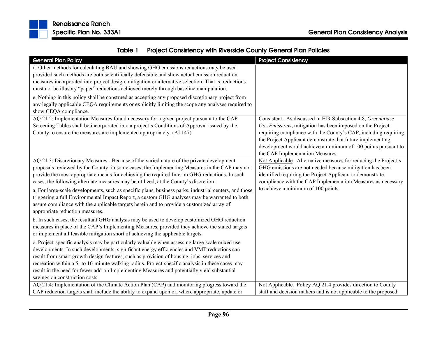

|  | Table 1 Project Consistency with Riverside County General Plan Policies |
|--|-------------------------------------------------------------------------|
|--|-------------------------------------------------------------------------|

| <b>General Plan Policy</b>                                                                             | <b>Project Consistency</b>                                                                                                    |
|--------------------------------------------------------------------------------------------------------|-------------------------------------------------------------------------------------------------------------------------------|
| d. Other methods for calculating BAU and showing GHG emissions reductions may be used                  |                                                                                                                               |
| provided such methods are both scientifically defensible and show actual emission reduction            |                                                                                                                               |
| measures incorporated into project design, mitigation or alternative selection. That is, reductions    |                                                                                                                               |
| must not be illusory "paper" reductions achieved merely through baseline manipulation.                 |                                                                                                                               |
| e. Nothing in this policy shall be construed as accepting any proposed discretionary project from      |                                                                                                                               |
| any legally applicable CEQA requirements or explicitly limiting the scope any analyses required to     |                                                                                                                               |
| show CEQA compliance.                                                                                  |                                                                                                                               |
| AQ 21.2: Implementation Measures found necessary for a given project pursuant to the CAP               | Consistent. As discussed in EIR Subsection 4.8, Greenhouse                                                                    |
| Screening Tables shall be incorporated into a project's Conditions of Approval issued by the           | Gas Emissions, mitigation has been imposed on the Project                                                                     |
| County to ensure the measures are implemented appropriately. (AI 147)                                  | requiring compliance with the County's CAP, including requiring<br>the Project Applicant demonstrate that future implementing |
|                                                                                                        | development would achieve a minimum of 100 points pursuant to                                                                 |
|                                                                                                        | the CAP Implementation Measures.                                                                                              |
| AQ 21.3: Discretionary Measures - Because of the varied nature of the private development              | Not Applicable. Alternative measures for reducing the Project's                                                               |
| proposals reviewed by the County, in some cases, the Implementing Measures in the CAP may not          | GHG emissions are not needed because mitigation has been                                                                      |
| provide the most appropriate means for achieving the required Interim GHG reductions. In such          | identified requiring the Project Applicant to demonstrate                                                                     |
| cases, the following alternate measures may be utilized, at the County's discretion:                   | compliance with the CAP Implementation Measures as necessary                                                                  |
| a. For large-scale developments, such as specific plans, business parks, industrial centers, and those | to achieve a minimum of 100 points.                                                                                           |
| triggering a full Environmental Impact Report, a custom GHG analyses may be warranted to both          |                                                                                                                               |
| assure compliance with the applicable targets herein and to provide a customized array of              |                                                                                                                               |
| appropriate reduction measures.                                                                        |                                                                                                                               |
| b. In such cases, the resultant GHG analysis may be used to develop customized GHG reduction           |                                                                                                                               |
| measures in place of the CAP's Implementing Measures, provided they achieve the stated targets         |                                                                                                                               |
| or implement all feasible mitigation short of achieving the applicable targets.                        |                                                                                                                               |
| c. Project-specific analysis may be particularly valuable when assessing large-scale mixed use         |                                                                                                                               |
| developments. In such developments, significant energy efficiencies and VMT reductions can             |                                                                                                                               |
| result from smart growth design features, such as provision of housing, jobs, services and             |                                                                                                                               |
| recreation within a 5- to 10-minute walking radius. Project-specific analysis in these cases may       |                                                                                                                               |
| result in the need for fewer add-on Implementing Measures and potentially yield substantial            |                                                                                                                               |
| savings on construction costs.                                                                         |                                                                                                                               |
| AQ 21.4: Implementation of the Climate Action Plan (CAP) and monitoring progress toward the            | Not Applicable. Policy AQ 21.4 provides direction to County                                                                   |
| CAP reduction targets shall include the ability to expand upon or, where appropriate, update or        | staff and decision makers and is not applicable to the proposed                                                               |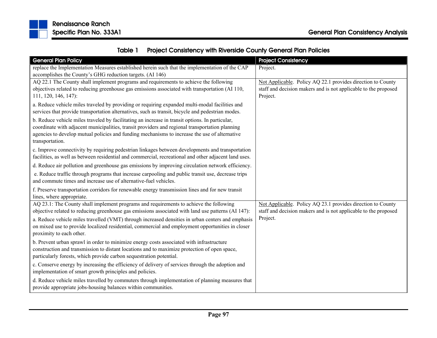

|  | Table 1 Project Consistency with Riverside County General Plan Policies |
|--|-------------------------------------------------------------------------|
|--|-------------------------------------------------------------------------|

| <b>General Plan Policy</b>                                                                                                                                                                                                                                                                          | <b>Project Consistency</b>                                      |
|-----------------------------------------------------------------------------------------------------------------------------------------------------------------------------------------------------------------------------------------------------------------------------------------------------|-----------------------------------------------------------------|
| replace the Implementation Measures established herein such that the implementation of the CAP                                                                                                                                                                                                      | Project.                                                        |
| accomplishes the County's GHG reduction targets. (AI 146)                                                                                                                                                                                                                                           |                                                                 |
| AQ 22.1 The County shall implement programs and requirements to achieve the following                                                                                                                                                                                                               | Not Applicable. Policy AQ 22.1 provides direction to County     |
| objectives related to reducing greenhouse gas emissions associated with transportation (AI 110,                                                                                                                                                                                                     | staff and decision makers and is not applicable to the proposed |
| 111, 120, 146, 147):                                                                                                                                                                                                                                                                                | Project.                                                        |
| a. Reduce vehicle miles traveled by providing or requiring expanded multi-modal facilities and                                                                                                                                                                                                      |                                                                 |
| services that provide transportation alternatives, such as transit, bicycle and pedestrian modes.                                                                                                                                                                                                   |                                                                 |
| b. Reduce vehicle miles traveled by facilitating an increase in transit options. In particular,<br>coordinate with adjacent municipalities, transit providers and regional transportation planning<br>agencies to develop mutual policies and funding mechanisms to increase the use of alternative |                                                                 |
| transportation.                                                                                                                                                                                                                                                                                     |                                                                 |
| c. Improve connectivity by requiring pedestrian linkages between developments and transportation                                                                                                                                                                                                    |                                                                 |
| facilities, as well as between residential and commercial, recreational and other adjacent land uses.                                                                                                                                                                                               |                                                                 |
| d. Reduce air pollution and greenhouse gas emissions by improving circulation network efficiency.                                                                                                                                                                                                   |                                                                 |
| e. Reduce traffic through programs that increase carpooling and public transit use, decrease trips<br>and commute times and increase use of alternative-fuel vehicles.                                                                                                                              |                                                                 |
| f. Preserve transportation corridors for renewable energy transmission lines and for new transit<br>lines, where appropriate.                                                                                                                                                                       |                                                                 |
| AQ 23.1: The County shall implement programs and requirements to achieve the following                                                                                                                                                                                                              | Not Applicable. Policy AQ 23.1 provides direction to County     |
| objective related to reducing greenhouse gas emissions associated with land use patterns (AI 147):                                                                                                                                                                                                  | staff and decision makers and is not applicable to the proposed |
| a. Reduce vehicle miles travelled (VMT) through increased densities in urban centers and emphasis<br>on mixed use to provide localized residential, commercial and employment opportunities in closer<br>proximity to each other.                                                                   | Project.                                                        |
| b. Prevent urban sprawl in order to minimize energy costs associated with infrastructure                                                                                                                                                                                                            |                                                                 |
| construction and transmission to distant locations and to maximize protection of open space,                                                                                                                                                                                                        |                                                                 |
| particularly forests, which provide carbon sequestration potential.                                                                                                                                                                                                                                 |                                                                 |
| c. Conserve energy by increasing the efficiency of delivery of services through the adoption and<br>implementation of smart growth principles and policies.                                                                                                                                         |                                                                 |
| d. Reduce vehicle miles travelled by commuters through implementation of planning measures that<br>provide appropriate jobs-housing balances within communities.                                                                                                                                    |                                                                 |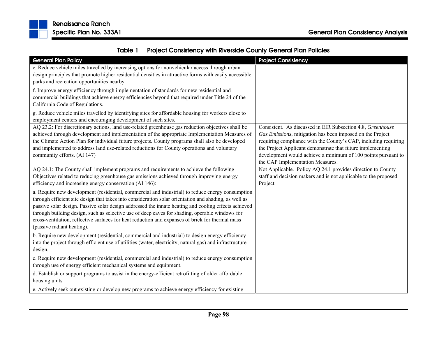

| <b>General Plan Policy</b>                                                                               | <b>Project Consistency</b>                                      |
|----------------------------------------------------------------------------------------------------------|-----------------------------------------------------------------|
| e. Reduce vehicle miles travelled by increasing options for nonvehicular access through urban            |                                                                 |
| design principles that promote higher residential densities in attractive forms with easily accessible   |                                                                 |
| parks and recreation opportunities nearby.                                                               |                                                                 |
| f. Improve energy efficiency through implementation of standards for new residential and                 |                                                                 |
| commercial buildings that achieve energy efficiencies beyond that required under Title 24 of the         |                                                                 |
| California Code of Regulations.                                                                          |                                                                 |
| g. Reduce vehicle miles travelled by identifying sites for affordable housing for workers close to       |                                                                 |
| employment centers and encouraging development of such sites.                                            |                                                                 |
| AQ 23.2: For discretionary actions, land use-related greenhouse gas reduction objectives shall be        | Consistent. As discussed in EIR Subsection 4.8, Greenhouse      |
| achieved through development and implementation of the appropriate Implementation Measures of            | Gas Emissions, mitigation has been imposed on the Project       |
| the Climate Action Plan for individual future projects. County programs shall also be developed          | requiring compliance with the County's CAP, including requiring |
| and implemented to address land use-related reductions for County operations and voluntary               | the Project Applicant demonstrate that future implementing      |
| community efforts. (AI 147)                                                                              | development would achieve a minimum of 100 points pursuant to   |
|                                                                                                          | the CAP Implementation Measures.                                |
| AQ 24.1: The County shall implement programs and requirements to achieve the following                   | Not Applicable. Policy AQ 24.1 provides direction to County     |
| Objectives related to reducing greenhouse gas emissions achieved through improving energy                | staff and decision makers and is not applicable to the proposed |
| efficiency and increasing energy conservation (AI 146):                                                  | Project.                                                        |
| a. Require new development (residential, commercial and industrial) to reduce energy consumption         |                                                                 |
| through efficient site design that takes into consideration solar orientation and shading, as well as    |                                                                 |
| passive solar design. Passive solar design addressed the innate heating and cooling effects achieved     |                                                                 |
| through building design, such as selective use of deep eaves for shading, operable windows for           |                                                                 |
| cross-ventilation, reflective surfaces for heat reduction and expanses of brick for thermal mass         |                                                                 |
| (passive radiant heating).                                                                               |                                                                 |
| b. Require new development (residential, commercial and industrial) to design energy efficiency          |                                                                 |
| into the project through efficient use of utilities (water, electricity, natural gas) and infrastructure |                                                                 |
| design.                                                                                                  |                                                                 |
| c. Require new development (residential, commercial and industrial) to reduce energy consumption         |                                                                 |
| through use of energy efficient mechanical systems and equipment.                                        |                                                                 |
| d. Establish or support programs to assist in the energy-efficient retrofitting of older affordable      |                                                                 |
| housing units.                                                                                           |                                                                 |
| e. Actively seek out existing or develop new programs to achieve energy efficiency for existing          |                                                                 |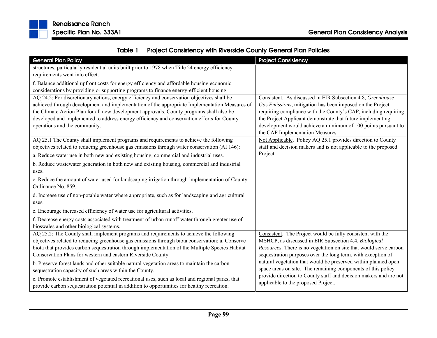

| Table 1 | <b>Project Consistency with Riverside County General Plan Policies</b> |
|---------|------------------------------------------------------------------------|
|---------|------------------------------------------------------------------------|

| <b>General Plan Policy</b>                                                                                                                                                            | <b>Project Consistency</b>                                                                                                     |
|---------------------------------------------------------------------------------------------------------------------------------------------------------------------------------------|--------------------------------------------------------------------------------------------------------------------------------|
| structures, particularly residential units built prior to 1978 when Title 24 energy efficiency                                                                                        |                                                                                                                                |
| requirements went into effect.                                                                                                                                                        |                                                                                                                                |
| f. Balance additional upfront costs for energy efficiency and affordable housing economic                                                                                             |                                                                                                                                |
| considerations by providing or supporting programs to finance energy-efficient housing.                                                                                               |                                                                                                                                |
| AQ 24.2: For discretionary actions, energy efficiency and conservation objectives shall be                                                                                            | Consistent. As discussed in EIR Subsection 4.8, Greenhouse                                                                     |
| achieved through development and implementation of the appropriate Implementation Measures of                                                                                         | Gas Emissions, mitigation has been imposed on the Project                                                                      |
| the Climate Action Plan for all new development approvals. County programs shall also be                                                                                              | requiring compliance with the County's CAP, including requiring                                                                |
| developed and implemented to address energy efficiency and conservation efforts for County                                                                                            | the Project Applicant demonstrate that future implementing                                                                     |
| operations and the community.                                                                                                                                                         | development would achieve a minimum of 100 points pursuant to                                                                  |
|                                                                                                                                                                                       | the CAP Implementation Measures.                                                                                               |
| AQ 25.1 The County shall implement programs and requirements to achieve the following<br>objectives related to reducing greenhouse gas emissions through water conservation (AI 146): | Not Applicable. Policy AQ 25.1 provides direction to County<br>staff and decision makers and is not applicable to the proposed |
|                                                                                                                                                                                       | Project.                                                                                                                       |
| a. Reduce water use in both new and existing housing, commercial and industrial uses.                                                                                                 |                                                                                                                                |
| b. Reduce wastewater generation in both new and existing housing, commercial and industrial                                                                                           |                                                                                                                                |
| uses.                                                                                                                                                                                 |                                                                                                                                |
| c. Reduce the amount of water used for landscaping irrigation through implementation of County                                                                                        |                                                                                                                                |
| Ordinance No. 859.                                                                                                                                                                    |                                                                                                                                |
| d. Increase use of non-potable water where appropriate, such as for landscaping and agricultural                                                                                      |                                                                                                                                |
| uses.                                                                                                                                                                                 |                                                                                                                                |
| e. Encourage increased efficiency of water use for agricultural activities.                                                                                                           |                                                                                                                                |
| f. Decrease energy costs associated with treatment of urban runoff water through greater use of                                                                                       |                                                                                                                                |
| bioswales and other biological systems.                                                                                                                                               |                                                                                                                                |
| AQ 25.2: The County shall implement programs and requirements to achieve the following                                                                                                | Consistent. The Project would be fully consistent with the                                                                     |
| objectives related to reducing greenhouse gas emissions through biota conservation: a. Conserve                                                                                       | MSHCP, as discussed in EIR Subsection 4.4, Biological                                                                          |
| biota that provides carbon sequestration through implementation of the Multiple Species Habitat                                                                                       | Resources. There is no vegetation on site that would serve carbon                                                              |
| Conservation Plans for western and eastern Riverside County.                                                                                                                          | sequestration purposes over the long term, with exception of                                                                   |
| b. Preserve forest lands and other suitable natural vegetation areas to maintain the carbon                                                                                           | natural vegetation that would be preserved within planned open                                                                 |
| sequestration capacity of such areas within the County.                                                                                                                               | space areas on site. The remaining components of this policy                                                                   |
| c. Promote establishment of vegetated recreational uses, such as local and regional parks, that                                                                                       | provide direction to County staff and decision makers and are not                                                              |
| provide carbon sequestration potential in addition to opportunities for healthy recreation.                                                                                           | applicable to the proposed Project.                                                                                            |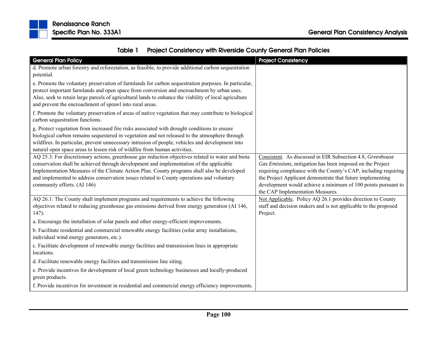| <b>General Plan Policy</b>                                                                                                                                                                                                                                                                                                                                                                                               | <b>Project Consistency</b>                                                                                                                                                                                                                                                                                                                                    |
|--------------------------------------------------------------------------------------------------------------------------------------------------------------------------------------------------------------------------------------------------------------------------------------------------------------------------------------------------------------------------------------------------------------------------|---------------------------------------------------------------------------------------------------------------------------------------------------------------------------------------------------------------------------------------------------------------------------------------------------------------------------------------------------------------|
| d. Promote urban forestry and reforestation, as feasible, to provide additional carbon sequestration                                                                                                                                                                                                                                                                                                                     |                                                                                                                                                                                                                                                                                                                                                               |
| potential.                                                                                                                                                                                                                                                                                                                                                                                                               |                                                                                                                                                                                                                                                                                                                                                               |
| e. Promote the voluntary preservation of farmlands for carbon sequestration purposes. In particular,<br>protect important farmlands and open space from conversion and encroachment by urban uses.<br>Also, seek to retain large parcels of agricultural lands to enhance the viability of local agriculture<br>and prevent the encroachment of sprawl into rural areas.                                                 |                                                                                                                                                                                                                                                                                                                                                               |
| f. Promote the voluntary preservation of areas of native vegetation that may contribute to biological<br>carbon sequestration functions.                                                                                                                                                                                                                                                                                 |                                                                                                                                                                                                                                                                                                                                                               |
| g. Protect vegetation from increased fire risks associated with drought conditions to ensure<br>biological carbon remains sequestered in vegetation and not released to the atmosphere through<br>wildfires. In particular, prevent unnecessary intrusion of people, vehicles and development into<br>natural open space areas to lessen risk of wildfire from human activities.                                         |                                                                                                                                                                                                                                                                                                                                                               |
| AQ 25.3: For discretionary actions, greenhouse gas reduction objectives related to water and biota<br>conservation shall be achieved through development and implementation of the applicable<br>Implementation Measures of the Climate Action Plan. County programs shall also be developed<br>and implemented to address conservation issues related to County operations and voluntary<br>community efforts. (AI 146) | Consistent. As discussed in EIR Subsection 4.8, Greenhouse<br>Gas Emissions, mitigation has been imposed on the Project<br>requiring compliance with the County's CAP, including requiring<br>the Project Applicant demonstrate that future implementing<br>development would achieve a minimum of 100 points pursuant to<br>the CAP Implementation Measures. |
| AQ 26.1: The County shall implement programs and requirements to achieve the following<br>objectives related to reducing greenhouse gas emissions derived from energy generation (AI 146,<br>$147$ :                                                                                                                                                                                                                     | Not Applicable. Policy AQ 26.1 provides direction to County<br>staff and decision makers and is not applicable to the proposed<br>Project.                                                                                                                                                                                                                    |
| a. Encourage the installation of solar panels and other energy-efficient improvements.                                                                                                                                                                                                                                                                                                                                   |                                                                                                                                                                                                                                                                                                                                                               |
| b. Facilitate residential and commercial renewable energy facilities (solar array installations,<br>individual wind energy generators, etc.).                                                                                                                                                                                                                                                                            |                                                                                                                                                                                                                                                                                                                                                               |
| c. Facilitate development of renewable energy facilities and transmission lines in appropriate<br>locations.                                                                                                                                                                                                                                                                                                             |                                                                                                                                                                                                                                                                                                                                                               |
| d. Facilitate renewable energy facilities and transmission line siting.                                                                                                                                                                                                                                                                                                                                                  |                                                                                                                                                                                                                                                                                                                                                               |
| e. Provide incentives for development of local green technology businesses and locally-produced<br>green products.                                                                                                                                                                                                                                                                                                       |                                                                                                                                                                                                                                                                                                                                                               |
| f. Provide incentives for investment in residential and commercial energy efficiency improvements.                                                                                                                                                                                                                                                                                                                       |                                                                                                                                                                                                                                                                                                                                                               |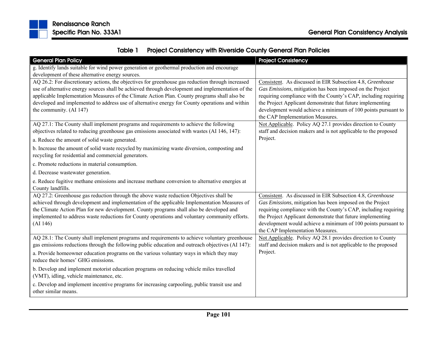

| Table 1 | <b>Project Consistency with Riverside County General Plan Policies</b> |
|---------|------------------------------------------------------------------------|
|---------|------------------------------------------------------------------------|

| <b>General Plan Policy</b>                                                                                                                                                                         | <b>Project Consistency</b>                                                                                                     |
|----------------------------------------------------------------------------------------------------------------------------------------------------------------------------------------------------|--------------------------------------------------------------------------------------------------------------------------------|
| g. Identify lands suitable for wind power generation or geothermal production and encourage                                                                                                        |                                                                                                                                |
| development of these alternative energy sources.                                                                                                                                                   |                                                                                                                                |
| AQ 26.2: For discretionary actions, the objectives for greenhouse gas reduction through increased                                                                                                  | Consistent. As discussed in EIR Subsection 4.8, Greenhouse                                                                     |
| use of alternative energy sources shall be achieved through development and implementation of the                                                                                                  | Gas Emissions, mitigation has been imposed on the Project                                                                      |
| applicable Implementation Measures of the Climate Action Plan. County programs shall also be                                                                                                       | requiring compliance with the County's CAP, including requiring                                                                |
| developed and implemented to address use of alternative energy for County operations and within                                                                                                    | the Project Applicant demonstrate that future implementing                                                                     |
| the community. (AI 147)                                                                                                                                                                            | development would achieve a minimum of 100 points pursuant to                                                                  |
| AQ 27.1: The County shall implement programs and requirements to achieve the following                                                                                                             | the CAP Implementation Measures.<br>Not Applicable. Policy AQ 27.1 provides direction to County                                |
| objectives related to reducing greenhouse gas emissions associated with wastes (AI 146, 147):                                                                                                      | staff and decision makers and is not applicable to the proposed                                                                |
|                                                                                                                                                                                                    | Project.                                                                                                                       |
| a. Reduce the amount of solid waste generated.                                                                                                                                                     |                                                                                                                                |
| b. Increase the amount of solid waste recycled by maximizing waste diversion, composting and                                                                                                       |                                                                                                                                |
| recycling for residential and commercial generators.                                                                                                                                               |                                                                                                                                |
| c. Promote reductions in material consumption.                                                                                                                                                     |                                                                                                                                |
| d. Decrease wastewater generation.                                                                                                                                                                 |                                                                                                                                |
| e. Reduce fugitive methane emissions and increase methane conversion to alternative energies at<br>County landfills.                                                                               |                                                                                                                                |
| AQ 27.2: Greenhouse gas reduction through the above waste reduction Objectives shall be                                                                                                            | Consistent. As discussed in EIR Subsection 4.8, Greenhouse                                                                     |
| achieved through development and implementation of the applicable Implementation Measures of                                                                                                       | Gas Emissions, mitigation has been imposed on the Project                                                                      |
| the Climate Action Plan for new development. County programs shall also be developed and                                                                                                           | requiring compliance with the County's CAP, including requiring                                                                |
| implemented to address waste reductions for County operations and voluntary community efforts.                                                                                                     | the Project Applicant demonstrate that future implementing                                                                     |
| (AI 146)                                                                                                                                                                                           | development would achieve a minimum of 100 points pursuant to                                                                  |
|                                                                                                                                                                                                    | the CAP Implementation Measures.                                                                                               |
| AQ 28.1: The County shall implement programs and requirements to achieve voluntary greenhouse<br>gas emissions reductions through the following public education and outreach objectives (AI 147): | Not Applicable. Policy AQ 28.1 provides direction to County<br>staff and decision makers and is not applicable to the proposed |
| a. Provide homeowner education programs on the various voluntary ways in which they may                                                                                                            | Project.                                                                                                                       |
| reduce their homes' GHG emissions.                                                                                                                                                                 |                                                                                                                                |
| b. Develop and implement motorist education programs on reducing vehicle miles travelled                                                                                                           |                                                                                                                                |
| (VMT), idling, vehicle maintenance, etc.                                                                                                                                                           |                                                                                                                                |
| c. Develop and implement incentive programs for increasing carpooling, public transit use and                                                                                                      |                                                                                                                                |
| other similar means.                                                                                                                                                                               |                                                                                                                                |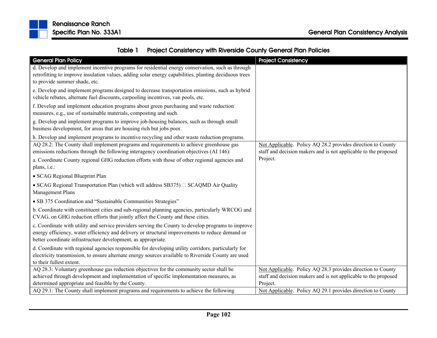

|  | Table 1 Project Consistency with Riverside County General Plan Policies |
|--|-------------------------------------------------------------------------|
|--|-------------------------------------------------------------------------|

| <b>General Plan Policy</b>                                                                                                                                                                                                                                             | <b>Project Consistency</b>                                                                                                     |
|------------------------------------------------------------------------------------------------------------------------------------------------------------------------------------------------------------------------------------------------------------------------|--------------------------------------------------------------------------------------------------------------------------------|
| d. Develop and implement incentive programs for residential energy conservation, such as through                                                                                                                                                                       |                                                                                                                                |
| retrofitting to improve insulation values, adding solar energy capabilities, planting deciduous trees<br>to provide summer shade, etc.                                                                                                                                 |                                                                                                                                |
| e. Develop and implement programs designed to decrease transportation emissions, such as hybrid                                                                                                                                                                        |                                                                                                                                |
| vehicle rebates, alternate fuel discounts, carpooling incentives, van pools, etc.                                                                                                                                                                                      |                                                                                                                                |
| f. Develop and implement education programs about green purchasing and waste reduction                                                                                                                                                                                 |                                                                                                                                |
| measures, e.g., use of sustainable materials, composting and such.                                                                                                                                                                                                     |                                                                                                                                |
| g. Develop and implement programs to improve job-housing balances, such as through small<br>business development, for areas that are housing rich but jobs poor.                                                                                                       |                                                                                                                                |
| h. Develop and implement programs to incentive recycling and other waste reduction programs.                                                                                                                                                                           |                                                                                                                                |
| AQ 28.2: The County shall implement programs and requirements to achieve greenhouse gas<br>emissions reductions through the following interagency coordination objectives (AI 146):                                                                                    | Not Applicable. Policy AQ 28.2 provides direction to County<br>staff and decision makers and is not applicable to the proposed |
| a. Coordinate County regional GHG reduction efforts with those of other regional agencies and<br>plans, i.e.:                                                                                                                                                          | Project.                                                                                                                       |
| • SCAG Regional Blueprint Plan                                                                                                                                                                                                                                         |                                                                                                                                |
| • SCAG Regional Transportation Plan (which will address SB375) $\Box$ SCAQMD Air Quality<br>Management Plans                                                                                                                                                           |                                                                                                                                |
| • SB 375 Coordination and "Sustainable Communities Strategies"                                                                                                                                                                                                         |                                                                                                                                |
| b. Coordinate with constituent cities and sub-regional planning agencies, particularly WRCOG and<br>CVAG, on GHG reduction efforts that jointly affect the County and these cities.                                                                                    |                                                                                                                                |
| c. Coordinate with utility and service providers serving the County to develop programs to improve<br>energy efficiency, water efficiency and delivery or structural improvements to reduce demand or<br>better coordinate infrastructure development, as appropriate. |                                                                                                                                |
| d. Coordinate with regional agencies responsible for developing utility corridors, particularly for<br>electricity transmission, to ensure alternate energy sources available to Riverside County are used<br>to their fullest extent.                                 |                                                                                                                                |
| AQ 28.3: Voluntary greenhouse gas reduction objectives for the community sector shall be                                                                                                                                                                               | Not Applicable. Policy AQ 28.3 provides direction to County                                                                    |
| achieved through development and implementation of specific implementation measures, as                                                                                                                                                                                | staff and decision makers and is not applicable to the proposed                                                                |
| determined appropriate and feasible by the County.<br>AQ 29.1: The County shall implement programs and requirements to achieve the following                                                                                                                           | Project.                                                                                                                       |
|                                                                                                                                                                                                                                                                        | Not Applicable. Policy AQ 29.1 provides direction to County                                                                    |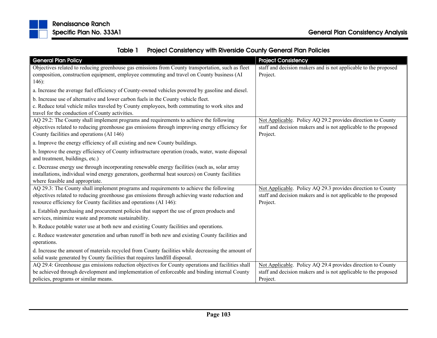

| <b>General Plan Policy</b>                                                                         | <b>Project Consistency</b>                                      |
|----------------------------------------------------------------------------------------------------|-----------------------------------------------------------------|
| Objectives related to reducing greenhouse gas emissions from County transportation, such as fleet  | staff and decision makers and is not applicable to the proposed |
| composition, construction equipment, employee commuting and travel on County business (AI          | Project.                                                        |
| $146$ :                                                                                            |                                                                 |
| a. Increase the average fuel efficiency of County-owned vehicles powered by gasoline and diesel.   |                                                                 |
| b. Increase use of alternative and lower carbon fuels in the County vehicle fleet.                 |                                                                 |
| c. Reduce total vehicle miles traveled by County employees, both commuting to work sites and       |                                                                 |
| travel for the conduction of County activities.                                                    |                                                                 |
| AQ 29.2: The County shall implement programs and requirements to achieve the following             | Not Applicable. Policy AQ 29.2 provides direction to County     |
| objectives related to reducing greenhouse gas emissions through improving energy efficiency for    | staff and decision makers and is not applicable to the proposed |
| County facilities and operations (AI 146)                                                          | Project.                                                        |
| a. Improve the energy efficiency of all existing and new County buildings.                         |                                                                 |
| b. Improve the energy efficiency of County infrastructure operation (roads, water, waste disposal  |                                                                 |
| and treatment, buildings, etc.)                                                                    |                                                                 |
| c. Decrease energy use through incorporating renewable energy facilities (such as, solar array     |                                                                 |
| installations, individual wind energy generators, geothermal heat sources) on County facilities    |                                                                 |
| where feasible and appropriate.                                                                    |                                                                 |
| AQ 29.3: The County shall implement programs and requirements to achieve the following             | Not Applicable. Policy AQ 29.3 provides direction to County     |
| objectives related to reducing greenhouse gas emissions through achieving waste reduction and      | staff and decision makers and is not applicable to the proposed |
| resource efficiency for County facilities and operations (AI 146):                                 | Project.                                                        |
| a. Establish purchasing and procurement policies that support the use of green products and        |                                                                 |
| services, minimize waste and promote sustainability.                                               |                                                                 |
| b. Reduce potable water use at both new and existing County facilities and operations.             |                                                                 |
| c. Reduce wastewater generation and urban runoff in both new and existing County facilities and    |                                                                 |
| operations.                                                                                        |                                                                 |
| d. Increase the amount of materials recycled from County facilities while decreasing the amount of |                                                                 |
| solid waste generated by County facilities that requires landfill disposal.                        |                                                                 |
| AQ 29.4: Greenhouse gas emissions reduction objectives for County operations and facilities shall  | Not Applicable. Policy AQ 29.4 provides direction to County     |
| be achieved through development and implementation of enforceable and binding internal County      | staff and decision makers and is not applicable to the proposed |
| policies, programs or similar means.                                                               | Project.                                                        |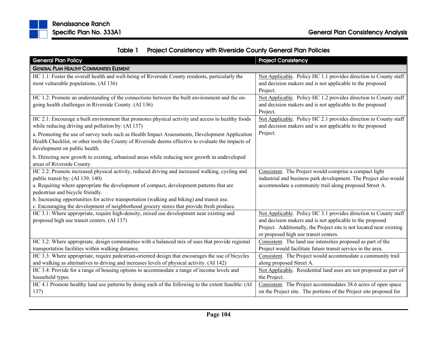

|  | Table 1 Project Consistency with Riverside County General Plan Policies |  |  |
|--|-------------------------------------------------------------------------|--|--|
|--|-------------------------------------------------------------------------|--|--|

| <b>General Plan Policy</b>                                                                                                                                                                                                                                                                                                                                                                                                                                      | <b>Project Consistency</b>                                                                                                                                                                                                                     |
|-----------------------------------------------------------------------------------------------------------------------------------------------------------------------------------------------------------------------------------------------------------------------------------------------------------------------------------------------------------------------------------------------------------------------------------------------------------------|------------------------------------------------------------------------------------------------------------------------------------------------------------------------------------------------------------------------------------------------|
| <b>GENERAL PLAN HEALTHY COMMUNITIES ELEMENT</b>                                                                                                                                                                                                                                                                                                                                                                                                                 |                                                                                                                                                                                                                                                |
| HC 1.1: Foster the overall health and well-being of Riverside County residents, particularly the<br>most vulnerable populations. (AI 136)                                                                                                                                                                                                                                                                                                                       | Not Applicable. Policy HC 1.1 provides direction to County staff<br>and decision makers and is not applicable to the proposed<br>Project.                                                                                                      |
| HC 1.2: Promote an understanding of the connections between the built environment and the on-<br>going health challenges in Riverside County. (AI 136)                                                                                                                                                                                                                                                                                                          | Not Applicable. Policy HC 1.2 provides direction to County staff<br>and decision makers and is not applicable to the proposed<br>Project.                                                                                                      |
| HC 2.1: Encourage a built environment that promotes physical activity and access to healthy foods<br>while reducing driving and pollution by: (AI 137)                                                                                                                                                                                                                                                                                                          | Not Applicable. Policy HC 2.1 provides direction to County staff<br>and decision makers and is not applicable to the proposed                                                                                                                  |
| a. Promoting the use of survey tools such as Health Impact Assessments, Development Application<br>Health Checklist, or other tools the County of Riverside deems effective to evaluate the impacts of<br>development on public health.                                                                                                                                                                                                                         | Project.                                                                                                                                                                                                                                       |
| b. Directing new growth to existing, urbanized areas while reducing new growth in undeveloped<br>areas of Riverside County.                                                                                                                                                                                                                                                                                                                                     |                                                                                                                                                                                                                                                |
| HC 2.2: Promote increased physical activity, reduced driving and increased walking, cycling and<br>public transit by: (AI 139, 140)<br>a. Requiring where appropriate the development of compact, development patterns that are<br>pedestrian and bicycle friendly.<br>b. Increasing opportunities for active transportation (walking and biking) and transit use.<br>c. Encouraging the development of neighborhood grocery stores that provide fresh produce. | Consistent. The Project would comprise a compact light<br>industrial and business park development. The Project also would<br>accommodate a community trail along proposed Street A.                                                           |
| HC 3.1: Where appropriate, require high-density, mixed use development near existing and<br>proposed high use transit centers. (AI 137)                                                                                                                                                                                                                                                                                                                         | Not Applicable. Policy HC 3.1 provides direction to County staff<br>and decision makers and is not applicable to the proposed<br>Project. Additionally, the Project site is not located near existing<br>or proposed high use transit centers. |
| HC 3.2: Where appropriate, design communities with a balanced mix of uses that provide regional<br>transportation facilities within walking distance.                                                                                                                                                                                                                                                                                                           | Consistent. The land use intensities proposed as part of the<br>Project would facilitate future transit service in the area.                                                                                                                   |
| HC 3.3: Where appropriate, require pedestrian-oriented design that encourages the use of bicycles<br>and walking as alternatives to driving and increases levels of physical activity. (AI 142)                                                                                                                                                                                                                                                                 | Consistent. The Project would accommodate a community trail<br>along proposed Street A.                                                                                                                                                        |
| HC 3.4: Provide for a range of housing options to accommodate a range of income levels and<br>household types.                                                                                                                                                                                                                                                                                                                                                  | Not Applicable. Residential land uses are not proposed as part of<br>the Project.                                                                                                                                                              |
| HC 4.1 Promote healthy land use patterns by doing each of the following to the extent feasible: (AI<br>137)                                                                                                                                                                                                                                                                                                                                                     | Consistent. The Project accommodates 38.6 acres of open space<br>on the Project site. The portions of the Project site proposed for                                                                                                            |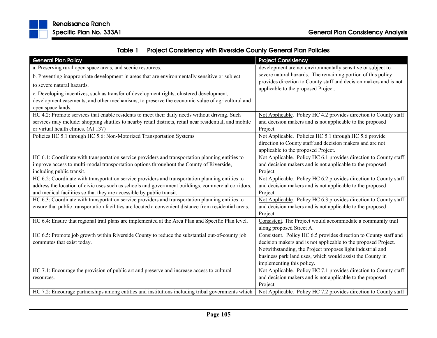

|  | Table 1 Project Consistency with Riverside County General Plan Policies |
|--|-------------------------------------------------------------------------|
|--|-------------------------------------------------------------------------|

| <b>General Plan Policy</b>                                                                              | <b>Project Consistency</b>                                        |
|---------------------------------------------------------------------------------------------------------|-------------------------------------------------------------------|
| a. Preserving rural open space areas, and scenic resources.                                             | development are not environmentally sensitive or subject to       |
| b. Preventing inappropriate development in areas that are environmentally sensitive or subject          | severe natural hazards. The remaining portion of this policy      |
| to severe natural hazards.                                                                              | provides direction to County staff and decision makers and is not |
| c. Developing incentives, such as transfer of development rights, clustered development,                | applicable to the proposed Project.                               |
| development easements, and other mechanisms, to preserve the economic value of agricultural and         |                                                                   |
| open space lands.                                                                                       |                                                                   |
| HC 4.2: Promote services that enable residents to meet their daily needs without driving. Such          | Not Applicable. Policy HC 4.2 provides direction to County staff  |
| services may include: shopping shuttles to nearby retail districts, retail near residential, and mobile | and decision makers and is not applicable to the proposed         |
| or virtual health clinics. (AI 137)                                                                     | Project.                                                          |
| Policies HC 5.1 through HC 5.6: Non-Motorized Transportation Systems                                    | Not Applicable. Policies HC 5.1 through HC 5.6 provide            |
|                                                                                                         | direction to County staff and decision makers and are not         |
|                                                                                                         | applicable to the proposed Project.                               |
| HC 6.1: Coordinate with transportation service providers and transportation planning entities to        | Not Applicable. Policy HC 6.1 provides direction to County staff  |
| improve access to multi-modal transportation options throughout the County of Riverside,                | and decision makers and is not applicable to the proposed         |
| including public transit.                                                                               | Project.                                                          |
| HC 6.2: Coordinate with transportation service providers and transportation planning entities to        | Not Applicable. Policy HC 6.2 provides direction to County staff  |
| address the location of civic uses such as schools and government buildings, commercial corridors,      | and decision makers and is not applicable to the proposed         |
| and medical facilities so that they are accessible by public transit.                                   | Project.                                                          |
| HC 6.3: Coordinate with transportation service providers and transportation planning entities to        | Not Applicable. Policy HC 6.3 provides direction to County staff  |
| ensure that public transportation facilities are located a convenient distance from residential areas.  | and decision makers and is not applicable to the proposed         |
|                                                                                                         | Project.                                                          |
| HC 6.4: Ensure that regional trail plans are implemented at the Area Plan and Specific Plan level.      | Consistent. The Project would accommodate a community trail       |
|                                                                                                         | along proposed Street A.                                          |
| HC 6.5: Promote job growth within Riverside County to reduce the substantial out-of-county job          | Consistent. Policy HC 6.5 provides direction to County staff and  |
| commutes that exist today.                                                                              | decision makers and is not applicable to the proposed Project.    |
|                                                                                                         | Notwithstanding, the Project proposes light industrial and        |
|                                                                                                         | business park land uses, which would assist the County in         |
|                                                                                                         | implementing this policy.                                         |
| HC 7.1: Encourage the provision of public art and preserve and increase access to cultural              | Not Applicable. Policy HC 7.1 provides direction to County staff  |
| resources.                                                                                              | and decision makers and is not applicable to the proposed         |
|                                                                                                         | Project.                                                          |
| HC 7.2: Encourage partnerships among entities and institutions including tribal governments which       | Not Applicable. Policy HC 7.2 provides direction to County staff  |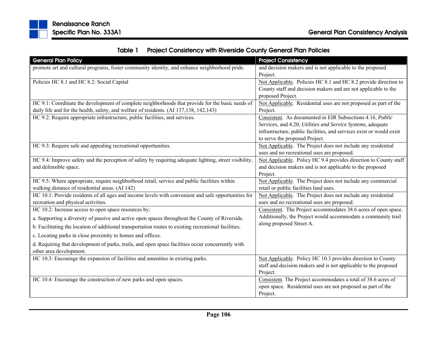|  | Table 1 Project Consistency with Riverside County General Plan Policies |
|--|-------------------------------------------------------------------------|
|--|-------------------------------------------------------------------------|

| <b>General Plan Policy</b>                                                                             | <b>Project Consistency</b>                                           |
|--------------------------------------------------------------------------------------------------------|----------------------------------------------------------------------|
| promote art and cultural programs, foster community identity, and enhance neighborhood pride.          | and decision makers and is not applicable to the proposed            |
|                                                                                                        | Project.                                                             |
| Policies HC 8.1 and HC 8.2: Social Capital                                                             | Not Applicable. Policies HC 8.1 and HC 8.2 provide direction to      |
|                                                                                                        | County staff and decision makers and are not applicable to the       |
|                                                                                                        | proposed Project.                                                    |
| HC 9.1: Coordinate the development of complete neighborhoods that provide for the basic needs of       | Not Applicable. Residential uses are not proposed as part of the     |
| daily life and for the health, safety, and welfare of residents. (AI 137,138, 142,143)                 | Project.                                                             |
| HC 9.2: Require appropriate infrastructure, public facilities, and services.                           | Consistent. As documented in EIR Subsections 4.16, Public            |
|                                                                                                        | Services, and 4.20, Utilities and Service Systems, adequate          |
|                                                                                                        | infrastructure, public facilities, and services exist or would exist |
|                                                                                                        | to serve the proposed Project.                                       |
| HC 9.3: Require safe and appealing recreational opportunities.                                         | Not Applicable. The Project does not include any residential         |
|                                                                                                        | uses and no recreational uses are proposed.                          |
| HC 9.4: Improve safety and the perception of safety by requiring adequate lighting, street visibility, | Not Applicable. Policy HC 9.4 provides direction to County staff     |
| and defensible space.                                                                                  | and decision makers and is not applicable to the proposed            |
|                                                                                                        | Project.                                                             |
| HC 9.5: Where appropriate, require neighborhood retail, service and public facilities within           | Not Applicable. The Project does not include any commercial          |
| walking distance of residential areas. (AI 142)                                                        | retail or public facilities land uses.                               |
| HC 10.1: Provide residents of all ages and income levels with convenient and safe opportunities for    | Not Applicable. The Project does not include any residential         |
| recreation and physical activities.                                                                    | uses and no recreational uses are proposed.                          |
| HC 10.2: Increase access to open space resources by:                                                   | Consistent. The Project accommodates 38.6 acres of open space.       |
| a. Supporting a diversity of passive and active open spaces throughout the County of Riverside.        | Additionally, the Project would accommodate a community trail        |
| b. Facilitating the location of additional transportation routes to existing recreational facilities.  | along proposed Street A.                                             |
| c. Locating parks in close proximity to homes and offices.                                             |                                                                      |
| d. Requiring that development of parks, trails, and open space facilities occur concurrently with      |                                                                      |
| other area development.                                                                                |                                                                      |
| HC 10.3: Encourage the expansion of facilities and amenities in existing parks.                        | Not Applicable. Policy HC 10.3 provides direction to County          |
|                                                                                                        | staff and decision makers and is not applicable to the proposed      |
|                                                                                                        | Project.                                                             |
| HC 10.4: Encourage the construction of new parks and open spaces.                                      | Consistent. The Project accommodates a total of 38.6 acres of        |
|                                                                                                        | open space. Residential uses are not proposed as part of the         |
|                                                                                                        | Project.                                                             |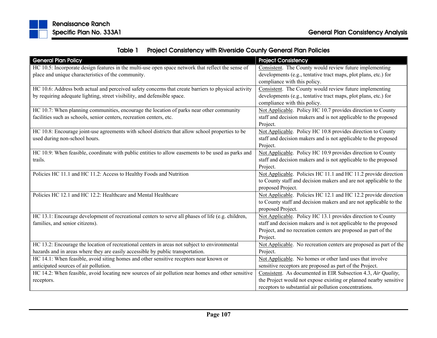

|  | Table 1 Project Consistency with Riverside County General Plan Policies |
|--|-------------------------------------------------------------------------|
|--|-------------------------------------------------------------------------|

| <b>General Plan Policy</b>                                                                           | <b>Project Consistency</b>                                        |
|------------------------------------------------------------------------------------------------------|-------------------------------------------------------------------|
| HC 10.5: Incorporate design features in the multi-use open space network that reflect the sense of   | Consistent. The County would review future implementing           |
| place and unique characteristics of the community.                                                   | developments (e.g., tentative tract maps, plot plans, etc.) for   |
|                                                                                                      | compliance with this policy.                                      |
| HC 10.6: Address both actual and perceived safety concerns that create barriers to physical activity | Consistent. The County would review future implementing           |
| by requiring adequate lighting, street visibility, and defensible space.                             | developments (e.g., tentative tract maps, plot plans, etc.) for   |
|                                                                                                      | compliance with this policy.                                      |
| HC 10.7: When planning communities, encourage the location of parks near other community             | Not Applicable. Policy HC 10.7 provides direction to County       |
| facilities such as schools, senior centers, recreation centers, etc.                                 | staff and decision makers and is not applicable to the proposed   |
|                                                                                                      | Project.                                                          |
| HC 10.8: Encourage joint-use agreements with school districts that allow school properties to be     | Not Applicable. Policy HC 10.8 provides direction to County       |
| used during non-school hours.                                                                        | staff and decision makers and is not applicable to the proposed   |
|                                                                                                      | Project.                                                          |
| HC 10.9: When feasible, coordinate with public entities to allow easements to be used as parks and   | Not Applicable. Policy HC 10.9 provides direction to County       |
| trails.                                                                                              | staff and decision makers and is not applicable to the proposed   |
|                                                                                                      | Project.                                                          |
| Policies HC 11.1 and HC 11.2: Access to Healthy Foods and Nutrition                                  | Not Applicable. Policies HC 11.1 and HC 11.2 provide direction    |
|                                                                                                      | to County staff and decision makers and are not applicable to the |
|                                                                                                      | proposed Project.                                                 |
| Policies HC 12.1 and HC 12.2: Healthcare and Mental Healthcare                                       | Not Applicable. Policies HC 12.1 and HC 12.2 provide direction    |
|                                                                                                      | to County staff and decision makers and are not applicable to the |
|                                                                                                      | proposed Project.                                                 |
| HC 13.1: Encourage development of recreational centers to serve all phases of life (e.g. children,   | Not Applicable. Policy HC 13.1 provides direction to County       |
| families, and senior citizens).                                                                      | staff and decision makers and is not applicable to the proposed   |
|                                                                                                      | Project, and no recreation centers are proposed as part of the    |
|                                                                                                      | Project.                                                          |
| HC 13.2: Encourage the location of recreational centers in areas not subject to environmental        | Not Applicable. No recreation centers are proposed as part of the |
| hazards and in areas where they are easily accessible by public transportation.                      | Project.                                                          |
| HC 14.1: When feasible, avoid siting homes and other sensitive receptors near known or               | Not Applicable. No homes or other land uses that involve          |
| anticipated sources of air pollution.                                                                | sensitive receptors are proposed as part of the Project.          |
| HC 14.2: When feasible, avoid locating new sources of air pollution near homes and other sensitive   | Consistent. As documented in EIR Subsection 4.3, Air Quality,     |
| receptors.                                                                                           | the Project would not expose existing or planned nearby sensitive |
|                                                                                                      | receptors to substantial air pollution concentrations.            |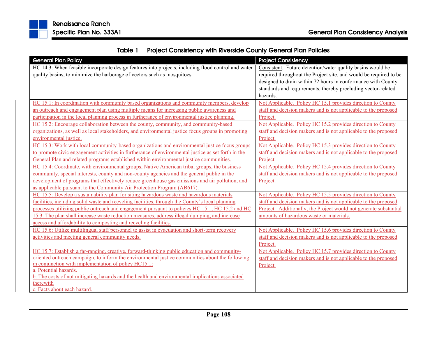

| Table 1 | <b>Project Consistency with Riverside County General Plan Policies</b> |
|---------|------------------------------------------------------------------------|
|---------|------------------------------------------------------------------------|

| <b>General Plan Policy</b>                                                                                               | <b>Project Consistency</b>                                        |
|--------------------------------------------------------------------------------------------------------------------------|-------------------------------------------------------------------|
| HC 14.3: When feasible incorporate design features into projects, including flood control and water                      | Consistent. Future detention/water quality basins would be        |
| quality basins, to minimize the harborage of vectors such as mosquitoes.                                                 | required throughout the Project site, and would be required to be |
|                                                                                                                          | designed to drain within 72 hours in conformance with County      |
|                                                                                                                          | standards and requirements, thereby precluding vector-related     |
|                                                                                                                          | hazards.                                                          |
| HC 15.1: In coordination with community based organizations and community members, develop                               | Not Applicable. Policy HC 15.1 provides direction to County       |
| an outreach and engagement plan using multiple means for increasing public awareness and                                 | staff and decision makers and is not applicable to the proposed   |
| participation in the local planning process in furtherance of environmental justice planning.                            | Project.                                                          |
| HC 15.2: Encourage collaboration between the county, community, and community-based                                      | Not Applicable. Policy HC 15.2 provides direction to County       |
| organizations, as well as local stakeholders, and environmental justice focus groups in promoting                        | staff and decision makers and is not applicable to the proposed   |
| environmental justice.                                                                                                   | Project.                                                          |
| HC 15.3: Work with local community-based organizations and environmental justice focus groups                            | Not Applicable. Policy HC 15.3 provides direction to County       |
| to promote civic engagement activities in furtherance of environmental justice as set forth in the                       | staff and decision makers and is not applicable to the proposed   |
| General Plan and related programs established within environmental justice communities.                                  | Project.                                                          |
| HC 15.4: Coordinate, with environmental groups, Native American tribal groups, the business                              | Not Applicable. Policy HC 15.4 provides direction to County       |
| community, special interests, county and non-county agencies and the general public in the                               | staff and decision makers and is not applicable to the proposed   |
| development of programs that effectively reduce greenhouse gas emissions and air pollution, and                          | Project.                                                          |
| as applicable pursuant to the Community Air Protection Program (AB617).                                                  |                                                                   |
| HC 15.5: Develop a sustainability plan for siting hazardous waste and hazardous materials                                | Not Applicable. Policy HC 15.5 provides direction to County       |
| facilities, including solid waste and recycling facilities, through the County's local planning                          | staff and decision makers and is not applicable to the proposed   |
| processes utilizing public outreach and engagement pursuant to policies HC 15.1, HC 15.2 and HC                          | Project. Additionally, the Project would not generate substantial |
| 15.3. The plan shall increase waste reduction measures, address illegal dumping, and increase                            | amounts of hazardous waste or materials.                          |
| access and affordability to composting and recycling facilities.                                                         |                                                                   |
| HC 15.6: Utilize multilingual staff personnel to assist in evacuation and short-term recovery                            | Not Applicable. Policy HC 15.6 provides direction to County       |
| activities and meeting general community needs.                                                                          | staff and decision makers and is not applicable to the proposed   |
|                                                                                                                          | Project.                                                          |
| HC 15.7: Establish a far-ranging, creative, forward-thinking public education and community-                             | Not Applicable. Policy HC 15.7 provides direction to County       |
| oriented outreach campaign, to inform the environmental justice communities about the following                          | staff and decision makers and is not applicable to the proposed   |
| in conjunction with implementation of policy HC15.1:                                                                     | Project.                                                          |
| a. Potential hazards.<br>b. The costs of not mitigating hazards and the health and environmental implications associated |                                                                   |
| therewith                                                                                                                |                                                                   |
| c. Facts about each hazard.                                                                                              |                                                                   |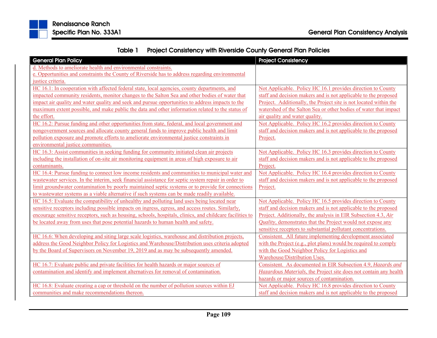

| Table 1 | <b>Project Consistency with Riverside County General Plan Policies</b> |  |  |
|---------|------------------------------------------------------------------------|--|--|
|---------|------------------------------------------------------------------------|--|--|

| <b>General Plan Policy</b>                                                                               | <b>Project Consistency</b>                                        |
|----------------------------------------------------------------------------------------------------------|-------------------------------------------------------------------|
| d. Methods to ameliorate health and environmental constraints.                                           |                                                                   |
| e. Opportunities and constraints the County of Riverside has to address regarding environmental          |                                                                   |
| justice criteria.                                                                                        |                                                                   |
| HC 16.1: In cooperation with affected federal state, local agencies, county departments, and             | Not Applicable. Policy HC 16.1 provides direction to County       |
| impacted community residents, monitor changes to the Salton Sea and other bodies of water that           | staff and decision makers and is not applicable to the proposed   |
| impact air quality and water quality and seek and pursue opportunities to address impacts to the         | Project. Additionally, the Project site is not located within the |
| maximum extent possible, and make public the data and other information related to the status of         | watershed of the Salton Sea or other bodies of water that impact  |
| the effort.                                                                                              | air quality and water quality.                                    |
| HC 16.2: Pursue funding and other opportunities from state, federal, and local government and            | Not Applicable. Policy HC 16.2 provides direction to County       |
| nongovernment sources and allocate county general funds to improve public health and limit               | staff and decision makers and is not applicable to the proposed   |
| pollution exposure and promote efforts to ameliorate environmental justice constraints in                | Project.                                                          |
| environmental justice communities.                                                                       |                                                                   |
| HC 16.3: Assist communities in seeking funding for community initiated clean air projects                | Not Applicable. Policy HC 16.3 provides direction to County       |
| including the installation of on-site air monitoring equipment in areas of high exposure to air          | staff and decision makers and is not applicable to the proposed   |
| contaminants.                                                                                            | Project.                                                          |
| HC 16.4: Pursue funding to connect low income residents and communities to municipal water and           | Not Applicable. Policy HC 16.4 provides direction to County       |
| wastewater services. In the interim, seek financial assistance for septic system repair in order to      | staff and decision makers and is not applicable to the proposed   |
| limit groundwater contamination by poorly maintained septic systems or to provide for connections        | Project.                                                          |
| to wastewater systems as a viable alternative if such systems can be made readily available.             |                                                                   |
| HC 16.5: Evaluate the compatibility of unhealthy and polluting land uses being located near              | Not Applicable. Policy HC 16.5 provides direction to County       |
| sensitive receptors including possible impacts on ingress, egress, and access routes. Similarly,         | staff and decision makers and is not applicable to the proposed   |
| encourage sensitive receptors, such as housing, schools, hospitals, clinics, and childcare facilities to | Project. Additionally, the analysis in EIR Subsection 4.3, Air    |
| be located away from uses that pose potential hazards to human health and safety.                        | Quality, demonstrates that the Project would not expose any       |
|                                                                                                          | sensitive receptors to substantial pollutant concentrations.      |
| HC 16.6: When developing and siting large scale logistics, warehouse and distribution projects,          | Consistent. All future implementing development associated        |
| address the Good Neighbor Policy for Logistics and Warehouse/Distribution uses criteria adopted          | with the Project (e.g., plot plans) would be required to comply   |
| by the Board of Supervisors on November 19, 2019 and as may be subsequently amended.                     | with the Good Neighbor Policy for Logistics and                   |
|                                                                                                          | Warehouse/Distribution Uses.                                      |
| HC 16.7: Evaluate public and private facilities for health hazards or major sources of                   | Consistent. As documented in EIR Subsection 4.9, Hazards and      |
| contamination and identify and implement alternatives for removal of contamination.                      | Hazardous Materials, the Project site does not contain any health |
|                                                                                                          | hazards or major sources of contamination.                        |
| HC 16.8: Evaluate creating a cap or threshold on the number of pollution sources within EJ               | Not Applicable. Policy HC 16.8 provides direction to County       |
| communities and make recommendations thereon.                                                            | staff and decision makers and is not applicable to the proposed   |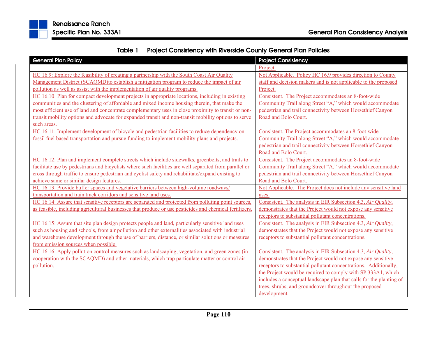

Table 1Project Consistency with Riverside County General Plan Policies

| <b>General Plan Policy</b>                                                                              | <b>Project Consistency</b>                                          |
|---------------------------------------------------------------------------------------------------------|---------------------------------------------------------------------|
|                                                                                                         | Project.                                                            |
| HC 16.9: Explore the feasibility of creating a partnership with the South Coast Air Quality             | Not Applicable. Policy HC 16.9 provides direction to County         |
| Management District (SCAQMD) to establish a mitigation program to reduce the impact of air              | staff and decision makers and is not applicable to the proposed     |
| pollution as well as assist with the implementation of air quality programs.                            | Project.                                                            |
| HC 16.10: Plan for compact development projects in appropriate locations, including in existing         | Consistent. The Project accommodates an 8-foot-wide                 |
| communities and the clustering of affordable and mixed income housing therein, that make the            | Community Trail along Street "A," which would accommodate           |
| most efficient use of land and concentrate complementary uses in close proximity to transit or non-     | pedestrian and trail connectivity between Horsethief Canyon         |
| transit mobility options and advocate for expanded transit and non-transit mobility options to serve    | Road and Bolo Court.                                                |
| such areas.                                                                                             |                                                                     |
| HC 16.11: Implement development of bicycle and pedestrian facilities to reduce dependency on            | Consistent. The Project accommodates an 8-foot-wide                 |
| fossil fuel based transportation and pursue funding to implement mobility plans and projects.           | Community Trail along Street "A," which would accommodate           |
|                                                                                                         | pedestrian and trail connectivity between Horsethief Canyon         |
|                                                                                                         | Road and Bolo Court.                                                |
| HC 16.12: Plan and implement complete streets which include sidewalks, greenbelts, and trails to        | Consistent. The Project accommodates an 8-foot-wide                 |
| facilitate use by pedestrians and bicyclists where such facilities are well separated from parallel or  | Community Trail along Street "A," which would accommodate           |
| cross through traffic to ensure pedestrian and cyclist safety and rehabilitate/expand existing to       | pedestrian and trail connectivity between Horsethief Canyon         |
| achieve same or similar design features.                                                                | Road and Bolo Court.                                                |
| HC 16.13: Provide buffer spaces and vegetative barriers between high-volume roadways/                   | Not Applicable. The Project does not include any sensitive land     |
| transportation and train track corridors and sensitive land uses.                                       | uses.                                                               |
| HC 16.14: Assure that sensitive receptors are separated and protected from polluting point sources.     | Consistent. The analysis in EIR Subsection 4.3, Air Quality,        |
| as feasible, including agricultural businesses that produce or use pesticides and chemical fertilizers. | demonstrates that the Project would not expose any sensitive        |
|                                                                                                         | receptors to substantial pollutant concentrations.                  |
| HC 16.15: Assure that site plan design protects people and land, particularly sensitive land uses       | Consistent. The analysis in EIR Subsection 4.3, Air Quality,        |
| such as housing and schools, from air pollution and other externalities associated with industrial      | demonstrates that the Project would not expose any sensitive        |
| and warehouse development through the use of barriers, distance, or similar solutions or measures       | receptors to substantial pollutant concentrations.                  |
| from emission sources when possible.                                                                    |                                                                     |
| HC 16.16: Apply pollution control measures such as landscaping, vegetation, and green zones (in         | Consistent. The analysis in EIR Subsection 4.3, Air Quality,        |
| cooperation with the SCAQMD) and other materials, which trap particulate matter or control air          | demonstrates that the Project would not expose any sensitive        |
| pollution.                                                                                              | receptors to substantial pollutant concentrations. Additionally,    |
|                                                                                                         | the Project would be required to comply with SP 333A1, which        |
|                                                                                                         | includes a conceptual landscape plan that calls for the planting of |
|                                                                                                         | trees, shrubs, and groundcover throughout the proposed              |
|                                                                                                         | development.                                                        |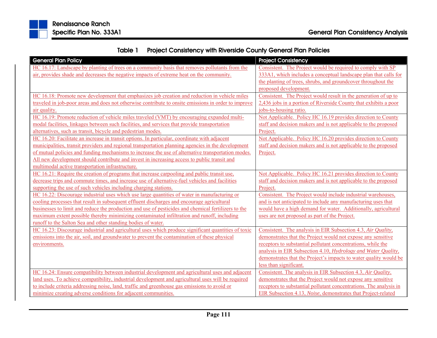

Table 1Project Consistency with Riverside County General Plan Policies

| <b>General Plan Policy</b>                                                                           | <b>Project Consistency</b>                                         |
|------------------------------------------------------------------------------------------------------|--------------------------------------------------------------------|
| HC 16.17: Landscape by planting of trees on a community basis that removes pollutants from the       | Consistent. The Project would be required to comply with SP        |
| air, provides shade and decreases the negative impacts of extreme heat on the community.             | 333A1, which includes a conceptual landscape plan that calls for   |
|                                                                                                      | the planting of trees, shrubs, and groundcover throughout the      |
|                                                                                                      | proposed development.                                              |
| HC 16.18: Promote new development that emphasizes job creation and reduction in vehicle miles        | Consistent. The Project would result in the generation of up to    |
| traveled in job-poor areas and does not otherwise contribute to onsite emissions in order to improve | 2,436 jobs in a portion of Riverside County that exhibits a poor   |
| air quality.                                                                                         | jobs-to-housing ratio.                                             |
| HC 16.19: Promote reduction of vehicle miles traveled (VMT) by encouraging expanded multi-           | Not Applicable. Policy HC 16.19 provides direction to County       |
| modal facilities, linkages between such facilities, and services that provide transportation         | staff and decision makers and is not applicable to the proposed    |
| alternatives, such as transit, bicycle and pedestrian modes.                                         | Project.                                                           |
| HC 16.20: Facilitate an increase in transit options. In particular, coordinate with adjacent         | Not Applicable. Policy HC 16.20 provides direction to County       |
| municipalities, transit providers and regional transportation planning agencies in the development   | staff and decision makers and is not applicable to the proposed    |
| of mutual policies and funding mechanisms to increase the use of alternative transportation modes.   | Project.                                                           |
| All new development should contribute and invest in increasing access to public transit and          |                                                                    |
| multimodal active transportation infrastructure.                                                     |                                                                    |
| HC 16.21: Require the creation of programs that increase carpooling and public transit use,          | Not Applicable. Policy HC 16.21 provides direction to County       |
| decrease trips and commute times, and increase use of alternative-fuel vehicles and facilities       | staff and decision makers and is not applicable to the proposed    |
| supporting the use of such vehicles including charging stations.                                     | Project.                                                           |
| HC 16.22: Discourage industrial uses which use large quantities of water in manufacturing or         | Consistent. The Project would include industrial warehouses,       |
| cooling processes that result in subsequent effluent discharges and encourage agricultural           | and is not anticipated to include any manufacturing uses that      |
| businesses to limit and reduce the production and use of pesticides and chemical fertilizers to the  | would have a high demand for water. Additionally, agricultural     |
| maximum extent possible thereby minimizing contaminated infiltration and runoff, including           | uses are not proposed as part of the Project.                      |
| runoff to the Salton Sea and other standing bodies of water.                                         |                                                                    |
| HC 16.23: Discourage industrial and agricultural uses which produce significant quantities of toxic  | Consistent. The analysis in EIR Subsection 4.3, Air Quality,       |
| emissions into the air, soil, and groundwater to prevent the contamination of these physical         | demonstrates that the Project would not expose any sensitive       |
| environments.                                                                                        | receptors to substantial pollutant concentrations, while the       |
|                                                                                                      | analysis in EIR Subsection 4.10, Hydrology and Water Quality,      |
|                                                                                                      | demonstrates that the Project's impacts to water quality would be  |
|                                                                                                      | less than significant.                                             |
| HC 16.24: Ensure compatibility between industrial development and agricultural uses and adjacent     | Consistent. The analysis in EIR Subsection 4.3, Air Quality,       |
| land uses. To achieve compatibility, industrial development and agricultural uses will be required   | demonstrates that the Project would not expose any sensitive       |
| to include criteria addressing noise, land, traffic and greenhouse gas emissions to avoid or         | receptors to substantial pollutant concentrations. The analysis in |
| minimize creating adverse conditions for adjacent communities.                                       | EIR Subsection 4.13, Noise, demonstrates that Project-related      |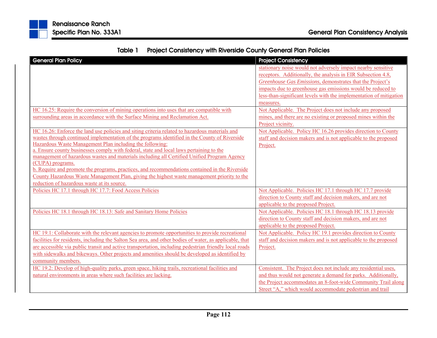

| Table 1 | <b>Project Consistency with Riverside County General Plan Policies</b> |  |  |
|---------|------------------------------------------------------------------------|--|--|
|---------|------------------------------------------------------------------------|--|--|

| <b>General Plan Policy</b>                                                                                                                                                                                  | <b>Project Consistency</b>                                                                                             |
|-------------------------------------------------------------------------------------------------------------------------------------------------------------------------------------------------------------|------------------------------------------------------------------------------------------------------------------------|
|                                                                                                                                                                                                             | stationary noise would not adversely impact nearby sensitive                                                           |
|                                                                                                                                                                                                             | receptors. Additionally, the analysis in EIR Subsection 4.8,                                                           |
|                                                                                                                                                                                                             | Greenhouse Gas Emissions, demonstrates that the Project's                                                              |
|                                                                                                                                                                                                             | impacts due to greenhouse gas emissions would be reduced to                                                            |
|                                                                                                                                                                                                             | less-than-significant levels with the implementation of mitigation                                                     |
|                                                                                                                                                                                                             | measures.                                                                                                              |
| HC 16.25: Require the conversion of mining operations into uses that are compatible with                                                                                                                    | Not Applicable. The Project does not include any proposed                                                              |
| surrounding areas in accordance with the Surface Mining and Reclamation Act.                                                                                                                                | mines, and there are no existing or proposed mines within the                                                          |
|                                                                                                                                                                                                             | Project vicinity.                                                                                                      |
| HC 16.26: Enforce the land use policies and siting criteria related to hazardous materials and                                                                                                              | Not Applicable. Policy HC 16.26 provides direction to County                                                           |
| wastes through continued implementation of the programs identified in the County of Riverside                                                                                                               | staff and decision makers and is not applicable to the proposed                                                        |
| Hazardous Waste Management Plan including the following:                                                                                                                                                    | Project.                                                                                                               |
| a. Ensure county businesses comply with federal, state and local laws pertaining to the                                                                                                                     |                                                                                                                        |
| management of hazardous wastes and materials including all Certified Unified Program Agency                                                                                                                 |                                                                                                                        |
| (CUPA) programs.                                                                                                                                                                                            |                                                                                                                        |
| b. Require and promote the programs, practices, and recommendations contained in the Riverside                                                                                                              |                                                                                                                        |
| County Hazardous Waste Management Plan, giving the highest waste management priority to the<br>reduction of hazardous waste at its source.                                                                  |                                                                                                                        |
| Policies HC 17.1 through HC 17.7: Food Access Policies                                                                                                                                                      |                                                                                                                        |
|                                                                                                                                                                                                             | Not Applicable. Policies HC 17.1 through HC 17.7 provide<br>direction to County staff and decision makers, and are not |
|                                                                                                                                                                                                             |                                                                                                                        |
|                                                                                                                                                                                                             | applicable to the proposed Project.<br>Not Applicable. Policies HC 18.1 through HC 18.13 provide                       |
| Policies HC 18.1 through HC 18.13: Safe and Sanitary Home Policies                                                                                                                                          |                                                                                                                        |
|                                                                                                                                                                                                             | direction to County staff and decision makers, and are not<br>applicable to the proposed Project.                      |
|                                                                                                                                                                                                             | Not Applicable. Policy HC 19.1 provides direction to County                                                            |
| HC 19.1: Collaborate with the relevant agencies to promote opportunities to provide recreational<br>facilities for residents, including the Salton Sea area, and other bodies of water, as applicable, that | staff and decision makers and is not applicable to the proposed                                                        |
| are accessible via public transit and active transportation, including pedestrian friendly local roads                                                                                                      | Project.                                                                                                               |
| with sidewalks and bikeways. Other projects and amenities should be developed as identified by                                                                                                              |                                                                                                                        |
| community members.                                                                                                                                                                                          |                                                                                                                        |
| HC 19.2: Develop of high-quality parks, green space, hiking trails, recreational facilities and                                                                                                             | Consistent. The Project does not include any residential uses,                                                         |
| natural environments in areas where such facilities are lacking.                                                                                                                                            | and thus would not generate a demand for parks. Additionally,                                                          |
|                                                                                                                                                                                                             | the Project accommodates an 8-foot-wide Community Trail along                                                          |
|                                                                                                                                                                                                             | Street "A," which would accommodate pedestrian and trail                                                               |
|                                                                                                                                                                                                             |                                                                                                                        |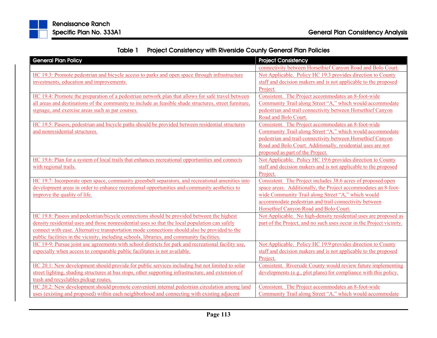

|  |  | Table 1 Project Consistency with Riverside County General Plan Policies |
|--|--|-------------------------------------------------------------------------|
|--|--|-------------------------------------------------------------------------|

| <b>General Plan Policy</b>                                                                             | <b>Project Consistency</b>                                           |
|--------------------------------------------------------------------------------------------------------|----------------------------------------------------------------------|
|                                                                                                        | connectivity between Horsethief Canyon Road and Bolo Court.          |
| HC 19.3: Promote pedestrian and bicycle access to parks and open space through infrastructure          | Not Applicable. Policy HC 19.3 provides direction to County          |
| investments, education and improvements.                                                               | staff and decision makers and is not applicable to the proposed      |
|                                                                                                        | Project.                                                             |
| HC 19.4: Promote the preparation of a pedestrian network plan that allows for safe travel between      | Consistent. The Project accommodates an 8-foot-wide                  |
| all areas and destinations of the community to include as feasible shade structures, street furniture, | Community Trail along Street "A," which would accommodate            |
| signage, and exercise areas such as par courses.                                                       | pedestrian and trail connectivity between Horsethief Canyon          |
|                                                                                                        | Road and Bolo Court.                                                 |
| HC 19.5: Paseos, pedestrian and bicycle paths should be provided between residential structures        | Consistent. The Project accommodates an 8-foot-wide                  |
| and nonresidential structures.                                                                         | Community Trail along Street "A," which would accommodate            |
|                                                                                                        | pedestrian and trail connectivity between Horsethief Canyon          |
|                                                                                                        | Road and Bolo Court. Additionally, residential uses are not          |
|                                                                                                        | proposed as part of the Project.                                     |
| HC 19.6: Plan for a system of local trails that enhances recreational opportunities and connects       | Not Applicable. Policy HC 19.6 provides direction to County          |
| with regional trails.                                                                                  | staff and decision makers and is not applicable to the proposed      |
|                                                                                                        | Project.                                                             |
| HC 19.7: Incorporate open space, community greenbelt separators, and recreational amenities into       | Consistent. The Project includes 38.6 acres of proposed open         |
| development areas in order to enhance recreational opportunities and community aesthetics to           | space areas. Additionally, the Project accommodates an 8-foot-       |
| improve the quality of life.                                                                           | wide Community Trail along Street "A," which would                   |
|                                                                                                        | accommodate pedestrian and trail connectivity between                |
|                                                                                                        | Horsethief Canyon Road and Bolo Court.                               |
| HC 19.8: Paseos and pedestrian/bicycle connections should be provided between the highest              | Not Applicable. No high-density residential uses are proposed as     |
| density residential uses and those nonresidential uses so that the local population can safely         | part of the Project, and no such uses occur in the Project vicinity. |
| connect with ease. Alternative transportation mode connections should also be provided to the          |                                                                      |
| public facilities in the vicinity, including schools, libraries, and community facilities.             |                                                                      |
| HC 19-9: Pursue joint use agreements with school districts for park and recreational facility use,     | Not Applicable. Policy HC 19.9 provides direction to County          |
| especially when access to comparable public facilitates is not available.                              | staff and decision makers and is not applicable to the proposed      |
|                                                                                                        | Project.                                                             |
| HC 20.1: New development should provide for public services including but not limited to solar         | Consistent. Riverside County would review future implementing        |
| street lighting, shading structures at bus stops, other supporting infrastructure, and extension of    | developments (e.g., plot plans) for compliance with this policy.     |
| trash and recyclables pickup routes.                                                                   |                                                                      |
| HC 20.2: New development should promote convenient internal pedestrian circulation among land          | Consistent. The Project accommodates an 8-foot-wide                  |
| uses (existing and proposed) within each neighborhood and connecting with existing adjacent            | Community Trail along Street "A," which would accommodate            |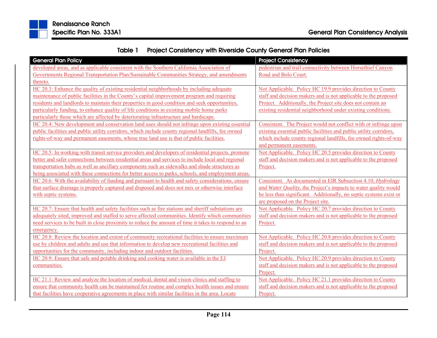

Table 1Project Consistency with Riverside County General Plan Policies

| <b>General Plan Policy</b>                                                                          | <b>Project Consistency</b>                                         |
|-----------------------------------------------------------------------------------------------------|--------------------------------------------------------------------|
| developed areas, and as applicable consistent with the Southern California Association of           | pedestrian and trail connectivity between Horsethief Canyon        |
| Governments Regional Transportation Plan/Sustainable Communities Strategy, and amendments           | Road and Bolo Court.                                               |
| thereto.                                                                                            |                                                                    |
| HC 20.3: Enhance the quality of existing residential neighborhoods by including adequate            | Not Applicable. Policy HC 19.9 provides direction to County        |
| maintenance of public facilities in the County's capital improvement program and requiring          | staff and decision makers and is not applicable to the proposed    |
| residents and landlords to maintain their properties in good condition and seek opportunities,      | Project. Additionally, the Project site does not contain an        |
| particularly funding, to enhance quality of life conditions in existing mobile home parks           | existing residential neighborhood under existing conditions.       |
| particularly those which are affected by deteriorating infrastructure and hardscape.                |                                                                    |
| HC 20.4: New development and conservation land uses should not infringe upon existing essential     | Consistent. The Project would not conflict with or infringe upon   |
| public facilities and public utility corridors, which include county regional landfills, fee owned  | existing essential public facilities and public utility corridors, |
| rights-of-way and permanent easements, whose true land use is that of public facilities.            | which include county regional landfills, fee owned rights-of-way   |
|                                                                                                     | and permanent easements.                                           |
| HC 20.5: In working with transit service providers and developers of residential projects, promote  | Not Applicable. Policy HC 20.5 provides direction to County        |
| better and safer connections between residential areas and services to include local and regional   | staff and decision makers and is not applicable to the proposed    |
| transportation hubs as well as ancillary components such as sidewalks and shade structures as       | Project.                                                           |
| being associated with these connections for better access to parks, schools, and employment areas.  |                                                                    |
| HC 20.6: With the availability of funding and pursuant to health and safety considerations, ensure  | Consistent. As documented in EIR Subsection 4.10, Hydrology        |
| that surface drainage is properly captured and disposed and does not mix or otherwise interface     | and Water Quality, the Project's impacts to water quality would    |
| with septic systems.                                                                                | be less than significant. Additionally, no septic systems exist or |
|                                                                                                     | are proposed on the Project site.                                  |
| HC 20.7: Ensure that health and safety facilities such as fire stations and sheriff substations are | Not Applicable. Policy HC 20.7 provides direction to County        |
| adequately sited, improved and staffed to serve affected communities. Identify which communities    | staff and decision makers and is not applicable to the proposed    |
| need services to be built in close proximity to reduce the amount of time it takes to respond to an | Project.                                                           |
| emergency.                                                                                          |                                                                    |
| HC 20.8: Review the location and extent of community recreational facilities to ensure maximum      | Not Applicable. Policy HC 20.8 provides direction to County        |
| use by children and adults and use that information to develop new recreational facilities and      | staff and decision makers and is not applicable to the proposed    |
| opportunities for the community, including indoor and outdoor facilities.                           | Project.                                                           |
| HC 20.9: Ensure that safe and potable drinking and cooking water is available in the EJ             | Not Applicable. Policy HC 20.9 provides direction to County        |
| communities.                                                                                        | staff and decision makers and is not applicable to the proposed    |
|                                                                                                     | Project.                                                           |
| HC 21.1: Review and analyze the location of medical, dental and vision clinics and staffing to      | Not Applicable. Policy HC 21.1 provides direction to County        |
| ensure that community health can be maintained for routine and complex health issues and ensure     | staff and decision makers and is not applicable to the proposed    |
| that facilities have cooperative agreements in place with similar facilities in the area. Locate    | Project.                                                           |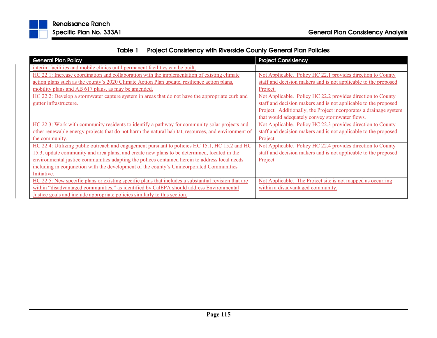

| Table 1 | <b>Project Consistency with Riverside County General Plan Policies</b> |
|---------|------------------------------------------------------------------------|
|---------|------------------------------------------------------------------------|

| <b>General Plan Policy</b>                                                                           | <b>Project Consistency</b>                                        |
|------------------------------------------------------------------------------------------------------|-------------------------------------------------------------------|
| interim facilities and mobile clinics until permanent facilities can be built.                       |                                                                   |
| HC 22.1: Increase coordination and collaboration with the implementation of existing climate         | Not Applicable. Policy HC 22.1 provides direction to County       |
| action plans such as the county's 2020 Climate Action Plan update, resilience action plans,          | staff and decision makers and is not applicable to the proposed   |
| mobility plans and AB 617 plans, as may be amended.                                                  | Project.                                                          |
| HC 22.2: Develop a stormwater capture system in areas that do not have the appropriate curb and      | Not Applicable. Policy HC 22.2 provides direction to County       |
| gutter infrastructure.                                                                               | staff and decision makers and is not applicable to the proposed   |
|                                                                                                      | Project. Additionally, the Project incorporates a drainage system |
|                                                                                                      | that would adequately convey stormwater flows.                    |
| HC 22.3: Work with community residents to identify a pathway for community solar projects and        | Not Applicable. Policy HC 22.3 provides direction to County       |
| other renewable energy projects that do not harm the natural habitat, resources, and environment of  | staff and decision makers and is not applicable to the proposed   |
| the community.                                                                                       | Project                                                           |
| HC 22.4: Utilizing public outreach and engagement pursuant to policies HC 15.1, HC 15.2 and HC       | Not Applicable. Policy HC 22.4 provides direction to County       |
| 15.3, update community and area plans, and create new plans to be determined, located in the         | staff and decision makers and is not applicable to the proposed   |
| environmental justice communities adapting the polices contained herein to address local needs       | Project                                                           |
| including in conjunction with the development of the county's Unincorporated Communities             |                                                                   |
| Initiative.                                                                                          |                                                                   |
| HC 22.5: New specific plans or existing specific plans that includes a substantial revision that are | Not Applicable. The Project site is not mapped as occurring       |
| within "disadvantaged communities," as identified by CalEPA should address Environmental             | within a disadvantaged community.                                 |
| Justice goals and include appropriate policies similarly to this section.                            |                                                                   |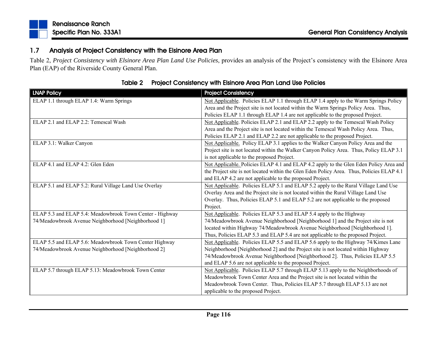#### 1.7Analysis of Project Consistency with the Elsinore Area Plan

Table 2, *Project Consistency with Elsinore Area Plan Land Use Policies*, provides an analysis of the Project's consistency with the Elsinore Area Plan (EAP) of the Riverside County General Plan.

| <b>LNAP Policy</b>                                       | <b>Project Consistency</b>                                                                |
|----------------------------------------------------------|-------------------------------------------------------------------------------------------|
| ELAP 1.1 through ELAP 1.4: Warm Springs                  | Not Applicable. Policies ELAP 1.1 through ELAP 1.4 apply to the Warm Springs Policy       |
|                                                          | Area and the Project site is not located within the Warm Springs Policy Area. Thus,       |
|                                                          | Policies ELAP 1.1 through ELAP 1.4 are not applicable to the proposed Project.            |
| ELAP 2.1 and ELAP 2.2: Temescal Wash                     | Not Applicable. Policies ELAP 2.1 and ELAP 2.2 apply to the Temescal Wash Policy          |
|                                                          | Area and the Project site is not located within the Temescal Wash Policy Area. Thus,      |
|                                                          | Policies ELAP 2.1 and ELAP 2.2 are not applicable to the proposed Project.                |
| ELAP 3.1: Walker Canyon                                  | Not Applicable. Policy ELAP 3.1 applies to the Walker Canyon Policy Area and the          |
|                                                          | Project site is not located within the Walker Canyon Policy Area. Thus, Policy ELAP 3.1   |
|                                                          | is not applicable to the proposed Project.                                                |
| ELAP 4.1 and ELAP 4.2: Glen Eden                         | Not Applicable. Policies ELAP 4.1 and ELAP 4.2 apply to the Glen Eden Policy Area and     |
|                                                          | the Project site is not located within the Glen Eden Policy Area. Thus, Policies ELAP 4.1 |
|                                                          | and ELAP 4.2 are not applicable to the proposed Project.                                  |
| ELAP 5.1 and ELAP 5.2: Rural Village Land Use Overlay    | Not Applicable. Policies ELAP 5.1 and ELAP 5.2 apply to the Rural Village Land Use        |
|                                                          | Overlay Area and the Project site is not located within the Rural Village Land Use        |
|                                                          | Overlay. Thus, Policies ELAP 5.1 and ELAP 5.2 are not applicable to the proposed          |
|                                                          | Project.                                                                                  |
| ELAP 5.3 and ELAP 5.4: Meadowbrook Town Center - Highway | Not Applicable. Policies ELAP 5.3 and ELAP 5.4 apply to the Highway                       |
| 74/Meadowbrook Avenue Neighborhood [Neighborhood 1]      | 74/Meadowbrook Avenue Neighborhood [Neighborhood 1] and the Project site is not           |
|                                                          | located within Highway 74/Meadowbrook Avenue Neighborhood [Neighborhood 1].               |
|                                                          | Thus, Policies ELAP 5.3 and ELAP 5.4 are not applicable to the proposed Project.          |
| ELAP 5.5 and ELAP 5.6: Meadowbrook Town Center Highway   | Not Applicable. Policies ELAP 5.5 and ELAP 5.6 apply to the Highway 74/Kimes Lane         |
| 74/Meadowbrook Avenue Neighborhood [Neighborhood 2]      | Neighborhood [Neighborhood 2] and the Project site is not located within Highway          |
|                                                          | 74/Meadowbrook Avenue Neighborhood [Neighborhood 2]. Thus, Policies ELAP 5.5              |
|                                                          | and ELAP 5.6 are not applicable to the proposed Project.                                  |
| ELAP 5.7 through ELAP 5.13: Meadowbrook Town Center      | Not Applicable. Policies ELAP 5.7 through ELAP 5.13 apply to the Neighborhoods of         |
|                                                          | Meadowbrook Town Center Area and the Project site is not located within the               |
|                                                          | Meadowbrook Town Center. Thus, Policies ELAP 5.7 through ELAP 5.13 are not                |
|                                                          | applicable to the proposed Project.                                                       |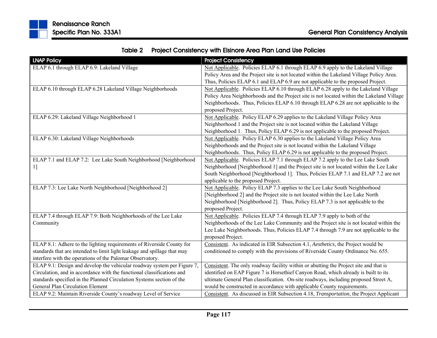| <b>LNAP Policy</b>                                                       | <b>Project Consistency</b>                                                                |
|--------------------------------------------------------------------------|-------------------------------------------------------------------------------------------|
| ELAP 6.1 through ELAP 6.9: Lakeland Village                              | Not Applicable. Policies ELAP 6.1 through ELAP 6.9 apply to the Lakeland Village          |
|                                                                          | Policy Area and the Project site is not located within the Lakeland Village Policy Area.  |
|                                                                          | Thus, Policies ELAP 6.1 and ELAP 6.9 are not applicable to the proposed Project.          |
| ELAP 6.10 through ELAP 6.28 Lakeland Village Neighborhoods               | Not Applicable. Policies ELAP 6.10 through ELAP 6.28 apply to the Lakeland Village        |
|                                                                          | Policy Area Neighborhoods and the Project site is not located within the Lakeland Village |
|                                                                          | Neighborhoods. Thus, Policies ELAP 6.10 through ELAP 6.28 are not applicable to the       |
|                                                                          | proposed Project.                                                                         |
| ELAP 6.29: Lakeland Village Neighborhood 1                               | Not Applicable. Policy ELAP 6.29 applies to the Lakeland Village Policy Area              |
|                                                                          | Neighborhood 1 and the Project site is not located within the Lakeland Village            |
|                                                                          | Neighborhood 1. Thus, Policy ELAP 6.29 is not applicable to the proposed Project.         |
| ELAP 6.30: Lakeland Village Neighborhoods                                | Not Applicable. Policy ELAP 6.30 applies to the Lakeland Village Policy Area              |
|                                                                          | Neighborhoods and the Project site is not located within the Lakeland Village             |
|                                                                          | Neighborhoods. Thus, Policy ELAP 6.29 is not applicable to the proposed Project.          |
| ELAP 7.1 and ELAP 7.2: Lee Lake South Neighborhood [Neighborhood         | Not Applicable. Policies ELAP 7.1 through ELAP 7.2 apply to the Lee Lake South            |
| 1]                                                                       | Neighborhood [Neighborhood 1] and the Project site is not located within the Lee Lake     |
|                                                                          | South Neighborhood [Neighborhood 1]. Thus, Policies ELAP 7.1 and ELAP 7.2 are not         |
|                                                                          | applicable to the proposed Project.                                                       |
| ELAP 7.3: Lee Lake North Neighborhood [Neighborhood 2]                   | Not Applicable. Policy ELAP 7.3 applies to the Lee Lake South Neighborhood                |
|                                                                          | [Neighborhood 2] and the Project site is not located within the Lee Lake North            |
|                                                                          | Neighborhood [Neighborhood 2]. Thus, Policy ELAP 7.3 is not applicable to the             |
|                                                                          | proposed Project.                                                                         |
| ELAP 7.4 through ELAP 7.9: Both Neighborhoods of the Lee Lake            | Not Applicable. Policies ELAP 7.4 through ELAP 7.9 apply to both of the                   |
| Community                                                                | Neighborhoods of the Lee Lake Community and the Project site is not located within the    |
|                                                                          | Lee Lake Neighborhoods. Thus, Policies ELAP 7.4 through 7.9 are not applicable to the     |
|                                                                          | proposed Project.                                                                         |
| ELAP 8.1: Adhere to the lighting requirements of Riverside County for    | Consistent. As indicated in EIR Subsection 4.1, Aesthetics, the Project would be          |
| standards that are intended to limit light leakage and spillage that may | conditioned to comply with the provisions of Riverside County Ordinance No. 655.          |
| interfere with the operations of the Palomar Observatory.                |                                                                                           |
| ELAP 9.1: Design and develop the vehicular roadway system per Figure 7,  | Consistent. The only roadway facility within or abutting the Project site and that is     |
| Circulation, and in accordance with the functional classifications and   | identified on EAP Figure 7 is Horsethief Canyon Road, which already is built to its       |
| standards specified in the Planned Circulation Systems section of the    | ultimate General Plan classification. On-site roadways, including proposed Street A,      |
| General Plan Circulation Element                                         | would be constructed in accordance with applicable County requirements.                   |
| ELAP 9.2: Maintain Riverside County's roadway Level of Service           | Consistent. As discussed in EIR Subsection 4.18, Transportation, the Project Applicant    |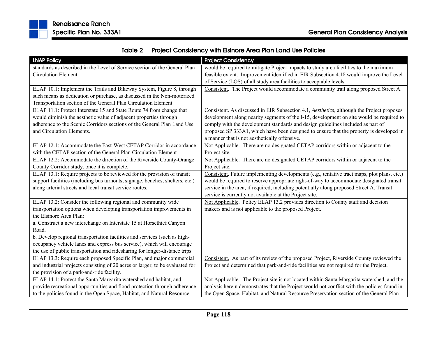

| <b>LNAP Policy</b>                                                            | <b>Project Consistency</b>                                                                  |
|-------------------------------------------------------------------------------|---------------------------------------------------------------------------------------------|
| standards as described in the Level of Service section of the General Plan    | would be required to mitigate Project impacts to study area facilities to the maximum       |
| Circulation Element.                                                          | feasible extent. Improvement identified in EIR Subsection 4.18 would improve the Level      |
|                                                                               | of Service (LOS) of all study area facilities to acceptable levels.                         |
| ELAP 10.1: Implement the Trails and Bikeway System, Figure 8, through         | Consistent. The Project would accommodate a community trail along proposed Street A.        |
| such means as dedication or purchase, as discussed in the Non-motorized       |                                                                                             |
| Transportation section of the General Plan Circulation Element.               |                                                                                             |
| ELAP 11.1: Protect Interstate 15 and State Route 74 from change that          | Consistent. As discussed in EIR Subsection 4.1, Aesthetics, although the Project proposes   |
| would diminish the aesthetic value of adjacent properties through             | development along nearby segments of the I-15, development on site would be required to     |
| adherence to the Scenic Corridors sections of the General Plan Land Use       | comply with the development standards and design guidelines included as part of             |
| and Circulation Elements.                                                     | proposed SP 333A1, which have been designed to ensure that the property is developed in     |
|                                                                               | a manner that is not aesthetically offensive.                                               |
| ELAP 12.1: Accommodate the East-West CETAP Corridor in accordance             | Not Applicable. There are no designated CETAP corridors within or adjacent to the           |
| with the CETAP section of the General Plan Circulation Element                | Project site.                                                                               |
| ELAP 12.2: Accommodate the direction of the Riverside County-Orange           | Not Applicable. There are no designated CETAP corridors within or adjacent to the           |
| County Corridor study, once it is complete.                                   | Project site.                                                                               |
| ELAP 13.1: Require projects to be reviewed for the provision of transit       | Consistent. Future implementing developments (e.g., tentative tract maps, plot plans, etc.) |
| support facilities (including bus turnouts, signage, benches, shelters, etc.) | would be required to reserve appropriate right-of-way to accommodate designated transit     |
| along arterial streets and local transit service routes.                      | service in the area, if required, including potentially along proposed Street A. Transit    |
|                                                                               | service is currently not available at the Project site.                                     |
| ELAP 13.2: Consider the following regional and community wide                 | Not Applicable. Policy ELAP 13.2 provides direction to County staff and decision            |
| transportation options when developing transportation improvements in         | makers and is not applicable to the proposed Project.                                       |
| the Elsinore Area Plan:                                                       |                                                                                             |
| a. Construct a new interchange on Interstate 15 at Horsethief Canyon          |                                                                                             |
| Road.                                                                         |                                                                                             |
| b. Develop regional transportation facilities and services (such as high-     |                                                                                             |
| occupancy vehicle lanes and express bus service), which will encourage        |                                                                                             |
| the use of public transportation and ridesharing for longer-distance trips.   |                                                                                             |
| ELAP 13.3: Require each proposed Specific Plan, and major commercial          | Consistent. As part of its review of the proposed Project, Riverside County reviewed the    |
| and industrial projects consisting of 20 acres or larger, to be evaluated for | Project and determined that park-and-ride facilities are not required for the Project.      |
| the provision of a park-and-ride facility.                                    |                                                                                             |
| ELAP 14.1: Protect the Santa Margarita watershed and habitat, and             | Not Applicable. The Project site is not located within Santa Margarita watershed, and the   |
| provide recreational opportunities and flood protection through adherence     | analysis herein demonstrates that the Project would not conflict with the policies found in |
| to the policies found in the Open Space, Habitat, and Natural Resource        | the Open Space, Habitat, and Natural Resource Preservation section of the General Plan      |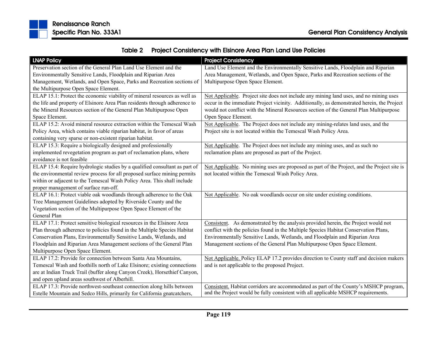

| <b>LNAP Policy</b>                                                         | <b>Project Consistency</b>                                                                  |
|----------------------------------------------------------------------------|---------------------------------------------------------------------------------------------|
| Preservation section of the General Plan Land Use Element and the          | Land Use Element and the Environmentally Sensitive Lands, Floodplain and Riparian           |
| Environmentally Sensitive Lands, Floodplain and Riparian Area              | Area Management, Wetlands, and Open Space, Parks and Recreation sections of the             |
| Management, Wetlands, and Open Space, Parks and Recreation sections of     | Multipurpose Open Space Element.                                                            |
| the Multipurpose Open Space Element.                                       |                                                                                             |
| ELAP 15.1: Protect the economic viability of mineral resources as well as  | Not Applicable. Project site does not include any mining land uses, and no mining uses      |
| the life and property of Elsinore Area Plan residents through adherence to | occur in the immediate Project vicinity. Additionally, as demonstrated herein, the Project  |
| the Mineral Resources section of the General Plan Multipurpose Open        | would not conflict with the Mineral Resources section of the General Plan Multipurpose      |
| Space Element.                                                             | Open Space Element.                                                                         |
| ELAP 15.2: Avoid mineral resource extraction within the Temescal Wash      | Not Applicable. The Project does not include any mining-relates land uses, and the          |
| Policy Area, which contains viable riparian habitat, in favor of areas     | Project site is not located within the Temescal Wash Policy Area.                           |
| containing very sparse or non-existent riparian habitat.                   |                                                                                             |
| ELAP 15.3: Require a biologically designed and professionally              | Not Applicable. The Project does not include any mining uses, and as such no                |
| implemented revegetation program as part of reclamation plans, where       | reclamation plans are proposed as part of the Project.                                      |
| avoidance is not feasible                                                  |                                                                                             |
| ELAP 15.4: Require hydrologic studies by a qualified consultant as part of | Not Applicable. No mining uses are proposed as part of the Project, and the Project site is |
| the environmental review process for all proposed surface mining permits   | not located within the Temescal Wash Policy Area.                                           |
| within or adjacent to the Temescal Wash Policy Area. This shall include    |                                                                                             |
| proper management of surface run-off.                                      |                                                                                             |
| ELAP 16.1: Protect viable oak woodlands through adherence to the Oak       | Not Applicable. No oak woodlands occur on site under existing conditions.                   |
| Tree Management Guidelines adopted by Riverside County and the             |                                                                                             |
| Vegetation section of the Multipurpose Open Space Element of the           |                                                                                             |
| General Plan                                                               |                                                                                             |
| ELAP 17.1: Protect sensitive biological resources in the Elsinore Area     | Consistent. As demonstrated by the analysis provided herein, the Project would not          |
| Plan through adherence to policies found in the Multiple Species Habitat   | conflict with the policies found in the Multiple Species Habitat Conservation Plans,        |
| Conservation Plans, Environmentally Sensitive Lands, Wetlands, and         | Environmentally Sensitive Lands, Wetlands, and Floodplain and Riparian Area                 |
| Floodplain and Riparian Area Management sections of the General Plan       | Management sections of the General Plan Multipurpose Open Space Element.                    |
| Multipurpose Open Space Element.                                           |                                                                                             |
| ELAP 17.2: Provide for connection between Santa Ana Mountains,             | Not Applicable. Policy ELAP 17.2 provides direction to County staff and decision makers     |
| Temescal Wash and foothills north of Lake Elsinore; existing connections   | and is not applicable to the proposed Project.                                              |
| are at Indian Truck Trail (buffer along Canyon Creek), Horsethief Canyon,  |                                                                                             |
| and open upland areas southwest of Alberhill.                              |                                                                                             |
| ELAP 17.3: Provide northwest-southeast connection along hills between      | Consistent. Habitat corridors are accommodated as part of the County's MSHCP program,       |
| Estelle Mountain and Sedco Hills, primarily for California gnatcatchers,   | and the Project would be fully consistent with all applicable MSHCP requirements.           |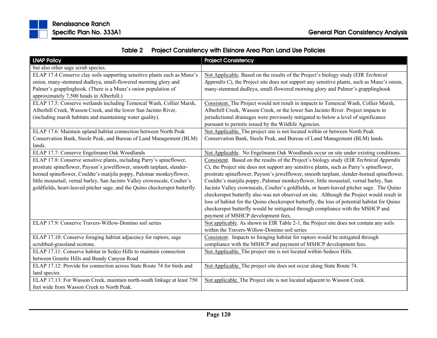

| <b>LNAP Policy</b>                                                                                                                                                                                                                                                                                                                                                                | <b>Project Consistency</b>                                                                                                                                                                                                                                                                                                                                                                                                                                                                                                                                                                                                                                                                                                                                                                |
|-----------------------------------------------------------------------------------------------------------------------------------------------------------------------------------------------------------------------------------------------------------------------------------------------------------------------------------------------------------------------------------|-------------------------------------------------------------------------------------------------------------------------------------------------------------------------------------------------------------------------------------------------------------------------------------------------------------------------------------------------------------------------------------------------------------------------------------------------------------------------------------------------------------------------------------------------------------------------------------------------------------------------------------------------------------------------------------------------------------------------------------------------------------------------------------------|
| but also other sage scrub species.                                                                                                                                                                                                                                                                                                                                                |                                                                                                                                                                                                                                                                                                                                                                                                                                                                                                                                                                                                                                                                                                                                                                                           |
| ELAP 17.4 Conserve clay soils supporting sensitive plants such as Munz's<br>onion, many-stemmed dudleya, small-flowered morning glory and<br>Palmer's grapplinghook. (There is a Munz's onion population of<br>approximately 7,500 heads in Alberhill.)                                                                                                                           | Not Applicable. Based on the results of the Project's biology study (EIR Technical<br>Appendix C), the Project site does not support any sensitive plants, such as Munz's onion,<br>many-stemmed dudleya, small-flowered morning glory and Palmer's grapplinghook                                                                                                                                                                                                                                                                                                                                                                                                                                                                                                                         |
| ELAP 17.5: Conserve wetlands including Temescal Wash, Collier Marsh,<br>Alberhill Creek, Wasson Creek, and the lower San Jacinto River,<br>(including marsh habitats and maintaining water quality).                                                                                                                                                                              | Consistent. The Project would not result in impacts to Temescal Wash, Collier Marsh,<br>Alberhill Creek, Wasson Creek, or the lower San Jacinto River. Project impacts to<br>jurisdictional drainages were previously mitigated to below a level of significance<br>pursuant to permits issued by the Wildlife Agencies.                                                                                                                                                                                                                                                                                                                                                                                                                                                                  |
| ELAP 17.6: Maintain upland habitat connection between North Peak<br>Conservation Bank, Steele Peak, and Bureau of Land Management (BLM)<br>lands.                                                                                                                                                                                                                                 | Not Applicable. The project site is not located within or between North Peak<br>Conservation Bank, Steele Peak, and Bureau of Land Management (BLM) lands.                                                                                                                                                                                                                                                                                                                                                                                                                                                                                                                                                                                                                                |
| ELAP 17.7: Conserve Engelmann Oak Woodlands                                                                                                                                                                                                                                                                                                                                       | Not Applicable. No Engelmann Oak Woodlands occur on site under existing conditions.                                                                                                                                                                                                                                                                                                                                                                                                                                                                                                                                                                                                                                                                                                       |
| ELAP 17.8: Conserve sensitive plants, including Parry's spineflower,<br>prostrate spineflower, Payson's jewelflower, smooth tarplant, slender-<br>horned spineflower, Couldte's matijila poppy, Palomar monkeyflower,<br>little mousetail, vernal barley, San Jacinto Valley crownscale, Coulter's<br>goldfields, heart-leaved pitcher sage, and the Quino checkerspot butterfly. | Consistent. Based on the results of the Project's biology study (EIR Technical Appendix<br>C), the Project site does not support any sensitive plants, such as Parry's spineflower,<br>prostrate spineflower, Payson's jewelflower, smooth tarplant, slender-horned spineflower,<br>Couldte's matijila poppy, Palomar monkeyflower, little mousetail, vernal barley, San<br>Jacinto Valley crownscale, Coulter's goldfields, or heart-leaved pitcher sage. The Quino<br>checkerspot butterfly also was not observed on site. Although the Project would result in<br>loss of habitat for the Quino checkerspot butterfly, the loss of potential habitat for Quino<br>checkerspot butterfly would be mitigated through compliance with the MSHCP and<br>payment of MSHCP development fees. |
| ELAP 17.9: Conserve Travers-Willow-Domino soil series                                                                                                                                                                                                                                                                                                                             | Not applicable. As shown in EIR Table 2-1, the Project site does not contain any soils<br>within the Travers-Willow-Domino soil series                                                                                                                                                                                                                                                                                                                                                                                                                                                                                                                                                                                                                                                    |
| ELAP 17.10: Conserve foraging habitat adjacency for raptors, sage<br>scrubbed-grassland ecotone.                                                                                                                                                                                                                                                                                  | Consistent. Impacts to foraging habitat for raptors would be mitigated through<br>compliance with the MSHCP and payment of MSHCP development fees.                                                                                                                                                                                                                                                                                                                                                                                                                                                                                                                                                                                                                                        |
| ELAP 17.11: Conserve habitat in Sedco Hills to maintain connection<br>between Granite Hills and Bundy Canyon Road                                                                                                                                                                                                                                                                 | Not Applicable. The project site is not located within Sedeco Hills.                                                                                                                                                                                                                                                                                                                                                                                                                                                                                                                                                                                                                                                                                                                      |
| ELAP 17.12: Provide for connection across State Route 74 for birds and<br>land species                                                                                                                                                                                                                                                                                            | Not Applicable. The project site does not occur along State Route 74.                                                                                                                                                                                                                                                                                                                                                                                                                                                                                                                                                                                                                                                                                                                     |
| ELAP 17.13: For Wasson Creek, maintain north-south linkage at least 750<br>feet wide from Wasson Creek to North Peak.                                                                                                                                                                                                                                                             | Not applicable. The Project site is not located adjacent to Wasson Creek.                                                                                                                                                                                                                                                                                                                                                                                                                                                                                                                                                                                                                                                                                                                 |

|  | Table 2 Project Consistency with Elsinore Area Plan Land Use Policies |
|--|-----------------------------------------------------------------------|
|--|-----------------------------------------------------------------------|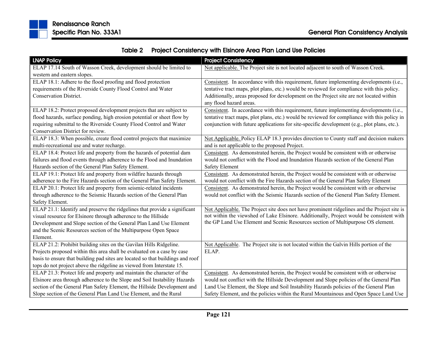

| <b>LNAP Policy</b>                                                             | <b>Project Consistency</b>                                                                                         |
|--------------------------------------------------------------------------------|--------------------------------------------------------------------------------------------------------------------|
| ELAP 17.14 South of Wasson Creek, development should be limited to             | Not applicable. The Project site is not located adjacent to south of Wasson Creek.                                 |
| western and eastern slopes.                                                    |                                                                                                                    |
| ELAP 18.1: Adhere to the flood proofing and flood protection                   | Consistent. In accordance with this requirement, future implementing developments (i.e.,                           |
| requirements of the Riverside County Flood Control and Water                   | tentative tract maps, plot plans, etc.) would be reviewed for compliance with this policy.                         |
| <b>Conservation District.</b>                                                  | Additionally, areas proposed for development on the Project site are not located within<br>any flood hazard areas. |
| ELAP 18.2: Protect proposed development projects that are subject to           | Consistent. In accordance with this requirement, future implementing developments (i.e.,                           |
| flood hazards, surface ponding, high erosion potential or sheet flow by        | tentative tract maps, plot plans, etc.) would be reviewed for compliance with this policy in                       |
| requiring submittal to the Riverside County Flood Control and Water            | conjunction with future applications for site-specific development (e.g., plot plans, etc.).                       |
| Conservation District for review.                                              |                                                                                                                    |
| ELAP 18.3: When possible, create flood control projects that maximize          | Not Applicable. Policy ELAP 18.3 provides direction to County staff and decision makers                            |
| multi-recreational use and water recharge.                                     | and is not applicable to the proposed Project.                                                                     |
| ELAP 18.4: Protect life and property from the hazards of potential dam         | Consistent. As demonstrated herein, the Project would be consistent with or otherwise                              |
| failures and flood events through adherence to the Flood and Inundation        | would not conflict with the Flood and Inundation Hazards section of the General Plan                               |
| Hazards section of the General Plan Safety Element.                            | <b>Safety Element</b>                                                                                              |
| ELAP 19.1: Protect life and property from wildfire hazards through             | Consistent. As demonstrated herein, the Project would be consistent with or otherwise                              |
| adherence to the Fire Hazards section of the General Plan Safety Element.      | would not conflict with the Fire Hazards section of the General Plan Safety Element                                |
| ELAP 20.1: Protect life and property from seismic-related incidents            | Consistent. As demonstrated herein, the Project would be consistent with or otherwise                              |
| through adherence to the Seismic Hazards section of the General Plan           | would not conflict with the Seismic Hazards section of the General Plan Safety Element.                            |
| Safety Element.                                                                |                                                                                                                    |
| ELAP 21.1: Identify and preserve the ridgelines that provide a significant     | Not Applicable. The Project site does not have prominent ridgelines and the Project site is                        |
| visual resource for Elsinore through adherence to the Hillside                 | not within the viewshed of Lake Elsinore. Additionally, Project would be consistent with                           |
| Development and Slope section of the General Plan Land Use Element             | the GP Land Use Element and Scenic Resources section of Multipurpose OS element.                                   |
| and the Scenic Resources section of the Multipurpose Open Space                |                                                                                                                    |
| Element.                                                                       |                                                                                                                    |
| ELAP 21.2: Prohibit building sites on the Gavilan Hills Ridgeline.             | Not Applicable. The Project site is not located within the Galvin Hills portion of the                             |
| Projects proposed within this area shall be evaluated on a case by case        | ELAP.                                                                                                              |
| basis to ensure that building pad sites are located so that buildings and roof |                                                                                                                    |
| tops do not project above the ridgeline as viewed from Interstate 15.          |                                                                                                                    |
| ELAP 21.3: Protect life and property and maintain the character of the         | Consistent. As demonstrated herein, the Project would be consistent with or otherwise                              |
| Elsinore area through adherence to the Slope and Soil Instability Hazards      | would not conflict with the Hillside Development and Slope policies of the General Plan                            |
| section of the General Plan Safety Element, the Hillside Development and       | Land Use Element, the Slope and Soil Instability Hazards policies of the General Plan                              |
| Slope section of the General Plan Land Use Element, and the Rural              | Safety Element, and the policies within the Rural Mountainous and Open Space Land Use                              |